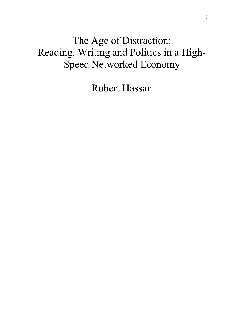The Age of Distraction: Reading, Writing and Politics in a High-Speed Networked Economy

Robert Hassan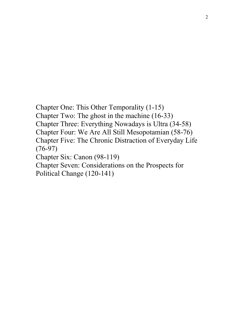Chapter One: This Other Temporality (1-15) Chapter Two: The ghost in the machine (16-33) Chapter Three: Everything Nowadays is Ultra (34-58) Chapter Four: We Are All Still Mesopotamian (58-76) Chapter Five: The Chronic Distraction of Everyday Life (76-97) Chapter Six: Canon (98-119) Chapter Seven: Considerations on the Prospects for Political Change (120-141)

2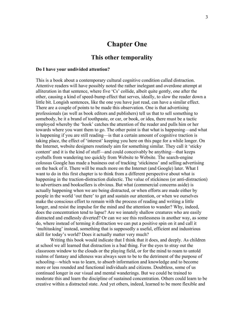### **Chapter One**

### **This other temporality**

#### **Do I have your undivided attention?**

This is a book about a contemporary cultural cognitive condition called distraction. Attentive readers will have possibly noted the rather inelegant and overdone attempt at alliteration in that sentence, where five 'Cs' collide, albeit quite gently, one after the other, causing a kind of speed-bump effect that serves, ideally, to slow the reader down a little bit. Longish sentences, like the one you have just read, can have a similar effect. There are a couple of points to be made this observation. One is that advertising professionals (as well as book editors and publishers) tell us that to sell something to somebody, be it a brand of toothpaste, or car, or book, or idea, there must be a tactic employed whereby the 'hook' catches the attention of the reader and pulls him or her towards where you want them to go. The other point is that what is happening—and what is happening if you are still reading—is that a certain amount of cognitive traction is taking place, the effect of 'interest' keeping you here on this page for a while longer. On the Internet, website designers routinely aim for something similar. They call it 'sticky content' and it is the kind of stuff—and could conceivably be anything—that keeps eyeballs from wandering too quickly from Website to Website. The search-engine colossus Google has made a business out of tracking 'stickiness' and selling advertising on the back of it. There will be much more on the Internet (and Google) later. What I want to do in this first chapter is to think from a different perspective about what is happening in the traction-distraction dialectic. The value of stickiness (or anti-distraction) to advertisers and booksellers is obvious. But what (commercial concerns aside) is actually happening when we are being distracted, or when efforts are made either by people in the world 'out there' to get and sustain our attention, or when we ourselves make the conscious effort to remain with the process of reading and writing a little longer, and resist the impulse for the mind and the attention to wander? Why, indeed, does the concentration tend to lapse? Are we innately shallow creatures who are easily distracted and endlessly diverted? Or can we see this restlessness in another way, as some do, where instead of terming it distraction we can put a positive spin on it and call it 'multitasking' instead, something that is supposedly a useful, efficient and industrious skill for today's world? Does it actually matter very much?

Writing this book would indicate that I think that it does, and deeply. As children at school we all learned that distraction is a bad thing. For the eyes to stray out the classroom window to the clouds or the playing field, or for the mind to roam to untold realms of fantasy and idleness was always seen to be to the detriment of the purpose of schooling—which was to learn, to absorb information and knowledge and to become more or less rounded and functional individuals and citizens. Doubtless, some of us continued longer in our visual and mental wanderings. But we could be trained to moderate this and learn the discipline of sustained concentration. Others could learn to be creative within a distracted state. And yet others, indeed, learned to be more flexible and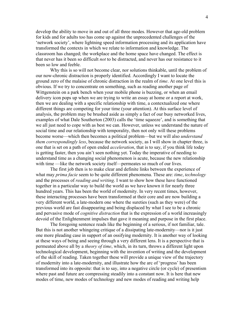develop the ability to move in and out of all three modes. However that age-old problem for kids and for adults too has come up against the unprecedented challenges of the 'network society', where lightning speed information processing and its application have transformed the contexts in which we relate to information and knowledge. The classroom has changed; the workplace and the home space have changed. The effect is that never has it been so difficult *not* to be distracted, and never has our resistance to it been so low and feeble.

Why this is so will not become clear, nor solutions thinkable, until the problem of our now-chronic distraction is properly identified. Accordingly I want to locate the ground zero of the malaise of chronic distraction in the realm of *time*. At one level this is obvious. If we try to concentrate on something, such as reading another page of Wittgenstein on a park bench when your mobile phone is buzzing, or when an email delivery icon pops up when we are trying to write an essay at home or a report at work, then we are dealing with a specific relationship with time, a contextualized one where different things are competing for your time (your attention). At this surface level of analysis, the problem may be brushed aside as simply a fact of our busy networked lives, examples of what Dale Southerton (2003) calls the 'time squeeze', and is something that we all just need to cope with as best we can. However, unless we understand the nature of social time and our relationship with temporality, then not only will these problems become worse—which then becomes a political problem—but we will also *understand them correspondingly less*, because the network society, as I will show in chapter three, is one that is set on a path of open ended *acceleration*, that is to say, if you think life today is getting faster, then you ain't seen nothing yet. Today the imperative of needing to understand time as a changing social phenomenon is acute, because the new relationship with time —like the network society itself—permeates so much of our lives.

The first job then is to make clear and definite links between the experience of what may *prima facie* seem to be quite different phenomena. These are: *time*, *technology* and the processes of *reading and writing*. I want to show how these have functioned together in a particular way to build the world as we have known it for nearly three hundred years. This has been the world of modernity. In very recent times, however, these interacting processes have been transformed at their core and are now building a very different world, a late-modern one where the sureties (such as they were) of the previous world are fast disappearing and being displaced by what I see to be a chronic and pervasive mode of *cognitive distraction* that is the expression of a world increasingly devoid of the Enlightenment impulses that gave it meaning and purpose in the first place.

The foregoing sentence reads like the beginning of a serious, if not familiar, tale. But this is not another whingeing critique of a dissipating late-modernity—nor is it just one more pleading case in support of an ossifying modernity. It is another way of looking at these ways of being and seeing through a very different lens. It is a perspective that is permeated above all by a *theory of time*, which, in its turn, throws a different light upon technological development, beginning with the invention of writing and the development of the skill of reading. Taken together these will provide a unique view of the trajectory of modernity into a late-modernity, and illustrate how the arc of 'progress' has been transformed into its opposite: that is to say, into a negative circle (or cycle) of presentism where past and future are compressing steadily into a constant now. It is here that new modes of time, new modes of technology and new modes of reading and writing help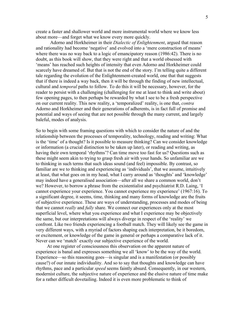create a faster and shallower world and more instrumental world where we know less about more—and forget what we know every more quickly.

Adorno and Horkheimer in their *Dialectic of Enlightenment*, argued that reason and rationality had become 'negative' and evolved into a 'mere construction of means' where there was no way back to a logic of emancipatory reason (1986:42). There is no doubt, as this book will show, that they were right and that a world obsessed with 'means' has reached such heights of intensity that even Adorno and Horkheimer could scarcely have dreamed of. But that is not the end of the story. I'm telling quite a different tale regarding the evolution of the Enlightenment-created world, one that that suggests that if there is indeed a way back, then it will be through the finding of new intellectual, cultural and *temporal* paths to follow. To do this it will be necessary, however, for the reader to persist with a challenging (challenging for me at least to think and write about) few opening pages, to then perhaps be rewarded by what I see to be a fresh perspective on our current reality. This new reality, a 'temporalized' reality, is one that, *contra* Adorno and Horkheimer and their generations of adherents, is in fact full of promise and potential and ways of seeing that are not possible through the many current, and largely baleful, modes of analysis.

So to begin with some framing questions with which to consider the nature of and the relationship between the processes of temporality, technology, reading and writing: What is the 'time' of a thought? Is it possible to measure thinking? Can we consider knowledge or information (a crucial distinction to be taken up later), or reading and writing, as having their own temporal 'rhythms'? Can time move too fast for us? Questions such as these might seem akin to trying to grasp fresh air with your hands. So unfamiliar are we to thinking in such terms that such ideas sound (and feel) impossible. By contrast, so familiar are we to thinking and experiencing as 'individuals', that we assume, intuitively at least, that what goes on in my head, what I carry around as 'thoughts' and 'knowledge' may indeed have a generalised association—after all we share a common world, don't we? However, to borrow a phrase from the existentialist and psychiatrist R.D. Laing, 'I cannot experience your experience. You cannot experience my experience' (1967:16). To a significant degree, it seems, time, thinking and many forms of knowledge are the fruits of subjective experience. These are ways of understanding, processes and modes of being that we cannot *really* and *fully* share. We connect our experiences only at the most superficial level, where what you experience and what I experience may be objectively the same, but our interpretations will always diverge in respect of the 'reality' we confront. Like two friends experiencing a football match. They will likely see the game in very different ways, with a myriad of factors shaping each interpretation, be it boredom, or excitement, or knowledge of the game in general or perhaps a comparative lack of it. Never can we 'match' exactly our subjective experience of the world.

At one register of consciousness this observation on the apparent nature of experience is banal and expresses something we all 'know' to be the way of the world. Experience—so this reasoning goes—is singular and is a manifestation (or possibly cause?) of our innate individuality. And so to say that thoughts and knowledge can have rhythms, pace and a particular *speed* seems faintly absurd. Consequently, in our western, modernist culture, the subjective nature of experience and the elusive nature of time make for a rather difficult dovetailing. Indeed it is even more problematic to think of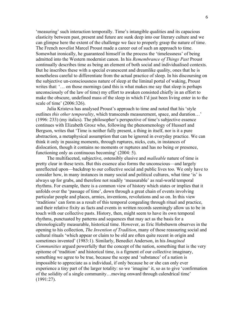'measuring' such interaction temporally. Time's intangible qualities and its capacious elasticity between past, present and future are sunk deep into our literary culture and we can glimpse here the extent of the challenge we face to properly grasp the nature of time. The French novelist Marcel Proust made a career out of such an approach to time. Somewhat ironically, he guaranteed himself in the process the 'timelessness' of being admitted into the Western modernist canon. In his *Remembrance of Things Past* Proust continually describes time as being an element of both social and individualised contexts. But he inscribes these with a special evanescent and dreamlike quality, ones that he is nonetheless careful to differentiate from the actual practice of sleep. In his discoursing on the subjective un-consciousness nature of sleep at the liminal portal of waking, Proust writes that: '... on those mornings (and this is what makes me say that sleep is perhaps unconsciously of the law of time) my effort to awaken consisted chiefly in an effort to make the obscure, undefined mass of the sleep in which I'd just been living enter in to the scale of time' (2006:326).

Julia Kristeva has analysed Proust's approach to time and noted that his 'style outlines *this other temporality*, which transcends measurement, space, and duration…' (1996: 233) (my italics). The philosopher's perspective of time's subjective essence continues with Elizabeth Grosz who, following the phenomenology of Husserl and Bergson, writes that 'Time is neither fully present, a thing in itself, nor is it a pure abstraction, a metaphysical assumption that can be ignored in everyday practice. We can think it only in passing moments, through ruptures, nicks, cuts, in instances of dislocation, though it contains no moments or ruptures and has no being or presence, functioning only as continuous becoming' (2004: 5).

The multifaceted, subjective, ostensibly elusive and *malleable* nature of time is pretty clear in these texts. But this essence also forms the unconscious—and largely unreflected upon—backdrop to our collective social and public lives too. We only have to consider how, in many instances in many social and political cultures, what time 'is' is always up for grabs, and therefore not readily 'measurable' as real-world temporal rhythms. For example, there is a common view of history which states or implies that it unfolds over the 'passage of time', down through a great chain of events involving particular people and places, armies, inventions, revolutions and so on. In this view 'traditions' can form as a result of this temporal congealing through ritual and practice, and their relative fixity as facts and events in written records seemingly allow us to be in touch with our collective pasts. History, then, might seem to have its own temporal rhythms, punctuated by patterns and sequences that may act as the basis for a chronologically measurable, historical time. However, as Eric Hobsbawm observes in the opening to his collection, *The Invention of Tradition*, many of those reassuring social and cultural rituals 'which appear or claim to be old are often quite recent in origin and sometimes invented' (1983:1). Similarly, Benedict Anderson, in his *Imagined Communities* argued powerfully that the concept of the nation, something that is the very epitome of 'tradition' and historical time, is a figment of our collective imaginary, something we agree to be true, because the scope and 'substance' of a nation is impossible to appreciate as a individual, if only because he or she can only ever experience a tiny part of the larger totality: so we 'imagine' it, so as to give 'confirmation of the solidity of a single community…moving onward through calendrical time' (1991:27).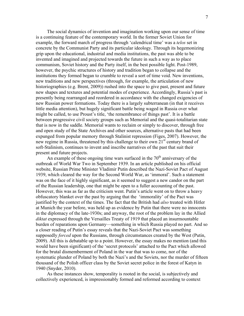The social dynamics of invention and imagination working upon our sense of time is a continuing feature of the contemporary world. In the former Soviet Union for example, the forward march of progress through 'calendrical time' was a *telos* set in concrete by the Communist Party and its particular ideology. Through its hegemonizing grip upon the educational, industrial and media institutions, the past was able to be invented and imagined and projected towards the future in such a way as to place communism, Soviet history and the Party itself, in the best possible light. Post-1989, however, the psychic structures of history and tradition began to collapse and the institutions they formed began to crumble to reveal a sort of time void. New inventions, new traditions and new perspectives (through, for example, the articulation of new historiographies (e.g. Brent, 2009)) rushed into the space to give past, present and future new shapes and textures and potential modes of experience. Accordingly, Russia's past is presently being rearranged and reordered in accordance with the changed exigencies of new Russian power formations. Today there is a largely subterranean (in that it receives little media attention), but hugely significant battle being waged in Russia over what might be called, to use Proust's title, 'the remembrance of things past'. It is a battle between progressive civil society groups such as Memorial and the quasi-totalitarian state that is now in the saddle. Memorial wants to reclaim or simply to discover, through free and open study of the State Archives and other sources, alternative pasts that had been expunged from popular memory through Stalinist repression (Figes, 2007). However, the new regime in Russia, threatened by this challenge to their own 21<sup>st</sup> century brand of soft-Stalinism, continues to invent and inscribe narratives of the past that suit their present and future projects.

An example of these ongoing time wars surfaced in the  $70<sup>th</sup>$  anniversary of the outbreak of World War Two in September 1939. In an article published on his official website, Russian Prime Minister Vladimir Putin described the Nazi-Soviet Pact of August 1939, which cleared the way for the Second World War, as 'immoral'. Such a statement was on the face of it highly significant, as it seemed to suggest a new candor on the part of the Russian leadership, one that might be open to a fuller accounting of the past. However, this was as far as the criticism went. Putin's article went on to throw a heavy obfuscatory blanket over the past by arguing that the 'immorality' of the Pact was justified by the context of the times. The fact that the British had *also* treated with Hitler at Munich the year before, was held up as evidence by Putin that there were no innocents in the diplomacy of the late-1930s; and anyway, the root of the problem lay in the Allied *diktat* expressed through the Versailles Treaty of 1919 that placed an insurmountable burden of reparations upon Germany—something in which Russia played no part. And so a closer reading of Putin's essay reveals that the Nazi-Soviet Pact was something supposedly *forced* upon the Russians, through circumstances created by the West (Putin, 2009). All this is debatable up to a point. However, the essay makes no mention (and this would have been significant) of the 'secret protocols' attached to the Pact which allowed for the brutal dismemberment of Poland in the war that was to come, nor of the systematic plunder of Poland by both the Nazi's and the Soviets, nor the murder of fifteen thousand of the Polish officer class by the Soviet secret police in the forest of Katyn in 1940 (Snyder, 2010).

As these instances show, temporality is rooted in the social, is subjectively and collectively experienced, is impressionably formed and reformed according to context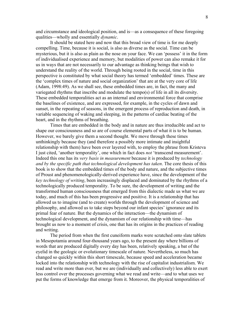and circumstance and ideological position, and is—as a consequence of these foregoing qualities—wholly and essentially *dynamic*.

It should be stated here and now that this broad view of time is for me deeply compelling. Time, because it is social, is also as diverse as the social. Time can be mysterious, but it is also as plain as the nose on your face. We can 'possess' it in the form of individualised experience and memory, but modalities of power can also remake it for us in ways that are not necessarily to our advantage as thinking beings that wish to understand the reality of the world. Through being rooted in the social, time in this perspective is constituted by what social theory has termed 'embedded' times. These are the 'complex times of nature and social organization' that are at the very core of life (Adam, 1998:49). As we shall see, these embedded times are, in fact, the many and variegated rhythms that inscribe and modulate the tempo(s) of life in all its diversity. These embedded temporalities act as an internal and environmental force that comprise the baselines of existence, and are expressed, for example, in the cycles of dawn and sunset, in the repeating of seasons, in the emergent process of reproduction and death, in variable sequencing of waking and sleeping, in the patterns of cardiac beating of the heart, and in the rhythms of breathing.

Times that are embedded in the body and in nature are thus irreducible and act to shape our consciousness and so are of course elemental parts of what it is to be human. However, we barely give them a second thought. We move through these times unthinkingly because they (and therefore a possibly more intimate and insightful relationship with them) have been over layered with, to employ the phrase from Kristeva I just cited, 'another temporality', one which in fact does *not* 'transcend measurement'. Indeed this one has its *very basis in measurement* because it is produced by *technology and by the specific path that technological development has taken*. The core thesis of this book is to show that the embedded times of the body and nature, and the subjective times of Proust and phenomenologically-derived experience have, since the development of the *key technology of writing*, been increasingly displaced and dominated by the rhythms of a technologically produced temporality. To be sure, the development of writing and the transformed human consciousness that emerged from this dialectic made us what we are today, and much of this has been progressive and positive. It is a relationship that has allowed us to imagine (and to create) worlds through the development of science and philosophy, and allowed us to take steps beyond our infant species' ignorance and its primal fear of nature. But the dynamics of the interaction—the dynamism of technological development, and the dynamism of our relationship with time—has brought us now to a moment of crisis, one that has its origins in the practices of reading and writing.

The period from when the first cuneiform marks were scratched onto slate tablets in Mesopotamia around four-thousand years ago, to the present day where billions of words that are produced digitally every day has been, relatively speaking, a bat of the eyelid in the geologic or evolutionary timescale of nature. Nevertheless, so much has changed so quickly within this short timescale, because speed and acceleration became locked into the relationship with technology with the rise of capitalist industrialism. We read and write more than ever, but we are (individually and collectively) less able to exert less control over the processes governing what we read and write—and to what uses we put the forms of knowledge that emerge from it. Moreover, the physical temporalities of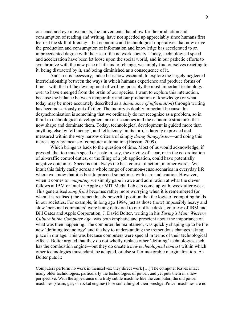our hand and eye movements, the movements that allow for the production and consumption of reading and writing, have not speeded up appreciably since humans first learned the skill of literacy—but economic and technological imperatives that now drive the production and consumption of information and knowledge has accelerated to an unprecedented degree with the rise of the network society. Today, technological speed and acceleration have been let loose upon the social world, and in our pathetic efforts to synchronize with the new pace of life and of change, we simply find ourselves reacting to it, being distracted by it, and being diminished as a consequence of it.

And so it is necessary, indeed it is now essential, to explore the largely neglected interrelationship between the ways in which humans experience and produce forms of time—with that of the development of writing, possibly the most important technology ever to have emerged from the brain of our species. I want to explore this interaction, because the balance between temporality and our production of knowledge (or what today may be more accurately described as a *dominance of information*) through writing has become seriously out of kilter. The inquiry is doubly important because this desynchronisation is something that we ordinarily do not recognize as a problem, so in thrall to technological development are our societies and the economic structures that now shape and dominate them. Today, technological development is guided more than anything else by 'efficiency', and 'efficiency' in its turn, is largely expressed and measured within the very narrow criteria of simply *doing things faster*—and doing this increasingly by means of computer automation (Hassan, 2009).

Which brings us back to the question of time. Most of us would acknowledge, if pressed, that too much speed or haste in, say, the driving of a car, or in the co-ordination of air-traffic control duties, or the filing of a job application, could have potentially negative outcomes. Speed is not always the best course of action, in other words. We intuit this fairly easily across a whole range of common-sense scenarios in everyday life where we know that it is best to proceed sometimes with care and caution. However, when it comes to *computing* we simply gape in awe and admiration at what the clever fellows at IBM or Intel or Apple or MIT Media Lab can come up with, week after week. This generalised *sang froid* becomes rather more worrying when it is remembered (or when it is realised) the tremendously powerful position that the logic of computing holds in our societies. For example, in long ago 1984, just as those (now) impossibly heavy and slow 'personal computers' were being delivered to our office desks, courtesy of IBM and Bill Gates and Apple Corporation, J. David Bolter, writing in his *Turing's Man: Western Culture in the Computer Age*, was both emphatic and prescient about the importance of what was then happening. The computer, he maintained, was quickly shaping up to be the new 'defining technology' and the key to understanding the tremendous changes taking place in our age. This was because computers were special in terms of their technological effects. Bolter argued that they do not wholly replace other 'defining' technologies such has the combustion engine—but they do create a *new technological context* within which other technologies must adapt, be adapted, or else suffer inexorable marginalization. As Bolter puts it:

Computers perform no work in themselves: they direct work […] The computer leaves intact many older technologies, particularly the technologies of power, and yet puts them in a new perspective. With the appearance of a truly subtle machine like the computer, the old power machines (steam, gas, or rocket engines) lose something of their prestige. Power machines are no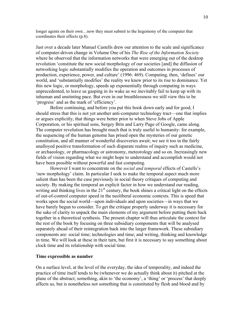longer agents on their own…now they must submit to the hegemony of the computer that coordinates their effects (p.8).

Just over a decade later Manuel Castells drew our attention to the scale and significance of computer-driven change in Volume One of his *The Rise of the Information Society* where he observed that the information networks that were emerging out of the desktop revolution 'constitute the new social morphology of our societies [and] the diffusion of networking logic substantially modifies the operation and outcomes in processes of production, experience, power, and culture' (1996: 469). Computing, then, 'defines' our world, and 'substantially modifies' the reality we knew prior to its rise to dominance. Yet this new logic, or morphology, speeds up exponentially through computing in ways unprecedented, to leave us gasping in its wake as we inevitably fail to keep up with its inhuman and unstinting pace. But even in our breathlessness we still view this to be 'progress' and as the mark of 'efficiency'.

Before continuing, and before you put this book down early and for good, I should stress that this is not yet another anti-computer technology tract—one that implies or argues explicitly, that things were better prior to when Steve Jobs of Apple Corporation, or his spiritual sons, Sergey Brin and Larry Page of Google, came along. The computer revolution has brought much that is truly useful to humanity: for example, the sequencing of the human genome has prised open the mysteries of our genetic constitution, and all manner of wonderful discoveries await; we see it too in the fairly unalloyed positive transformation of such disparate realms of inquiry such as medicine, or archaeology, or pharmacology or astronomy, meteorology and so on. Increasingly new fields of vision regarding what we might hope to understand and accomplish would not have been possible without powerful and fast computing.

However I want to concentrate on the *social and temporal* effects of Castells's 'new morphology' claim. In particular I seek to make the temporal aspect much more salient than has been the case previously in social theory critiques of computing and society. By making the temporal an explicit factor in how we understand our reading, writing and thinking lives in the  $21<sup>st</sup>$  century, the book shines a critical light on the effects of out-of-control computer speed in the neoliberal economic contexts. This is speed that works upon the social world—upon individuals and upon societies—in ways that we have barely begun to consider. To get the critique properly underway it is necessary for the sake of clarity to unpack the main elements of my argument before putting them back together in a theoretical synthesis. The present chapter will thus articulate the context for the rest of the book by focusing on three subsidiary components that will be analysed separately ahead of their reintegration back into the larger framework. These subsidiary components are: social time; technologies and time; and writing, thinking and knowledge in time. We will look at these in their turn, but first it is necessary to say something about clock time and its relationship with social time.

#### **Time expressible as number**

On a surface level, at the level of the everyday, the idea of temporality, and indeed the practice of time itself tends to be (whenever we do actually think about it) pitched at the plane of the abstract; something, akin to 'the economy', a 'thing' or 'process' that deeply affects us, but is nonetheless not something that is constituted by flesh and blood and by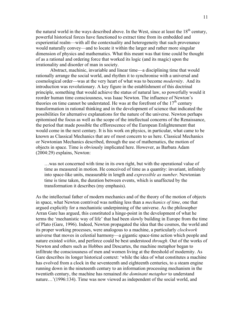the natural world in the ways described above. In the West, since at least the  $18<sup>th</sup>$  century, powerful historical forces have functioned to extract time from its embedded and experiential realm—with all the contextuality and heterogeneity that such provenance would naturally convey—and to locate it within the larger and rather more singular dimension of physics and mathematics. What this meant was that time could be thought of as a rational and ordering force that worked its logic (and its magic) upon the irrationality and disorder of man in society.

Abstract, machinic, invariable and linear time—a disciplining time that would rationally arrange the social world, and rhythm it to synchronise with a universal and cosmological order—was at the very heart of what was to become *modernity*. And its introduction was revolutionary. A key figure in the establishment of this doctrinal principle, something that would achieve the status of natural law, so powerfully would it reorder human time consciousness, was Isaac Newton. The influence of Newton's theories on time cannot be understated. He was at the forefront of the  $17<sup>th</sup>$  century transformation in rational thinking and in the development of science that indicated the possibilities for alternative explanations for the nature of the universe. Newton perhaps epitomised the focus as well as the scope of the intellectual concerns of the Renaissance, the period that made possible the efflorescence of the European Enlightenment that would come in the next century. It is his work on physics, in particular, what came to be known as Classical Mechanics that are of most concern to us here. Classical Mechanics or Newtonian Mechanics described, through the use of mathematics, the motion of objects in space. Time is obviously implicated here. However, as Barbara Adam (2004:29) explains, Newton:

…was not concerned with time in its own right, but with the operational value of time as measured in motion. He conceived of time as a quantity: invariant, infinitely into space-like units, measurable in length and *expressible as number*. Newtonian time is time taken, the duration between events, which is unaffected by the transformation it describes (my emphasis).

As the intellectual father of modern mechanics and of the theory of the motion of objects in space, what Newton contrived was nothing less than a *mechanics of time*, one that argued explicitly for a mechanistic underpinning of the universe. As the philosopher Arran Gare has argued, this constituted a hinge-point in the development of what he terms the 'mechanistic way of life' that had been slowly building in Europe from the time of Plato (Gare, 1996). Indeed, Newton propagated the idea that the cosmos, the world and its proper working processes, were analogous to a machine, a particularly *clockwork* universe that moves in celestial harmony—a gigantic space-time action which people and nature existed *within*, and perforce could be best understood *through*. Out of the works of Newton and others such as Hobbes and Descartes, the machine metaphor began to infiltrate the consciousness of men and women living at the threshold of modernity. As Gare describes its longer historical context: 'while the idea of what constitutes a machine has evolved from a clock in the seventeenth and eighteenth centuries, to a steam engine running down in the nineteenth century to an information processing mechanism in the twentieth century, the machine has remained *the dominant metaphor* to understand nature…'(1996:134). Time was now viewed as independent of the social world, and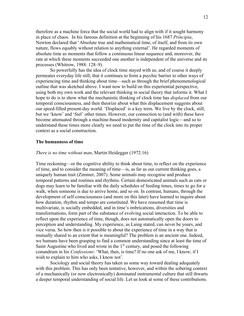therefore as a machine force that the social world had to align with if it sought harmony in place of chaos. In his famous definition at the beginning of his 1687 *Principia*, Newton declared that 'Absolute true and mathematical time, of itself, and from its own nature, flows equably without relation to anything external'. He regarded moments of absolute time as moments that follow a continuous linear sequence and, moreover, the rate at which these moments succeeded one another is independent of the universe and its processes (Whitrow, 1988: 128–9).

So powerfully has the idea of clock time stayed with us, and of course it deeply permeates everyday life still, that it continues to form a psychic barrier to other ways of experiencing time and thinking about time—such as through the brief phenomenological outline that was sketched above. I want now to build on this experiential perspective, using both my own work and the relevant thinking in social theory that informs it. What I hope to do is to show what the mechanistic thinking of clock time has *displaced* from our temporal consciousness, and then theorize about what this displacement suggests about our speed-filled present-day world. 'Displaced' is a key term. We live by the clock, still, but we 'know' and 'feel' other times. However, our connection to (and with) these have become attenuated through a machine-based modernity and capitalist logic—and so to understand these times more clearly we need to put the time of the clock into its proper context as a social construction.

#### **The humanness of time**

#### *There is no time without man*, Martin Heidegger (1972:16)

Time reckoning—or the cognitive ability to think about time, to reflect on the experience of time, and to consider the meaning of time—is, as far as our current thinking goes, a uniquely human trait (Zimmer, 2007). Some animals may recognise and produce temporal patterns and routines and rhythms. Certain domesticated animals such as cats or dogs may learn to be familiar with the daily schedules of feeding times, times to go for a walk, when someone is due to arrive home, and so on. In contrast, humans, through the development of self-consciousness (and more on this later) have learned to inquire about how duration, rhythm and tempo are constituted. We have reasoned that time is multivariate, is socially embedded, and in time's imbrications, diversities and transformations, form part of the substance of evolving social interaction. To be able to reflect upon the experience of time, though, does not automatically open the doors to perception and understanding. My experience, as Laing stated, can never be yours, and vice versa. So how then is it possible to about the experience of time in a way that is mutually shared to an extent that is meaningful? The problem is an ancient one. Indeed, we humans have been grasping to find a common understanding since at least the time of Saint Augustine who lived and wrote in the  $1<sup>st</sup>$  century, and posed the following conundrum in his *Confessions*: 'What, then, is time? If no one ask of me, I know; if I wish to explain to him who asks, I know not'*.*

Sociology and social theory has taken us some way toward dealing adequately with this problem. This has only been tentative, however, and within the sobering context of a mechanically (or now electronically) dominated instrumental culture that still thwarts a deeper temporal understanding of social life. Let us look at some of these contributions.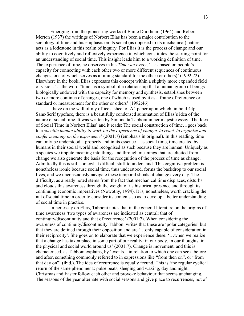Emerging from the pioneering works of Emile Durkheim (1964) and Robert Merton (1937) the writings of Norbert Elias has been a major contribution to the sociology of time and his emphasis on its social (as opposed to its mechanical) nature acts as a lodestone in this realm of inquiry. For Elias it is the process of change and our ability to cognitively and reflexively experience it, which constitutes the starting-point for an understanding of social time. This insight leads him to a working definition of time. The experience of time, he observes in his *Time: an essay*, '…is based on people's capacity for connecting with each other two or more different sequences of continuous changes, one of which serves as a timing standard for the other (or others)' (1992:72). Elsewhere in the book, Elias expresses this concept within a slightly more expanded field of vision: '…the word "time" is a symbol of a relationship that a human group of beings biologically endowed with the capacity for memory and synthesis, establishes between two or more continua of changes, one of which is used by it as a frame of reference or standard or measurement for the other or others' (1992:46).

I have on the wall of my office a sheet of A4 paper upon which, in bold 44pt Sans-Serif typeface, there is a beautifully condensed summation of Elias's idea of the nature of social time. It was written by Simonetta Tabboni in her majestic essay 'The Idea of Social Time in Norbert Elias' and it reads: The social construction of time…goes back to a *specific human ability to work on the experience of change, to react, to organize and confer meaning on the experience*' (2001:7) (emphasis in original). In this reading, time can only be understood—properly and in its essence—as social time, time created by humans in their social world and recognised as such because they are human. Uniquely as a species we impute meaning into things and through meanings that are elicited from change we also generate the basis for the recognition of the process of time as change. Admittedly this is still somewhat difficult stuff to understand. This cognitive problem is nonetheless ironic because social time, thus understood, forms the backdrop to our social lives, and we unconsciously navigate these temporal shoals of change every day. The difficulty, as already noted stems from the fact that mechanical time displaces, disturbs and clouds this awareness through the weight of its historical presence and through its continuing economic imperatives (Nowotny, 1994). It is, nonetheless, worth cracking the nut of social time in order to consider its contents so as to develop a better understanding of social time in practice.

In her essay on Elias, Tabboni notes that in the general literature on the origins of time awareness 'two types of awareness are indicated as central: that of continuity/discontinuity and that of recurrence' (2001:7). When considering the awareness of continuity/discontinuity Tabboni writes that these are 'polar categories' but that they are defined through their opposition and are '…only capable of consideration in their reciprocity'. She goes on to elaborate that we experience these: '…when we realize that a change has taken place in some part of our reality: in our body, in our thoughts, in the physical and social world around us' (2001:7). Change is movement, and this is characterised, as Tabboni explains, by 'events…in relation to which one can see a before and after, something commonly referred to in expressions like "from then on", or "from that day on"' (ibid.). The idea of recurrence is equally fecund. This is 'the regular cyclical return of the same phenomena: pulse beats, sleeping and waking, day and night, Christmas and Easter follow each other and provoke behaviour that seems unchanging. The seasons of the year alternate with social seasons and give place to recurrences, not of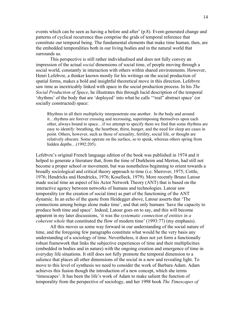events which can be seen as having a before and after' (p.8). Event-generated change and patterns of cyclical recurrence thus comprise the grids of temporal reference that constitute our temporal being. The fundamental elements that make time human, then, are the embedded temporalities both in our living bodies and in the natural world that surrounds us.

This perspective is still rather individualised and does not fully convey an impression of the actual *social* dimensions of social time, of people moving through a social world, constantly in interaction with others within shared environments. However, Henri Lefebvre, a thinker known mostly for his writings on the social production of spatial forms, makes a bold and insightful theoretical move in this direction. Lefebvre saw time as inextricably linked with space in the social production process. In his *The Social Production of Space*, he illustrates this through lucid description of the temporal 'rhythms' of the body that are 'deployed' into what he calls '"real" abstract space' (or socially constructed) space:

Rhythms in all their multiplicity interpenetrate one another. In the body and around it…rhythms are forever crossing and recrossing, superimposing themselves upon each other, always bound to space…if we attempt to specify them we find that some rhythms are easy to identify: breathing, the heartbeat, thirst, hunger, and the need for sleep are cases in point. Others, however, such as those of sexuality, fertility, social life, or thought are relatively obscure. Some operate on the surface, so to speak, whereas others spring from hidden depths…(1992:205).

Lefebvre's original French language edition of the book was published in 1974 and it helped to generate a literature that, from the time of Durkheim and Merton, had still not become a proper school or movement, but was nonetheless beginning to orient towards a broadly sociological and critical theory approach to time (i.e. Sherover, 1975; Cottle, 1976; Hendricks and Hendricks, 1976; Koselleck, 1979). More recently Bruno Latour made social time an aspect of his Actor Network Theory (ANT) that is based on the interactive agency between networks of humans and technologies. Latour saw temporality (or the creation of social time) as part of the functioning of the ANT dynamic. In an echo of the quote from Heidegger above, Latour asserts that 'The connections among beings alone make time', and that only humans 'have the capacity to produce both time and space'. Indeed, Latour goes on to say, and this will become apparent in my later discussions, 'it was the *systematic connection of entities in a coherent whole* that constituted the flow of modern time' (1993:77) (my emphasis).

All this moves us some way forward in our understanding of the social nature of time, and the foregoing few paragraphs constitute what would be the very basis any understanding of a sociology of time. Nevertheless, it does not yet form a functionally robust framework that links the subjective experiences of time and their multiplicities (embedded in bodies and in nature) with the ongoing creation and emergence of time in everyday life situations. It still does not fully promote the temporal dimension to a salience that places all other dimensions of the social in a new and revealing light. To move to this level of synthesis we need to consider the work of Barbara Adam. Adam achieves this fusion though the introduction of a new concept, which she terms 'timescapes'. It has been the life's work of Adam to make salient the function of temporality from the perspective of sociology, and her 1998 book *The Timescapes of*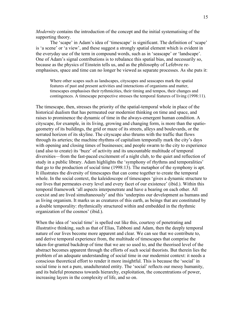*Modernity* contains the introduction of the concept and the initial systematising of the supporting theory.

The 'scape' in Adam's idea of 'timescape' is significant. The definition of 'scape' is 'a scene' or 'a view', and these suggest a strongly spatial element which is evident in the everyday use of the term in compound words, such as in 'seascape' or 'landscape'. One of Adam's signal contributions is to rebalance this spatial bias, and necessarily so, because as the physics of Einstein tells us, and as the philosophy of Lefebvre reemphasises, space and time can no longer be viewed as separate processes. As she puts it:

Where other scapes such as landscapes, cityscapes and seascapes mark the spatial features of past and present activities and interactions of organisms and matter, timescapes emphasises their rythmicities, their timing and tempos, their changes and contingences. A timescape perspective stresses the temporal features of living (1998:11).

The timescape, then, stresses the priority of the spatial-temporal whole in place of the historical dualism that has permeated our modernist thinking on time and space, and raises to prominence the dynamic of time in the always-emergent human condition. A cityscape, for example, in its living, growing and changing form, is more than the spatiogeometry of its buildings, the grid or maze of its streets, alleys and boulevards, or the serrated horizon of its skyline. The cityscape also thrums with the traffic that flows through its arteries; the machine rhythms of capitalism temporally mark the city's days with opening and closing times of businesses; and people swarm to the city to experience (and also to create) its 'buzz' of activity and its uncountable multitude of temporal diversities—from the fast-paced excitement of a night club, to the quiet and reflection of study in a public library. Adam highlights the 'symphony of rhythms and temporalities' that go to the production of social time (1998:13). The metaphor of the symphony is apt. It illustrates the diversity of timescapes that can come together to create the temporal whole. In the social context, the kaleidoscope of timescapes 'gives a dynamic structure to our lives that permeates every level and every facet of our existence' (ibid.). Within this temporal framework 'all aspects interpenetrate and have a bearing on each other. All coexist and are lived simultaneously' and this 'underpins our development as humans and as living organism. It marks us as creatures of this earth, as beings that are constituted by a double temporality: rhythmically structured within and embedded in the rhythmic organization of the cosmos' (ibid.).

When the idea of 'social time' is spelled out like this, courtesy of penetrating and illustrative thinking, such as that of Elias, Tabboni and Adam, then the deeply temporal nature of our lives become more apparent and clear. We can see that we contribute to, and derive temporal experience from, the multitude of timescapes that comprise the taken-for-granted backdrop of time that we are so used to, and the theorised level of the abstract becomes apparent through the efforts of such social theorists. But therein lies the problem of an adequate understanding of social time in our modernist context: it needs a conscious theoretical effort to render it more insightful. This is because the 'social' in social time is not a pure, unadulterated entity. The 'social' reflects our messy humanity, and its baleful proneness towards hierarchy, exploitation, the concentrations of power, increasing layers in the complexity of life, and so on.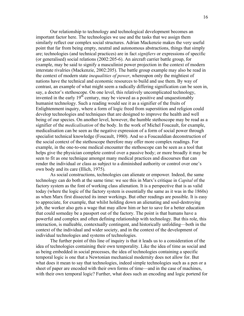Our relationship to technology and technological development becomes an important factor here. The technologies we use and the tasks that we assign them similarly reflect our complex social structures. Adrian Mackenzie makes the very useful point that far from being empty, neutral and autonomous abstractions, things that simply are; technologies (and technical practices) are in fact *signifiers* or expressions of specific (or generalised) social relations (2002:205-6). An aircraft carrier battle group, for example, may be said to signify a masculinist power projection in the context of modern interstate rivalries (Mackenzie, 2002:205). The battle group example may also be read in the context of modern state *inequalities of power*, whereupon only the mightiest of nations have the technical and economic resources to build and use them. By way of contrast, an example of what might seem a radically differing signification can be seen in, say, a doctor's stethoscope. On one level, this relatively uncomplicated technology, invented in the early  $19<sup>th</sup>$  century, may be viewed as a positive and unquestionably humanist technology. Such a reading would see it as a signifier of the fruits of Enlightenment inquiry, where a form of logic freed from superstition and religion could develop technologies and techniques that are designed to improve the health and well being of our species. On another level, however, the humble stethoscope may be read as a signifier of the *medicalisation* of the body. In the work of Michel Foucault, for example, medicalisation can be seen as the negative expression of a form of social power through specialist technical knowledge (Foucault, 1980). And so a Foucauldian deconstruction of the social context of the stethoscope therefore may offer more complex readings. For example, in the one-to-one medical encounter the stethoscope can be seen as a tool that helps give the physician complete control over a passive body; or more broadly it may be seen to fit as one technique amongst many medical practices and discourses that can render the individual or class as subject to a diminished authority or control over one's own body and its care (Illich, 1975).

As social constructions, technologies can alienate or empower. Indeed, the same technology can do both at the same time: we see this in Marx's critique in *Capital* of the factory system as the font of working class alienation. It is a perspective that is as valid today (where the logic of the factory system is essentially the same as it was in the 1860s) as when Marx first dissected its inner workings. But other readings are possible. It is easy to appreciate, for example, that whilst holding down an alienating and soul-destroying job, the worker also gets a wage that may allow him or her to save for a better education that could someday be a passport out of the factory. The point is that humans have a powerful and complex and often defining relationship with technology. But this role, this interaction, is malleable, contextually contingent, and historically unfolding—both in the context of the individual and wider society, and in the context of the development of individual technologies and systems of technologies.

The further point of this line of inquiry is that it leads us to a consideration of the idea of technologies containing their own temporality. Like the idea of time as social and as being embedded in social processes, the idea of technologies containing a specific temporal logic is one that a Newtonian mechanical modernity does not allow for. But what does it mean to say that technologies, indeed simple technologies such as a pen or a sheet of paper are encoded with their own forms of time—and in the case of machines, with their own temporal logic? Further, what does such an encoding and logic portend for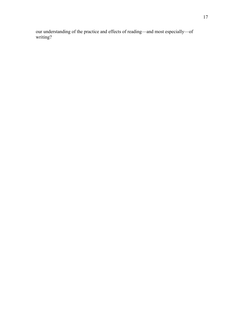our understanding of the practice and effects of reading—and most especially—of writing?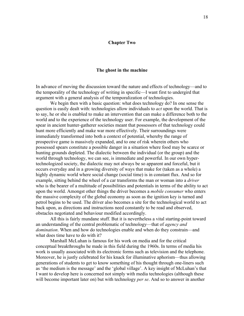#### **Chapter Two**

#### **The ghost in the machine**

In advance of moving the discussion toward the nature and effects of technology—and to the temporality of the technology of writing in specific—I want first to undergird that argument with a general analysis of the temporalization of technologies.

We begin then with a basic question: what does technology do? In one sense the question is easily dealt with: technologies allow individuals to *act* upon the world. That is to say, he or she is enabled to make an intervention that can make a difference both to the world and to the experience of the technology user. For example, the development of the spear in ancient hunter-gatherer societies meant that possessors of that technology could hunt more efficiently and make war more effectively. Their surroundings were immediately transformed into both a context of potential, whereby the range of prospective game is massively expanded, and to one of risk wherein others who possessed spears constitute a possible danger in a situation where food may be scarce or hunting grounds depleted. The dialectic between the individual (or the group) and the world through technology, we can see, is immediate and powerful. In our own hypertechnologized society, the dialectic may not always be so apparent and forceful, but it occurs everyday and in a growing diversity of ways that make for (taken as a whole) a highly dynamic world where social change (social time) is in constant flux. And so for example, sitting behind the wheel of a car transforms the man or woman into a *driver* who is the bearer of a multitude of possibilities and potentials in terms of the ability to act upon the world. Amongst other things the driver becomes a *mobile consumer* who enters the massive complexity of the global economy as soon as the ignition key is turned and petrol begins to be used. The driver also becomes a site for the technological world to act back upon, as directions and instructions need constantly to be read and observed, obstacles negotiated and behaviour modified accordingly.

All this is fairly mundane stuff. But it is nevertheless a vital starting-point toward an understanding of the central problematic of technology—that of *agency and domination*. When and how do technologies enable and when do they constrain—and what does time have to do with it?

Marshall McLuhan is famous for his work on media and for the critical conceptual breakthroughs he made in this field during the 1960s. In terms of media his work is usually associated with its electronic forms such as television and the telephone. Moreover, he is justly celebrated for his knack for illuminative aphorism—thus allowing generations of students to get to know something of his thought through one-liners such as 'the medium is the message' and the 'global village'. A key insight of McLuhan's that I want to develop here is concerned not simply with media technologies (although these will become important later on) but with technology *per se*. And so to answer in another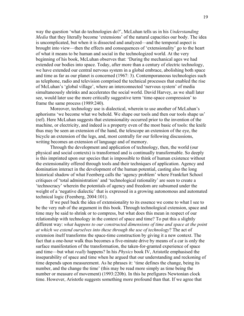way the question 'what do technologies do?', McLuhan tells us in his *Understanding Media* that they literally become 'extensions' of the natural capacities our body. The idea is uncomplicated, but when it is dissected and analyzed—and the temporal aspect is brought into view—then the effects and consequences of 'extensionality' go to the heart of what it means to be human and social in the technologized world. At the very beginning of his book, McLuhan observes that: 'During the mechanical ages we had extended our bodies into space. Today, after more than a century of electric technology, we have extended our central nervous system in a global embrace, abolishing both space and time as far as our planet is concerned (1967: 3). Contemporaneous technologies such as telephone, radio and television comprised the technical processes that enabled the rise of McLuhan's 'global village', where an interconnected 'nervous system' of media simultaneously shrinks and accelerates the social world. David Harvey, as we shall later see, would later use the more critically suggestive term 'time-space compression' to frame the same process (1989:240).

Moreover, technology use is dialectical, wherein to use another of McLuhan's aphorisms 'we become what we behold. We shape our tools and then our tools shape us' (ref). Here McLuhan suggests that extensionality occurred prior to the invention of the machine, or electricity, and indeed is a property even of the most basic of tools: the knife thus may be seen an extension of the hand, the telescope an extension of the eye, the bicycle an extension of the legs, and, most centrally for our following discussions, writing becomes an extension of language and of memory.

Through the development and application of technology, then, the world (our physical and social contexts) is transformed and is continually transformable. So deeply is this imprinted upon our species that is impossible to think of human existence without the extensionality offered through tools and their techniques of application. Agency and domination interact in the development of the human potential, casting also the long historical shadow of what Feenberg calls the 'agency problem' where Frankfurt School critiques of 'total administration' and 'technological rationality' are seen to create a 'technocracy' wherein the potentials of agency and freedom are subsumed under the weight of a 'negative dialectic' that is expressed in a growing autonomous and automated technical logic (Feenberg, 2004:101).

If we peel back the idea of extensionality to its essence we come to what I see to be the very nub of the argument in this book. Through technological extension, space and time may be said to shrink or to compress, but what does this mean in respect of our relationship with technology in the context of space and time? To put this a slightly different way: *what happens to our constructed dimensions of time and space at the point at which we extend ourselves into these through the use of technology*? The act of extension itself transforms the space-time construction by giving it a new context. The fact that a one-hour walk thus becomes a five-minute drive by means of a car is only the surface manifestation of the transformation, the taken-for-granted experience of space and time—but what *really* happens? In his *Physics* book IV, Aristotle emphasised the inseparability of space and time when he argued that our understanding and reckoning of time depends upon measurement. As he phrases it: 'time defines the change, being its number, and the change the time' (this may be read more simply as time being the number or measure of movement) (1993:220b). In this he prefigures Newtonian clock time. However, Aristotle suggests something more profound than that. If we agree that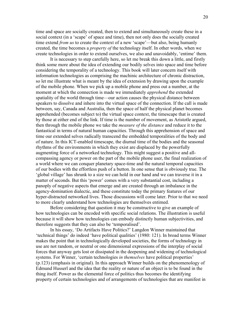time and space are socially created, then to extend and simultaneously create these in a social context (in a 'scape' of space and time), then not only does the socially created time extend *from us* to create the context of a new 'scape'—but also, being humanly created, the time becomes a *property of* the technology itself. In other words, when we create technologies in order to extend ourselves, we also and unavoidably, 'entime' them.

It is necessary to step carefully here, so let me break this down a little, and firstly think some more about the idea of extending our bodily selves into space and time before considering the temporality of a technology. This book will later concern itself with information technologies as comprising the machinic architecture of chronic distraction, so let me illustrate what is meant by the idea of extension by drawing upon the example of the mobile phone. When we pick up a mobile phone and press out a number, at the moment at which the connection is made we immediately *apprehend* the extended spatiality of the world through time—our action causes the physical distance between speakers to dissolve and inhere into the virtual space of the connection. If the call is made between, say, Canada and Australia, then the space of half the physical planet becomes apprehended (becomes subject to) the virtual space context, the timescape that is created by those at either end of the link. If time is the number of movement, as Aristotle argued, then through the mobile phone we take the *measure of the distance* and reduce it to the fantastical in terms of natural human capacities. Through this apprehension of space and time our extended selves radically transcend the embedded temporalities of the body and of nature. In this ICT-enabled timescape, the diurnal time of the bodies and the seasonal rhythms of the environments in which they exist are displaced by the powerfully augmenting force of a networked technology. This might suggest a positive and allcompassing agency or power on the part of the mobile phone user, the final realization of a world where we can conquer planetary space-time and the natural temporal capacities of our bodies with the effortless push of a button. In one sense that is obviously true. The 'global village' has shrunk to a size we can hold in our hand and we can traverse it in a matter of seconds. But this 'power' comes with a very substantial cost, including a panoply of negative aspects that emerge and are created through an imbalance in the agency-domination dialectic, and these constitute today the primary features of our hyper-distracted networked lives. Those discussions will come later. Prior to that we need to more clearly understand how technologies are themselves entimed.

Before considering that question it may be constructive to give an example of how technologies can be encoded with specific social relations. The illustration is useful because it will show how technologies can embody distinctly human subjectivities, and therefore suggests that they can also be 'temporalised'.

In his essay, 'Do Artifacts Have Politics?' Langdon Winner maintained that 'technical things' do indeed 'have political qualities' (1980: 121). In broad terms Winner makes the point that in technologically developed societies, the forms of technology in use are not random, or neutral or one dimensional expressions of the interplay of social forces that anyway gets lost or dissipated in the deepening and widening of technological systems. For Winner, 'certain technologies *in themselves* have political properties' (p.123) (emphasis in original). In this approach Winner builds on the phenomenology of Edmund Husserl and the idea that the reality or nature of an object is to be found in the thing itself. Power as the elemental force of politics thus becomes the identifying property of certain technologies and of arrangements of technologies that are manifest in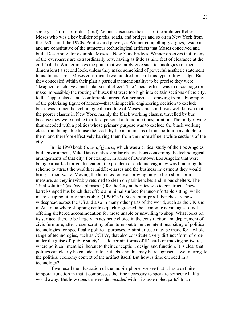society as 'forms of order' (ibid). Winner discusses the case of the architect Robert Moses who was a key builder of parks, roads, and bridges and so on in New York from the 1920s until the 1970s. Politics and power, as Winner compellingly argues, reside in and are constitutive of the numerous technological artifacts that Moses conceived and built. Describing, for example, Moses's New York bridges, Winner observes that 'many of the overpasses are extraordinarily low, having as little as nine feet of clearance at the curb' (ibid). Winner makes the point that we rarely give such technologies (or their dimensions) a second look, unless they make some kind of powerful aesthetic statement to us. In his career Moses constructed two hundred or so of this type of low bridge. But they concealed within their plan a particular intentionality: to be precise they were 'designed to achieve a particular social effect'. The 'social effect' was to discourage (or make impossible) the routing of buses that were too high into certain sections of the city, to the 'upper class' and 'comfortable' areas. Winner argues—drawing from a biography of the polarizing figure of Moses—that this specific engineering decision to exclude buses was in fact the technological encoding of Moses's racism. It was well known that the poorer classes in New York, mainly the black working classes, travelled by bus because they were unable to afford personal automobile transportation. The bridges were thus encoded with a politics whose primary purpose was to exclude the black working class from being able to use the roads by the main means of transportation available to them, and therefore effectively barring them from the more affluent white sections of the city.

In his 1990 book *Cities of Quartz*, which was a critical study of the Los Angeles built environment, Mike Davis makes similar observations concerning the technological arrangements of that city. For example, in areas of Downtown Los Angeles that were being earmarked for gentrification, the problem of endemic vagrancy was hindering the scheme to attract the wealthier middle-classes and the business investment they would bring in their wake. Moving the homeless on was proving only to be a short-term measure, as they inevitably returned to sleep on park benches and in bus shelters. The 'final solution' (as Davis phrases it) for the City authorities was to construct a 'new barrel-shaped bus bench that offers a minimal surface for uncomfortable sitting, while make sleeping utterly impossible' (1990:233). Such 'bum-proof' benches are now widespread across the US and also in many other parts of the world, such as the UK and in Australia where shopping centres quickly grasped the economic advantages of not offering sheltered accommodation for those unable or unwilling to shop. What looks on its surface, then, to be largely an aesthetic choice in the construction and deployment of civic furniture, after closer scrutiny often turns out to be the intentional siting of political technologies for specifically political purposes. A similar case may be made for a whole range of technologies, such as CCTVs, that also constitute a very distinct 'form of order' under the guise of 'public safety', as do certain forms of ID cards or tracking software, where political intent is inherent to their conception, design and function. It is clear that politics can clearly be encoded into artifacts, and this may be recognised if we interrogate the political economy context of the artifact itself. But how is time encoded in a technology?

If we recall the illustration of the mobile phone, we see that it has a definite temporal function in that it compresses the time necessary to speak to someone half a world away. But how does time reside *encoded* within its assembled parts? In an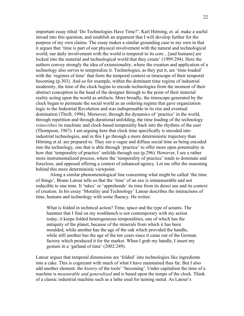important essay titled 'Do Technologies Have Time?', Karl Hörning, et. al. make a useful inroad into this question, and establish an argument that I will develop further for the purpose of my own claims. The essay makes a similar grounding case to my own in that it argues that 'time is part of our physical involvement with the natural and technological world; our daily involvement with the world is temporal to its core... [and humans] are locked into the material and technological world that they create' (1999:294). Here the authors convey strongly the idea of extensionality, where the creation and application of a technology also serves to temporalize it. Technologies, as they put it, are 'time-loaded' with the 'regimes of time' that form the temporal context or timescape of their temporal becoming (p.303). And so for example, within the dominant time regime of industrial modernity, the time of the clock begins to encode technologies from the moment of their abstract conception in the head of the designer through to the point of their material reality acting upon the world as artifacts. More broadly, the timescape generated by the clock began to permeate the social world as an ordering regime that gave organization logic to the Industrial Revolution and was indispensable in its rise and eventual domination (Thrift, 1996). Moreover, through the dynamics of 'practice' in the world, through repetition and through durational unfolding, the time loading of the technology *reinscribes* its machinic and clock-based temporality back into the rhythms of the user (Thompson, 1967). I am arguing here that clock time specifically is encoded into industrial technologies, and in this I go through a more deterministic trajectory than Hörning et al. are prepared to. They see a vague and diffuse social time as being encoded into the technology, one that is able through 'practice' to offer more open potentiality in how that 'temporality of practice' unfolds through use (p.296). However, I see a rather more instrumentalized process, where the 'temporality of practice' tends to dominate and foreclose, and opposed offering a context of enhanced agency. Let me offer the reasoning behind this more deterministic viewpoint.

Along a similar phenomenological line concerning what might be called 'the time of things', Bruno Latour tells us that the 'time' of an axe is immeasurable and not reducible to one time. It 'takes' or 'apprehends' its time from its direct use and its context of creation. In his essay 'Morality and Technology' Latour describes the interactions of time, humans and technology with some fluency. He writes:

What is folded in technical action? Time, space and the type of actants. The hammer that I find on my workbench is not contemporary with my action today; it keeps folded heterogeneous temporalities, one of which has the antiquity of the planet, because of the minerals from which it has been moulded, while another has the age of the oak which provided the handle, while still another has the age of the ten years since it came out of the German factory which produced it for the market. When I grab my handle, I insert my gesture in a 'garland of time' (2002:249).

Latour argues that temporal dimensions are 'folded' into technologies like ingredients into a cake. This is cognizant with much of what I have maintained thus far. But I also add another element: the *history* of the tools' 'becoming'. Under capitalism the time of a machine is *measurable and generalized* and is based upon the tempo of the clock. Think of a classic industrial machine such as a lathe used for turning metal. As Latour's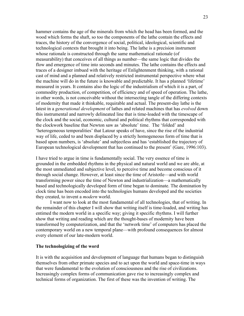hammer contains the age of the minerals from which the head has been formed, and the wood which forms the shaft, so too the components of the lathe contain the effects and traces, the history of the convergence of social, political, ideological, scientific and technological contexts that brought it into being. The lathe is a precision instrument whose rationale is constructed through the same mathematical rationale (of measurability) that conceives of all things as number—the same logic that divides the flow and emergence of time into seconds and minutes. The lathe contains the effects and traces of a designer imbued with the heritage of Enlightenment thinking, with a rational cast of mind and a planned and relatively restricted instrumental perspective where what the machine will do in the future is knowable and predictable. It has a planned 'lifetime' measured in years. It contains also the logic of the industrialism of which it is a part, of commodity production, of competition, of efficiency and of speed of operation. The lathe, in other words, is not conceivable without the intersecting tangle of the differing contexts of modernity that made it thinkable, requirable and actual. The present-day lathe is the latest in a *generational development* of lathes and related machines that has *evolved* down this instrumental and narrowly delineated line that is time-loaded with the timescape of the clock and the social, economic, cultural and political rhythms that corresponded with the clockwork baseline that Newton saw as 'absolute' time. The 'folded' and 'heterogeneous temporalities' that Latour speaks of have, since the rise of the industrial way of life, ceded to and been displaced by a strictly homogeneous form of time that is based upon numbers, is 'absolute' and subjectless and has 'established the trajectory of European technological development that has continued to the present' (Gare, 1996:103).

I have tried to argue in time is fundamentally social. The very essence of time is grounded in the embedded rhythms in the physical and natural world and we are able, at the most unmediated and subjective level, to perceive time and become conscious of it through social change. However, at least since the time of Aristotle—and with world transforming power since the time of Newton and industrialization—a mathematically based and technologically developed form of time began to dominate. The domination by clock time has been encoded into the technologies humans developed and the societies they created, to invent a *modern* world.

I want now to look at the most fundamental of all technologies, that of writing. In the remainder of this chapter I will show that writing itself is time-loaded, and writing has entimed the modern world in a specific way; giving it specific rhythms. I will further show that writing and reading which are the thought-bases of modernity have been transformed by computerization, and that the 'network time' of computers has placed the contemporary world on a new temporal plane—with profound consequences for almost every element of our late-modern world.

#### **The technologizing of the word**

It is with the acquisition and development of language that humans began to distinguish themselves from other primate species and to act upon the world and space-time in ways that were fundamental to the evolution of consciousness and the rise of civilizations. Increasingly complex forms of communication gave rise to increasingly complex and technical forms of organization. The first of these was the invention of writing. The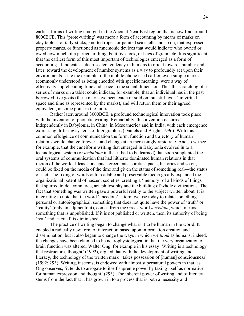earliest forms of writing emerged in the Ancient Near East region that is now Iraq around 8000BCE. This 'proto-writing' was more a form of accounting by means of marks on clay tablets, or tally-sticks, knotted ropes, or painted sea shells and so on, that expressed property marks, or functioned as mnemonic devices that would indicate who owned or owed how much of a particular thing, be it livestock, or bags of grain, etc. It is significant that the earliest form of this most important of technologies emerged as a form of accounting. It indicates a deep-seated tendency in humans to orient towards number and, later, toward the development of number systems as a way to profoundly act upon their environments. Like the example of the mobile phone used earlier, even simple marks (commonly understood as being encoded with specific meaning) were a way of effectively apprehending time and space to the social dimension. Thus the scratching of a series of marks on a tablet could indicate, for example, that an individual has in the past borrowed five goats (these may have been eaten or sold on, but still 'exist' in virtual space and time as represented by the marks), and will return them or their agreed equivalent, at some point in the future.

Rather later, around 3000BCE, a profound technological innovation took place with the invention of phonetic writing. Remarkably, this invention occurred independently in Babylonia, in China, in Mesoamerica and in India, with each emergence expressing differing systems of logographics (Daniels and Bright, 1996). With this common effulgence of communication the form, function and trajectory of human relations would change forever—and change at an increasingly rapid rate. And so we see for example, that the cuneiform writing that emerged in Babylonia evolved in to a technological system (or *technique* in that it had to be learned) that soon supplanted the oral systems of communication that had hitherto dominated human relations in that region of the world. Ideas, concepts, agreements, sureties, pacts, histories and so on, could be fixed on the media of the time and given the status of something real—the status of fact. The fixing of words onto readable and preservable media greatly expanded the organizational potential of nascent societies, creating a 'memory' of all kinds of things that spurred trade, commerce, art, philosophy and the building of whole civilizations. The fact that something was written gave a powerful reality to the subject written about. It is interesting to note that the word 'anecdote', a term we use today to relate something personal or autobiographical, something that does not quite have the power of 'truth' or 'reality' (only an adjunct to it), comes from the Greek word *anékdota*, which means something that is unpublished. If it is not published or written, then, its authority of being 'real' and 'factual' is diminished.

The practice of writing began to change what is it to be human in the world. It enabled a radically new form of interaction based upon information creation and dissemination, but it also began to change the ways in which we *think* as humans; indeed, the changes have been claimed to be neurophysiological in that the very organization of brain function was altered. Walter Ong, for example in his essay 'Writing is a technology that restructures thought' (1992), argued that with the development of writing and literacy, the technology of the written mark 'takes possession of [human] consciousness' (1992: 293). Writing, it seems, is endowed with almost supernatural powers in that, as Ong observes, 'it tends to arrogate to itself supreme power by taking itself as normative for human expression and thought' (293). The inherent power of writing and of literacy stems from the fact that it has grown in to a process that is both a necessity and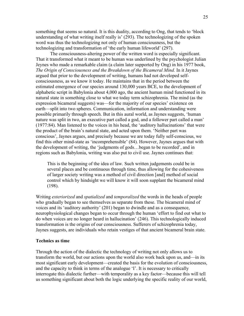something that seems so natural. It is this duality, according to Ong, that tends to 'block understanding of what writing itself really is' (293). The technologizing of the spoken word was thus the technologizing not only of human consciousness, but the technologizing and transformation of 'the early human lifeworld' (297).

The consciousness-altering power of the written word is especially significant. That it transformed what it meant to be human was underlined by the psychologist Julian Jeynes who made a remarkable claim (a claim later supported by Ong) in his 1977 book, *The Origin of Consciousness and the Breakdown of the Bicameral Mind.* In it Jaynes argued that prior to the development of writing, humans had not developed selfconsciousness, as we know it today. He maintains that in the period between the estimated emergence of our species around 130,000 years BCE, to the development of alphabetic script in Babylonia about 4,000 ago, the ancient human mind functioned in its natural state in something close to what we today term schizophrenia. The mind (as the expression bicameral suggests) was—for the majority of our species' existence on earth—split into two spheres. Communication, information and understanding were possible primarily through speech. But in this aural world, as Jaynes suggests, 'human nature was split in two, an executive part called a god, and a follower part called a man' (1977:84). Man listened to the voices in his head, the 'auditory hallucinations' that were the product of the brain's natural state, and acted upon them. 'Neither part was conscious', Jaynes argues, and precisely because we are today fully self-conscious, we find this other mind-state as 'incomprehensible' (84). However, Jaynes argues that with the development of writing, the 'judgments of gods…began to be recorded', and in regions such as Babylonia, writing was also put to civil use. Jaynes continues that:

This is the beginning of the idea of law. Such written judgements could be in several places and be continuous through time, thus allowing for the cohesiveness of larger society writing was a method of civil direction [and] method of social control which by hindsight we will know it will soon supplant the bicameral mind (198).

Writing *exteriorized* and *spatialized* and *temporalized* the words in the heads of people who gradually began to see themselves as separate from these. The bicameral mind of voices and its 'auditory authority' (201) began to dwindle and as a consequence, neurophysiological changes began to occur through the human 'effort to find out what to do when voices are no longer heard in hallucination' (246). This technologically induced transformation is the origins of our consciousness. Sufferers of schizophrenia today, Jaynes suggests, are individuals who retain vestiges of that ancient bicameral brain state.

#### **Technics as time**

Through the action of the dialectic the technology of writing not only allows us to transform the world, but our actions upon the world also work back upon us, and—in its most significant early development—created the basis for the evolution of consciousness, and the capacity to think in terms of the analogue 'I'. It is necessary to critically interrogate this dialectic further—with temporality as a key factor—because this will tell us something significant about both the logic underlying the specific reality of our world,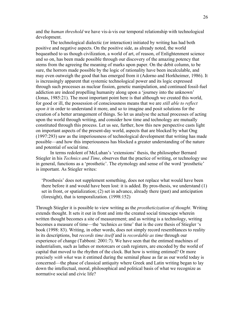and the *human threshold* we have vis-à-vis our temporal relationship with technological development.

The technological dialectic (or interaction) initiated by writing has had both positive and negative aspects. On the positive side, as already noted, the world bequeathed to us though civilization, a world of art, of reason, of Enlightenment science and so on, has been made possible through our discovery of the amazing potency that stems from the agreeing the meaning of marks upon paper. On the debit column, to be sure, the horrors made possible by the logic of rationality have been incalculable, and may even outweigh the good that has emerged from it (Adorno and Horkheimer, 1986). It is increasingly apparent that systemic technological power and its logic expressed through such processes as nuclear fission, genetic manipulation, and continued fossil-fuel addiction are indeed propelling humanity along upon a 'journey into the unknown' (Jonas, 1985:21). The most important point here is that although we created this world, for good or ill, the possession of consciousness means that we are *still able to reflect upon it* in order to understand it more, and so to imagine and posit solutions for the creation of a better arrangement of things. So let us analyse the actual processes of acting upon the world through writing, and consider how time and technology are mutually constituted through this process. Let us see, further, how this new perspective casts light on important aspects of the present-day world, aspects that are blocked by what Ong (1997:293) saw as the imperiousness of technological development that writing has made possible—and how this imperiousness has blocked a greater understanding of the nature and potential of social time.

In terms redolent of McLuhan's 'extensions' thesis, the philosopher Bernard Stiegler in his *Technics and Time*, observes that the practice of writing, or technology use in general, functions as a 'prosthetic'. The etymology and sense of the word 'prosthetic' is important. As Stiegler writes:

'Prosthesis' does not supplement something, does not replace what would have been there before it and would have been lost: it is added. By pros-thesis, we understand (1) set in front, or spatialization; (2) set in advance, already there (past) and anticipation (foresight), that is temporalization. (1998:152)

Through Stiegler it is possible to view writing as the *prostheticization of thought*. Writing extends thought. It sets it out in front and into the created social timescape wherein written thought becomes a site of measurement; and as writing is a technology, writing becomes a measure of time—the 'technics *as* time' that is the core thesis of Stiegler 's book (1998: 83). Writing, in other words, does not simply record resemblances to reality in its descriptions, but *records time itself* and is *recordable as time* through our experience of change (Tabboni: 2001:7). We have seen that the entimed machines of industrialism, such as lathes or motorcars or cash registers, are encoded by the world of capital that moved to the rhythm of the clock. But how is writing entimed? Or more precisely *with what* was it entimed during the seminal phase as far as our world today is concerned—the phase of classical antiquity where Greek and Latin writing began to lay down the intellectual, moral, philosophical and political basis of what we recognize as normative social and civic life?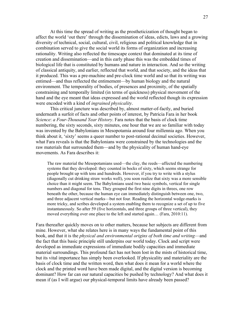At this time the spread of writing as the prostheticization of thought began to affect the world 'out there' through the dissemination of ideas, edicts, laws and a growing diversity of technical, social, cultural, civil, religious and political knowledge that in combination served to give the social world its forms of organization and increasing rationality. Writing also reflected the timescape context that dominated at its time of creation and dissemination—and in this early phase this was the embedded times of biological life that is constituted by humans and nature in interaction. And so the writing of classical antiquity, and earlier, reflected that world, and that society, and the ideas that it produced. This was a pre-machine and pre-clock time world and so that its writing was entimed—and thus reflected the entimement—by human biology and the natural environment. The temporality of bodies, of presences and proximity, of the spatially constraining and temporally limited (in terms of quickness) physical movement of the hand and the eye meant that ideas expressed and the world reflected though its expression were encoded with a kind of *ingrained physicality*.

This critical juncture was described by, almost matter-of-factly, and buried underneath a surfeit of facts and other points of interest, by Patricia Fara in her book *Science*: *a Four-Thousand Year History*. Fara notes that the basis of clock time numbering, the sixty seconds, sixty minutes, one hour that we are so familiar with today was invented by the Babylonians in Mesopotamia around four millennia ago. When you think about it, 'sixty' seems a queer number to post-rational decimal societies. However, what Fara reveals is that the Babylonians were constrained by the technologies and the raw materials that surrounded them—and by the physicality of human hand-eye movements. As Fara describes it:

The raw material the Mesopotamians used—the clay, the reeds—affected the numbering systems that they developed: they counted in bocks of sixty, which seems strange for people brought up with tens and hundreds. However, if you try to write with a stylus (diagonally cut drinking straw works well), you soon realize that sixty was a more sensible choice than it might seem. The Babylonians used two basic symbols, vertical for single numbers and diagonal for tens. They grouped the first nine digits in threes, one row beneath the other, because the human eye can immediately distinguish between one, two, and three adjacent vertical marks—but not four. Reading the horizontal wedge-marks is more tricky, and scribes developed a system enabling them to recognize a set of up to five instantaneously. So after 59 (five horizontals, and three groups of three vertical), they moved everything over one place to the left and started again… (Fara, 2010:11).

Fara thereafter quickly moves on to other matters, because her subjects are different from mine. However, what she relates here is in many ways the fundamental point of this book, and that it is the *physical and environmental origins of both time and writing*—and the fact that this basic principle still underpins our world today. Clock and script were developed as immediate expressions of immediate bodily capacities and immediate material surroundings. This profound fact has not been lost in the mists of historical time, but its vital importance has simply been overlooked. If physicality and materiality are the basis of clock time and the written word, then what does it mean for a world where the clock and the printed word have been made digital, and the digital version is becoming dominant? How far can our natural capacities be pushed by technology? And what does it mean if (as I will argue) our physical-temporal limits have already been passed?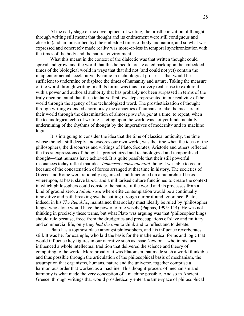At the early stage of the development of writing, the prostheticization of thought through writing still meant that thought and its entimement were still contiguous and close to (and circumscribed by) the embedded times of body and nature, and so what was expressed and concretely made reality was more-or-less in temporal synchronization with the times of the body and the natural environment.

What this meant in the context of the dialectic was that written thought could spread and grow, and the world that this helped to create acted back upon the embedded times of the biological world in ways that that did not (and could not yet) contain the incipient or actual accelerative dynamic in technological processes that would be sufficient to undermine or displace the times of humanity and nature. Taking the measure of the world through writing in all its forms was thus in a very real sense to explore it with a power and authorial authority that has probably not been surpassed in terms of the truly open potential that these tentative first few steps represented in our realizing of the world through the agency of the technologized word. The prostheticization of thought through writing extended enormously the capacities of humans to take the measure of their world through the dissemination of almost *pure thought* at a time, to repeat, when the technological echo of writing's acting upon the world was not yet fundamentally undermining of the rhythms of thought by the imperatives of modernity and its machine logic.

It is intriguing to consider the idea that the time of classical antiquity, the time whose thought still deeply underscores our own world, was the time when the ideas of the philosophers, the discourses and writings of Plato, Socrates, Aristotle and others reflected the freest expressions of thought—protheticized and technologized and temporalized thought—that humans have achieved. It is quite possible that their still powerful resonances today reflect that idea. *Immensely consequential* thought was able to occur because of the concatenation of forces arranged at that time in history. The societies of Greece and Rome were rationally organized, and functioned on a hierarchical basis whereupon, at base, slave labour and a militarised culture functioned to create the context in which philosophers could consider the nature of the world and its processes from a kind of ground zero, a *tabula rasa* where elite contemplation would be a continually innovative and path-breaking swathe cutting through our profound ignorance. Plato, indeed, in his *The Republic*, maintained that society must ideally be ruled by 'philosopher kings' who alone would have the power to rule wisely (Pappas, 1995: 114). He was not thinking in precisely these terms, but what Plato was arguing was that 'philosopher kings' should rule because, freed from the drudgeries and preoccupations of slave and military and commercial life, only they *had the time* to think and to reflect and to debate.

Plato has a topmost place amongst philosophers, and his influence reverberates still. It was he, for example, who laid the basis for the mathematical forms and logic that would influence key figures in our narrative such as Isaac Newton—who in his turn, influenced a whole intellectual tradition that delivered the science and theory of computing to the world. More broadly, it was Platonism that made such a world thinkable and thus possible through the articulation of the philosophical basis of mechanism, the assumption that organisms, humans, nature and the universe, together comprise a harmonious order that worked as a machine. This thought-process of mechanism and harmony is what made the very conception of a machine possible. And so in Ancient Greece, through writings that would prosthetically enter the time-space of philosophical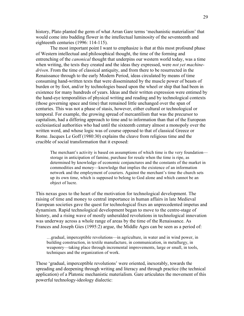history, Plato planted the germ of what Arran Gare terms 'mechanistic materialism' that would come into budding flower in the intellectual luminosity of the seventeenth and eighteenth centuries (1996: 114-115).

The most important point I want to emphasize is that at this most profound phase of Western intellectual and philosophical thought, the time of the forming and entrenching of the *canonical* thought that underpins our western world today, was a time when writing, the texts they created and the ideas they expressed, were *not yet machinedriven*. From the time of classical antiquity, and from there to be resurrected in the Renaissance through to the early Modern Period, ideas circulated by means of time consuming hand-written texts that were disseminated by the muscle power of beasts of burden or by foot, and/or by technologies based upon the wheel or ship that had been in existence for many hundreds of years. Ideas and their written expression were entimed by the hand-eye temporalities of physical writing and reading and by technological contexts (those governing space and time) that remained little unchanged over the span of centuries. This was not a phase of stasis, however, either cultural or technological or temporal. For example, the growing spread of mercantilism that was the precursor to capitalism, had a differing approach to time and to information than that of the European ecclesiastical authorities who had until the sixteenth century almost a monopoly over the written word, and whose logic was of course opposed to that of classical Greece or Rome. Jacques Le Goff (1980:30) explains the cleave from religious time and the crucible of social transformation that it exposed:

The merchant's activity is based on assumptions of which time is the very foundation storage in anticipation of famine, purchase for resale when the time is ripe, as determined by knowledge of economic conjunctures and the constants of the market in commodities and money—knowledge that implies the existence of an information network and the employment of couriers. Against the merchant's time the church sets up its own time, which is supposed to belong to God alone and which cannot be an object of lucre.

This nexus goes to the heart of the motivation for technological development. The raising of time and money to central importance in human affairs in late Medieval European societies gave the quest for technological fixes an unprecedented impetus and dynamism. Rapid technological development began to move to the centre-stage of history, and a rising wave of mostly unheralded revolutions in technological innovation was underway across a whole range of areas by the time of the Renaissance. As Frances and Joseph Gies (1995:2) argue, the Middle Ages can be seen as a period of:

…gradual, imperceptible revolutions—in agriculture, in water and in wind power, in building construction, in textile manufacture, in communication, in metallurgy, in weaponry—taking place through incremental improvements, large or small, in tools, techniques and the organization of work.

These 'gradual, imperceptible revolutions' were oriented, inexorably, towards the spreading and deepening through writing and literacy and through practice (the technical application) of a Platonic mechanistic materialism. Gare articulates the movement of this powerful technology-ideology dialectic: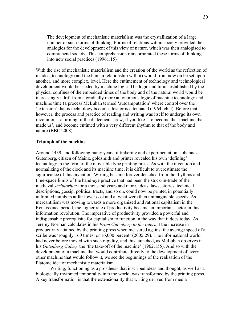The development of mechanistic materialism was the crystallization of a large number of such forms of thinking. Forms of relations within society provided the analogies for the development of this view of nature, which was then analogised to comprehend society. This comprehension reincorporated these forms of thinking into new social practices (1996:115)

With the rise of mechanistic materialism and the creation of the world as the reflection of its idea, technology (and the human relationship with it) would from now on be set upon another, and more complex, level. Here the entimement of technology and technological development would be seeded by machine logic. The logic and limits established by the physical confines of the embedded times of the body and of the natural world would be increasingly adrift from a gradually more autonomous logic of machine technology and machine time (a process McLuhan termed 'autoamputation' where control over the 'extension' that is technology becomes lost or is attenuated (1964: ch.4). Before that, however, the process and practice of reading and writing was itself to undergo its own revolution—a turning of the dialectical screw, if you like—to become the 'machine that made us', and become entimed with a very different rhythm to that of the body and nature (BBC 2008).

#### **Triumph of the machine**

Around 1439, and following many years of tinkering and experimentation, Johannes Gutenberg, citizen of Mainz, goldsmith and printer revealed his own 'defining' technology in the form of the moveable type printing press. As with the invention and normalizing of the clock and its machine time, it is difficult to overestimate the significance of this invention. Writing became forever detached from the rhythms and time-space limits of the hand-eye practice that had been the stock-in-trade of the medieval *scriptorium* for a thousand years and more. Ideas, laws, stories, technical descriptions, gossip, political tracts, and so on, could now be printed in potentially unlimited numbers at far lower cost and at what were then unimaginable speeds. As mercantilism was moving towards a more organized and rational capitalism in the Renaissance period, the higher rate of productivity became an important factor in this information revolution. The imperative of productivity provided a powerful and indispensable prerequisite for capitalism to function in the way that it does today. As Jeremy Norman calculates in his *From Gutenberg to the Internet* the increase in productivity attained by the printing press when measured against the average speed of a scribe was 'roughly 160 times, or 16,000 percent' (2005:29). The informational world had never before moved with such rapidity, and this launched, as McLuhan observes in his *Gutenberg Galaxy* the 'the take-off of the machine' (1962:155). And so with the development of a machine that would contribute directly to the development of every other machine that would follow it, we see the beginnings of the realisation of the Platonic idea of mechanistic materialism.

Writing, functioning as a prosthesis that inscribed ideas and thought, as well as a biologically rhythmed temporality into the world, was transformed by the printing press. A key transformation is that the extensionality that writing derived from media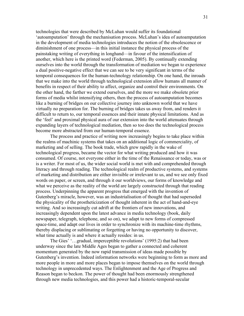technologies that were described by McLuhan would suffer its foundational 'autoamputation' through the mechanisation process. McLuhan's idea of autoamputation in the development of media technologies introduces the notion of the obsolescence or diminishment of one process—in this initial instance the physical process of the painstaking writing of everything in longhand—in favour of the intensification of another, which here is the printed word (Federman, 2005). By continually extending ourselves into the world through the transformation of mediation we began to experience a dual positive-negative effect that we can see to be very significant in terms of the temporal consequences for the human-technology relationship. On one hand, the inroads that we make into the world through technological extension allow humans all manner of benefits in respect of their ability to affect, organize and control their environments. On the other hand, the farther we extend ourselves, and the more we make obsolete prior forms of media whilst intensifying others, then the process of autoamputation becomes like a burning of bridges on our collective journey into unknown world that we have virtually no preparation for. The burning of bridges takes us away from, and renders it difficult to return to, our temporal essences and their innate physical limitations. And as the 'feel' and proximal physical aura of our extension into the world attenuates through expanding layers of technological mediation, then so too does the technological process become more abstracted from our human-temporal essence.

The process and practice of writing now increasingly begins to take place within the realms of machinic systems that takes on an additional logic of commerciality, of marketing and of selling. The book trade, which grew rapidly in the wake of technological progress, became the vector for what writing produced and how it was consumed. Of course, not everyone either in the time of the Renaissance or today, was or is a writer. For most of us, the wider social world is met with and comprehended through literacy and through reading. The technological realm of productive systems, and systems of marketing and distribution are either invisible or irrelevant to us, and we see only fixed words on paper, or screen, and through it our worldviews, our forms of knowledge and what we perceive as the reality of the world are largely constructed through that reading process. Underpinning the apparent progress that emerged with the invention of Gutenberg's miracle, however, was an industrialisation of thought that had superseded the physicality of the prostheticization of thought inherent in the act of hand-and-eye writing. And so increasingly cut adrift at the frontiers of new innovations, and increasingly dependent upon the latest advance in media technology (book, daily newspaper, telegraph, telephone, and so on), we adapt to new forms of compressed space-time, and adapt our lives in order to synchronize with its machine-time rhythms, thereby displacing or sublimating or forgetting or having no opportunity to discover, what time actually is and where it actually resides: in us.

The Gies' '…gradual, imperceptible revolutions' (1995:2) that had been underway since the late Middle Ages began to gather a connected and coherent momentum generated by the now rapid transmission of ideas made possible by Gutenberg's invention. Indeed information networks were beginning to form as more and more people in more and more places began to impose themselves on the world through technology in unprecedented ways. The Enlightenment and the Age of Progress and Reason began to beckon. The power of thought had been enormously strengthened through new media technologies, and this power had a historic-temporal-secular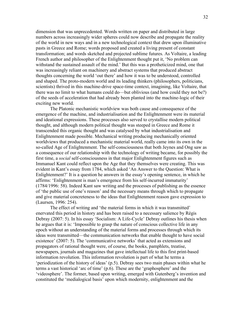dimension that was unprecedented. Words written on paper and distributed in large numbers across increasingly wider spheres could now describe and propagate the reality of the world in new ways and in a new technological context that drew upon illuminative pasts in Greece and Rome; words proposed and created a living present of constant transformation; and words sketched and projected sublime futures. As Voltaire, a leading French author and philosopher of the Enlightenment thought put it, 'No problem can withstand the sustained assault of the mind.' But this was a protheticized mind, one that was increasingly reliant on machinery and abstract systems that produced abstract thoughts concerning the world 'out there' and how it was to be understood, controlled and shaped. The proto-modern world and its leading thinkers (philosophers, politicians, scientists) thrived in this machine-drive space-time context, imagining, like Voltaire, that there was no limit to what humans could do—but oblivious (and how could they not be?) of the seeds of acceleration that had already been planted into the machine-logic of their exciting new world.

The Platonic mechanistic worldview was both cause and consequence of the emergence of the machine, and industrialisation and the Enlightenment were its material and ideational expressions. These processes also served to crystallise modern political thought, and although modern political thought was steeped in Greece and Rome it transcended this organic thought and was catalysed by what industrialisation and Enlightenment made possible. Mechanical writing producing mechanically oriented worldviews that produced a mechanistic material world, really came into its own in the so-called Age of Enlightenment. The self-consciousness that both Jeynes and Ong saw as a consequence of our relationship with the technology of writing became, for possibly the first time, a *social* self-consciousness in that major Enlightenment figures such as Immanuel Kant could reflect upon the Age that they themselves were creating. This was evident in Kant's essay from 1784, which asked 'An Answer to the Question: What is Enlightenment?' It is a question he answers in the essay's opening sentence, in which he affirms: 'Enlightenment is man's emergence from his self-incurred immaturity' (1784/1996: 58). Indeed Kant saw writing and the processes of publishing as the essence of 'the public use of one's reason' and the necessary means through which to propagate and give material concreteness to the ideas that Enlightenment reason gave expression to (Laursen, 1996: 254).

The effect of writing and 'the material forms in which it was transmitted' enervated this period in history and has been raised to a necessary salience by Régis Debray (2007: 5). In his essay 'Socialism: A Life-Cycle' Debray outlines his thesis when he argues that it is: 'Impossible to grasp the nature of conscious collective life in any epoch without an understanding of the material forms and processes through which its ideas were transmitted—the communication networks that enable thought to have social existence' (2007: 5). The 'communicative networks' that acted as extensions and propagators of rational thought were, of course, the books, pamphlets, treatise, newspapers, journals and magazines that gave intellectual life to this first print-based information revolution. This information revolution is part of what he terms a 'periodization of the history of ideas' (p.5). Debray sees two main phases within what he terms a vast historical 'arc of time' (p.6). These are the 'graphosphere' and the 'videosphere'. The former, based upon writing, emerged with Gutenberg's invention and constituted the 'medialogical basis' upon which modernity, enlightenment and the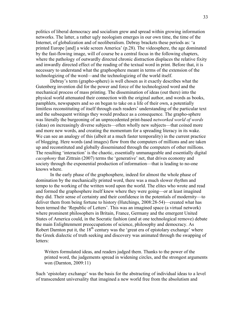politics of liberal democracy and socialism grew and spread within growing information networks. The latter, a rather ugly neologism emerges in our own time, the time of the Internet, of globalization and of neoliberalism. Debray brackets these periods as: 'a printed Europe [and] a wide screen America' (p.28). The videosphere, the age dominated by the fast-flowing image, will of course be a central focus in the following chapters, where the pathology of outwardly directed chronic distraction displaces the relative fixity and inwardly directed effect of the reading of the textual word in print. Before that, it is necessary to understand what the graphosphere meant in terms of the extension of the technologizing of the word—and the technologizing of the world itself.

Debray's term (grapho-sphere) is well chosen as it exactly describes what the Gutenberg invention did for the power and force of the technologized word and the mechanical process of mass printing. The dissemination of ideas (out there) into the physical world attenuated their connection with the original author, and words as books, pamphlets, newspapers and so on began to take on a life of their own, a potentially limitless reconstituting of itself through each readers' understanding of the particular text and the subsequent writings they would produce as a consequence. The grapho-sphere was literally the burgeoning of an unprecedented print-based *networked world of words* (ideas) on increasingly diverse subjects—often wholly new subjects—that coined more and more new words, and creating the momentum for a spreading literacy in its wake. We can see an analogy of this (albeit at a much faster temporality) in the current practice of blogging. Here words (and images) flow from the computers of millions and are taken up and reconstituted and globally disseminated through the computers of other millions. The resulting 'interaction' is the chaotic, essentially unmanageable and essentially digital *cacophony* that Zittrain (2007) terms the 'generative' net, that drives economy and society through the exponential production of information—that is leading to no-one knows where.

In the early phase of the graphosphere, indeed for almost the whole phase of domination by the mechanically printed word, there was a much slower rhythm and tempo to the working of the written word upon the world. The elites who wrote and read and formed the graphosphere itself knew where they were going—or at least imagined they did. Their sense of certainty and their confidence in the potentials of modernity—to deliver them from being fortune to history (Hutchings, 2008:28-54)—created what has been termed the 'Republic of Letters'. This was an imagined space (a virtual network) where prominent philosophers in Britain, France, Germany and the emergent United States of America could, in the Socratic fashion (and at one technological remove) debate the main Enlightenment preoccupations of science, philosophy and democracy. As Robert Darnton put it, the 18<sup>th</sup> century was the 'great era of epistolary exchange' where the Greek dialectic of truth seeking and discovery was animated through the swapping of letters:

Writers formulated ideas, and readers judged them. Thanks to the power of the printed word, the judgements spread in widening circles, and the strongest arguments won (Darnton, 2009:11)

Such 'epistolary exchange' was the basis for the abstracting of individual ideas to a level of transcendent universality that imagined a new world free from the absolutism and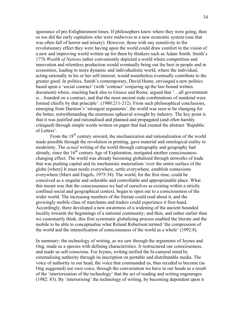ignorance of pre-Enlightenment times. If philosophers knew where they were going, then so too did the early capitalists who were midwives to a new economic system (one that was often full of horror and misery). However, those with any sensitivity to the revolutionary effect they were having upon the world could draw comfort in the vision of a new and improving world written up for them by thinkers such as Adam Smith. Smith's 1776 *Wealth of Nations* rather conveniently depicted a world where competition and innovation and relentless production would eventually bring out the best in people and in economies, leading to more dynamic and individualistic world, where the individual, acting rationally in his or her self-interest, would nonetheless eventually contribute to the greater good. In politics, Smith's contemporary, David Hume, envisaged a new politics based upon a 'social contract' (with 'contract' conjuring up the law-bound written document) where, reaching back also to Greece and Rome, argued that '…all government is…founded on a contract, and that the most ancient rude combinations of mankind were formed chiefly by that principle'. (1980:211-212). From such philosophical conclusions, emerging from Darnton's 'strongest arguments', the world was seen to be changing for the better, notwithstanding the enormous upheaval wrought by industry. The key point is that it was justified and rationalised and planned and propagated (and often harshly critiqued) through simple words written on paper that had created the abstract 'Republic of Letters'.

From the  $18<sup>th</sup>$  century onward, the mechanization and rationalization of the world made possible through the revolution in printing, gave material and ontological reality to modernity. The *actual* writing of the world through cartography and geography had already, since the  $16<sup>th</sup>$  century Age of Exploration, instigated another consciousnesschanging effect. The world was already becoming globalized through networks of trade that was pushing capital and its mechanistic materialism 'over the entire surface of the globe [where] It must nestle everywhere, settle everywhere, establish connexions everywhere (Marx and Engels, 1975:34). The world, for the first time, could be conceived as a singular and orderable and controllable and appropriatable place. What this meant was that the consciousness we had of ourselves as existing within a strictly confined social and geographical context, began to open out to a consciousness of the wider world. The increasing numbers of the literate could read about it, and the growingly mobile class of merchants and traders could experience it first-hand. Accordingly, there developed a new awareness of a widening of the ancient bounded locality towards the beginnings of a national community; and then, and rather earlier than we customarily think, this first systematic globalizing process enabled the literate and the mobile to be able to conceptualise what Roland Robertson termed 'the compression of the world and the intensification of consciousness of the world as a whole' (1992:8).

In summary: the technology of writing, as we saw through the arguments of Jeynes and Ong, made us a species with defining characteristics. It restructured our consciousness, and made us self-conscious. For Jeynes, writing unified the bi-cameral mind by externalising authority through its inscription on portable and distributable media. The voice of authority in our head, the voice that commanded us, thus receded to become (as Ong suggested) our own voice, through the conversation we have in our heads as a result of the 'interiorization of the technology' that the act of reading and writing engourages (1982: 83). By 'interiorising' the technology of writing, by becoming dependent upon it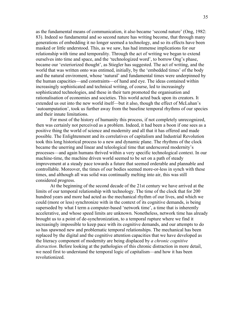as the fundamental means of communication, it also became 'second nature' (Ong, 1982: 83). Indeed so fundamental and so second nature has writing become, that through many generations of embedding it no longer seemed a technology, and so its effects have been masked or little understood. This, as we saw, has had immense implications for our relationship with time and temporality. Through the act of writing we began to extend ourselves into time and space, and the 'technologized word', to borrow Ong's phase, became our 'exteriorized thought', as Stiegler has suggested. The act of writing, and the world that was written onto was entimed, initially, by the 'embedded times' of the body and the natural enviroment, whose 'natural' and fundamental times were underpinned by the human capacities—and constraints—of hand and eye. The ideas contained within increasingly sophisticated and technical writing, of course, led to increasingly sophisticated technologies, and these in their turn promoted the organisation and rationalisation of economies and societies. This world acted back upon its creators. It extended us out into the new world itself—but it also, though the effect of McLuhan's 'autoamputation', took us further away from the baseline temporal rhythms of our species and their innate limitations.

For most of the history of humanity this process, if not completely unrecognized, then was certainly not perceived as a problem. Indeed, it had been a boon if one sees as a positive thing the world of science and modernity and all that it has offered and made possible. The Enlightenment and its correlatives of capitalism and Industrial Revolution took this long historical process to a new and dynamic plane. The rhythms of the clock became the unerring and linear and teleological time that underscored modernity's processes—and again humans thrived within a very specific technological context. In our machine-time, the machine driven world seemed to be set on a path of steady improvement at a steady pace towards a future that seemed orderable and plannable and controllable. Moreover, the times of our bodies seemed more-or-less in synch with these times, and although all was solid was continually melting into air, this was still considered progress.

At the beginning of the second decade of the 21st century we have arrived at the limits of our temporal relationship with technology. The time of the clock that for 200 hundred years and more had acted as the mechanical rhythm of our lives, and which we could (more or less) synchronize with in the context of its cognitive demands, is being superseded by what I term a computer-based 'network time', a time that is inherently accelerative, and whose speed limits are unknown. Nonetheless, network time has already brought us to a point of de-synchronization, to a temporal rupture where we find it increasingly impossible to keep pace with its cognitive demands, and our attempts to do so has spawned new and problematic temporal relationships. The mechanical has been replaced by the digital and the cognitive attention capacities that we have developed as the literacy component of modernity are being displaced by *a chronic cognitive distraction*. Before looking at the pathologies of this chronic distraction in more detail, we need first to understand the temporal logic of capitalism—and how it has been revolutionized.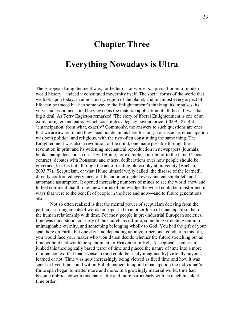# **Chapter Three**

## **Everything Nowadays is Ultra**

The European Enlightenment was, for better or for worse, *the* pivotal-point of modern world history—indeed it constituted modernity itself. The social forms of the world that we look upon today, in almost every region of the planet, and in almost every aspect of life, can be traced back in some way to the Enlightenment's thinking, its impulses, its verve and assurance—and be viewed as the material application of all these. It was that big a deal. As Terry Eagleton remarked 'The story of liberal Enlightenment is one of an exhilarating emancipation which constitutes a legacy beyond price' (2009:58). But 'emancipation' from what, exactly? Commonly, the answers to such questions are ones that we are aware of and they need not detain us here for long. For instance, emancipation was both political and religious, with the two often constituting the same thing. The Enlightenment was also a revolution of the mind, one made possible through the revolution in print and its widening mechanical reproduction in newspapers, journals, books, pamphlets and so on. David Hume, for example, contributor to the famed 'social contract' debates with Rousseau and others, deliberations over how people should be governed, lost his faith through the act of reading philosophy at university (Buchan, 2003:77). Scepticism, or what Hume himself wryly called 'the disease of the learned', directly confronted every facet of life and interrogated every ancient shibboleth and automatic assumption. It opened increasing numbers of minds to see the world anew and to feel confident that through new forms of knowledge the world could be transformed in ways that were to the benefit of people in the here and now—and to future generations also.

Not so often realized is that the mental power of scepticism deriving from the particular arrangements of words on paper led to another form of emancipation: that of the human relationship with time. For most people in pre-industrial European societies, time was understood, courtesy of the church, as infinite, something stretching out into unimaginable eternity, and something belonging wholly to God. You had the gift of your span here on Earth, but one day, and depending upon your personal conduct in this life, you would face your maker who would then decide whether the future stretching out as time without end would be spent in either Heaven or in Hell. A sceptical secularism junked this theologically based terror of time and placed the nature of time into a more rational context that made sense to (and could be easily imagined by) virtually anyone, learned or not. Time was now increasingly being viewed as lived time and how it was spent in lived time—and within Enlightenment temporal emancipation the individual's finite span began to matter more and more. In a growingly material world, time had become imbricated with this materiality and more particularly with its machinic clock time order.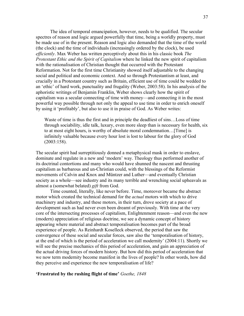The idea of temporal emancipation, however, needs to be qualified. The secular spectres of reason and logic argued powerfully that time, being a worldly property, must be made use of in the present. Reason and logic also demanded that the time of the world (the clock) and the time of individuals (increasingly ordered by the clock), be used *efficiently*. Max Weber has written perceptively about this in his classic book *The Protestant Ethic and the Spirit of Capitalism* where he linked the new spirit of capitalism with the rationalisation of Christian thought that occurred with the Protestant Reformation. Not for the first time Christianity showed itself adjustable to the changing social and political and economic context. And so through Protestantism at least, and crucially in a Protestant country such as Britain, efficient use of time could be wedded to an 'ethic' of hard work, punctuality and frugality (Weber, 2003:58). In his analysis of the aphoristic writings of Benjamin Franklin, Weber shows clearly how the spirit of capitalism was a secular connecting of time with money—and connecting it in the most powerful way possible through not only the appeal to use time in order to enrich oneself by using it 'profitably', but also to use it in praise of God. As Weber writes:

Waste of time is thus the first and in principle the deadliest of sins…Loss of time through sociability, idle talk, luxury, even more sleep than is necessary for health, six to at most eight hours, is worthy of absolute moral condemnation…[Time] is infinitely valuable because every hour lost is lost to labour for the glory of God (2003:158).

The secular spirit had surreptitiously donned a metaphysical mask in order to enslave, dominate and regulate in a new and 'modern' way. Theology thus performed another of its doctrinal contortions and many who would have shunned the nascent and thrusting capitalism as barbarous and un-Christian could, with the blessings of the Reformist movements of Calvin and Knox and Müntzer and Luther—and eventually Christian society as a whole—see industry and its many terrible and wrenching social upheavals as almost a (somewhat belated) *gift* from God.

Time counted, literally, like never before. Time, moreover became the abstract motor which created the technical demand for the *actual* motors with which to drive machinery and industry, and these motors, in their turn, drove society at a pace of development such as had never even been dreamt of previously. With time at the very core of the intersecting processes of capitalism, Enlightenment reason—and even the new (modern) appreciation of religious doctrine, we see a dynamic concept of history appearing where material and abstract temporalisation becomes part of the broad experience of people. As Reinhardt Koselleck observed, the period that saw the convergence of these social and secular forces, saw also the 'temporalisation of history, at the end of which is the period of acceleration we call modernity' (2004:11). Shortly we will see the precise mechanics of this period of acceleration, and gain an appreciation of the actual driving forces of modern history. But how did this period of acceleration that we now term modernity become manifest in the lives of people? In other words, how did they perceive and experience the new temporalisation of life?

### **'Frustrated by the rushing flight of time'** *Goethe, 1848*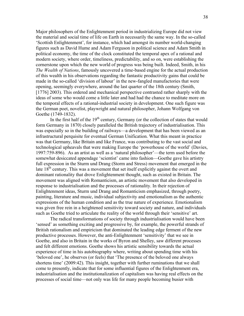Major philosophers of the Enlightenment period in industrializing Europe did not view the material and social time of life on Earth in necessarily the same way. In the so-called 'Scottish Enlightenment', for instance, which had amongst its number world-changing figures such as David Hume and Adam Ferguson in political science and Adam Smith in political economy, the time of the clock constituted the temporal apex of a rational and modern society, where order, timeliness, predictability, and so on, were establishing the cornerstone upon which the new world of progress was being built. Indeed, Smith, in his *The Wealth of Nations*, famously uncovered a time-based engine for the actual production of this wealth in his observations regarding the fantastic productivity gains that could be made in the so-called 'division of labour' in the new-fangled manufactories that were opening, seemingly everywhere, around the last quarter of the 18th century (Smith, [1776] 2003). This ordered and mechanical perspective contrasted rather sharply with the ideas of some who would come a little later and had had the chance to meditate more on the temporal effects of a rational-industrial society in development. One such figure was the German poet, novelist, playwright and natural philosopher, Johann Wolfgang von Goethe (1749-1832).

In the first half of the  $19<sup>th</sup>$  century, Germany (or the collection of states that would form Germany in 1870) closely paralleled the British trajectory of industrialisation. This was especially so in the building of railways—a development that has been viewed as an infrastructural perquisite for eventual German Unification. What this meant in practice was that Germany, like Britain and like France, was contributing to the vast social and technological upheavals that were making Europe the 'powerhouse of the world' (Davies, 1997:759-896). As an artist as well as a 'natural philosopher'—the term used before the somewhat desiccated appendage 'scientist' came into fashion—Goethe gave his artistry full expression in the Sturm und Drang (Storm and Stress) movement that emerged in the late  $18<sup>th</sup>$  century. This was a movement that set itself explicitly against the overt and dominant rationality that drove Enlightenment thought, such as existed in Britain. The movement was aligned with Romanticism, an artistic movement that also developed in response to industrialisation and the processes of rationality. In their rejection of Enlightenment ideas, Sturm und Drang and Romanticism emphasized, through poetry, painting, literature and music, individual subjectivity and emotionalism as the authentic expressions of the human condition and as the true nature of experience. Emotionalism was given free rein in a heightened sensitivity toward society and nature, and individuals such as Goethe tried to articulate the reality of the world through their 'sensitive' art.

The radical transformations of society through industrialisation would have been 'sensed' as something exciting and progressive by, for example, the powerful strands of British rationalism and empiricism that dominated the leading edge ferment of the new productive processes. However, the anti-Enlightenment 'sensitivity' that we see in Goethe, and also in Britain in the works of Byron and Shelley, saw different processes and felt different emotions. Goethe shows his artistic sensibility towards the actual experience of time in his autobiography where, writing about spending time with his 'beloved one', he observes (or feels) that 'The presence of the beloved one always shortens time' (2009:42). This insight, together with further ruminations that we shall come to presently, indicate that for some influential figures of the Enlightenment era, industrialisation and the institutionalization of capitalism was having real effects on the processes of social time—not only was life for many people becoming busier with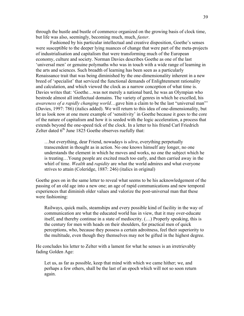through the hustle and bustle of commerce organized on the growing basis of clock time, but life was also, seemingly, becoming much, much, *faster*.

Fashioned by his particular intellectual and creative disposition, Goethe's senses were susceptible to the deeper lying nuances of change that were part of the meta-projects of industrialisation and capitalism that were transforming much of the European economy, culture and society. Norman Davies describes Goethe as one of the last 'universal men' or genuine polymaths who was in touch with a wide range of learning in the arts and sciences. Such breadth of learning has been seen as a particularly Renaissance trait that was being diminished by the one-dimensionality inherent in a new breed of 'specialist' that serviced the functional demands of Enlightenment rationality and calculation, and which viewed the clock as a narrow conception of what time is. Davies writes that: 'Goethe…was not merely a national bard, he was an Olympian who bestrode almost all intellectual domains. The variety of genres in which he excelled, his *awareness of a rapidly changing world*…gave him a claim to be the last "universal man"' (Davies, 1997: 786) (italics added). We will return to this idea of one-dimensionality, but let us look now at one more example of 'sensitivity' in Goethe because it goes to the core of the nature of capitalism and how it is seeded with the logic acceleration, a process that extends beyond the one-speed tick of the clock. In a letter to his friend Carl Friedrich Zelter dated  $6<sup>th</sup>$  June 1825 Goethe observes ruefully that:

…but everything, dear Friend, nowadays is *ultra*, everything perpetually transcendent in thought as in action. No one knows himself any longer, no one understands the element in which he moves and works, no one the subject which he is treating…Young people are excited much too early, and then carried away in the whirl of time. *Wealth* and *rapidity* are what the world admires and what everyone strives to attain (Coleridge, 1887: 246) (italics in original)

Goethe goes on in the same letter to reveal what seems to be his acknowledgement of the passing of an old age into a new one; an age of rapid communications and new temporal experiences that diminish older values and valorize the post-universal man that these were fashioning:

Railways, quick mails, steamships and every possible kind of facility in the way of communication are what the educated world has in view, that it may over-educate itself, and thereby continue in a state of mediocrity. (…) Properly speaking, this is the century for men with heads on their shoulders, for practical men of quick perceptions, who, because they possess a certain adroitness, feel their superiority to the multitude, even though they themselves may not be gifted in the highest degree.

He concludes his letter to Zelter with a lament for what he senses is an irretrievably fading Golden Age:

Let us, as far as possible, keep that mind with which we came hither; we, and perhaps a few others, shall be the last of an epoch which will not so soon return again.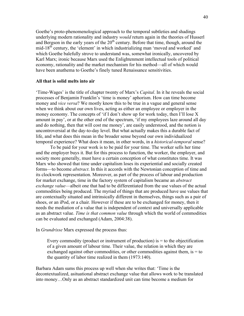Goethe's proto-phenomenological approach to the temporal subtleties and shadings underlying modern rationality and industry *would* return again in the theories of Husserl and Bergson in the early years of the  $20<sup>th</sup>$  century. Before that time, though, around the mid-18<sup>th</sup> century, the 'element' in which industrializing man 'moved and worked' and which Goethe balefully strove to understand was, somewhat ironically, uncovered by Karl Marx; ironic because Marx used the Enlightenment intellectual tools of political economy, rationality and the market mechanism for his method—all of which would have been anathema to Goethe's finely tuned Renaissance sensitivities.

## **All that is solid melts into air**

'Time-Wages' is the title of chapter twenty of Marx's *Capital*. In it he reveals the social processes of Benjamin Franklin's 'time is money' aphorism. How can time become money and *vice versa*? We mostly know this to be true in a vague and general sense when we think about our own lives, acting as either an employee or employer in the money economy. The concepts of 'if I don't show up for work today, then I'll lose X amount in pay', or at the other end of the spectrum, 'if my employees laze around all day and do nothing, then that will cost me money', are easily understood, and the notion is uncontroversial at the day-to-day level. But what actually makes this a durable fact of life, and what does this mean in the broader sense beyond our own individualized temporal experience? What does it mean, in other words, in a *historical-temporal* sense?

To be paid for your work is to be paid for your time. The worker sells her time and the employer buys it. But for this process to function, the worker, the employer, and society more generally, must have a certain conception of what constitutes time. It was Marx who showed that time under capitalism loses its experiential and socially created forms—to become *abstract*. In this it accords with the Newtonian conception of time and its clockwork representation. Moreover, as part of the process of labour and production for market exchange, time in the factory system of capitalism became an *abstract exchange value*—albeit one that had to be differentiated from the use values of the actual commodities being produced. The myriad of things that are produced have use values that are contextually situated and intrinsically different in themselves, things such as a pair of shoes, or an iPod, or a chair. However if these are to be exchanged for money, then it needs the mediation of a value that is independent of context and universally applicable as an abstract value. *Time is that common value* through which the world of commodities can be evaluated and exchanged (Adam, 2004:38).

### In *Grundrisse* Marx expressed the process thus:

Every commodity (product or instrument of production) is  $=$  to the objectification of a given amount of labour time. Their value, the relation in which they are exchanged against other commodities, or other commodities against them, is = to the quantity of labor time realized in them (1973:140).

Barbara Adam sums this process up well when she writes that: 'Time is the decontextualized, asituational abstract exchange value that allows work to be translated into money…Only as an abstract standardized unit can time become a medium for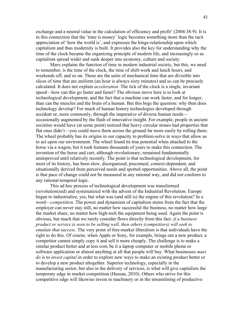exchange and a neutral value in the calculation of efficiency and profit' (2004:38-9). It is in this connection that the 'time is money' logic becomes something more than the tacit appreciation of 'how the world is', and expresses the hinge-relationship upon which capitalism and thus modernity is built. It provides also the key for understanding why the time of the clock became the organizing principle of modern life, and increasingly so as capitalism spread wider and sunk deeper into economy, culture and society.

Marx explains the function of time in modern industrial society, but this, we need to remember, is the time of the clock, the time of shift-work and lunch hours, and weekends off, and so on. These are the units of mechanical time that are divisible into slices of time that are uniform (an hour is always sixty minutes) and so can be precisely calculated. It does not explain *acceleration*. The tick of the clock is a single, invariant speed—how can this go faster and faster? The obvious move here is to look at technological development, and the fact that a machine can work faster, and for longer, than can the muscles and the brain of a human. But this begs the question: why then does technology develop? For much of human history technologies developed through accident or, more commonly, through the imperative of diverse human needs occasionally augmented by the flash of innovative insight. For example, people in ancient societies would have (at some point) noticed that heavy circular stones had properties that flat ones didn't—you could move them across the ground far more easily by rolling them. The wheel probably has its origins in our capacity to problem-solve in ways that allow us to act upon our environment. The wheel found its true potential when attached to the horse via a wagon, but it took humans thousands of years to make this connection. The invention of the horse and cart, although revolutionary, remained fundamentally unimproved until relatively recently. The point is that technological development, for most of its history, has been slow, disorganized, piecemeal, context-dependent, and situationally derived from perceived needs and spotted opportunities. Above all, the point is that pace of change could not be measured in any rational way, and did not conform to any rational-temporal logic.

This ad hoc process of technological development was transformed (revolutionized) and systematized with the advent of the Industrial Revolution. Europe began to industrialize, yes, but what was (and still is) the engine of this revolution? In a word—*competition*. The power and dynamism of capitalism stems from the fact that the employer can never stay still, no matter how successful the business, no matter how large the market share, no matter how high-tech the equipment being used. Again the point is obvious, but much that we rarely consider flows directly from this fact: *if a business product or service is seen to be selling well, then others (competitors) will seek to emulate that success*. The very point of free-market liberalism is that individuals have the right to do this. Of course, when Apple or Sony, for example, brings out a new product, a competitor cannot simply copy it and sell it more cheaply. The challenge is to make a similar product better and at less cost, be it a laptop computer or mobile phone or software application or almost anything at all that people will buy. What businesses *must do* is to *invest capital* in order to explore new ways to make an existing product better or to develop a new product altogether. Superior technology, especially in the manufacturing sector, but also in the delivery of services, is what will give capitalists the temporary edge in market competition (Hassan, 2010). Others who strive for this competitive edge will likewise invest in machinery or in the streamlining of productive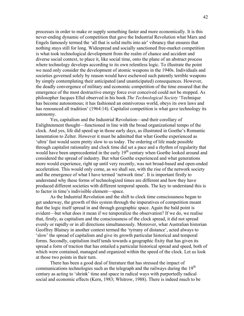processes in order to make or supply something faster and more economically. It is this never-ending dynamic of competition that gave the Industrial Revolution what Marx and Engels famously termed the 'all that is solid melts into air' vibrancy that ensures that nothing stays still for long. Widespread and socially sanctioned free-market competition is what took technological development from the realm of chance and accident and diverse social context, to place it, like social time, onto the plane of an abstract process where technology develops according to its own relentless logic. To illustrate the point we need only consider the development of atomic weapons in the 1940s. Individuals and societies governed solely by reason would have eschewed such patently terrible weapons by simply contemplating their anticipated (and unanticipated) consequences. However, the deadly convergence of military and economic competition of the time ensured that the emergence of the most destructive energy force ever conceived could not be stopped. As philosopher Jacques Ellul observed in his book *The Technological Society* 'Technique has become autonomous; it has fashioned an omnivorous world, obeys its own laws and has renounced all tradition' (1964:14). Capitalist competition is what gave technology its autonomy.

Yes, capitalism and the Industrial Revolution—and their corollary of Enlightenment thought—functioned in line with the broad organizational tempo of the clock. And yes, life did speed up in those early days, as illustrated in Goethe's Romantic lamentation to Zelter. However it must be admitted that what Goethe experienced as 'ultra' fast would seem pretty slow to us today. The ordering of life made possible through capitalist rationality and clock time did set a pace and a rhythm of regularity that would have been unprecedented in the early 19<sup>th</sup> century when Goethe looked around and considered the spread of industry. But what Goethe experienced and what generations more would experience, right up until very recently, was not broad-based and open-ended acceleration. This would only come, as we shall see, with the rise of the network society and the emergence of what I have termed 'network time'. It is important firstly to understand why these forms of technologized times are different and how they have produced different societies with different temporal speeds. The key to understand this is to factor in time's indivisible element—space.

As the Industrial Revolution and the shift to clock time consciousness began to get underway, the growth of this system through the imperatives of competition meant that the logic itself spread in and through geographic space. Again the bald point is evident—but what does it mean if we temporalize the observation? If we do, we realise that, firstly, as capitalism and the consciousness of the clock spread, it did not spread evenly or rapidly or in all directions simultaneously. Moreover, what Australian historian Geoffrey Blainey in another context termed the 'tyrrany of distance', acted always to 'slow' the spread of capitalism and give its growth particular historical and temporal forms. Secondly, capitalism itself tends towards a geographic fixity that has given its spread a form of traction that has entailed a particular historical spread and speed, both of which were contained, managed and organized within the speed of the clock. Let us look at those two points in their turn.

There has been a good deal of literature that has stressed the impact of communications technologies such as the telegraph and the railways during the  $19<sup>th</sup>$ century as acting to 'shrink' time and space in radical ways with purportedly radical social and economic effects (Kern, 1983; Whitrow, 1988). There is indeed much to be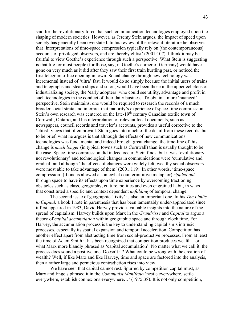said for the revolutionary force that such communication technologies employed upon the shaping of modern societies. However, as Jeremy Stein argues, the impact of speed upon society has generally been overstated. In his review of the relevant literature he observes that 'interpretations of time-space compression typically rely on [the contemporaneous] accounts of privileged observers, and are thereby elitist' (2001:107). I think it may be fruitful to view Goethe's experience through such a perspective. What Stein is suggesting is that life for most people (for those, say, in Goethe's corner of Germany) would have gone on very much as it did after they saw their first train hurtling past, or noticed the first telegram office opening in town. Social change through new technology was incremental instead of 'ultra' fast. It would do so simply because the initial users of trains and telegraphs and steam ships and so on, would have been those in the upper echelons of industrializing society, the 'early adopters' who could see utility, advantage and profit in such technologies in the conduct of their daily business. To obtain a more 'nuanced' perspective, Stein maintains, one would be required to research the records of a much broader social strata and interpret that majority's experience of space-time compression. Stein's own research was centered on the late- $19<sup>th</sup>$  century Canadian textile town of Cornwall, Ontario, and his interpretation of relevant local documents, such as newspapers, council records and traveler's accounts, provides a useful corrective to the 'elitist' views that often prevail. Stein goes into much of the detail from these records, but to be brief, what he argues is that although the effects of new communications technologies was fundamental and indeed brought great change, the time-line of this change is *much longer* (in typical towns such as Cornwall) than is usually thought to be the case. Space-time compression did indeed occur, Stein finds, but it was 'evolutionary not revolutionary' and technological changes in communications were 'cumulative and gradual' and although 'the effects of changes were widely felt, wealthy social observers were most able to take advantage of them' (2001:119). In other words, 'time-space compression' (if one is allowed a somewhat counterintuitive metaphor) *rippled out* through space to have its effects upon time experience by overcoming tractioning obstacles such as class, geography, culture, politics and even engrained habit, in ways that constituted a specific and context dependent *unfolding* of temporal change.

The second issue of geographic 'fixity' is also an important one. In his *The Limits to Capital,* a book I note in parenthesis that has been lamentably under-appreciated since it first appeared in 1983, David Harvey provides valuable insights into the nature of the spread of capitalism. Harvey builds upon Marx in the *Grundrisse* and *Capital* to argue a theory of *capital accumulation* within geographic space and through clock time. For Harvey, the accumulation process is the key to understanding capitalism's intrinsic processes, especially its spatial expansion and temporal acceleration. Competition has another effect apart from abstracting time from social-productive processes. From at least the time of Adam Smith it has been recognized that competition produces wealth—or what Marx more blandly phrased as 'capital accumulation'. No matter what we call it, the process does sound a positive one. Doesn't it? What could be wrong with the creation of wealth? Well, if like Marx and like Harvey, time and space are factored into the analysis, then a rather large and pernicious contradiction rises into view.

We have seen that capital cannot rest. Spurred by competition capital must, as Marx and Engels phrased it in the *Communist Manifesto* 'nestle everywhere, settle everywhere, establish connexions everywhere…' (1975:38). It is not only competition,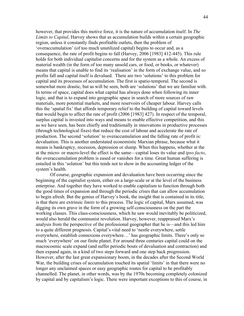however, that provides this motive force, it is the nature of accumulation itself. In *The Limits to Capital*, Harvey shows that as accumulation builds within a certain geographic region, unless it constantly finds profitable outlets, then the problem of 'overaccumulation' (of too much unutilized capital) begins to occur and, as a consequence, the rate of profit begins to fall (Harvey, 2006 [1983] 412-445). This rule holds for both individual capitalist concerns and for the system as a whole. An excess of material wealth (in the form of too many unsold cars, or food, or books, or whatever) means that capital is unable to find its 'realisation' in the form of exchange value, and so profits fall and capital itself is devalued. There are two 'solutions' to this problem for capital and its processes of accumulation. The first is spatio-temporal. The second is somewhat more drastic, but as will be seen, both are 'solutions' that we are familiar with. In terms of space, capital does what capital has always done when following its inner logic, and that is to expand into geographic space in search of more sources of raw materials, more potential markets, and more reservoirs of cheaper labour. Harvey calls this the 'spatial fix' that affords temporary relief to the building of capital toward levels that would begin to affect the rate of profit (2006 [1983] 427). In respect of the temporal, surplus capital is invested into ways and means to enable effective competition, and this as we have seen, has been chiefly and traditionally in innovations in productive processes (through technological fixes) that reduce the cost of labour and accelerate the rate of production. The second 'solution' to overaccumulation and the falling rate of profit is: devaluation. This is another understated economistic Marxian phrase, because what it means is bankruptcy, recession, depression or slump. When this happens, whether at the at the micro- or macro-level the effect is the same—capital loses its value and *ipso facto*, the overaccumulation problem is eased or vanishes for a time. Great human suffering is entailed in this 'solution' but this tends not to show in the accounting ledger of the system's health.

Of course, geographic expansion and devaluation have been occurring since the beginning of the capitalist system, either on a large-scale or at the level of the business enterprise. And together they have worked to enable capitalism to function through both the good times of expansion and through the periodic crises that can allow accumulation to begin afresh. But the genius of Harvey's book, the insight that is contained in its title, is that there are extrinsic *limits* to this process. The logic of capital, Marx assumed, was digging its own grave in the form of a growing self-consciousness on the part the working classes. This class-consciousness, which he saw would inevitably be politicized, would also herald the communist revolution. Harvey, however, reappraised Marx's analysis from the perspective of the professional geographer that he is—and this led him to a quite different prognosis. Capital's vital need to 'nestle everywhere, settle everywhere, establish connexions everywhere…' has geographic limits. There's only so much 'everywhere' on our finite planet. For around three centuries capital could on the macrocosmic scale expand (and suffer periodic bouts of devaluation and contraction) and then expand again, in a kind of two steps forward and one step back progression. However, after the last great expansionary boom, in the decades after the Second World War, the building crises of accumulation touched its spatial 'limits' in that there were no longer any unclaimed spaces or easy geographic routes for capital to be profitably channelled. The planet, in other words, was by the 1970s becoming completely colonized by capital and by capitalism's logic. There were important exceptions to this of course, in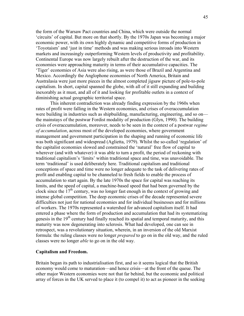the form of the Warsaw Pact countries and China, which were outside the normal 'circuits' of capital. But more on that shortly. By the 1970s Japan was becoming a major economic power, with its own highly dynamic and competitive forms of production in 'Toyotaism' and 'just in time' methods and was making serious inroads into Western markets and increasingly outperforming Western levels of productivity and profitability. Continental Europe was now largely rebuilt after the destruction of the war, and its economies were approaching maturity in terms of their accumulative capacities. The 'Tiger' economies of Asia were also rising, as were those of Brazil and Argentina and Mexico. Accordingly the Anglophone economies of North America, Britain and Australasia were just more pieces in the almost completed jigsaw picture of pole-to-pole capitalism. In short, capital spanned the globe, with all of it still expanding and building inexorably as it must, and all of it and looking for profitable outlets in a context of diminishing actual geographic territorial space.

This inherent contradiction was already finding expression by the 1960s when rates of profit were falling in the Western economies, and crises of overaccumulation were building in industries such as shipbuilding, manufacturing, engineering, and so on the mainstays of the postwar Fordist modality of production (Glyn, 1990). The building crisis of overaccumulation, moreover, needs to be seen in the context of a postwar *regime of accumulation*, across most of the developed economies, where government management and government participation in the shaping and running of economic life was both significant and widespread (Aglietta, 1979). Whilst the so-called 'regulation' of the capitalist economies slowed and constrained the 'natural' free flow of capital to wherever (and with whatever) it was able to turn a profit, the period of reckoning with traditional capitalism's 'limits' within traditional space and time, was unavoidable. The term 'traditional' is used deliberately here. Traditional capitalism and traditional conceptions of space and time were no longer adequate to the task of delivering rates of profit and enabling capital to be channeled to fresh fields to enable the process of accumulation to start again. By the late 1970s the space for capital was reaching its limits, and the speed of capital, a machine-based speed that had been governed by the clock since the  $17<sup>th</sup>$  century, was no longer fast enough in the context of growing and intense global competition. The deep economic crises of the decade represented severe difficulties not just for national economies and for individual businesses and for millions of workers. The 1970s represented a watershed for advanced capitalism itself. It had entered a phase where the form of production and accumulation that had its systematizing genesis in the  $19<sup>th</sup>$  century had finally reached its spatial and temporal maturity, and this maturity was now degenerating into sclerosis. What had developed, one can see in retrospect, was a revolutionary situation, wherein, in an inversion of the old Marxist formula: the ruling classes were no longer *prepared* to go on in the old way, and the ruled classes were no longer *able* to go on in the old way.

#### **Capitalism and Freedom.**

Britain began its path to industrialisation first, and so it seems logical that the British economy would come to maturation—and hence crisis—at the front of the queue. The other major Western economies were not that far behind, but the economic and political array of forces in the UK served to place it (to compel it) to act as pioneer in the seeking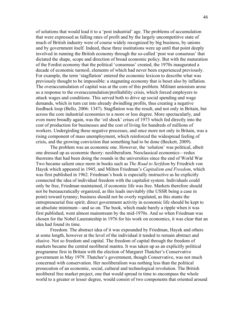of solutions that would lead it to a 'post industrial' age. The problems of accumulation that were expressed as falling rates of profit and by the largely uncompetitive state of much of British industry were of course widely recognized by big business, by unions and by government itself. Indeed, these three institutions were up until that point deeply involved in running the British economy through the so-called 'post war consensus' that dictated the shape, scope and direction of broad economic policy. But with the maturation of the Fordist economy that the political 'consensus' created, the 1970s inaugurated a decade of economic turmoil, elements of which had never been experienced previously. For example, the term 'stagflation' entered the economic lexicon to describe what was previously thought to be impossible: a stagnating economy that is beset also by inflation. The overaccumulation of capital was at the core of this problem. Militant unionism arose as a response to the overaccumulation/profitability crisis, which forced employers to attack wages and conditions. This served both to drive up social spending and wage demands, which in turn cut into already dwindling profits, thus creating a negative feedback loop (Bello, 2006: 1347). Stagflation was the result, and not only in Britain, but across the core industrial economies to a more or less degree. More spectacularly, and even more broadly again, was the 'oil shock' crises of 1973 which fed directly into the cost of production for businesses and the cost of living for hundreds of millions of workers. Undergirding these negative processes, and once more not only in Britain, was a rising component of mass unemployment, which reinforced the widespread feeling of crisis, and the growing conviction that something had to be done (Beckett, 2009).

The problem was an economic one. However, the 'solution' was political, albeit one dressed up as economic theory: neoliberalism. Neoclassical economics—redux theorems that had been doing the rounds in the universities since the end of World War Two became salient once more in books such as *The Road to Serfdom* by Friedrich von Hayek which appeared in 1945, and Milton Friedman's *Capitalism and Freedom*, which was first published in 1962. Friedman's book is especially instructive as he explicitly connected the idea of individual freedom with the capitalist system. Individuals could only be free, Friedman maintained, if economic life was free. Markets therefore should not be bureaucratically organized, as this leads inevitably (the USSR being a case in point) toward tyranny; business should not be overly regulated, as this stunts the entrepreneurial free spirit; direct government activity in economic life should be kept to an absolute minimum—and so on. The book, which made barely a ripple when it was first published, went almost mainstream by the mid-1970s. And so when Friedman was chosen for the Nobel Laureateship in 1976 for his work on economics, it was clear that an idea had found its time.

Freedom. The abstract idea of it was expounded by Friedman, Hayek and others at some length, however at the level of the individual it tended to remain abstract and elusive. Not so freedom and capital. The freedom of capital through the freedom of markets became the central neoliberal mantra. It was taken up as an explicitly political programme first in Britain with the election of Margaret Thatcher's Conservative government in May 1979. Thatcher's government, though Conservative, was not much concerned with conservation. Her neoliberalism was nothing less than the political prosecution of an economic, social, cultural and technological revolution. The British neoliberal free market project, one that would spread in time to encompass the whole world to a greater or lesser degree, would consist of two components that oriented around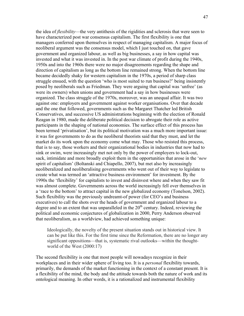the idea of *flexibility*—the very antithesis of the rigidities and sclerosis that were seen to have characterized post war consensus capitalism. The first flexibility is one that managers conferred upon themselves in respect of managing capitalism. A major focus of neoliberal argument was the consensus model, which I just touched on, that gave government and organized labour, as well as big businesses, a say in how capital was invested and what it was invested in. In the post war climate of profit during the 1940s, 1950s and into the 1960s there were no major disagreements regarding the shape and direction of capitalism as long as the bottom line remained strong. When the bottom line became decidedly shaky for western capitalism in the 1970s, a period of sharp class struggle ensued, with the question 'who is most suited to run business?' being insistently posed by neoliberals such as Friedman. They were arguing that capital was 'unfree' (as were its owners) when unions and government had a say in how businesses were organized. The class struggle of the 1970s, moreover, was an unequal affair. It was two against one: employers and government against worker organisations. Over that decade and the one that followed, governments such as the Margaret Thatcher led British Conservatives, and successive US administrations beginning with the election of Ronald Reagan in 1980, made the deliberate political decision to abrogate their role as active participants in the shaping of national economies. The surface effect of this process has been termed 'privatisation', but its political motivation was a much more important issue: it was for governments to do as the neoliberal theorists said that they must, and let the market do its work upon the economy come what may. Those who resisted this process, that is to say, those workers and their organizational bodies in industries that now had to sink or swim, were increasingly met not only by the power of employers to lock-out, sack, intimidate and more broadly exploit them in the opportunities that arose in the '*new* spirit of capitalism' (Boltanski and Chiapello, 2007), but met also by increasingly neoliberalized and neoliberalising governments who went out of their way to legislate to create what was termed an 'attractive business environment' for investment. By the 1990s the 'flexibility' for capitalists to invest and disinvest where and when they saw fit was almost complete. Governments across the world increasingly fell over themselves in a 'race to the bottom' to attract capital in the new globalized economy (Tonelson, 2002). Such flexibility was the previously undreamt-of power (for CEO's and business executives) to call the shots over the heads of government and organized labour to a degree and to an extent that was unparalleled in the  $20<sup>th</sup>$  century. Indeed, reviewing the political and economic conjectures of globalization in 2000, Perry Anderson observed that neoliberalism, as a worldview, had achieved something unique:

Ideologically, the novelty of the present situation stands out in historical view. It can be put like this. For the first time since the Reformation, there are no longer any significant oppositions—that is, systematic rival outlooks—within the thoughtworld of the West (2000:17)

The second flexibility is one that most people will nowadays recognize in their workplaces and in their wider sphere of living too. It is a *personal* flexibility towards, primarily, the demands of the market functioning in the context of a constant present. It is a flexibility of the mind, the body and the attitude towards both the nature of work and its ontological meaning. In other words, it is a rationalized and instrumental flexibility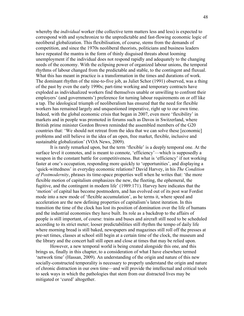whereby the *individual* worker (the collective term matters less and less) is expected to correspond with and synchronize to the unpredictable and fast-flowing economic logic of neoliberal globalization. This flexibilisation, of course, stems from the demands of competition, and since the 1970s neoliberal theorists, politicians and business leaders have repeated the mantra in the form of thinly disguised threats about looming unemployment if the individual does not respond rapidly and adequately to the changing needs of the economy. With the eclipsing power of organized labour unions, the temporal rhythms of labour changed from the predictable and stable, to the contingent and fluxual. What this has meant in practice is a transformation in the times and durations of work. The dominant rhythm of the nine-to-five job, as Juliet Schor (1991) observed, was a thing of the past by even the early 1990s; part-time working and temporary contracts have exploded as individualized workers find themselves unable or unwilling to confront their employers' (and governments') preference for turning labour requirements on or off like a tap. The ideological triumph of neoliberalism has ensured that the need for flexible workers has remained largely and unquestioned imperative, right up to our own time. Indeed, with the global economic crisis that began in 2007, even more 'flexibility' in markets and in people was promoted in forums such as Davos in Switzerland, where British prime minister Gordon Brown reminded the assembled members of the G20 countries that: 'We should not retreat from the idea that we can solve these [economic] problems and still believe in the idea of an open, free market, flexible, inclusive and sustainable globalization' (VOA News, 2009).

It is rarely remarked upon, but the term 'flexible' is a deeply temporal one. At the surface level it connotes, and is meant to connote, 'efficiency'—which is supposedly a weapon in the constant battle for competitiveness. But what is 'efficiency' if not working faster at one's occupation, responding more quickly to 'opportunities', and displaying a 'quick-wittedness' in everyday economic relations? David Harvey, in his *The Condition of Postmodernity*, phrases its time-space properties well when he writes that: 'the more flexible motion of capitalism emphasizes the new, the fleeting, the ephemeral, the fugitive, and the contingent in modern life' (1989:171). Harvey here indicates that the 'motion' of capital has become postmodern, and has evolved out of its post war Fordist mode into a new mode of 'flexible accumulation', as he terms it, where speed and acceleration are the new defining properties of capitalism's latest iteration. In this transition the time of the clock has lost its position of domination over the life of humans and the industrial economies they have built. Its role as a backdrop to the affairs of people is still important, of course: trains and buses and aircraft still need to be scheduled according to its strict meter; looser predictabilities still rhythm the tempo of daily life where morning bread is still baked, newspapers and magazines still roll off the presses at pre-set times, classes at school still begin at a certain time of the clock, the museum and the library and the concert hall still open and close at times that may be relied upon.

However, a new temporal world is being created alongside this one, and this brings us, finally in this chapter, to a consideration of what I have elsewhere termed 'network time' (Hassan, 2009). An understanding of the origin and nature of this new socially-constructed temporality is necessary to properly understand the origin and nature of chronic distraction in our own time—and will provide the intellectual and critical tools to seek ways in which the pathologies that stem from our distracted lives may be mitigated or 'cured' altogether.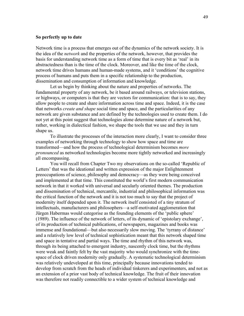## **So perfectly up to date**

Network time is a process that emerges out of the dynamics of the network society. It is the idea of the *network* and the properties of the network, however, that provides the basis for understanding network time as a form of time that is every bit as 'real' in its abstractedness than is the time of the clock. Moreover, and like the time of the clock, network time drives humans and human-made systems, and it 'conditions' the cognitive process of humans and puts them in a specific relationship to the production, dissemination and consumption of information and knowledge.

Let us begin by thinking about the nature and properties of networks. The fundamental property of any network, be it based around railways, or television stations, or highways, or computers is that they are vectors for communication: that is to say, they allow people to create and share information across time and space. Indeed, it is the case that networks *create and shape* social time and space, and the particularities of any network are given substance and are defined by the technologies used to create them. I do not yet at this point suggest that technologies alone determine nature of a network but, rather, working in dialectical fashion, we shape the tools that we use and they in turn shape us.

To illustrate the processes of the interaction more clearly, I want to consider three examples of networking through technology to show how space and time are transformed—and how the process of technological determinism becomes *more pronounced* as networked technologies become more tightly networked and increasingly all encompassing.

You will recall from Chapter Two my observations on the so-called 'Republic of Letters' that was the ideational and written expression of the major Enlightenment preoccupations of science, philosophy and democracy—as they were being conceived and implemented at that time. This constituted the world's first modern communication network in that it worked with universal and secularly oriented themes. The production and dissemination of technical, mercantile, industrial and philosophical information was the critical function of the network and it is not too much to say that the project of modernity itself depended upon it. The network itself consisted of a tiny stratum of intellectuals, manufacturers and philosophers—a self-motivated agglomeration that Jürgen Habermas would categorise as the founding elements of the 'public sphere' (1989). The influence of the network of letters, of its dynamic of 'epistolary exchange', of its production of technical publications, of newspapers, magazines and books was immense and foundational—but also necessarily slow moving. The 'tyrrany of distance' and a relatively low level of technical sophistication meant that this network shaped time and space in tentative and partial ways. The time and rhythm of this network was, through its being attached to emergent industry, nascently clock time, but the rhythms were weak and faintly felt by the vast majority who would synchronize with the timespace of clock driven modernity only gradually. A systematic technological determinism was relatively undeveloped at this time, principally because innovations tended to develop from scratch from the heads of individual tinkerers and experimenters, and not as an extension of a prior vast body of technical knowledge. The fruit of their innovation was therefore not readily connectible to a wider system of technical knowledge and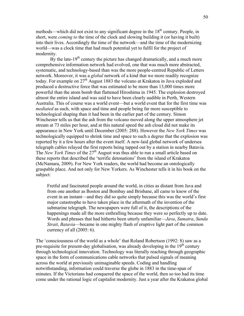methods—which did not exist to any significant degree in the  $18<sup>th</sup>$  century. People, in short, were *coming to* the time of the clock and slowing building it (or having it built) into their lives. Accordingly the time of the network—and the time of the modernizing world—was a clock time that had much potential yet to fulfil for the project of modernity.

By the late-19<sup>th</sup> century the picture has changed dramatically, and a much more comprehensive information network had evolved, one that was much more abstracted, systematic, and technology-based than was the more people-centred Republic of Letters network. Moreover, it was a *global* network of a kind that we more readily recognize today. For example on 27<sup>th</sup> August 1883 the volcano at Krakatoa in Java exploded and produced a destructive force that was estimated to be more than 13,000 times more powerful than the atom bomb that flattened Hiroshima in 1945. The explosion destroyed almost the entire island and was said to have been clearly audible in Perth, Western Australia. This of course was a world event—but a world event that for the first time was *mediated* as such, with space and time and people being far more susceptible to technological shaping than it had been in the earlier part of the century. Simon Winchester tells us that the ash from the volcano moved along the upper atmosphere jet stream at 73 miles per hour, and at this natural speed the ash cloud did not make its appearance in New York until December (2005: 288). However the *New York Times* was technologically equipped to shrink time and space to such a degree that the explosion was reported by it a few hours after the event itself. A new-laid global network of undersea telegraph cables relayed the first reports being tapped out by a station in nearby Batavia. The *New York Times* of the 27<sup>th</sup> August was thus able to run a small article based on these reports that described the 'terrific detonations' from the island of Krakatoa (McNamara, 2009). For New York readers, the world had become an ontologically graspable place. And not only for New Yorkers. As Winchester tells it in his book on the subject:

Fretful and fascinated people around the world, in cities as distant from Java and from one another as Boston and Bombay and Brisbane, all came to know of the event in an instant—and they did so quite simply because this was the world's first major catastrophe to have taken place in the aftermath of the invention of the submarine telegraph. The newspapers were full of it, the descriptions of the happenings made all the more enthralling because they were so perfectly up to date. Words and phrases that had hitherto been utterly unfamiliar—*Java*, *Sumatra*, *Sunda Strait*, *Batavia*—became in one mighty flash of eruptive light part of the common currency of all (2005: 6).

The 'consciousness of the world as a whole' that Roland Robertson (1992: 8) saw as a pre-requisite for present-day globalisation, was already developing in the  $19<sup>th</sup>$  century through technological innovation. Technology was literally reaching through geographic space in the form of communications cable networks that pulsed signals of meaning across the world at previously unimaginable speeds. Coding and handling notwithstanding, information could traverse the globe in 1883 in the time-span of minutes. If the Victorians had conquered the space of the world, then so too had its time come under the rational logic of capitalist modernity. Just a year after the Krakatoa global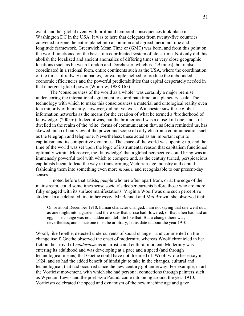event, another global event with profound temporal consequences took place in Washington DC in the USA. It was to here that delegates from twenty-five countries convened to zone the entire planet into a common and agreed meridian time and longitude framework. Greenwich Mean Time or (GMT) was born, and from this point on the world functioned on the basis of a coordinated system of clock time. Not only did this abolish the localized and ancient anomalies of differing times at very close geographic locations (such as between London and Dorchester, which is 129 miles), but it also coordinated in a rational form, entire continents such as the USA, where the coordination of the times of railway companies, for example, helped to produce the unbounded economic efficiencies and the powerful predictabilities that capital desperately needed in that emergent global power (Whitrow, 1988:165).

The 'consciousness of the world as a whole' was certainly a major premise underscoring the international agreement to coordinate time on a planetary scale. The technology with which to make this consciousness a material and ontological reality even to a minority of humanity, however, did not yet exist. Winchester saw these global information networks as the means for the creation of what he termed a 'brotherhood of knowledge' (2005:6). Indeed it was, but the brotherhood was a close-knit one, and still dwelled in the realm of the 'elite' forms of communication that, as Stein reminded us, has skewed much of our view of the power and scope of early electronic communication such as the telegraph and telephone. Nevertheless, these acted as an important spur to capitalism and its competitive dynamics. The space of the world was opening up, and the time of the world was set upon the logic of instrumental reason that capitalism functioned optimally within. Moreover, the 'knowledge' that a global perspective could bring was an immensely powerful tool with which to compete and, as the century turned, perspicacious capitalists began to lead the way in transforming Victorian-age industry and capital fashioning them into something even more *modern* and recognizable to our present-day senses.

I noted before that artists, people who are often apart from, or at the edge of the mainstream, could sometimes sense society's deeper currents before those who are more fully engaged with its surface manifestations. Virginia Woolf was one such perceptive student. In a celebrated line in her essay 'Mr Bennett and Mrs Brown' she observed that:

On or about December 1910, human character changed. I am not saying that one went out, as one might into a garden, and there saw that a rose had flowered, or that a hen had laid an egg. The change was not sudden and definite like that. But a change there was, nevertheless; and, since one must be arbitrary, let us date it about the year 1910.

Woolf, like Goethe, detected undercurrents of social change—and commented on the change itself. Goethe observed the onset of modernity, whereas Woolf chronicled in her fiction the arrival of *modernism* as an artistic and cultural moment. Modernity was entering its adulthood and was developing at a pace and a speed (and through technological means) that Goethe could have not dreamed of. Woolf wrote her essay in 1924, and so had the added benefit of hindsight to take in the changes, cultural and technological, that had occurred since the new century got underway. For example, in art the Vorticist movement, with which she had personal connections through painters such as Wyndam Lewis and the poet Ezra Pound, came into being around the year 1910. Vorticism celebrated the speed and dynamism of the new machine age and gave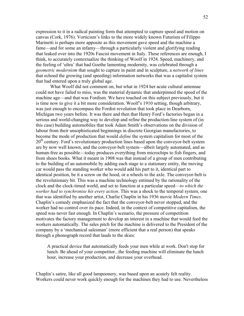expression to it in a radical painting form that attempted to capture speed and motion on canvas (Cork, 1976). Vorticism's links to the more widely known Futurism of Filippo Marinetti is perhaps more apposite as this movement gave speed and the machine a fame—and for some an infamy—through a particularly violent and glorifying reading that leaked over into the 1920s Fascist movement in Italy. These references are enough, I think, to accurately contextualize the thinking of Woolf in 1924. Speed, machinery, and the feeling of 'ultra' that had Goethe lamenting modernity, was celebrated through a *geometric modernism* that sought to capture in paint and in sculpture, a *network of lines* that echoed the growing (and speeding) information networks that was a capitalist system that had entered upon a truly global age.

What Woolf did not comment on, but what in 1924 her acute cultural antennae could not have failed to miss, was the material dynamic that underpinned the speed of the machine age—and that was Fordism. We have touched on this subject previously, but it is time now to give it a bit more consideration. Woolf's 1910 setting, though arbitrary, was just enough to encompass the Fordist revolution that took place in Dearborn, Michigan two years before. It was there and then that Henry Ford's factories began in a serious and world-changing way to develop and refine the production-line system of (in this case) building automobiles that took Adam Smith's observations on the division of labour from their unsophisticated beginnings in discrete Georgian manufactories, to become the mode of production that would *define* the system capitalism for most of the  $20<sup>th</sup>$  century. Ford's revolutionary production lines based upon the conveyor-belt system are by now well known, and the conveyor-belt system—albeit largely automated, and as human-free as possible—today produces everything from microchips to fish fingers, and from shoes books. What it meant in 1908 was that instead of a group of men contributing to the building of an automobile by adding each stage to a stationary entity, the moving car would pass the standing worker who would add his part to it, identical part to identical position, be it a screw on the hood, or a wheels to the axle. The conveyor-belt is the revolutionary bit. This was a machine technology entimed by the rationality of the clock and the clock-timed world, and set to function at a particular speed—*to which the worker had to synchronise his every action*. This was a shock to the temporal system, one that was identified by another artist, Charlie Chaplin in his 1936 movie *Modern Times*. Chaplin's comedy emphasized the fact that the conveyor-belt never stopped, and the worker had no control over its pace. Indeed, in the context of competitive capitalism, the speed was never fast enough. In Chaplin's scenario, the pressure of competition motivates the factory management to develop an interest in a machine that would feed the workers automatically. The sales pitch for the machine is delivered to the President of the company by a 'mechanical salesman' (more efficient that a real person) that speaks through a phonograph record that lauds to the skies:

A practical device that automatically feeds your men while at work. Don't stop for lunch. Be ahead of your competitor...the feeding machine will eliminate the lunch hour, increase your production, and decrease your overhead.

Chaplin's satire, like all good lampoonery, was based upon an acutely felt reality. Workers could never work quickly enough for the machines they had to use. Nevertheless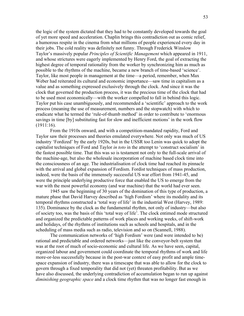the logic of the system dictated that they had to be constantly developed towards the goal of yet more speed and acceleration. Chaplin brings this contradiction out as comic relief, a humorous respite in the cinema from what millions of people experienced every day in their jobs. The cold reality was definitely not funny. Through Frederick Winslow Taylor's massively popular *Principles of Scientific Management* which appeared in 1911, and whose strictures were eagerly implemented by Henry Ford, the goal of extracting the highest degree of temporal rationality from the worker by synchronizing him as much as possible to the rhythms of the machine, became a new branch of time-based 'science'. Taylor, like most people in management at the time—a period, remember, when Max Weber had reiterated its cultural and economic importance—saw time in capitalism as a value and as something expressed exclusively through the clock. And since it was the clock that governed the production process, it was the precious time of the clock that had to be used most economically—with the worker compelled to fall in behind this logic. Taylor put his case unambiguously, and recommended a 'scientific' approach to the work process (meaning the use of measurement, numbers and the stopwatch) with which to eradicate what he termed the 'rule-of-thumb method' in order to contribute to 'enormous savings in time [by] substituting fast for slow and inefficient motions' in the work flow (1911:16).

From the 1910s onward, and with a competition-mandated rapidity, Ford and Taylor saw their processes and theories emulated everywhere. Not only was much of US industry 'Fordized' by the early 1920s, but in the USSR too Lenin was quick to adopt the capitalist techniques of Ford and Taylor *in toto* in the attempt to 'construct socialism' in the fastest possible time. That this was so is testament not only to the full-scale arrival of the machine-age, but also the wholesale incorporation of machine based clock time into the consciousness of an age. The industrialisation of clock time had reached its pinnacle with the arrival and global expansion of Fordism. Fordist techniques of mass production, indeed, were the basis of the immensely successful US war effort from 1941-45, and were the principle underlying productive force that enabled the US to emerge from the war with the most powerful economy (and war machine) that the world had ever seen.

1945 saw the beginning of 30 years of the domination of this type of production, a mature phase that David Harvey described as 'high Fordism' where its modality and its temporal rhythms constructed a 'total way of life' in the industrial West (Harvey, 1989: 135). Dominance by the clock as the fundamental rhythm, not only of industry—but also of society too, was the basis of this 'total way of life'. The clock entimed mode structured and organized the predictable patterns of work places and working weeks, of shift-work and holidays, of the rhythms of institutions such as schools and hospitals, and in the scheduling of mass media such as radio, television and so on (Scannell, 1988).

The communication networks of 'high Fordism' were (and were intended to be) rational and predictable and ordered networks—just like the conveyor-belt system that was at the root of much of socio-economic and cultural life. As we have seen, capital, organized labour and government could coordinate the temporal rhythms of work and life more-or-less successfully because in the post-war context of easy profit and ample timespace expansion of industry, there was a timescape that was able to allow for the clock to govern through a fixed temporality that did not (yet) threaten profitability. But as we have also discussed, the underlying contradiction of accumulation began to run up against *diminishing geographic space* and a clock time rhythm that was no longer fast enough in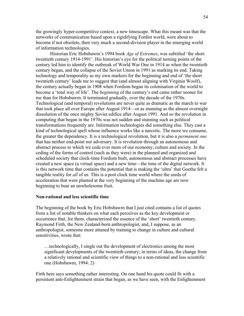the growingly hyper-competitive context, a new timescape. What this meant was that the networks of communication based upon a rigidifying Fordist world, were about to become if not obsolete, then very much a second-division player in the emerging world of information technologies.

Historian Eric Hobsbawm's 1994 book *Age of Extremes*, was subtitled 'the short twentieth century 1914-1991'. His historian's eye for the political turning points of the century led him to identify the outbreak of World War One in 1914 as when the twentieth century began, and the collapse of the Soviet Union in 1991 as marking its end. Taking technology and temporality as my own markers for the beginning and end of 'the short twentieth century' leads me to suggest that (and almost aligning with Virginia Woolf), the century actually began in 1908 when Fordism began its colonisation of the world to become a 'total way of life'. The *beginning* of the century's end came rather sooner for me than for Hobsbawm. It terminated gradually, over the decade of the 1970s. Technological (and temporal) revolutions are never quite as dramatic as the march to war that took place all over Europe after August 1914—or as stunning as the almost overnight dissolution of the once mighty Soviet edifice after August 1991. And so the revolution in computing that began in the 1970s was not sudden and stunning such as political transformations frequently are. Information technologies did something else. They cast a kind of technological spell whose influence works like a narcotic. The more we consume, the greater the dependency. It is a technological revolution, but it is also a *permanent one* that has neither end-point nor adversary. It is revolution through an autonomous and abstract process to which we cede ever more of our economy, culture and society. In the ceding of the forms of control (such as they were) in the planned and organized and scheduled society that clock-time Fordism built, autonomous and abstract processes have created a new space (a virtual space) and a new time—the time of the digital network. It is this network time that contains the potential that is making the 'ultra' that Goethe felt a tangible reality for *all* of us. This is a post clock time world where the seeds of acceleration that were planted at the very beginning of the machine age are now beginning to bear an unwholesome fruit.

### **Non-rational and less scientific time**

The beginning of the book by Eric Hobsbawm that I just cited contains a list of quotes from a list of notable thinkers on what each perceives as the key development or occurrence that, for them, characterized the essence of the 'short' twentieth century. Raymond Firth, the New Zealand-born anthropologist, and, I suppose, as an anthropologist, someone more attuned by training to change in culture and cultural sensitivities, wrote that:

…technologically, I single out the development of electronics among the most significant developments of the twentieth century; in terms of ideas, the change from a relatively rational and scientific view of things to a non-rational and less scientific one (Hobsbawm, 1994: 2)

Firth here says something rather interesting. On one hand his quote could fit with a persistent anti-Enlightenment strain that began, as we have seen, with the Enlightenment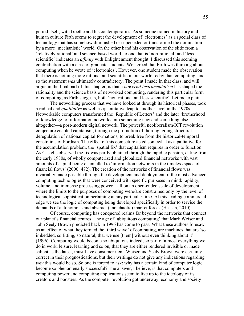period itself, with Goethe and his contemporaries. As someone trained in history and human culture Firth seems to regret the development of 'electronics' as a special class of technology that has somehow diminished or superseded or transformed the domination by a more 'mechanistic' world. On the other hand his observation of the slide from a 'relatively rational' and science-based world, to one that is 'non-rational' and 'less scientific' indicates an *affinity* with Enlightenment thought. I discussed this seeming contradiction with a class of graduate students. We agreed that Firth was thinking about computing when he wrote of 'electronics'. However, one student made the observation that there is nothing more rational and scientific in our world today than computing, and so the statement *was* ultimately contradictory. The point I made in that class, and will argue in the final part of this chapter, is that a *powerful instrumentalism* has shaped the rationality and the science basis of networked computing, rendering this particular form of computing, as Firth suggests, both 'non-rational and less scientific'. Let me explain.

The networking process that we have looked at through its historical phases, took a radical and *qualitative* as well as quantitative leap to another level in the 1970s. Networkable computers transformed the 'Republic of Letters' and the later 'brotherhood of knowledge' of information networks into something new and something else altogether—a post-modern digital network. The powerful neoliberalism/ICT revolution conjecture enabled capitalism, through the promotion of thoroughgoing structural deregulation of national capital formations, to break free from the historical-temporal constraints of Fordism. The effect of this conjecture acted somewhat as a palliative for the accumulation problem, the 'spatial fix' that capitalism requires in order to function. As Castells observed the fix was partly obtained through the rapid expansion, dating from the early 1980s, of wholly computerized and globalized financial networks with vast amounts of capital being channelled to 'information networks in the timeless space of financial flows' (2000: 472). The creation of the networks of financial flows was invariably made possible through the development and deployment of the most advanced computing technologies that were conceived with specific purposes in mind: rapidity, volume, and immense processing power—all on an open-ended scale of development, where the limits to the purposes of computing were/are constrained only by the level of technological sophistication pertaining at any particular time. At this leading commercial edge we see the logic of computing being developed specifically in order to service the demands of autonomous and abstract (and chaotic) market forces (Hassan, 2010).

Of course, computing has conquered realms far beyond the networks that connect our planet's financial centres. The age of 'ubiquitous computing' that Mark Weiser and John Seely Brown predicted back in 1996 has come to pass. What these authors foresaw as an effect of what they termed the 'third wave' of computing, are machines that are 'so imbedded, so fitting, so natural, that we use [them] without even thinking about it' (1996). Computing would become so ubiquitous indeed, so part of almost everything we do in work, leisure, learning and so on, that they are either rendered invisible or made salient as the latest, must-have consumer item. Weiser and Seely Brown were certainly correct in their prognostications, but their writings do not give any indications regarding *why* this would be so. So one is forced to ask: why has a certain kind of computer logic become so phenomenally successful? The answer, I believe, is that computers and computing power and computing applications seem to live up to the ideology of its creators and boosters. As the computer revolution got underway, economy and society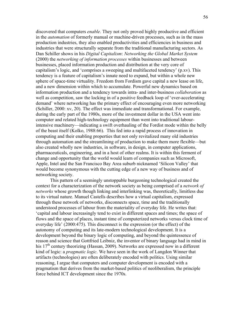discovered that computers *enable*. They not only proved highly productive and efficient in the *automation* of formerly manual or machine-driven processes, such as in the mass production industries, they also enabled productivities and efficiencies in business and industries that were structurally separate from the traditional manufacturing sectors. As Dan Schiller shows in his *Digital Capitalism*: *Networking the Global Market System*  (2000) the *networking of information processes* within businesses and between businesses, placed information production and distribution at the very core of capitalism's logic, and 'comprises a sweeping and multifaceted tendency' (p.xv). This tendency is a feature of capitalism's innate need to expand, but within a whole new sphere of space-time virtuality. Freedom from Fordism gave capital a new lease on life, and a new dimension within which to accumulate. Powerful new dynamics based on information production and a tendency towards intra- and inter-business *collaboration* as well as competition, saw the locking in of a positive feedback loop of 'ever-accelerating demand' where networking has the primary effect of encouraging even more networking (Schiller, 2000: xv, 20). The effect was immediate and transformational. For example, during the early part of the 1980s, more of the investment dollar in the USA went into computer and related high-technology equipment than went into traditional labourintensive machinery—indicating a swift overhauling of the Fordist mode within the belly of the beast itself (Kolko, 1988:66). This fed into a rapid process of innovation in computing and their enabling properties that not only revitalized many old industries through automation and the streamlining of production to make them more flexible—but also created wholly new industries, in software, in design, in computer applications, pharmaceuticals, engineering, and in a host of other realms. It is within this ferment of change and opportunity that the world would learn of companies such as Microsoft, Apple, Intel and the San Francisco Bay Area suburb nicknamed 'Silicon Valley' that would become synonymous with the cutting edge of a new way of business and of networking society.

This pattern of a seemingly unstoppable burgeoning technological created the context for a characterization of the network society as being comprised of a *network of networks* whose growth though linking and interlinking was, theoretically, limitless due to its virtual nature. Manuel Castells describes how a virtual capitalism, expressed through these network of networks, disconnects space, time and the traditionally understood processes of labour from the materiality of everyday life. He writes that: 'capital and labour increasingly tend to exist in different spaces and times; the space of flows and the space of places, instant time of computerized networks versus clock time of everyday life' (2000:475). This disconnect is the expression (or the effect) of the autonomy of computing and its late-modern technological development. It is a development beyond the binary logic of computing, and beyond the quintessence of reason and science that Gottfried Leibniz, the inventor of binary language had in mind in his  $17<sup>th</sup>$  century theorizing (Hassan, 2009). Networks are expressed now in a different kind of logic: a *pragmatic logic*. We have seen in the work of Langdon Winner that artifacts (technologies) are often deliberately encoded with politics. Using similar reasoning, I argue that computers and computer development is encoded with a pragmatism that derives from the market-based politics of neoliberalism, the principle force behind ICT development since the 1970s.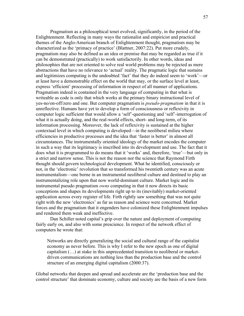Pragmatism as a philosophical tenet evolved, significantly, in the period of the Enlightenment. Reflecting in many ways the rationalist and empiricist and practical themes of the Anglo-American branch of Enlightenment thought, pragmatism may be characterized as the 'primacy of practice' (Blattner, 2007:22). Put more crudely, pragmatism may also be defined as an idea or premise that may be regarded as true if it can be demonstrated (practically) to work satisfactorily. In other words, ideas and philosophies that are not oriented to solve real world problems may be rejected as mere abstractions that have no relevance to 'actual' reality. The pragmatic logic that sustains and legitimizes computing is the undoubted 'fact' that they do indeed seem to 'work'—or at least have a demonstrable effect on the world that may, or the surface level at least, express 'efficient' processing of information in respect of all manner of applications. Pragmatism indeed is contained in the very language of computing in that what is writeable as code is only that which works at the primary binary instructional level of yes-no/on-off/zero and one. But computer pragmatism is *pseudo-pragmatism* in that it is unreflective. Humans have yet to develop a form of consciousness or reflexivity in computer logic sufficient that would allow a 'self'-questioning and 'self'-interrogation of what it is actually doing, and the real-world effects, short- and long-term, of its information processing. Moreover, the lack of reflexivity is sustained at the higher contextual level in which computing is developed—in the neoliberal milieu where efficiencies in productive processes and the idea that 'faster is better' in almost all circumstances. The instrumentally oriented ideology of the market encodes the computer in such a way that its legitimacy is inscribed into its development and use. The fact that it does what it is programmed to do means that it 'works' and, therefore, 'true'—but only in a strict and narrow sense. This is not the reason nor the science that Raymond Firth thought should govern technological development. What he identified, consciously or not, in the 'electronic' revolution that so transformed his twentieth century was an acute instrumentalism—one borne in an instrumental neoliberal culture and destined to play an instrumentalizing role upon that now world-dominant culture. Market logic and its instrumental pseudo pragmatism *owns* computing in that it now directs its basic conceptions and shapes its developments right up to its (inevitably) market-oriented application across every register of life. Firth rightly saw something that was not quite right with the new 'electronics' as far as reason and science were concerned. Market forces and the pragmatism that it engenders have colonized these Enlightenment impulses and rendered them weak and ineffective.

Dan Schiller noted capital's grip over the nature and deployment of computing fairly early on, and also with some prescience. In respect of the network effect of computers he wrote that:

Networks are directly generalizing the social and cultural range of the capitalist economy as never before. This is why I refer to the new epoch as one of digital capitalism (…) at stake in this unprecedented transition to neoliberal or marketdriven communications are nothing less than the production base and the control structure of an emerging digital capitalism (2000:37).

Global networks that deepen and spread and accelerate are the 'production base and the control structure' that dominate economy, culture and society are the basis of a new form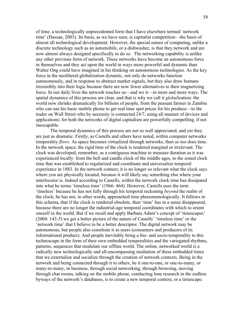of time, a technologically unprecedented form that I have elsewhere termed 'network time' (Hassan, 2003). Its basis, as we have seen, is capitalist competition—the basis of almost all technological development. However, the special nature of computing, unlike a discrete technology such as an automobile, or a dishwasher, is that they network and are now almost always designed specifically to do so. The networking capability is unlike any other previous form of network. These networks have become an autonomous force in themselves and they act upon the world in ways more powerful and dynamic than Walter Ong could have imagined in his thinking on autonomous technologies. As the key force in the neoliberal-globalization dynamic, not only do networks function autonomously, and in response to abstract market signals, but they also draw humans irresistibly into their logic because there are now fewer alternatives to their magnetizing force. In our daily lives the network touches us—and we it—in more and more ways. The spatial dynamics of this process are clear, and that is why we call it *global*ization: the world now shrinks dramatically for billions of people, from the peasant farmer in Zambia who can use his basic mobile phone to get real time spot prices for his produce—to the trader on Wall Street who by necessity is connected 24/7, using all manner of devices and applications; for both the networks of digital capitalism are powerfully compelling, if not inescapable.

The temporal dynamics of this process are not so well appreciated, and yet they are just as dramatic. Firstly, as Castells and others have noted, within computer networks temporality *flows*. As space becomes virtualized through networks, then so too does time. In the network space, the rigid time of the clock is rendered marginal or irrelevant. The clock was developed, remember, as a contiguous machine to measure duration as it was experienced locally: from the bell and candle clock of the middle ages, to the zoned clock time that was established to regularized and coordinate and universalize temporal experience in 1883. In the network context, it is no longer so relevant what the clock says where you are physically located, because it will likely say something else where your interlocutor is. Indeed according to Castells, within the network clock time has dissipated into what he terms 'timeless time' (1966: 464). However, Castells uses the term 'timeless' because he has not fully through his temporal reckoning *beyond* the realm of the clock; he has not, in other words, approached time phenomenologically. It follows in this schema, that if the clock is rendered obsolete, then 'time' has in a sense disappeared, because there are no longer the industrial-age temporal coordinates with which to orient oneself in the world. But if we recall and apply Barbara Adam's concept of 'timescapes' (2004: 143-5) we get a better picture of the nature of Castells' 'timeless time' or the 'network time' that I believe to be a better descriptor. The digital network may be autonomous, but people also constitute it as users (consumers and producers of its informational product). And people inevitably bring a bio- and socio-temporality to this technoscape in the form of their own embedded temporalities and the variegated rhythms, patterns, sequences that modulate our offline world. The online, networked world is a radically new technologically and all-encompassing mediation of these embedded times that we externalize and socialize through the creation of network contexts. Being in the network and being connected through it to others, be it one-to-one, or one-to-many, or many-to-many, in business, through social networking, through browsing, moving through chat rooms, talking on the mobile phone, conducting lone research in the endless byways of the network's databases, is to create a new temporal context, or a timescape.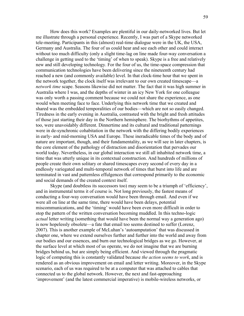How does this work? Examples are plentiful in our daily-networked lives. But let me illustrate through a personal experience. Recently, I was part of a Skype networked tele-meeting. Participants in this (almost) real-time dialogue were in the UK, the USA, Germany and Australia. The four of us could hear and see each other and could interact without too much difficulty (only a slight time-lag on line made four-way conversation a challenge in getting used to the 'timing' of when to speak). Skype is a free and relatively new and still developing technology. For the four of us, the time-space compression that communication technologies have been delivering since the nineteenth century had reached a new (and commonly available) level. In that clock-time hour that we spent in the network together, the clock itself was irrelevant to our own created timescape—a *network time* scape. Seasons likewise did not matter. The fact that it was high summer in Australia where I was, and the depths of winter in an icy New York for one colleague was only worth a passing comment because we could not share the experience, as one would when meeting face to face. Underlying this network time that we created and shared was the embedded temporalities of our bodies—which are not so easily changed. Tiredness in the early evening in Australia, contrasted with the bright and fresh attitudes of those just starting their day in the Northern hemisphere. The biorhythms of appetites, too, were unavoidably different. Dinnertime and its cultural and traditional patternings were in de-synchronic cohabitation in the network with the differing bodily experiences in early- and mid-morning USA and Europe. These ineradicable times of the body and of nature are important, though, and their fundamentality, as we will see in later chapters, is the core element of the pathology of distraction and disorientation that pervades our world today. Nevertheless, in our global interaction we still all inhabited network time, a time that was utterly unique in its contextual construction. And hundreds of millions of people create their own solitary or shared timescapes every second of every day in a endlessly variegated and multi-temporal network of times that burst into life and are terminated in vast and patternless effulgences that correspond primarily to the economic and social demands of the created context itself.

Skype (and doubtless its successors too) may seem to be a triumph of 'efficiency', and in instrumental terms it of course is. Not long previously, the fastest means of conducting a four-way conversation would have been through email. And even if we were all on line at the same time, there would have been delays, potential miscommunications, and the 'timing' would have been even more difficult in order to stop the pattern of the written conversation becoming muddled. In this techno-logic *actual* letter writing (something that would have been the normal way a generation ago) is now hopelessly obsolete—a fate that email too seems destined to suffer (Lorenz, 2007). This is another example of McLuhan's 'autoamputation' that was discussed in chapter one, where we extend ourselves further and further into the world and away from our bodies and our essences, and burn our technological bridges as we go. However, at the surface level at which most of us operate, we do not imagine that we are burning bridges behind us, but are simply being efficient. And viewed through the pragmatic logic of computing this is constantly validated because *the action seems to work*, and is rendered as an obvious improvement on email and letter writing. Moreover, in the Skype scenario, each of us was required to be at a computer that was attached to cables that connected us to the global network. However, the next and fast-approaching 'improvement' (and the latest commercial imperative) is mobile-wireless networks, or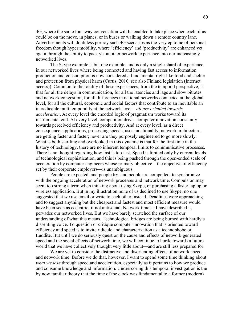4G, where the same four-way conversation will be enabled to take place when each of us could be on the move, in planes, or in buses or walking down a remote country lane. Advertisements will doubtless portray such 4G scenarios as the very epitome of personal freedom though hyper mobility, where 'efficiency' and 'productivity' are enhanced yet again through the ability to pack yet another network experience into our increasingly networked lives.

The Skype example is but one example, and is only a single shard of experience in our networked lives where being connected and having fast access to information production and consumption is now considered a fundamental right like food and shelter and protection from physical harm (Curtis, 2010; see also Finland legislation (Internet access)). Common to the totality of these experiences, from the temporal perspective, is that for all the delays in communication, for all the latencies and lags and slow bitrates and network congestion, for all differences in national networks connected at the global level, for all the cultural, economic and social factors that contribute to an inevitable an ineradicable multitemporality at the network level—*all are oriented towards acceleration*. At every level the encoded logic of pragmatism works toward its instrumental end. At every level, competition drives computer innovation constantly towards perceived efficiency and productivity. And at every level, as a direct consequence, applications, processing speeds, user functionality, network architecture, are getting faster and faster; never are they purposely engineered to go more slowly. What is both startling and overlooked in this dynamic is that for the first time in the history of technology, there are no inherent temporal limits to communicative processes. There is no thought regarding how fast is too fast. Speed is limited only by current levels of technological sophistication, and this is being pushed through the open-ended scale of acceleration by computer engineers whose primary objective—the objective of efficiency set by their corporate employers—is unambiguous.

People are expected, and people try, and people are compelled, to synchronize with the ongoing acceleration of network processes and network time. Compulsion may seem too strong a term when thinking about using Skype, or purchasing a faster laptop or wireless application. But in my illustration none of us declined to use Skype; no one suggested that we use email or write to each other instead. Deadlines were approaching and to suggest anything but the cheapest and fastest and most efficient measure would have been seen as eccentric, if not antisocial. Network time as I have described it, pervades our networked lives. But we have barely scratched the surface of our understanding of what this means. Technological bridges are being burned with hardly a dissenting voice. To question or critique computer innovation that is oriented toward efficiency and speed is to invite ridicule and characterization as a technophobe or Luddite. But until we do seriously question the cause and effects of network generated speed and the social effects of network time, we will continue to hurtle towards a future world that we have collectively thought very little about—and are still less prepared for.

We are yet to consider the distractive and disorienting effects of network speed and network time. Before we do that, however, I want to spend some time thinking about *what we lose* through speed and acceleration, especially as it pertains to how we produce and consume knowledge and information. Underscoring this temporal investigation is the by now familiar theory that the time of the clock was fundamental to a former (modern)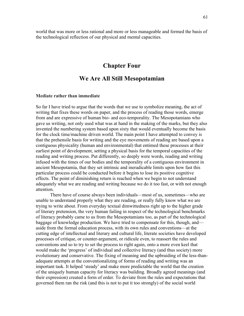world that was more or less rational and more or less manageable and formed the basis of the technological reflection of our physical and mental capacities.

# **Chapter Four**

# **We Are All Still Mesopotamian**

#### **Mediate rather than immediate**

So far I have tried to argue that the words that we use to symbolize meaning, the act of writing that fixes these words on paper, and the process of reading those words, emerge from and are expressive of human bio- and eco-temporality. The Mesopotamians who gave us writing, not only used what was at hand in the making of the marks, but they also invented the numbering system based upon sixty that would eventually become the basis for the clock time/machine driven world. The main point I have attempted to convey is that the prehensile basis for writing and the eye movements of reading are based upon a contiguous physicality (human and environmental) that entimed these processes at their earliest point of development, setting a physical basis for the temporal capacities of the reading and writing process. Put differently, so deeply were words, reading and writing infused with the times of our bodies and the temporality of a contiguous environment in ancient Mesopotamia, that they set intrinsic and ineradicable limits upon how fast this particular process could be conducted before it begins to lose its positive cognitive effects. The point of diminishing return is reached when we begin to not understand adequately what we are reading and writing because we do it too fast, or with not enough attention.

There have of course always been individuals—most of us, sometimes—who are unable to understand properly what they are reading, or really fully know what we are trying to write about. From everyday textual dimwittedness right up to the higher grade of literary pretension, the very human failing in respect of the technological benchmarks of literacy probably came to us from the Mesopotamians too, as part of the technological baggage of knowledge production. We have tried to compensate for this, though, and aside from the formal education process, with its own rules and conventions—at the cutting edge of intellectual and literary and cultural life, literate societies have developed processes of critique, or counter-argument, or ridicule even, to reassert the rules and conventions and so to try to set the process to right again, onto a more even keel that would make the 'progress' of individual and collective literacy (and thus society) more evolutionary and conservative. The fixing of meaning and the upbraiding of the less-thanadequate attempts at the conventionalizing of forms of reading and writing was an important task. It helped 'steady' and make more predictable the world that the creation of the uniquely human capacity for literacy was building. Broadly agreed meanings (and their expression) created a form of order. To deviate from the rules and expectations that governed them ran the risk (and this is not to put it too strongly) of the social world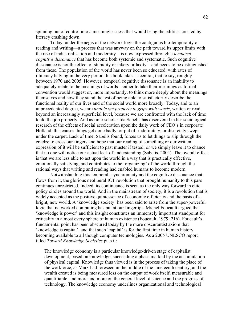spinning out of control into a meaninglessness that would bring the edifices created by literacy crashing down.

Today, under the aegis of the network logic the contiguous bio-temporality of reading and writing—a process that was anyway on the path toward its upper limits with the rise of industrialisation and modernity—is now expressed through a *temporal cognitive dissonance* that has become both systemic and systematic. Such cognitive dissonance is not the effect of stupidity or fakery or laxity—and needs to be distinguished from these. The population of the world has never been so educated; with rates of illiteracy halving in the very period this book takes as central, that to say, roughly between 1970 and 2005. However, temporal cognitive dissonance is an inability to adequately relate to the meanings of words—either to take their meanings as formal convention would suggest or, more importantly, to think more deeply about the meanings themselves and how they stand the test of being able to satisfactorily describe the functional reality of our lives and of the social world more broadly. Today, and to an unprecedented degree, we are *unable get properly to grips with words*, written or read, beyond an increasingly superficial level, because we are confronted with the lack of time to do the job properly. And as time-scholar Ida Sabelis has discovered in her sociological research of the effects of social acceleration upon the daily work of CEO's in corporate Holland, this causes things get done badly, or put off indefinitely, or discretely swept under the carpet. Lack of time, Sabelis found, forces us to let things to slip through the cracks; to cross our fingers and hope that our reading of something or our written expression of it will be sufficient to past muster if tested; or we simply leave it to chance that no one will notice our actual lack of understanding (Sabelis, 2004). The overall effect is that we are less able to act upon the world in a way that is practically effective, emotionally satisfying, and contributes to the 'organizing' of the world through the rational ways that writing and reading had enabled humans to become modern.

Notwithstanding this temporal asynchronicity and the cognitive dissonance that flows from it, the glorious neoliberal ICT revolution that brought humanity to this pass continues unrestricted. Indeed, its continuance is seen as the only way forward in elite policy circles around the world. And in the mainstream of society, it is a revolution that is widely accepted as the positive quintessence of economic efficiency and the basis of a bright, new world. A 'knowledge society' has been said to arise from the super-powerful logic that networked computing has put at our fingertips. Michel Foucault argued that 'knowledge is power' and this insight constitutes an immensely important standpoint for criticality in almost every sphere of human existence (Foucault, 1979: 216). Foucault's fundamental point has been obscured today by the more obscurantist axiom that 'knowledge is capital', and that such 'capital' is for the first time in human history becoming available to all though computer technologies. As a 2005 UNESCO report titled *Toward Knowledge Societies* puts it:

The knowledge economy is a particular knowledge-driven stage of capitalist development, based on knowledge, succeeding a phase marked by the accumulation of physical capital. Knowledge thus viewed is in the process of taking the place of the workforce, as Marx had foreseen in the middle of the nineteenth century, and the wealth created is being measured less on the output of work itself, measurable and quantifiable, and more and more on the general level of science and the progress of technology. The knowledge economy underlines organizational and technological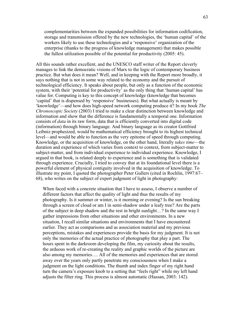complementarities between the expanded possibilities for information codification, storage and transmission offered by the new technologies, the 'human capital' of the workers likely to use these technologies and a 'responsive' organization of the enterprise (thanks to the progress of knowledge management) that makes possible the fullest utilization possible of the potential for productivity (2005: 45).

All this sounds rather excellent, and the UNESCO staff writer of the Report cleverly manages to link the democratic visions of Marx to the logic of contemporary business practice. But what does it mean? Well, and in keeping with the Report more broadly, it says nothing that is not in some way related to the economy and the pursuit of technological efficiency. It speaks about people, but only as a function of the economic system, with their 'potential for productivity' as the only thing that 'human capital' has value for. Computing is key to this concept of knowledge (knowledge that becomes 'capital' that is dispensed by 'responsive' businesses). But what actually is meant by 'knowledge'—and how does high-speed network computing produce it? In my book *The Chronoscopic Society* (2003) I tried to make a clear distinction between knowledge and information and show that the difference is fundamentally a temporal one. Information consists of *data* in its raw form, data that is efficiently converted into digital code (information) through binary language. And binary language as its creator Gottfried Leibniz prophesized, would be mathematical efficiency brought to its highest technical level—and would be able to function as the very epitome of speed through computing. Knowledge, or the acquisition of knowledge, on the other hand, literally *takes time*—the duration and experience of which varies from context to context, from subject-matter to subject-matter, and from individual experience to individual experience. Knowledge, I argued in that book, is related deeply to experience and is something that is validated through experience. Crucially, I tried to convey that at its foundational level there is a powerful element of physical contiguity involved in the acquisition of knowledge. To illustrate my point, I quoted the photographer Peter Gullers (cited in Rochlin, 1997:67– 68), who writes on the subject of expert judgment of light in photography:

When faced with a concrete situation that I have to assess, I observe a number of different factors that affect the quality of light and thus the results of my photography. Is it summer or winter, is it morning or evening? Is the sun breaking through a screen of cloud or am I in semi-shadow under a leafy tree? Are the parts of the subject in deep shadow and the rest in bright sunlight…? In the same way I gather impressions from other situations and other environments. In a new situation, I recall similar situations and environments that I have encountered earlier. They act as comparisons and as association material and my previous perceptions, mistakes and experiences provide the basis for my judgment. It is not only the memories of the actual practice of photography that play a part. The hours spent in the darkroom developing the film, my curiosity about the results, the arduous work of re-creating the reality and graphic worlds of the picture are also among my memories…. All of the memories and experiences that are stored away over the years only partly penetrate my consciousness when I make a judgment on the light conditions. The thumb and index finger of my right hand turn the camera's exposure knob to a setting that "feels right" while my left hand adjusts the filter ring. This process is almost automatic (Hassan, 2003: 142).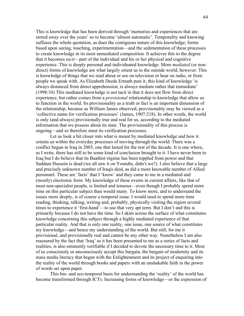This is knowledge that has been derived through 'memories and experiences that are stored away over the years' so to become 'almost automatic'. Temporality and knowing suffuses the whole quotation, as does the contiguous nature of this knowledge; forms based upon seeing, touching, experimentation—and the sedimentation of these processes to create knowledge in its most unmediated composition. It achieves this to the degree that it becomes *tacit*—part of the individual and his or her physical and cognitive experience. This is deeply personal and individuated knowledge. More *mediated* (or nondirect) forms of knowledge are what largely orient us to the outside world, however. This is knowledge of things that we read about or see on television or hear on radio, or from people we speak with. As Elizabeth Deeds Ermath puts it, this kind of knowledge 'is always distanced from direct apprehension, is always mediate rather that immediate' (1998:34) This mediated knowledge is not tacit in that it does not flow from direct experience, but rather comes from a *provisional* relationship to knowledge that allow us to function in the world. Its provisionality as a truth or fact is an important dimension of the relationship, because as William James observed, provisionality may be viewed as a 'collective name for verification processes' (James, 1907:218). In other words, the world is only (and always) provisionally true and real for us, according to the mediated information that we possess about its state. The provisionality of this process is ongoing—and so therefore must its verification processes.

Let us look a bit closer into what is meant by mediated knowledge and how it orients us within the everyday processes of moving through the world. There was a conflict begun in Iraq in 2003, one that lasted for the rest of the decade. It is one where, as I write, there has still to be some kind of conclusion brought to it. I have never been to Iraq but I do believe that its Baathist régime has been toppled from power and that Saddam Hussein is dead (we all saw it on Youtube, didn't we?). I also believe that a large and precisely unknown number of Iraqis died, as did a more knowable number of Allied personnel. These are 'facts' that I 'know' and they came to me in a mediated and (mostly) electronic form. My knowledge of these events in current affairs, like that of most non-specialist people, is limited and tenuous—even though I probably spend more time on this particular subject than would many. To know more, and to understand the issues more deeply, is of course a temporal issue. I would need to spend more time reading, thinking, talking, writing and, probably, physically visiting the region several times to experience it 'first-hand'—to use that very apt term. But I don't and this is primarily because I do not have the time. So I skim across the surface of what constitutes knowledge concerning this subject through a highly mediated experience of that particular reality. And that is only one reality, one issue, one source of what constitutes my knowledge—and hence my understanding of the world. But still, for me it provisional, and provisionally real and cannot be any other way. Nonetheless I am also reassured by the fact that 'Iraq' as it has been presented to me as a series of facts and realities, is also eminently verifiable if I decided to devote the necessary time to it. Most of us consciously or unconsciously accept this bargain, the bargain of modernity and its mass media literacy that began with the Enlightenment and its project of enquiring into the reality of the world through books and papers with an unshakable faith in the power of words set upon paper.

This bio- and eco-temporal basis for understanding the 'reality' of the world has become transformed through ICTs. Increasing forms of knowledge—or the expression of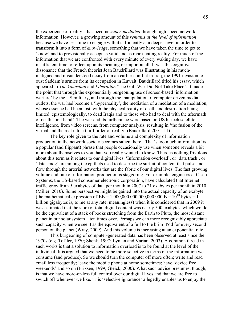the experience of reality—has become *super-mediated* through high-speed networks information. However, a growing amount of this *remains at the level of information* because we have less time to engage with it sufficiently at a deeper level in order to transform it into a form of *knowledge*, something that we have taken the time to get to 'know' and to provisionally accept as valid and as representing reality. For much of the information that we are confronted with every minute of every waking day, we have insufficient time to reflect upon its meaning or import at all. It was this cognitive dissonance that the French theorist Jean Baudrillard was illustrating in his muchmaligned and misunderstood essay from an earlier conflict in Iraq, the 1991 invasion to oust Saddam's armies from its occupation in Kuwait. Baudrillard titled his essay, which appeared in *The Guardian* and *Libération* 'The Gulf War Did Not Take Place'. It made the point that through the exponentially burgeoning use of screen-based 'information warfare' by the US military, and through the manipulation of computer driven media outlets, the war had become a 'hyperreality', the mediation of a mediation of a mediation, whose essence had been lost, with the physical reality of death and destruction being limited, epistemologically, to dead Iraqis and to those who had to deal with the aftermath of death 'first hand'. The war and its furtherance were based on US hi-tech satellite intelligence, from video screens, from computer analysis, resulting in 'the fusion of the virtual and the real into a third-order of reality' (Baudrillard 2001: 11).

The key role given to the rate and volume and complexity of information production in the network society becomes salient here. 'That's too much information' is a popular (and flippant) phrase that people occasionally use when someone reveals a bit more about themselves to you than you really wanted to know. There is nothing frivolous about this term as it relates to our digital lives. 'Information overload', or 'data trash', or 'data smog' are among the epithets used to describe the surfeit of content that pulse and flow through the arterial networks that are the fabric of our digital lives. The fast growing volume and rate of information production is staggering. For example, engineers at Cisco Systems, the US-based consumer electronic corporation, have calculated that Internet traffic grew from 5 exabytes of data per month in 2007 to 21 exabytes per month in 2010 (Miller, 2010). Some perspective might be gained into the actual capacity of an exabyte (the mathematical expression of EB = 1,000,000,000,000,000,000 B =  $10^{18}$  bytes = 1 billion gigabytes is, to me at any rate, meaningless) when it is considered that in 2009 it was estimated that the store of total digital content was nearly 500 exabytes, which would be the equivalent of a stack of books stretching from the Earth to Pluto, the most distant planet in our solar system—ten times over. Perhaps we can more recognizably appreciate such capacity when we see it as the equivalent of a full to the brim iPod for every second person on the planet (Wray, 2009). And this volume is increasing at an exponential rate.

This burgeoning of computer-generated data has been observed at least since the 1970s (e.g. Toffler, 1970; Shenk, 1997; Lyman and Varian, 2003). A common thread in such works is that a solution to information overload is to be found at the level of the individual. It is argued that we need to be more selective in terms of the information we consume (and produce). So we should turn the computer off more often; write and read email less frequently; leave the mobile phone at home sometimes; have 'device free weekends' and so on (Eriksen, 1999; Gleick, 2000). What such advice presumes, though, is that we have more-or-less full control over our digital lives and that we are free to switch off whenever we like. This 'selective ignorance' allegedly enables us to enjoy the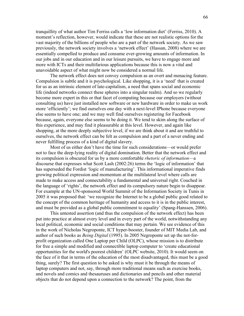tranquillity of what author Tim Ferriss calls a 'low information diet' (Ferriss, 2010). A moment's reflection, however, would indicate that these are not realistic options for the vast majority of the billions of people who are a part of the network society. As we saw previously, the network society involves a 'network effect' (Hassan, 2008) where we are essentially compelled to produce and consume ever-growing amounts of information. In our jobs and in our education and in our leisure pursuits, we have to engage more and more with ICTs and their multifarious applications because this is now a vital and unavoidable aspect of what might now be considered a normal life.

The network effect does not convey compulsion as an overt and menacing feature. Compulsion is subtle and it is psychological. Like shopping, it is a 'need' that is created for us as an intrinsic element of late-capitalism, a need that spans social and economic life (indeed networks connect these spheres into a singular realm). And so we regularly become more expert in this or that facet of computing because our employers (without consulting us) have just installed new software or new hardware in order to make us work more 'efficiently'; we find ourselves one day with a next-level IPhone because everyone else seems to have one; and we may well find ourselves registering for Facebook because, again, everyone else seems to be doing it. We tend to skim along the surface of this experience, and may find it pleasurable at this level. However, and again like shopping, at the more deeply subjective level, if we are think about it and are truthful to ourselves, the network effect can be felt as compulsion and a part of a never ending and never fulfilling process of a kind of digital slavery.

Most of us either don't have the time for such considerations—or would prefer not to face the deep-lying reality of digital domination. Better that the network effect and its compulsion is obscured for us by a more comfortable *rhetoric of information*—a discourse that expresses what Scott Lash (2002:26) terms the 'logic of information' that has superseded the Fordist 'logic of manufacturing'. This informational imperative finds growing political expression and momentum at the multilateral level where calls are made to make access and connectability a fundamental and universal right. Couched in the language of 'rights', the network effect and its compulsory nature begin to disappear. For example at the UN-sponsored World Summit of the Information Society in Tunis in 2005 it was proposed that: 'we recognize the Internet to be a global public good related to the concept of the common heritage of humanity and access to it is in the public interest, and must be provided as a global public commitment to equality' (Spang-Hanssen, 2006).

This untested assertion (and thus the compulsion of the network effect) has been put into practice at almost every level and in every part of the world, notwithstanding any local political, economic and social conditions that may pertain. We see evidence of this in the work of Nicholas Negroponte, ICT hyper-booster, founder of MIT Media Lab, and author of such books as *Being Digital* (1995). In 2005 Negroponte set up the not-forprofit organization called One Laptop per Child (OLPC), whose mission is to distribute for free a simple and modified and connectible laptop computer to 'create educational opportunities for the world's poorest children' (OLPC website, 2010). It would seem on the face of it that in terms of the education of the most disadvantaged, this must be a good thing, surely? The first question to be asked is why must it be through the means of laptop computers and not, say, through more traditional means such as exercise books, and novels and comics and thesauruses and dictionaries and pencils and other material objects that do not depend upon a connection to the network? The point, from the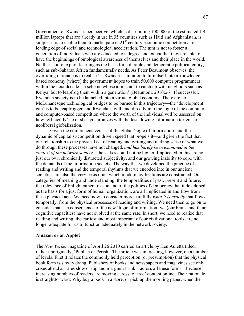Government of Rwanda's perspective, which is distributing 100,000 of the estimated 1.4 million laptops that are already in use in 35 countires such as Haiti and Afghanistan, is simple: it is to enable them to participate in  $21<sup>st</sup>$  century economic competition at its leading edge of social and technological acceleration. The aim is not to foster a generation of individuals who are educated to a degree and extent that they are able to have the beginnings of ontological awareness of themselves and their place in the world. Neither is it to exploit learning as the basis for a durable and democratic political entity, such as sub-Saharan Africa fundamentally needs. As Peter Beaumont observes, the overriding rationale is to realise '…Rwanda's ambition to turn itself into a knowledgebased economy [where] the government hopes to train 50,000 computer programmers within the next decade…a scheme whose aim is not to catch up with neighbors such as Kenya, but to leapfrog them within a generation' (Beaumont, 2010:26). If successful, Rwandan society is to be launched into a virtual global economy. There are no McLuhanesque technological bridges to be burned in this trajectory—the 'development gap' is to be leapfrogged and Rwandans will land directly into the logic of the computer and computer-based competition where the worth of the individual will be assessed on how 'efficiently' he or she synchronizes with the fast-flowing information torrents of neoliberal globalization.

Given the comprehensiveness of the global 'logic of information' and the dynamic of capitalist-competition driven speed that propels it—and given the fact that our relationship to the physical act of reading and writing and making sense of what we do through these processes have not changed, *and has barely been examined in the context of the network society*—the stakes could not be higher. Implicated in this are not just our own chronically distracted subjectivity, and our growing inability to cope with the demands of the information society. The way that we developed the practice of reading and writing and the temporal rhythms that we encoded into in our ancient societies, are also the very basis upon which modern civilizations are constructed. Our categories of meaning and understanding, the temporalities of past, present and future, the relevance of Enlightenment reason and of the politics of democracy that it developed as the basis for a just form of human organization, are all implicated in and flow from these physical acts. We need now to consider more carefully *what it is exactly* that flows, temporally, from the physical processes of reading and writing. We need then to go on to consider that as a consequence of the new 'logic of information' we (our brains and their cognitive capacities) have not evolved at the same rate. In short, we need to realize that reading and writing, the earliest and most important of our civilizational tools, are no longer adequate for us to function adequately in the network society.

### **Amazon or an Apple?**

The *New Yorker* magazine of April 26 2010 carried an article by Ken Auletta titled, rather unoriginally, 'Publish or Perish'. The article was interesting, however, on a number of levels. First it relates the commonly held perception (or presumption) that the physical book form is slowly dying. Publishers of books and newspapers and magazines see only crises ahead as sales slow or dip and margins shrink—across all these forms—because increasing numbers of readers are moving across to 'free' content online. Their rationale is straightforward: Why buy a book in a store, or pick up the morning paper, when the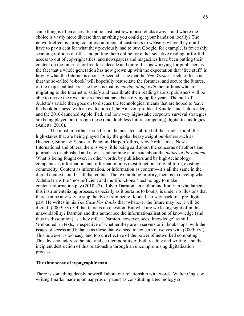same thing is often accessible at no cost just few mouse-clicks away—and where the choice is vastly more diverse than anything you could get your hands on locally? The network effect is luring countless numbers of customers to websites where they don't have to pay a cent for what they previously had to buy. Google, for example, is feverishly scanning millions of titles and putting them online for either selective reading or for full access to out of copyright titles, and newspapers and magazines have been putting their content on the Internet for free for a decade and more. Just as worrying for publishers is the fact that a whole generation has now grown up with the expectation that 'free stuff' is largely what the Internet is about. A second issue that the *New Yorker* article reflects is that the so-called 'e-book' will hopefully resuscitate the fortunes, and secure the futures, of the major publishers. The logic is that by *moving along with* the millions who are migrating to the Internet to satisfy and recalibrate their reading habits, publishers will be able to revive the revenue streams that have been drying up for years. The bulk of Auletta's article then goes on to discuss the technological means that are hoped to 'save the book business' with an evaluation of the Amazon-produced Kindle hand-held reader, and the 2010-launched Apple iPad, and how very high-stake corporate survival strategies are being played out through these (and doubtless future competing) digital technologies (Auletta, 2010).

The most important issue lies in the unstated sub-text of the article: for all the high-stakes that are being played for by the global heavyweight publishers such as Hachette, Simon & Schuster, Penguin, HarperCollins, New York Times, News International and others, there is very little being said about the concerns of authors and journalists (established and new)—and nothing at all said about the *nature of the content*. What is being fought over, in other words, by publishers and by high-technology companies is information, and information in is most functional digital form, existing as a commodity. Content as information, or information as content—it's all the same in the digital context—and is all that counts. The overarching priority, then, is to develop what Auletta terms the 'most efficient and multifunctional' technology to make content/information pay (2010:47). Robert Darnton, an author and librarian who laments this instrumentalizing process, especially as it pertains to books, is under no illusions that there can be any way to stop the dyke from being flooded, no way back to a pre-digital past. He writes in his *The Case For Books* that 'whatever the future may be, it will be digital' (2009: xv). Of that there is no question. But what are we losing sight of in this unavoidability? Darnton and this author see the informationalisation of knowledge (and thus its dissolution) as a key effect. Darnton, however, sees 'knowledge' as still 'embodied' in texts, irrespective of whether they are in servers or in bookshops, with the issues of access and balance as those that we need to concern ourselves with (2009: xvi). This however is too easy, and too unreflective of the power of networked computing. This does not address the bio- and eco-temporality of both reading and writing, and the incipient destruction of this relationship through an uncompromising digitalization process.

# **The time sense of typographic man**

There is something deeply powerful about our relationship with words. Walter Ong saw writing (marks made upon papyrus or paper) as constituting a technology so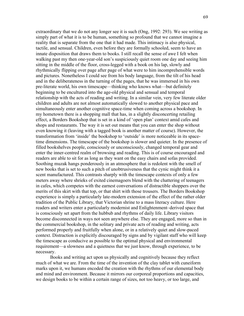extraordinary that we do not any longer see it is such (Ong, 1992: 293). We see writing as simply part of what it is to be human, something so profound that we cannot imagine a reality that is separate from the one that it had made. This intimacy is also physical, tactile, and sensual. Children, even before they are formally schooled, seem to have an innate disposition that draws them to books. I still recall the sense of awe I felt when walking past my then one-year-old son's suspiciously quiet room one day and seeing him sitting in the middle of the floor, cross-legged with a book on his lap, slowly and rhythmically flipping over page after page of what were to him incomprehensible words and pictures. Nonetheless I could see from his body language, from the tilt of his head and in the deliberateness in the turning of the pages, that he was immersed in his own pre-literate world, his own timescape—thinking who knows what—but definitely beginning to be encultured into the age-old physical and sensual and temporal relationship with the acts of reading and writing. In a similar vein, very few literate older children and adults are not almost automatically slowed to another physical pace and simultaneously enter another cognitive space-time when coming across a bookshop. In my hometown there is a shopping mall that has, in a slightly disconcerting retailing effect, a Borders Bookshop that is set in a kind of 'open plan' context amid cafes and shops and restaurants. The way it is set out means that you can enter the shop without even knowing it (leaving with a tagged book is another matter of course). However, the transformation from 'inside' the bookshop to 'outside' is more noticeable in its spacetime dimensions. The timescape of the bookshop is slower and quieter. In the presence of filled bookshelves people, consciously or unconsciously, changed temporal gear and enter the inner-centred realm of browsing and reading. This is of course encouraged and readers are able to sit for as long as they want on the easy chairs and sofas provided. Soothing muzak hangs ponderously in an atmosphere that is redolent with the smell of new books that is set to such a pitch of unobtrusiveness that the cynic might think it a scent manufactured. This contrasts sharply with the timescape contexts of only a few meters away where shrieks of exited cinemagoers blend with the chattering of teenagers in cafes, which competes with the earnest conversations of distractible shoppers over the merits of this skirt with that top, or that shirt with those trousers. The Borders Bookshop experience is simply a particularly late-modern extension of the effect of the rather older tradition of the Public Library, that Victorian shrine to a mass literacy culture. Here readers and writers enter a particularly modernist and Enlightenment–derived space that is consciously set apart from the hubbub and rhythms of daily life. Library visitors become disconnected in ways not seen anywhere else. They are engaged, more so than in the commercial bookshop, in the solitary and private acts of reading and writing, acts performed properly and fruitfully when alone, or in a relatively quiet and slow-paced context. Distraction is explicitly discouraged by signs and by vigilant staff who will keep the timescape as conducive as possible to the optimal physical and environmental requirement—a slowness and a quietness that we just know, through experience, to be necessary.

Books and writing act upon us physically and cognitively because they reflect much of what we are. From the time of the invention of the clay tablet with cuneiform marks upon it, we humans encoded the creation with the rhythms of our elemental body and mind and environment. Because it mirrors our corporeal proportions and capacities, we design books to be within a certain range of sizes, not too heavy, or too large, and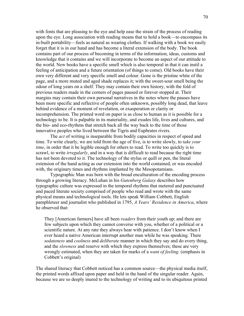with fonts that are pleasing to the eye and help ease the strain of the process of reading upon the eye. Long association with reading means that to hold a book—to encompass its in-built portability—feels as natural as wearing clothes. If walking with a book we easily forget that it is in our hand and has become a literal extension of the body. The book contains part of our process of becoming in terms of the information, ideas, customs and knowledge that it contains and we will incorporate to become an aspect of our attitude to the world. New books have a specific smell which is also temporal in that it can instil a feeling of anticipation and a future orientation (of things to come). Old books have their own very different and very specific smell and colour. Gone is the pristine white of the page, and a more muted and aged shade replaces it; with the sweet-sour smell being the odour of long years on a shelf. They may contain their own history, with the fold of previous readers made in the corners of pages paused or forever stopped at. Their margins may contain their own personal narratives in the notes where the pauses have been more specific and reflective of people often unknown, possibly long dead, that leave behind evidence of a moment of revelation, or exasperation or clarity or incomprehension. The printed word on paper is as close to human as it is possible for a technology to be. It is palpable in its materiality, and exudes life, lives and cultures, and the bio- and eco-rhythms that stretch back all the way back to the time of those innovative peoples who lived between the Tigris and Euphrates rivers.

The *act* of writing is inseparable from bodily capacities in respect of speed and time. To write clearly, we are told from the age of five, is to write slowly, to *take your time*, in order that it be legible enough for others to read. To write too quickly is to scrawl, to write *irregularly*, and in a way that is difficult to read because the right time has not been devoted to it. The technology of the stylus or quill or pen, the literal extension of the hand acting as our extension into the world contained, or was encoded with, the originary times and rhythms implanted by the Mesopotamians.

Typographic Man was born with the broad enculturation of the encoding process through a growing literacy. McLuhan in his *Gutenberg Galaxy* describes how typographic culture was expressed in the temporal rhythms that metered and punctuated and paced literate society comprised of people who read and wrote with the same physical means and technological tools. He lets speak William Cobbett, English pamphleteer and journalist who published in 1795, *A Years' Residence in America*, where he observed that:

They [American farmers] have all been *readers* from their youth up; and there are few subjects upon which they cannot converse with you, whether of a political or a scientific nature. At any rate they always hear with patience. I don't know when I ever heard a native American interrupt another man while he was speaking. There *sedateness* and *coolness* and *deliberate* manner in which they say and do every thing, and the *slowness* and reserve with which they express themselves; these are very wrongly estimated, when they are taken for marks of a *want of feeling*. (emphasis in Cobbett's original)

The shared literacy that Cobbett noticed has a common source—the physical media itself, the printed words affixed upon paper and held in the hand of the singular reader. Again, because we are so deeply inured to the technology of writing and to its ubiquitous printed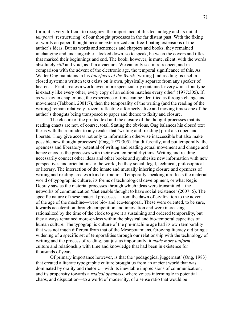form, it is very difficult to recognize the importance of this technology and its initial *temporal* 'restructuring' of our thought processes in the far distant past. With the fixing of words on paper, thought became exteriorized and free-floating extensions of the author's ideas. But as words and sentences and chapters and books, they remained unchanging and unchangeable—locked down, so to speak, between the covers and titles that marked their beginnings and end. The book, however, is mute, silent, with the words absolutely *still* and void, as if in a vacuum. We can only see in retrospect, and in comparison with the advent of the electronic age, the temporal significance of this. As Walter Ong maintains in his *Interfaces of the Word*: 'writing [and reading] is itself a closed system: a written text exists on is own, physically separate from any speaker of hearer…. Print creates a world even more spectacularly contained: every *a* in a font type is exactly like every other; every copy of an edition matches every other' (1977:305). If, as we saw in chapter one, the experience of time can be identified as through change and movement (Tabboni, 2001:7), then the temporality of the writing (and the reading of the writing) remain relatively frozen, reflecting a formerly alive and moving timescape of the author's thoughts being transposed to paper and thence to fixity and closure.

The closure of the printed text and the closure of the thought-processes that its reading enacts are not, of course, total. Stating the obvious, Ong balances his closed text thesis with the reminder to any reader that 'writing and [reading] print also open and liberate. They give access not only to information otherwise inaccessible but also make possible new thought processes' (Ong, 1977:305). Put differently, and put temporally, the openness and liberatory potential of writing and reading actual movement and change and hence encodes the processes with their own temporal rhythms. Writing and reading necessarily connect other ideas and other books and synthesise new information with new perspectives and orientations to the world, be they social, legal, technical, philosophical or literary. The interaction of the innate and mutually inhering closure and openness of writing and reading creates a kind of traction. Temporally speaking it reflects the material world of typographic culture, its forms of technological development, or what Regis Debray saw as the material processes through which ideas were transmitted—the networks of communication 'that enable thought to have social existence' (2007: 5). The specific nature of these material processes—from the dawn of civilization to the advent of the age of the machine—were bio- and eco-temporal. These were oriented, to be sure, towards acceleration through competition and innovation and were increasing rationalized by the time of the clock to give it a sustaining and ordered temporality, but they always remained more-or-less within the physical and bio-temporal capacities of human culture. The typographic culture of the pre-machine age had its own temporality that was not much different from that of the Mesopotamians. Growing literacy did bring a widening of a specific set of temporalities through our relationship with the technology of writing and the process of reading, but just as importantly, it *made more uniform* a culture and relationship with time and knowledge that had been in existence for thousands of years.

Of primary importance however, is that the 'pedagogical juggernaut' (Ong, 1983) that created a literate typographic culture brought us from an ancient world that was dominated by orality and rhetoric—with its inevitable imprecisions of communication, and its propensity towards a *radical openness*, where voices intermingle in potential chaos, and disputation—to a world of modernity, of a sense ratio that would be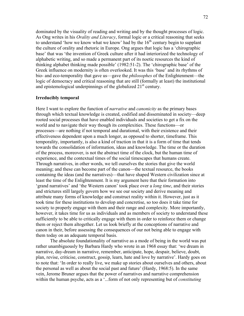dominated by the visuality of reading and writing and by the thought processes of logic. As Ong writes in his *Orality and Literacy*, formal logic or a critical reasoning that seeks to understand 'how we know what we know' had by the  $16<sup>th</sup>$  century begin to supplant the culture of orality and rhetoric in Europe. Ong argues that logic has a 'chirographic base' that was 'the invention of Greek culture after it had interiorized the technology of alphabetic writing, and so made a permanent part of its noetic resources the kind of thinking alphabet thinking made possible' (1982:51-2). The 'chirographic base' of the Greek influence on modernity is often overlooked. It was this 'base' and its rhythms of bio- and eco-temporality that gave us—gave the *philosophes* of the Enlightenment—the logic of democracy and critical reasoning that are still (formally at least) the institutional and epistemological underpinnings of the globalized  $21<sup>st</sup>$  century.

## **Irreducibly temporal**

Here I want to explore the function of *narrative* and *canonicity* as the primary bases through which textual knowledge is created, codified and disseminated in society—deep rooted social processes that have enabled individuals and societies to get a fix on the world and to navigate their way though its complexities. These functions—or processes—are nothing if not temporal and durational, with their existence and their effectiveness dependent upon a much longer, as opposed to shorter, timeframe. This temporality, importantly, is also a kind of traction in that it is a form of time that tends towards the consolidation of information, ideas and knowledge. The time or the duration of the process, moreover, is not the abstract time of the clock, but the human time of experience, and the contextual times of the social timescapes that humans create. Through narratives, in other words, we tell ourselves the stories that give the world meaning; and these can become part of the canon—the textual resource, the books containing the ideas (and the narratives)—that have shaped Western civilization since at least the time of the Enlightenment. It is my argument here that their formation into 'grand narratives' and 'the Western canon' took place over a *long time*, and their stories and strictures still largely govern how we see our society and derive meaning and attribute many forms of knowledge and construct reality within it. However, just as it took time for these institutions to develop and concretise, so too does it take time for society to properly engage with them and their range and complexity. More importantly, however, it takes time for us as individuals and as members of society to understand these sufficiently to be able to critically engage with them in order to reinforce them or change them or reject them altogether. Let us look briefly at the conceptions of narrative and canon in their, before assessing the consequences of our not being able to engage with them today on an adequate temporal basis.

The absolute foundationality of narrative as a mode of being in the world was put rather unambiguously by Barbara Hardy who wrote in an 1968 essay that: 'we dream in narrative, day-dream in narrative, remember, anticipate, hope, despair, believe, doubt, plan, revise, criticise, construct, gossip, learn, hate and love by narrative'. Hardy goes on to note that: 'In order to really live, we make up stories about ourselves and others, about the personal as well as about the social past and future' (Hardy, 1968:5). In the same vein, Jerome Bruner argues that the power of narratives and narrative comprehension within the human psyche, acts as a '...form of not only representing but of *constituting*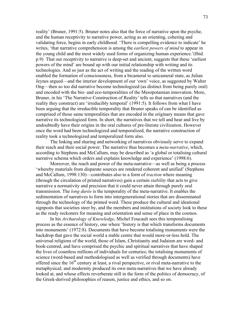reality' (Bruner, 1991:5). Bruner notes also that the force of narrative upon the psyche, and the human receptivity to narrative power, acting as an orienting, cohering and validating force, begins in early childhood. 'There is compelling evidence to indicate' he writes, 'that narrative comprehension is among the *earliest powers of mind* to appear in the young child and the most widely used forms of organizing human experience.'(Ibid. p.9) That our receptivity to narrative is deep-set and ancient, suggests that these 'earliest powers of the mind' are bound up with our initial relationship with writing and its technologies. And so just as the act of writing and the reading of the written word enabled the formation of consciousness, from a bicameral to unicameral state, as Julian Jeynes argued—and the interior development of our 'own' voice, as suggested by Walter Ong—then so too did narrative become technologized (as distinct from being purely oral) and encoded with the bio- and eco-temporalities of the Mesopotamian innovation. More, Bruner, in his 'The Narrative Construction of Reality' tells us that narratives (and the reality they construct) are 'irreducibly temporal' (1991:5). It follows from what I have been arguing that the irreducible temporality that Bruner speaks of can be identified as comprised of those same temporalities that are encoded in the originary means that gave narrative its technologized form. In short, the narratives that we tell and hear and live by undoubtedly have their origins in the oral cultures of pre-literate civilization. However once the word had been technologized and temporalized, the narrative construction of reality took a technologized and temporalized form also.

The linking and sharing and networking of narratives obviously serve to expand their reach and their social power. The narrative thus becomes a *meta-narrative*, which, according to Stephens and McCallum, may be described as 'a global or totalising cultural narrative schema which orders and explains knowledge and experience' (1998:6).

Moreover, the reach and power of the meta-narrative—as well as being a process 'whereby materials from disparate sources are rendered coherent and unified' (Stephens and McCallum, 1998:130)—contributes also to a form of *traction* where meaning (through the circulation of printed narratives) gain a certain *stability* that acts to give narrative a normativity and precision that it could never attain through purely oral transmission. The *long durée* is the temporality of the meta-narrative. It enables the sedimentation of narratives to form into intergenerational stories that are disseminated through the technology of the printed word. These produce the cultural and ideational signposts that societies steer by, and the members and institutions of society look to these as the ready reckoners for meaning and orientation and sense of place in the cosmos.

In his *Archaeology of Knowledge*, Michel Foucault sees this temporalising process as the essence of history, one where 'history is that which transforms documents into monuments' (1972:8). Documents that have become totalising monuments were the backdrop that gave the social world a stable centre that would more-or-less hold. The universal religions of the world, those of Islam, Christianity and Judaism are word- and book-centred, and have comprised the psychic and spiritual narratives that have shaped the lives of countless millions of individuals for centuries; the totalising monuments of science (word-based and methodologised as well as verified through documents) have offered since the  $16<sup>th</sup>$  century at least, a rival perspective, or rival meta-narrative to the metaphysical; and modernity produced its own meta-narratives that we have already looked at, and whose effects reverberate still in the form of the politics of democracy, of the Greek-derived philosophies of reason, justice and ethics, and so on.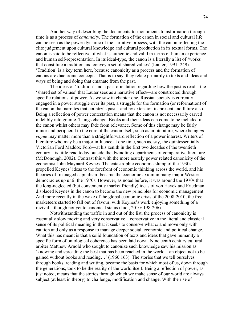Another way of describing the documents-to-monuments transformation through time is as a process of *canonicity*. The formation of the canon in social and cultural life can be seen as the power dynamic of the narrative process, with the canon reflecting the elite judgement upon cultural knowledge and cultural production in its textual forms. The canon is said to be reflective of what is authentic and valid in terms of human experience and human self-representation. In its ideal-type, the canon is a literally a list of 'works that constitute a tradition and convey a set of shared values' (Lauter, 1991: 249). 'Tradition' is a key term here, because canonicity as a process and the formation of canons are diachronic concepts. That is to say, they relate primarily to texts and ideas and ways of being and doing that emanate from the past.

The ideas of 'tradition' and a past orientation regarding how the past is read—the 'shared set of values' that Lauter sees as a narrative effect—are constructed through specific relations of power. As we saw in chapter one, Russian society is currently engaged in a power struggle over its past, a struggle for the formation (or reformation) of the canon that narrates that country's past—and by extension its present and future also. Being a reflection of power contestation means that the canon is not necessarily carved indelibly into granite. Things change. Books and their ideas can come to be included in the canon whilst others may fade from relevance. Some of this change may be fairly minor and peripheral to the core of the canon itself, such as in literature, where being *en vogue* may matter more than a straightforward reflection of a power interest. Writers of literature who may be a major influence at one time, such as, say, the quintessentially Victorian Ford Maddox Ford—at his zenith in the first two decades of the twentieth century—is little read today outside the dwindling departments of comparative literature (McDonough, 2002). Contrast this with the more acutely power related canonicity of the economist John Maynard Keynes. The catastrophic economic slump of the 1930s propelled Keynes' ideas to the forefront of economic thinking across the world, and his theories of 'managed capitalism' became the economic axiom in many major Western democracies up until the 1970s. However, as noted before, it was around the 1970s that the long-neglected (but conveniently market friendly) ideas of von Hayek and Friedman displaced Keynes in the canon to become the new principles for economic management. And more recently in the wake of the global economic crisis of the 2008-2010, the freemarketeers started to fall out of favour, with Keynes's work enjoying something of a revival—though not yet to canonical status (Judt, 2010: 198-206).

Notwithstanding the traffic in and out of the list, the process of canonicity is essentially slow moving and very conservative—conservative in the literal and classical sense of its political meaning in that it seeks to conserve what *is* and move only with caution and only as a response to manage deeper social, economic and political change. What this has meant is that a solid foundation of texts and ideas that gave humanity a specific form of ontological coherence has been laid down. Nineteenth century cultural arbiter Matthew Arnold who sought to canonize such knowledge saw his mission as 'knowing and spreading the best that has been reached in the world—an object not to be gained without books and reading…' (1960:163). The stories that we tell ourselves through books, reading and writing, became the basis for which most of us, down through the generations, took to be the reality of the world itself. Being a reflection of power, as just noted, means that the stories through which we make sense of our world are always subject (at least in theory) to challenge, modification and change. With the rise of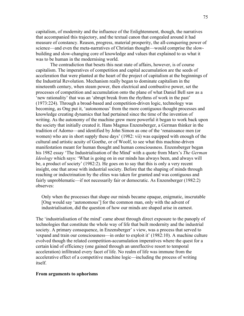capitalism, of modernity and the influence of the Enlightenment, though, the narratives that accompanied this trajectory, and the textual canon that congealed around it had measure of constancy. Reason, progress, material prosperity, the all-conquering power of science—and even the meta-narratives of Christian thought—would comprise the slowbuilding and slow-changing core of knowledge and values that explained to us what it was to be human in the modernising world.

The contradiction that besets this neat state of affairs, however, is of course capitalism. The imperatives of competition and capital accumulation are the seeds of acceleration that were planted at the heart of the project of capitalism at the beginnings of the Industrial Revolution. Mechanism really began to dominate capitalism in the nineteenth century, when steam power, then electrical and combustive power, set the processes of competition and accumulation onto the plane of what Daniel Bell saw as a 'new rationality' that was an 'abrupt break from the rhythms of work in the past' (1973:224). Through a broad-based and competition-driven logic, technology was becoming, as Ong put it, 'autonomous' from the more contiguous thought processes and knowledge creating dynamics that had pertained since the time of the invention of writing. As the autonomy of the machine grew more powerful it began to work back upon the society that initially created it. Hans Magnus Enzensberger, a German thinker in the tradition of Adorno—and identified by John Simon as one of the 'renaissance men (or women) who are in short supply these days' (1982: vii) was equipped with enough of the cultural and artistic acuity of Goethe, or of Woolf, to see what this machine-driven manifestation meant for human thought and human consciousness. Enzensberger began his 1982 essay 'The Industrialisation of the Mind' with a quote from Marx's *The German Ideology* which says: 'What is going on in our minds has always been, and always will be, a product of society' (1982:2). He goes on to say that this is only a very recent insight, one that arose with industrial society. Before that the shaping of minds through reaching or indoctrination by the elites was taken for granted and was contiguous and fairly unproblematic—if not necessarily fair or democratic. As Enzensberger (1982:2) observes:

Only when the processes that shape our minds became opaque, enigmatic, inscrutable [Ong would say 'autonomous'] for the common man, only with the advent of industrialisation, did the question of how our minds are shaped arise in earnest.

The 'industrialisation of the mind' came about through direct exposure to the panoply of technologies that constitute the whole way of life that built modernity and the industrial society. A primary consequence, in Enzensberger' s view, was a process that served to 'expand and train our consciousness—in order to exploit it' (1982:10). A machine culture evolved though the related competition-accumulation imperatives where the quest for a certain kind of efficiency (one gained through an unreflective resort to temporal acceleration) infiltrated every facet of life. No realm of life was immune from the accelerative effect of a competitive machine logic—including the process of writing itself.

#### **From arguments to aphorisms**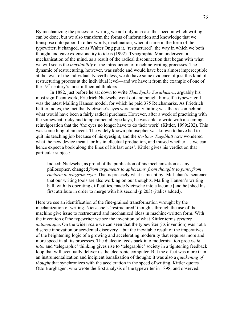By mechanizing the process of writing we not only increase the speed in which writing can be done, but we also transform the forms of information and knowledge that we transpose onto paper. In other words, machination, when it came in the form of the typewriter, it changed, or as Walter Ong put it, 'restructured', the way in which we both thought and gave extensionality to ideas (1992). Typographic Man underwent a mechanisation of the mind, as a result of the radical disconnection that began with what we will see is the *inevitability* of the introduction of machine-writing processes. The dynamic of restructuring, however, was subtle and would have been almost imperceptible at the level of the individual. Nevertheless, we do have some evidence of just this kind of restructuring process at the individual level—and we have it from the example of one of the  $19<sup>th</sup>$  century's most influential thinkers.

In 1882, just before he sat down to write *Thus Spoke Zarathustra*, arguably his most significant work, Friedrich Nietzsche went out and bought himself a typewriter. It was the latest Malling Hansen model, for which he paid 375 Reichsmarks. As Friedrich Kittler, notes, the fact that Nietzsche's eyes were rapidly failing was the reason behind what would have been a fairly radical purchase. However, after a week of practicing with the somewhat tricky and temperamental type keys, he was able to write with a seeming reinvigoration that the 'the eyes no longer have to do their work' (Kittler, 1999:202). This was something of an event. The widely known philosopher was known to have had to quit his teaching job because of his eyesight, and the *Berliner Tageblatt* now wondered what the new device meant for his intellectual production, and mused whether '…we can hence expect a book along the lines of his last ones'. Kittler gives his verdict on that particular subject:

Indeed: Nietzsche, as proud of the publication of his mechanization as any philosopher, changed *from arguments to aphorisms, from thoughts to puns, from rhetoric to telegram style*. That is precisely what is meant by [McLuhan's] sentence that our writing tools are also working on our thoughts. Malling Hansen's writing ball, with its operating difficulties, made Nietzsche into a laconic [and he] shed his first attribute in order to merge with his second (p.203) (italics added).

Here we see an identification of the fine-grained transformation wrought by the mechanization of writing. Nietzsche's 'restructured' thoughts through the use of the machine give issue to restructured and mechanized ideas in machine-written form. With the invention of the typewriter we see the invention of what Kittler terms *écriture automatique*. On the wider scale we can seen that the typewriter (its invention) was not a discrete innovation or accidental discovery—but the inevitable result of the imperatives of the heightening logic of a growing and accelerating modernity that requires more and more speed in all its processes. The dialectic feeds back into modernization process *in toto,* and 'telegraphic' thinking gives rise to 'telegraphic' society in a tightening feedback loop that will eventually deliver us the electronic computer. But the effect was more than an instrumentalization and incipient banalization of thought: it was also a *quickening of thought* that synchronizes with the acceleration in the speed of writing. Kittler quotes Otto Burghagen, who wrote the first analysis of the typewriter in 1898, and observed: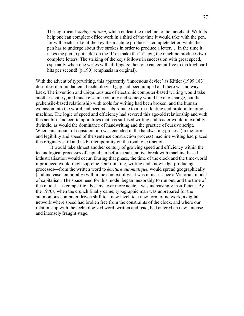The significant *savings of time*, which endear the machine to the merchant. With its help one can complete office work in a third of the time it would take with the pen, for with each strike of the key the machine produces a complete letter, while the pen has to undergo about five strokes in order to produce a letter…. In the time it takes the pen to put a dot on the 'I' or make the 'u' sign, the machine produces two complete letters. The striking of the keys follows in succession with great speed, especially when one writes with all fingers; then one can count five to ten keyboard hits per second! (p.190) (emphasis in original).

With the advent of typewriting, this apparently 'innocuous device' as Kittler (1999:183) describes it, a fundamental technological gap had been jumped and there was no way back. The invention and ubiquitous use of electronic computer-based writing would take another century, and much else in economy and society would have to change, but the prehensile-based relationship with tools for writing had been broken, and the human extension into the world had become subordinate to a free-floating and proto-autonomous machine. The logic of speed and efficiency had severed this age-old relationship and with this act bio- and eco-temporalities that has suffused writing and reader would inexorably dwindle, as would the dominance of handwriting and the practice of cursive script. Where an amount of consideration was encoded in the handwriting process (in the form and legibility and speed of the sentence construction process) machine writing had placed this originary skill and its bio-temporality on the road to extinction.

It would take almost another century of growing speed and efficiency within the technological processes of capitalism before a substantive break with machine-based industrialisation would occur. During that phase, the time of the clock and the time-world it produced would reign supreme. Our thinking, writing and knowledge-producing processes—from the written word to *écriture automatique,* would spread geographically (and increase temporally) within the context of what was in its essence a Victorian model of capitalism. The space need for this model began inexorably to run out, and the time of this model—as competition became ever more acute—was increasingly insufficient. By the 1970s, when the crunch finally came, typographic man was unprepared for the autonomous computer driven shift to a new level, to a new form of network, a digital network where speed had broken free from the constraints of the clock, and where our relationship with the technologized word, written and read, had entered an new, intense, and intensely fraught stage.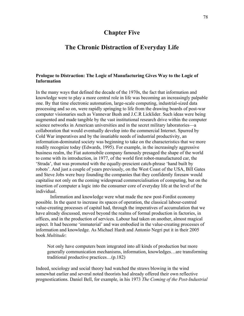### **Chapter Five**

## **The Chronic Distraction of Everyday Life**

#### **Prologue to Distraction: The Logic of Manufacturing Gives Way to the Logic of Information**

In the many ways that defined the decade of the 1970s, the fact that information and knowledge were to play a more central role in life was becoming an increasingly palpable one. By that time electronic automation, large-scale computing, industrial-sized data processing and so on, were rapidly springing to life from the drawing boards of post-war computer visionaries such as Vannevar Bush and J.C.R Licklider. Such ideas were being augmented and made tangible by the vast institutional research drive within the computer science networks in American universities and in the secret military laboratories—a collaboration that would eventually develop into the commercial Internet. Spurred by Cold War imperatives and by the insatiable needs of industrial productivity, an information-dominated society was beginning to take on the characteristics that we more readily recognize today (Edwards, 1995). For example, in the increasingly aggressive business realm, the Fiat automobile company famously presaged the shape of the world to come with its introduction, in 1977, of the world first robot-manufactured car, the 'Strada', that was promoted with the equally-prescient catch-phrase 'hand built by robots'. And just a couple of years previously, on the West Coast of the USA, Bill Gates and Steve Jobs were busy founding the companies that they confidently foresaw would capitalise not only on the coming widespread commercialisation of computing, but on the insertion of computer a logic into the consumer core of everyday life at the level of the individual.

Information and knowledge were what made the new post-Fordist economy possible. In the quest to increase its spaces of operation, the classical labour-centred value-creating processes of capital had, through the imperatives of accumulation that we have already discussed, moved beyond the realms of formal production in factories, in offices, and in the production of services. Labour had taken on another, almost magical aspect. It had become 'immaterial' and was embodied in the value-creating processes of information and knowledge. As Michael Hardt and Antonio Negri put it in their 2005 book *Multitude*:

Not only have computers been integrated into all kinds of production but more generally communication mechanisms, information, knowledges…are transforming traditional productive practices…(p.182)

Indeed, sociology and social theory had watched the straws blowing in the wind somewhat earlier and several noted theorists had already offered their own reflective prognostications. Daniel Bell, for example, in his 1973 *The Coming of the Post-Industrial*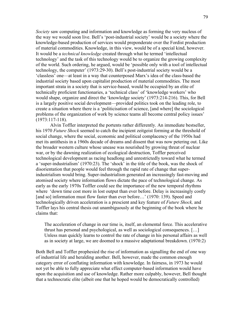*Society* saw computing and information and knowledge as forming the very nucleus of the way we would soon live. Bell's 'post-industrial society' would be a society where the knowledge-based production of services would preponderate over the Fordist production of material commodities. Knowledge, in this view, would be of a special kind, however. It would be a *technical knowledge* created through what he termed 'intellectual technology' and the task of this technology would be to organize the growing complexity of the world. Such ordering, he argued, would be 'possible only with a tool of intellectual technology, the computer' (1973:29-30). Bell's post-industrial society would be a 'classless' one—at least in a way that counterposed Marx's idea of the class-based the industrial society based upon capitalist production of material commodities. The most important strata in a society that is service-based, would be occupied by an elite of technically proficient functionaries, a 'technical class' of 'knowledge workers' who would shape, organize and direct the 'knowledge society' (1973:214-216). This, for Bell is a largely positive social development—provided politics took on the leading role, to create a situation where there is a 'politicisation of science, [and where] the sociological problems of the organization of work by science teams all become central policy issues' (1973:117-118).

Alvin Toffler interpreted the portents rather differently. An immediate bestseller, his 1970 *Future Shock* seemed to catch the incipient zeitgeist forming at the threshold of social change, where the social, economic and political complacency of the 1950s had met its antithesis in a 1960s decade of dreams and dissent that was now petering out. Like the broader western culture whose unease was nourished by growing threat of nuclear war, or by the dawning realization of ecological destruction, Toffler perceived technological development as racing headlong and unrestrictedly toward what he termed a 'super-industrialism' (1970:23). The 'shock' in the title of the book, was the shock of disorientation that people would feel through the rapid rate of change that superindustrialism would bring. Super-industrialism generated an increasingly fast-moving and atomised society where information flows dictate the pace of technological change. As early as the early 1970s Toffler could see the importance of the new temporal rhythms where 'down time cost more in lost output than ever before. Delay is increasingly costly [and so] information must flow faster than ever before...' (1970: 139). Speed and technologically driven acceleration is a prescient and key feature of *Future Shock,* and Toffler lays his central thesis out unambiguously at the beginning of the book where he claims that:

The acceleration of change in our time is, itself, an elemental force. This accelerative thrust has personal and psychological, as well as sociological consequences. […] Unless man quickly learns to control the rate of change in his personal affairs as well as in society at large, we are doomed to a massive adaptational breakdown. (1970:2)

Both Bell and Toffler prophesied the rise of information as signalling the end of one way of industrial life and heralding another. Bell, however, made the common enough category error of conflating information with knowledge. In fairness, in 1973 he would not yet be able to fully appreciate what effect computer-based information would have upon the acquisition and use of knowledge. Rather more culpably, however, Bell thought that a technocratic elite (albeit one that he hoped would be democratically controlled)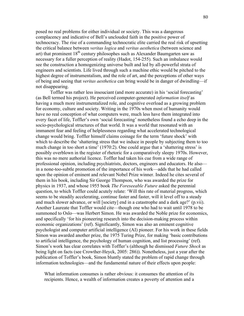posed no real problems for either individual or society. This was a dangerous complacency and indicative of Bell's unclouded faith in the positive power of technocracy. The rise of a commanding technocratic elite carried the real risk of upsetting the critical balance between *veritas logica* and *veritas aesthetica* (between science and art) that prominent  $18<sup>th</sup>$  century philosophes such as Alexander Baumgarten saw as necessary for a fuller perception of reality (Hadot, 154-255). Such an imbalance would see the construction a homogenizing universe built and led by all-powerful strata of engineers and scientists. Life lived through such a machine ethic would be pitched to the highest degree of instrumentalism, and the role of art, and the perceptions of other ways of being and seeing that *veritas aesthetica* can bring would be in danger of dwindling—if not disappearing.

Toffler was rather less insouciant (and more accurate) in his 'social forecasting' (as Bell termed his project). He perceived computer-generated *information itself* as having a much more instrumentalized role, and cognitive overload as a growing problem for economy, culture and society. Writing in the 1970s when most of humanity would have no real conception of what computers were, much less have them integrated into every facet of life, Toffler's own 'social forecasting' nonetheless found a echo deep in the socio-psychological structures of that world. It was a world that resonated with an immanent fear and feeling of helplessness regarding what accelerated technological change would bring. Toffler himself claims coinage for the term 'future shock' with which to describe the 'shattering stress that we induce in people by subjecting them to too much change in too short a time' (1970:2). One could argue that a 'shattering stress' is possibly overblown in the register of rhetoric for a comparatively sleepy 1970s. However, this was no mere authorial licence. Toffler had taken his cue from a wide range of professional opinion, including psychiatrists, doctors, engineers and educators. He also in a none-too-subtle promotion of the importance of his work—adds that he had called upon the opinion of eminent and relevant Nobel Prize winner. Indeed he cites several of them in his book, including Sir George Thompson, who was awarded the prize for physics in 1937, and whose 1955 book *The Foreseeable Future* asked the perennial question, to which Toffler could acutely relate: 'Will this rate of material progress, which seems to be steadily accelerating, continue faster and faster, will it level off to a steady and much slower advance, or will [society] end in a catastrophe and a dark age?' (p.vii). Another Laureate that Toffler would cite—though one who had to wait until 1978 to be summoned to Oslo—was Herbert Simon. He was awarded the Noble prize for economics, and specifically 'for his pioneering research into the decision-making process within economic organizations' (ref). Significantly, Simon was also an eminent cognitive psychologist and computer artificial intelligence (AI) pioneer. For his work in these fields Simon was awarded another prize, the 1975 Turing Prize, for making 'basic contributions to artificial intelligence, the psychology of human cognition, and list processing' (ref). Simon's work has clear correlates with Toffler's (although he dismissed *Future Shock* as being light on facts (see Crowther-Heyck, 2005: 286)). Nonetheless, just a year after the publication of Toffler's book, Simon bluntly stated the problem of rapid change through information technologies—and the fundamental nature of their effects upon people:

What information consumes is rather obvious: it consumes the attention of its recipients. Hence, a wealth of information creates a poverty of attention and a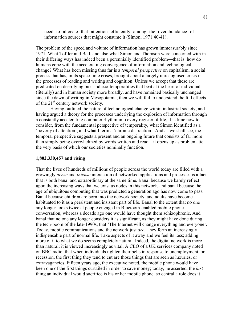need to allocate that attention efficiently among the overabundance of information sources that might consume it (Simon, 1971:40-41).

The problem of the speed and volume of information has grown immeasurably since 1971. What Toffler and Bell, and also what Simon and Thomson were concerned with in their differing ways has indeed been a perennially identified problem—that is: how do humans cope with the accelerating convergence of information and technological change? What has been missing thus far is a *temporal perspective* on capitalism, a social process that has, in its space-time crises, brought about a largely unrecognised crisis in the processes of reading and writing and cognition. Unless we accept that these are predicated on deep-lying bio- and eco-temporalities that beat at the heart of individual (literally) and in human society more broadly, and have remained basically unchanged since the dawn of writing in Mesopotamia, then we will fail to understand the full effects of the  $21<sup>st</sup>$  century network society.

Having outlined the nature of technological change within industrial society, and having argued a theory for the processes underlying the explosion of information through a constantly accelerating computer rhythm into every register of life, it is time now to consider, from the fundamental perspective of temporality, what Simon identified as a 'poverty of attention', and what I term a 'chronic distraction'. And as we shall see, the temporal perspective suggests a present and an ongoing future that consists of far more than simply being overwhelmed by words written and read—it opens up as problematic the very basis of which our societies nominally function.

#### **1,802,330,457 and rising**

That the lives of hundreds of millions of people across the world today are filled with a growingly *dense* and *intense* interaction of networked applications and processes is a fact that is both banal and extraordinary at the same time. Banal because we barely reflect upon the increasing ways that we exist as nodes in this network, and banal because the age of ubiquitous computing that was predicted a generation ago has now come to pass. Banal because children are born into the network society, and adults have become habituated to it as a persistent and insistent part of life. Banal to the extent that no one any longer looks twice at people engaged in Bluetooth-enabled mobile phone conversation, whereas a decade ago one would have thought them schizophrenic. And banal that no one any longer considers it as significant, as they might have done during the tech-boom of the late-1990s, that 'The Internet will change everything and everyone'. Today, mobile communications and the network just *are*. They form an increasingly indispensable part of normal life. Take aspects of it away and we feel its loss; adding more of it to what we do seems completely natural. Indeed, the digital network is more than natural; it is viewed increasingly as vital. A CEO of a UK services company noted on BBC radio, that when individuals tighten their belts in response to unemployment, or recession, the first thing they tend to cut are those things that are seen as luxuries, or extravagancies. Fifteen years ago, the executive noted, the mobile phone would have been one of the first things curtailed in order to save money; today, he asserted, the *last* thing an individual would sacrifice is his or her mobile phone, so central a role does it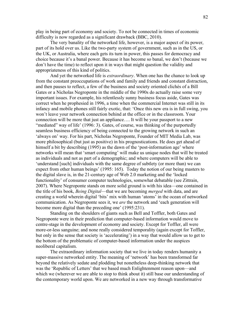play in being part of economy and society. To not be connected in times of economic difficulty is now regarded as a significant drawback (BBC, 2010).

The very banality of the networked life, however, is a major aspect of its power, part of its hold over us. Like the two-party system of government, such as in the US, or the UK, or Australia, where each gets its turn in power, this passes for democracy and choice because it's a banal power. Because it has become so banal, we don't (because we don't have the time) to reflect upon it in ways that might question the validity and appropriateness of this kind of politics.

And yet the networked life is *extraordinary*. When one has the chance to look up from the constant preoccupations of work and family and friends and constant distraction, and then pauses to reflect, a few of the business and society oriented clichés of a Bill Gates or a Nicholas Negroponte in the middle of the 1990s do actually raise some very important issues. For example, his relentlessly sunny business focus aside, Gates was correct when he prophesied in 1996, a time when the commercial Internet was still in its infancy and mobile phones still fairly exotic, that: 'Once this new era is in full swing, you won't leave your network connection behind at the office or in the classroom. Your connection will be more that just an appliance…. It will be your passport to a new "mediated" way of life' (1996: 3). Gates, of course, was thinking of the purportedly seamless business efficiency of being connected to the growing network in such an 'always on' way. For his part, Nicholas Negroponte, Founder of MIT Media Lab, was more philosophical (but just as positive) in his prognostications. He does get ahead of himself a bit by describing (1995) as the dawn of the 'post-information age' where networks will mean that 'smart computing' will make us unique nodes that will be treated as individuals and not as part of a demographic; and where computers will be able to 'understand [such] individuals with the same degree of subtlety (or more than) we can expect from other human beings' (1995: 165). Today the notion of our being masters to the digital slave is, in the 21-century age of Web 2.0 marketing and the 'locked functionality' of consumer computer technologies, somewhat debatable (see Zittrain, 2007). Where Negroponte stands on more solid ground is with his idea—one contained in the title of his book, *Being Digital*—that we are becoming *merged* with data, and are creating a world wherein digital 'bits' mix with human 'atoms' in the ocean of networked communication. As Negroponte sees it, we *are* the network and 'each generation will become more digital than the preceding one' (1995:231).

Standing on the shoulders of giants such as Bell and Toffler, both Gates and Negroponte were in their prediction that computer-based information would move to centre-stage in the development of economy and society. Except for Toffler, all were more-or-less sanguine; and none really considered temporality (again except for Toffler, but only in the sense that society is 'accelerating') in a way that would allow us to get to the bottom of the problematic of computer-based information under the auspices neoliberal capitalism.

The extraordinary information society that we live in today renders humanity a super-massive networked entity. The meaning of 'network' has been transformed far beyond the relatively sedate and plodding but nonetheless deep-thinking network that was the 'Republic of Letters' that we based much Enlightenment reason upon—and which we (wherever we are able to stop to think about it) still base our understanding of the contemporary world upon. We are networked in a new way through transformative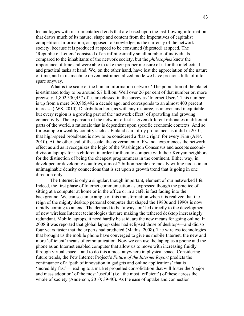technologies with instrumentalized ends that are based upon the fast-flowing information that draws much of its nature, shape and content from the imperatives of capitalist competition. Information, as opposed to knowledge, is the currency of the network society, because it is produced at speed to be consumed (digested) at speed. The 'Republic of Letters' consisted of an infinitesimally small number of individuals compared to the inhabitants of the network society, but the *philosophes* knew the importance of time and were able to take their proper measure of it for the intellectual and practical tasks at hand. We, on the other hand, have lost the appreciation of the nature of time, and in its machine driven instrumentalized mode we have precious little of it to spare anyway.

What is the scale of the human information network? The population of the planet is estimated today to be around 6.7 billion. Well over 26 per cent of that number or, more precisely, 1,802,330,457 of us are classed in the survey as 'Internet Users'. This number is up from a mere 360,985,492 a decade ago, and corresponds to an almost 400 percent increase (IWS, 2010). Distribution here, as with any resource, is uneven and inequitable, but every region is a growing part of the 'network effect' of sprawling and growing connectivity. The expansion of the network effect is given different rationales in different parts of the world, a rationale that is dependent upon specific economic contexts. And so for example a wealthy country such as Finland can loftily pronounce, as it did in 2010, that high-speed broadband is now to be considered a 'basic right' for every Finn (AFP, 2010). At the other end of the scale, the government of Rwanda experiences the network effect as aid as it recognizes the logic of the Washington Consensus and accepts seconddivision laptops for its children in order for them to compete with their Kenyan neighbors for the distinction of being the cheapest programmers in the continent. Either way, in developed or developing countries, almost 2 billion people are mostly willing nodes in an unimaginable density connections that is set upon a growth trend that is going in one direction only.

The Internet is only a singular, though important, element of our networked life. Indeed, the first phase of Internet communication as expressed though the practice of sitting at a computer at home or in the office or in a café, is fast fading into the background. We can see an example of this transformation when it is realized that the reign of the mighty desktop personal computer that shaped the 1980s and 1990s is now rapidly coming to an end. The demand to be 'always on' led directly to the development of new wireless Internet technologies that are making the tethered desktop increasingly redundant. Mobile laptops, it need hardly be said, are the new means for going online. In 2008 it was reported that global laptop sales had eclipsed those of desktops—and did so four years faster that the experts had predicted (Mathis, 2008). The wireless technologies that brought us the mobile phone have converged to give us mobile Internet, the new and more 'efficient' means of communication. Now we can use the laptop as a phone and the phone as an Internet enabled computer that allow us to move with increasing fluidly through virtual space—and to do this almost anywhere in physical space. Considering future trends, the Pew Internet Project's *Future of the Internet Report* predicts the continuance of a 'path of innovation in gadgets and online applications' that is 'incredibly fast'—leading to a market propelled consolidation that will foster the 'major and mass adoption' of the most 'useful' (i.e., the most 'efficient') of these across the whole of society (Anderson, 2010: 39-40). As the ease of uptake and connection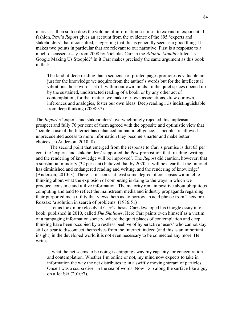increases, then so too does the volume of information seem set to expand in exponential fashion. Pew's *Report* gives an account from the evidence of the 895 'experts and stakeholders' that it consulted, suggesting that this is generally seen as a good thing. It makes two points in particular that are relevant to our narrative. First is a response to a much-discussed essay from 2008 by Nicholas Carr in the *Atlantic Monthly* titled 'Is Google Making Us Stoopid?' In it Carr makes precisely the same argument as this book in that:

The kind of deep reading that a sequence of printed pages promotes is valuable not just for the knowledge we acquire from the author's words but for the intellectual vibrations those words set off within our own minds. In the quiet spaces opened up by the sustained, undistracted reading of a book, or by any other act of contemplation, for that matter, we make our own associations, draw our own inferences and analogies, foster our own ideas. Deep reading…is indistinguishable from deep thinking (2008:37).

The *Report's* 'experts and stakeholders' overwhelmingly rejected this unpleasant prospect and fully 76 per cent of them agreed with the opposite and optimistic view that 'people's use of the Internet has enhanced human intelligence; as people are allowed unprecedented access to more information they become smarter and make better choices… (Anderson, 2010: 8).

The second point that emerged from the response to Carr's premise is that 65 per cent the 'experts and stakeholders' supported the Pew proposition that 'reading, writing, and the rendering of knowledge will be improved'. The *Report* did caution, however, that a substantial minority (32 per cent) believed that by 2020 'it will be clear that the Internet has diminished and endangered reading and writing, and the rendering of knowledge' (Anderson, 2010: 3). There is, it seems, at least some degree of consensus within elite thinking about what the explosion of computing is doing to the ways in which we produce, consume and utilize information. The majority remain positive about ubiquitous computing and tend to reflect the mainstream media and industry propaganda regarding their purported meta utility that views them as, to borrow an acid phrase from Theodore Roszak: 'a solution in search of problems' (1986:51)

Let us look more closely at Carr's thesis. Carr developed his Google essay into a book, published in 2010, called *The Shallows*. Here Carr paints even himself as a victim of a rampaging information society, where the quiet places of contemplation and deep thinking have been occupied by a restless beehive of hyperactive 'users' who cannot stay still or bear to disconnect themselves from the Internet; indeed (and this is an important insight) in the developed world it is not even necessary to be connected any more. He writes:

…what the net seems to be doing is chipping away my capacity for concentration and contemplation. Whether I'm online or not, my mind now expects to take in information the way the net distributes it: in a swiftly moving stream of particles. Once I was a scuba diver in the sea of words. Now I zip along the surface like a guy on a Jet Ski (2010:7).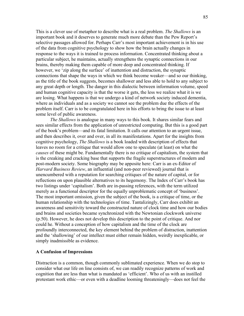This is a clever use of metaphor to describe what is a real problem. *The Shallows* is an important book and it deserves to generate much more debate than the Pew Report's selective passages allowed for. Perhaps Carr's most important achievement is in his use of the data from cognitive psychology to show how the brain actually changes in response to the ways it is trained to process information. Concentrated thinking about a particular subject, he maintains, actually strengthens the synaptic connections in our brains, thereby making them capable of more deep and concentrated thinking. If however, we 'zip along the surface' of inattention and distraction, the synaptic connections that shape the ways in which we think become weaker—and so our thinking, as the title of the book suggests, becomes shallower and less able to hold to any subject to any great depth or length. The danger in this dialectic between information volume, speed and human cognitive capacity is that the worse it gets, the less we realize what it is we are losing. What happens is that we undergo a kind of network society induced dementia, where as individuals and as a society we cannot see the problem due the effects of the problem itself. Carr is to be congratulated here in his efforts to bring the issue to at least some level of public awareness.

*The Shallows* is analogue in many ways to this book. It shares similar fears and sees similar effects from the application of unrestricted computing. But this is a good part of the book's problem—and its fatal limitation. It calls our attention to an urgent issue, and then describes it, over and over, in all its manifestations. Apart for the insights from cognitive psychology, *The Shallows* is a book loaded with description of effects that leaves no room for a critique that would allow one to speculate (at least) on what the *causes* of these might be. Fundamentally there is no critique of capitalism, the system that is the creaking and cracking base that supports the fragile superstructures of modern and post-modern society. Some biography may be apposite here: Carr is an ex-Editor of *Harvard Business Review*, an influential (and non-peer reviewed) journal that is unencumbered with a reputation for searching critiques of the nature of capital, or for reflections on upon plausible alternatives to its hegemony. The Index of Carr's book has two listings under 'capitalism'. Both are in-passing references, with the term utilized merely as a functional descriptor for the equally unproblematic concept of 'business'. The most important omission, given the subject of the book, is a critique of time, or the human relationship with the technologies of time. Tantalizingly, Carr does exhibit an awareness and sensitivity toward the constructed nature of clock time and how our bodies and brains and societies became synchronized with the Newtonian clockwork universe (p.50). However, he does not develop this description to the point of critique. And nor could he. Without a conception of how capitalism and the time of the clock are profoundly interconnected, the key element behind the problem of distraction, inattention and the 'shallowing' of our intellect must either remain hidden, weirdly inexplicable, or simply inadmissible as evidence.

#### **A Confusion of Impressions**

Distraction is a common, though commonly sublimated experience. When we do stop to consider what our life on line consists of, we can readily recognize patterns of work and cognition that are less than what is mandated as 'efficient'. Who of us with an instilled protestant work ethic—or even with a deadline looming threateningly—does not feel the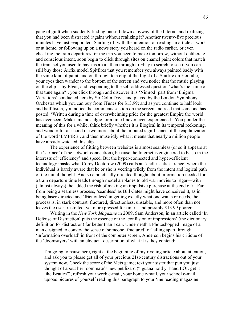pang of guilt when suddenly finding oneself down a byway of the Internet and realizing that you had been distracted (again) without realizing it? Another twenty-five precious minutes have just evaporated. Starting off with the intention of reading an article at work or at home, or following up on a news story you heard on the radio earlier, or even checking the train departures for the trip you need to make tomorrow, without deliberate and conscious intent, soon begin to click through sites on enamel paint colors that match the train set you used to have as a kid, then through to Ebay to search to see if you can still buy those Airfix model Spitfires that you remember you always painted badly with the same kind of paint, and on through to a clip of the flight of a Spitfire on Youtube, your eyes then wander to the bottom of the screen and you notice that the music playing on the clip is by Elgar, and responding to the self-addressed question 'what's the name of that tune again?', you click through and discover it is 'Nimrod' part from 'Enigma Variations' conducted here by Sir Colin Davis and played by the London Symphony Orchestra which you can buy from iTunes for \$13.99; and as you continue to half look and half listen, you notice the comments section on the screen and read that someone has posted: 'Written during a time of overwhelming pride for the greatest Empire the world has ever seen. Makes me nostalgic for a time I never even experienced'. You ponder the meaning of this for a while; think briefly whether it is illogical in its temporal reckoning, and wonder for a second or two more about the imputed significance of the capitalization of the word 'EMPIRE', and then muse idly what it means that nearly a million people have already watched this clip.

The experience of flitting between websites is almost seamless (or so it appears at the 'surface' of the network connection), because the Internet is engineered to be so in the interests of 'efficiency' and speed. But the hyper-connected and hyper-efficient technology masks what Corey Doctorow (2009) calls an 'endless click-trance' where the individual is barely aware that he or she is veering wildly from the intent and logical path of the initial thought. And so a practically oriented thought about information needed for a train departure time leads through model airplanes to old war movies to Elgar—with (almost always) the added the risk of making an impulsive purchase at the end of it. Far from being a seamless process, 'seamless' as Bill Gates might have conceived it, as in being laser-directed and 'frictionless' in getting exactly what one wants or needs, the process is, in stark contrast, fractured, directionless, unstable, and more often than not leaves the user frustrated, yet more pressed for time—and possibly \$13.99 poorer.

Writing in the *New York Magazine* in 2009, Sam Anderson, in an article called 'In Defense of Distraction' puts the essence of the 'confusion of impressions' (the dictionary definition for distraction) far better than I can. Underneath a Photoshopped image of a man designed to convey the sense of someone 'fractured' of falling apart through 'information overload' in front of the computer screen, Anderson begins his critique of the 'doomsayers' with an eloquent description of what it is they contend:

I'm going to pause here, right at the beginning of my riveting article about attention, and ask you to please get all of your precious 21st-century distractions out of your system now. Check the score of the Mets game; text your sister that pun you just thought of about her roommate's new pet lizard ("iguana hold yr hand LOL get it like Beatles"); refresh your work e-mail, your home e-mail, your school e-mail; upload pictures of yourself reading this paragraph to your 'me reading magazine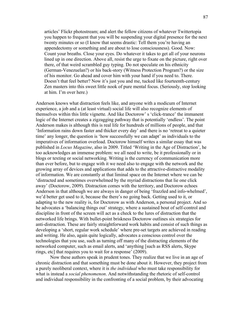articles' Flickr photostream; and alert the fellow citizens of whatever Twittertopia you happen to frequent that you will be suspending your digital presence for the next twenty minutes or so (I know that seems drastic: Tell them you're having an appendectomy or something and are about to lose consciousness). Good. Now: Count your breaths. Close your eyes. Do whatever it takes to get all of your neurons lined up in one direction. Above all, resist the urge to fixate on the picture, right over there, of that weird scrambled guy typing. Do not speculate on his ethnicity (German-Venezuelan?) or his back-story (Witness Protection Program?) or the size of his monitor. Go ahead and cover him with your hand if you need to. There. Doesn't that feel better? Now it's just you and me, tucked like fourteenth-century Zen masters into this sweet little nook of pure mental focus. (Seriously, stop looking at him. I'm over here.)

Anderson knows what distraction feels like, and anyone with a modicum of Internet experience, a job and a (at least virtual) social life will also recognize elements of themselves within this little vignette. And like Doctorow' s 'click-trance' the immanent logic of the Internet creates a zigzagging pathway that is potentially 'endless'. The point Anderson makes is although this is real life for hundreds of millions of people, and that 'Information rains down faster and thicker every day' and there is no 'retreat to a quieter time' any longer, the question is 'how successfully we can adapt' as individuals to the imperatives of information overload. Doctorow himself writes a similar essay that was published in *Locus Magazine*, also in 2009. Titled 'Writing in the Age of Distraction', he too acknowledges an immense problem: we all need to write, be it professionally or in blogs or texting or social networking. Writing is the currency of communication more than ever before, but to engage with it we need also to engage with the network and the growing array of devices and applications that adds to the attractive-distractive modality of information. We are constantly at that liminal space on the Internet where we can be 'distracted and sometimes overwhelmed by the myriad distractions that lie one click away' (Doctorow, 2009). Distraction comes with the territory, and Doctorow echoes Anderson in that although we are always in danger of being 'frazzled and info-whelmed', we'd better get used to it, because the there's no going back. Getting used to it, or adapting to the new reality is, for Doctorow as with Anderson, a personal project. And so he advocates a 'balancing things out' strategy, where a sustained bout of self-control and discipline in front of the screen will act as a check to the lures of distraction that the networked life brings. With bullet-point briskness Doctorow outlines six strategies for anti-distraction. These are fairly straightforward work habits and consist of such things as developing a 'short, regular work schedule' where pre-set targets are achieved in reading and writing. He also, again quite logically, advocates a conscious control over the technologies that you use, such as turning off many of the distracting elements of the networked computer, such as email alerts, and 'anything [such as RSS alerts, Skype rings, etc] that requires you to wait for a response' (2009).

Now these authors speak in prudent tones. They realize that we live in an age of chronic distraction and that something must be done about it. However, they project from a purely neoliberal context, where it is *the individual* who must take responsibility for what is instead a *social phenomenon*. And notwithstanding the rhetoric of self-control and individual responsibility in the confronting of a social problem, by their advocating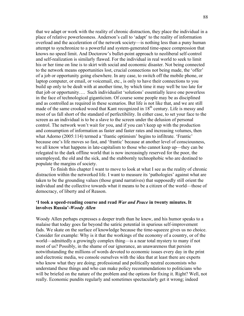that we adapt or work with the reality of chronic distraction, they place the individual in a place of relative powerlessness. Anderson's call to 'adapt' to the reality of information overload and the acceleration of the network society—is nothing less than a puny human attempt to synchronize to a powerful and system-generated time-space compression that knows no speed limit. And Doctorow's bullet-point approach to neoliberal self-control and self-realization is similarly flawed. For the individual in real world to seek to limit his or her time on line is to skirt with social and economic disaster. Not being connected to the network means opportunities lost, crucial connections not being made, the 'offer' of a job or opportunity going elsewhere. In any case, to switch off the mobile phone, or laptop computer, or email, or voicemail, etc., is only to have their connections to you build up only to be dealt with at another time, by which time it may well be too late for that job or opportunity…. Such individualist 'solutions' essentially leave one powerless in the face of technological giganticism. Of course some people may be as disciplined and as controlled as required in these scenarios. But life is not like that, and we are still made of the same crooked wood that Kant recognized in 18<sup>th</sup> century. Life is messy and most of us fall short of the standard of perfectibility. In either case, to set your face to the screen as an individual is to be a slave to the screen under the delusion of personal control. The network won't wait for you, and if you can't keep up with the production and consumption of information as faster and faster rates and increasing volumes, then what Adorno (2005:114) termed a 'frantic optimism' begins to infiltrate. 'Frantic' because one's life moves so fast, and 'frantic' because at another level of consciousness, we all know what happens in late-capitalism to those who cannot keep up—they can be relegated to the dark offline world that is now increasingly reserved for the poor, the unemployed, the old and the sick, and the stubbornly technophobic who are destined to populate the margins of society.

To finish this chapter I want to move to look at what I see as the reality of chronic distraction within the networked life. I want to measure its 'pathologies' against what are taken to be the grounding values (those grand narratives) that supposedly still orient the individual and the collective towards what it means to be a citizen of the world—those of democracy, of liberty and of Reason.

#### **'I took a speed-reading course and read** *War and Peace* **in twenty minutes. It involves Russia'-***Woody Allen*

Woody Allen perhaps expresses a deeper truth than he knew, and his humor speaks to a malaise that today goes far beyond the satiric potential in spurious self-improvement fads. We skate on the surface of knowledge because the time-squeeze gives us no choice. Consider for example: Why is it that the workings of the economy of a country, or of the world—admittedly a growingly complex thing—is a near total mystery to many if not most of us? Possibly, in the shame of our ignorance, an unawareness that persists notwithstanding the millions of words devoted to economic issues every day in the print and electronic media, we console ourselves with the idea that at least there are experts who know what they are doing; professional and politically neutral economists who understand these things and who can make policy recommendations to politicians who will be briefed on the nature of the problem and the options for fixing it. Right? Well, not really. Economic pundits regularly and sometimes spectacularly get it wrong; indeed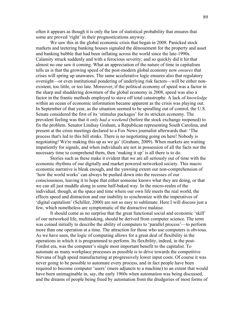often it appears as though it is only the law of statistical probability that ensures that some are proved 'right' in their prognostications anyway.

We saw this in the global economic crisis that began in 2008. Panicked stock markets and teetering banking houses signaled the dénouement for the property and asset and banking bubble that had been inflating across the world since the late-1990s. Calamity struck suddenly and with a ferocious severity; and so quickly did it hit that almost no one saw it coming. What an appreciation of the nature of time in capitalism tells us is that the growing speed of the post-modern global economy now *ensures* that crises will spring up unawares. The same accelerative logic ensures also that regulatory oversight—or even institutional pondering of underlying risk factors—will be either nonexistent, too little, or too late. Moreover, if the political economy of speed was a factor in the sharp and shuddering downturn of the global economy in 2008, speed was also a factor in the frantic methods employed to stave off total catastrophe. A lack of *knowledge* within an ocean of economic information became apparent as the crisis was playing out. In September of that year, as the situation seemed to be spiralling out of control, the U.S. Senate considered the first of its 'stimulus packages' for its stricken economy. The prevalent feeling was that it *only had a weekend* (before the stock exchange reopened) to fix the problem. Senator Lindsay Graham, a Republican representing South Carolina, and present at the crisis meetings declared to a Fox News journalist afterwards that: 'The process that's led to this bill stinks. There is no negotiating going on here! Nobody is negotiating! We're making this up as we go' (Graham, 2009). When markets are waiting impatiently for signals, and when individuals are not in possession of all the facts nor the necessary time to comprehend them, then 'making it up' is all there is to do.

Stories such as these make it evident that we are all seriously out of time with the economic rhythms of our digitally and market powered networked society. This macro economic narrative is bleak enough, and the yawning extent our non-comprehension of 'how the world works' can always be pushed down into the recesses of our consciousness, leaving it to hope that either someone knows what they are doing, or that we can all just muddle along in some half-baked way. In the micro-realm of the individual, though, at the space and time where our own life meets the real world, the effects speed and distraction and our inability to synchronize with the imperatives of 'digital capitalism' (Schiller, 2000) are not so easy to sublimate. Here I will discuss just a few, which nonetheless are symptomatic of the distractive malaise.

It should come as no surprise that the great functional social and economic 'skill' of our networked life, multitasking, should be derived from computer science. The term was coined initially to describe the ability of computers to 'parallel process'—to perform more than one operation at a time. The attraction for those who use computers is obvious. As we have seen, the logic of computing allows for a great deal of flexibility in the operations in which it is programmed to perform. Its flexibility, indeed, in the post-Fordist era, was the computer's single most important benefit to the capitalist. To automate as many workplace processes as possible is to drive towards the competitive Nirvana of high speed manufacturing at progressively lower input costs. Of course it was never going to be possible to automate every process, and in fact people have been required to become computer 'users' (mere adjuncts to a machine) to an extent that would have been unimaginable in, say, the early 1960s when automation was being discussed, and the dreams of people being freed by automation from the drudgeries of most forms of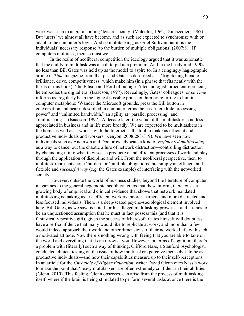work was seen to augur a coming 'leisure society' (Malcolm, 1962; Dumazedier, 1967). But 'users' we almost all have become, and as such are expected to synchronize with or adapt to the computer's logic. And so multitasking, as Oriel Sullivan put it, is the individuals' necessary response 'to the burden of multiple obligations' (2007:8). If computers multitask, then so must we.

In the realm of neoliberal competition the ideology argued that it was axiomatic that the ability to multitask was a skill to put at a premium. And in the heady mid-1990s no less than Bill Gates was held up as the model to aspire to. In a cringingly hagiographic article in *Time* magazine from that period Gates is described as a 'frightening blend of brilliance, drive, competitiveness' which make him (in a phrase that fits neatly with the thesis of this book): 'the Edison and Ford of our age. A technologist turned entrepreneur, he embodies the digital era' (Isaacson, 1997). Revealingly, Gates' colleagues, or so *Time* informs us, regularly heap the highest possible praise on him by referring to him in computer metaphors: 'Wander the Microsoft grounds, press the Bill button in conversation and hear it described in computer terms: he has "incredible processing power" and "unlimited bandwidth," an agility at "parallel processing" and "multitasking."' (Isaacson, 1997). A decade later, the value of the multitasker is no less appreciated in business and in life more broadly. We are expected to be multitaskers in the home as well as at work—with the Internet as the tool to make us efficient and productive individuals and workers (Kenyon, 2008:283-319). We have seen how individuals such as Anderson and Doctorow advocate a kind of *regimented multitasking* as a way to cancel out the chaotic allure of network distraction—controlling distraction by channeling it into what they see as productive and efficient processes of work and play through the application of discipline and will. From the neoliberal perspective, then, to multitask represents not a 'burden' or 'multiple obligations' but simply an efficient and flexible and *successful way* (e.g. the Gates example) of interfacing with the networked society.

However, outside the world of business studies, beyond the literature of computer magazines to the general hegemonic neoliberal ethos that these inform, there exists a growing body of empirical and clinical evidence that shows that network mandated multitasking is making us less efficient workers, poorer learners, and more distracted and less focused individuals. There is a deep-seated psycho-sociological element involved here. Bill Gates, as we saw, is noted for his alleged multitasking prowess—and it tends to be an unquestioned assumption that he must in fact possess this (and that it is fantastically positive gift), given the success of Microsoft. Gates himself will doubtless have a self-confidence that many would like to replicate at work; and more than a few would indeed approach their work and other dimensions of their networked life with such a motivated attitude. Now there's nothing wrong with feeing that you are able to take on the world and everything that it can throw at you. However, in terms of cognition, there's a problem with (literally) such a way of thinking. Clifford Nass, a Stanford psychologist, conducted clinical testing on the issue of how multitaskers perceive themselves to be as productive individuals—and how their capabilities measure up to their self-perceptions. In an article for the *Chronicle of Higher Education*, writer David Glenn cites Nass's work to make the point that 'heavy multitaskers are often extremely confident in their abilities' (Glenn, 2010). This feeling, Glenn observes, can arise from the process of multitasking itself, where if the brain is being stimulated to perform several tasks at once there is the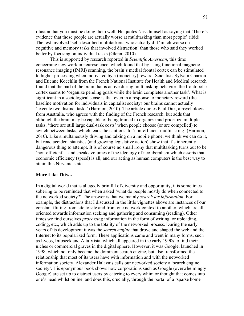illusion that you must be doing them well. He quotes Nass himself as saying that 'There's evidence that those people are actually worse at multitasking than most people' (ibid). The test involved 'self-described multitaskers' who actually did 'much worse on cognitive and memory tasks that involved distraction' than those who said they worked better by focusing on individual tasks (Glenn, 2010).

This is supported by research reported in *Scientific American*, this time concerning new work in neuroscience, which found that by using functional magnetic resonance imaging (fMRI) scanning, the brain's medial frontal cortex can be stimulated to higher processing when motivated by a (monetary) reward. Scientists Sylvain Charron and Etienne Koechlin from the French National Institute for Health and Medical research found that the part of the brain that is active during multitasking behavior, the frontopolar cortex seems to 'organize pending goals while the brain completes another task'. What is significant in a sociological sense is that even in a response to monetary reward (the baseline motivation for individuals in capitalist society) our brains cannot actually 'execute two distinct tasks' (Harmon, 2010). The article quotes Paul Dux, a psychologist from Australia, who agrees with the finding of the French research, but adds that although the brain may be capable of being trained to organize and prioritize multiple tasks, 'there are still large dual-task costs' when people choose (or are compelled) to switch between tasks, which leads, he cautions, to 'non-efficient multitasking' (Harmon, 2010). Like simultaneously driving and talking on a mobile phone, we think we can do it, but road accident statistics (and growing legislative action) show that it's inherently dangerous thing to attempt. It is of course no small irony that multitasking turns out to be 'non-efficient'—and speaks volumes of the ideology of neoliberalism which asserts that economic efficiency (speed) is all, and our acting as human computers is the best way to attain this Nirvanic state.

#### **More Like This…**

In a digital world that is allegedly brimful of diversity and opportunity, it is sometimes sobering to be reminded that when asked 'what do people mostly do when connected to the networked society?' The answer is that we mainly *search for information*. For example, the distractions that I discussed in the little vignettes above are instances of our constant flitting from site to site and from one network context to another, which are all oriented towards information seeking and gathering and consuming (reading). Other times we find ourselves *processing* information in the form of writing, or uploading, coding, etc., which adds up to the totality of the networked process. During the early years of its development it was the *search engine* that drove and shaped the web and the Internet to its popularized form. These applications came and went in many forms, such as Lycos, Infoseek and Alta Vista, which all appeared in the early 1990s to find their niches or commercial graves in the digital sphere. However, it was Google, launched in 1998, which not only became the dominant search engine, but also transformed the relationship that most of its users have with information and with the networked information society. Alexander Halavais calls our networked society a 'search engine society'. His eponymous book shows how corporations such as Google (overwhelmingly Google) are set up to distract users by catering to every whim or thought that comes into one's head whilst online, and does this, crucially, through the portal of a 'sparse home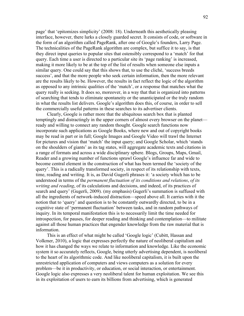page' that 'epitomizes simplicity' (2008: 18). Underneath this aesthetically pleasing interface, however, there lurks a closely guarded secret. It consists of code, or software in the form of an algorithm called PageRank, after one of Google's founders, Larry Page. The technicalities of the PageRank algorithm are complex, but suffice it to say, is that they direct input queries to popular sites that ostensibly correspond to a 'match' for that query. Each time a user is directed to a particular site its 'page ranking' is increased, making it more likely to be at the top of the list of results when someone else inputs a similar query. One could say that this shows that, to use the cliché, 'success breeds success', and that the more people who seek certain information, then the more relevant are the results likely to be. However, the results in fact reflect the logic of the algorithm as opposed to any intrinsic qualities of the 'match', or a response that matches what the query really is seeking. It does so, moreover, in a way that that is organized into patterns of searching that tends to eliminate spontaneity or the unanticipated or the truly random in what the results list delivers. Google's algorithm does this, of course, in order to sell the commercially useful patterns in these searches to its advertiser clients.

Clearly, Google is rather more that the ubiquitous search box that is planted temptingly and distractingly in the upper corners of almost every browser on the planet ready and willing to connect any random thought. Google search functions now incorporate such applications as Google Books, where new and out of copyright books may be read in part or in full; Google Images and Google Video will trawl the Internet for pictures and vision that 'match' the input query; and Google Scholar, which 'stands on the shoulders of giants' as its tag states, will aggregate academic texts and citations in a range of formats and across a wide disciplinary sphere. Blogs, Groups, Maps, Gmail, Reader and a growing number of functions sprawl Google's influence far and wide to become central element in the construction of what has been termed the 'society of the query'. This is a radically transformed society, in respect of its relationship with texts, time, reading and writing. It is, as David Gugerli phrases it: 'a society which has to be understood in terms of the *permanent fluctuation of its conditions and relations*, *of its writing and reading*, of its calculations and decisions, and indeed, of its practices of search and query' (Gugerli, 2009). (my emphasis) Gugerli's summation is suffused with all the ingredients of network-induced distraction—speed above all. It carries with it the notion that to 'query' and question is to be constantly outwardly directed, to be in a cognitive state of 'permanent fluctuation' between tasks, and in random pathways of inquiry. In its temporal manifestation this is to necessarily limit the time needed for introspection, for pauses, for deeper reading and thinking and contemplation—to militate against all those human practices that engender knowledge from the raw material that is information.

This is an effect of what might be called 'Google logic' (Cubitt, Hassan and Volkmer, 2010), a logic that expresses perfectly the nature of neoliberal capitalism and how it has changed the ways we relate to information and knowledge. Like the economic system it so accurately reflects, Google, being utterly advertising dependent, is neoliberal to the heart of its algorithmic code. And like neoliberal capitalism, it is built upon the unrestricted application of computers and views computers as a solution for every problem—be it in productivity, or education, or social interaction, or entertainment. Google logic also expresses a very neoliberal talent for human exploitation. We see this in its exploitation of users to earn its billions from advertising, which is generated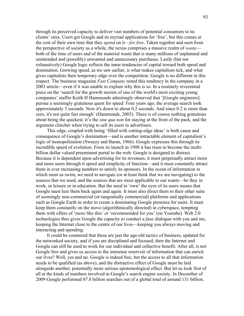through its perceived capacity to deliver vast numbers of potential consumers to its clients' sites. Users get Google and its myriad applications for 'free', but this comes at the cost of their own time that they *spend* on it—*for free*. Taken together and seen from the perspective of society as a whole, the nexus comprises a massive realm of *waste* both of the time of users and of the material waste that is many millions of unplanned and unintended and (possibly) unwanted and unnecessary purchases. Lastly (but not exhaustively) Google logic reflects the inner tendencies of capital toward both speed and domination. Growing speed, as we saw earlier, is what makes capitalism tick, and what gives capitalists their temporary edge over the competition. Google is no different in this respect. The business magazine *Fast Company* noted this tendency in the company in a 2003 article—even if it was unable to explain why this is so. In a routinely reverential piece on the 'search for the growth secrets of one of the world's most exciting young companies' staffer Keith H Hammonds admiringly observed that '[Google engineers] pursue a seemingly gratuitous quest for speed: Four years ago, the average search took approximately 3 seconds. Now it's down to about 0.2 seconds. And since 0.2 is more than zero, it's not quite fast enough' (Hammonds, 2003). There is of course nothing gratuitous about being the quickest; it's the *sine qua non* for staying at the front of the pack, and the argument clincher when trying to sell its users to advertisers.

This edge, coupled with being 'filled with cutting-edge ideas' is both cause and consequence of Google's domination—and is another intractable element of capitalism's logic of monopolization (Sweezy and Baran, 1966). Google expresses this through its incredible speed of evolution. From its launch in 1998 it has risen to become the multibillion dollar valued preeminent portal to the web. Google is designed to distract. Because it is dependent upon advertising for its revenues, it must perpetually attract more and more users through it speed and simplicity of function—and it must constantly attract them in ever increasing numbers to satisfy its sponsors. In the ocean of information in which most us swim, we need to navigate (or at least think that we are navigating) to the sources that we need, and the sources that are most applicable to our wants—be they in work, or leisure or in education. But the need to 'own' the eyes of its users means that Google must lure them back again and again. It must also direct them to their other suite of seemingly non-commercial (or tangentially commercial) platforms and applications such as Google Earth in order to create a dominating Google presence for users. It must keep them constantly on the move (algorithmically directed) in cyberspace, tempting them with offers of 'more like this' or 'recommended for you' (on Youtube). Web 2.0 technologies thus gives Google the capacity to conduct a *faux* dialogue with you and me, keeping the Internet close to the centre of our lives—keeping you always moving and interacting and spending.

It could be countered that these are just the age-old tactics of business, updated for the networked society, and if you are disciplined and focused, then the Internet and Google can still be used to work for our individual and collective benefit. After all, is not Google free and gives us access to the immense reservoir of information that can enrich our lives? Well, yes and no. Google is indeed free, but the access to all that information needs to be qualified (as above), and the distractive effect of Google must be laid alongside another, potentially more serious epistemological effect. But let us look first of all at the kinds of numbers involved in Google's search engine society. In December of 2009 Google performed 87.8 billion searches out of a global total of around 131 billion.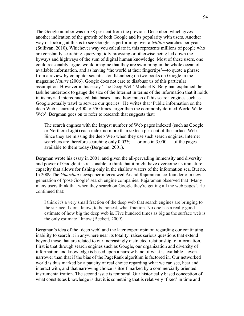The Google number was up 58 per cent from the previous December, which gives another indication of the growth of both Google and its popularity with users. Another way of looking at this is to see Google as performing over a *trillion* searches per year (Sullivan, 2010). Whichever way you calculate it, this represents millions of people who are constantly searching, querying, idly browsing or otherwise being led down the byways and highways of the sum of digital human knowledge. Most of these users, one could reasonably argue, would imagine that they are swimming in the whole ocean of available information, and as having 'the world at their fingertips'—to quote a phrase from a review by computer scientist Jon Kleinberg on two books on Google in the magazine *Nature* (2006). Google does not care to disabuse us of this particular assumption. However in his essay 'The Deep Web' Michael K. Bergman explained the task he undertook to gauge the size of the Internet in terms of the information that it holds in its myriad interconnected data bases—and how much of this search engines such as Google actually trawl to service our queries. He writes that 'Public information on the deep Web is currently 400 to 550 times larger than the commonly defined World Wide Web'. Bergman goes on to refer to research that suggests that:

The search engines with the largest number of Web pages indexed (such as Google or Northern Light) each index no more than sixteen per cent of the surface Web. Since they are missing the deep Web when they use such search engines, Internet searchers are therefore searching only 0.03% — or one in 3,000 — of the pages available to them today (Bergman, 2001).

Bergman wrote his essay in 2001, and given the all-pervading immensity and diversity and power of Google it is reasonable to think that it might have overcome its immature capacity that allows for fishing only in the shallow waters of the information sea. But no. In 2009 The *Guardian* newspaper interviewed Anand Rajaraman, co-founder of a new generation of 'post-Google' search engine companies. Rajaraman observed that 'Many many users think that when they search on Google they're getting all the web pages'. He continued that:

I think it's a very small fraction of the deep web that search engines are bringing to the surface. I don't know, to be honest, what fraction. No one has a really good estimate of how big the deep web is. Five hundred times as big as the surface web is the only estimate I know (Beckett, 2009)

Bergman's idea of the 'deep web' and the later expert opinion regarding our continuing inability to search it in anywhere near its totality, raises serious questions that extend beyond those that are related to our increasingly distracted relationship to information. First is that through search engines such as Google, our organization and diversity of information and knowledge is based upon a narrow band of what is available—even narrower than that if the bias of the PageRank algorithm is factored in. Our networked world is thus marked by a paucity of real choice regarding what we can see, hear and interact with, and that narrowing choice is itself marked by a commercially oriented instrumentalization. The second issue is temporal. Our historically based conception of what constitutes knowledge is that it is something that is relatively 'fixed' in time and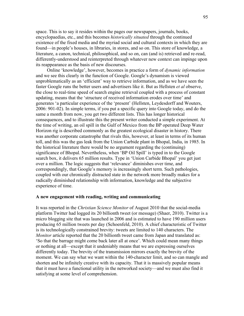space. This is to say it resides within the pages our newspapers, journals, books, encyclopaedias, etc., and this becomes *historically situated* through the continued existence of the fixed media and the myriad social and cultural contexts in which they are found—in people's houses, in libraries, in stores, and so on. This store of knowledge, a literature, a canon, technical, philosophical, and so on, can (and is) retrieved and re-read, differently-understood and reinterpreted through whatever new context can impinge upon its reappearance as the basis of new discourses.

Online 'knowledge', however, becomes in practice a form of *dynamic information* and we see this clearly in the function of Google. Google's dynamism is viewed unproblematically as an 'efficient' way to retrieve information, and as we have seen the faster Google runs the better users and advertisers like it. But as Hellsten *et al* observe, the close to real-time speed of search engine retrieval coupled with a process of constant updating, means that the 'structure of received information erodes over time' and generates 'a particular experience of the 'present' (Hellsten, Leydesdorff and Wouters, 2006: 901-02). In simple terms, if you put a specific query into Google today, and do the same a month from now, you get two different lists. This has longer historical consequences, and to illustrate this the present writer conducted a simple experiment. At the time of writing, an oil spill in the Gulf of Mexico from the BP operated Deep Water Horizon rig is described commonly as the greatest ecological disaster in history. There was another corporate catastrophe that rivals this, however, at least in terms of its human toll, and this was the gas leak from the Union Carbide plant in Bhopal, India, in 1985. In the historical literature there would be no argument regarding the (continuing) significance of Bhopal. Nevertheless, when 'BP Oil Spill' is typed in to the Google search box, it delivers 65 million results. Type in 'Union Carbide Bhopal' you get just over a million. The logic suggests that 'relevance' diminishes over time, and correspondingly, that Google's memory is increasingly short term. Such pathologies, coupled with our chronically distracted state in the network more broadly makes for a radically diminished relationship with information, knowledge and the subjective experience of time.

#### **A new engagement with reading, writing and communicating**

It was reported in the *Christian Science Monitor* of August 2010 that the social-media platform Twitter had logged its 20 billionth tweet (or message) (Shaer, 2010). Twitter is a micro blogging site that was launched in 2006 and is estimated to have 190 million users producing 65 million tweets per day (Schoenfeld, 2010). A chief characteristic of Twitter is its technologically constrained brevity: tweets are limited to 140 characters. The *Monitor* article reported that the 20 billionth tweet came from Japan and translated as: 'So that the barrage might come back later all at once'. Which could mean many things or nothing at all—except that it undeniably means that we are expressing ourselves differently today. The brevity of the transmission mirrors exactly the brevity of the moment. We can say what we want within the 140-character limit, and so can mangle and shorten and be infinitely creative with its capacity. That it is massively popular means that it must have a functional utility in the networked society—and we must also find it satisfying at some level of comprehension.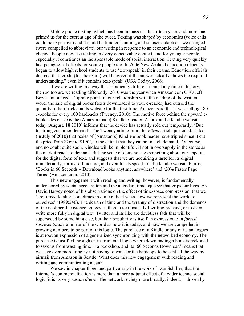Mobile phone texting, which has been in mass use for fifteen years and more, has primed us for the current age of the tweet. Texting was shaped by economics (voice calls could be expensive) and it could be time-consuming, and so users adapted—we changed (were compelled to abbreviate) our writing in response to an economic and technological change. People now use texting in every conceivable context, and for younger people especially it constitutes an indispensable mode of social interaction. Texting very quickly had pedagogical effects for young people too. In 2006 New Zealand education officials began to allow high school students to use 'text-speak' in their exams. Education officials decreed that 'credit (for the exam) will be given if the answer "clearly shows the required understanding," even if it contains text-speak' (USA Today, 2006).

If we are writing in a way that is radically different than at any time in history, then so too are we reading differently. 2010 was the year when Amazon.com CEO Jeff Bezos announced a 'tipping point' in our relationship with the reading of the written word: the sale of digital books (texts downloaded to your e-reader) had outsold the quantity of hardbacks on its website for the first time. Amazon said that it was selling 180 e-books for every 100 hardbacks (Tweney, 2010). The motive force behind the upward ebook sales curve is the (Amazon made) Kindle e-reader. A look at the Kindle website today (August, 18 2010) informs that the device has actually sold out temporarily, 'Due to strong customer demand'. The Tweney article from the *Wired* article just cited, stated (in July of 2010) that 'sales of [Amazon's] Kindle e-book reader have tripled since it cut the price from \$260 to \$190', to the extent that they cannot match demand. Of course, and no doubt quite soon, Kindles will be in plentiful, if not in oversupply in the stores as the market reacts to demand. But the scale of demand says something about our appetite for the digital form of text, and suggests that we are acquiring a taste for its digital immateriality, for its 'efficiency', and even for its speed. As the Kindle website blurbs: 'Books in 60 Seconds – Download books anytime, anywhere' and '20% Faster Page Turns' (Amazon.com, 2010).

This new engagement with reading and writing, however, is fundamentally underscored by social acceleration and the attendant time-squeeze that grips our lives. As David Harvey noted of his observations on the effect of time-space compression, that we 'are forced to alter, sometimes in quite radical ways, how we represent the world to ourselves' (1989:240). The dearth of time and the tyranny of distraction and the demands of the neoliberal existence obliges us then to text instead of writing by hand, or to even write more fully in digital text. Twitter and its like are doubtless fads that will be superseded by something else, but their popularity is itself an expression of a *forced representation,* a mirror of the world as how it is today, and how we are compelled in growing numbers to be part of this logic. The purchase of a Kindle or any of its analogues is at root an expression of a generalized synchronizing with the networked economy. The purchase is justified through an instrumental logic where downloading a book is reckoned to save us from wasting time in a bookshop, and its '60 Seconds Download' means that we save even more time by not having to wait for the hardcopy to be sent all the way by airmail from Amazon in Seattle. What does this new engagement with reading and writing and communicating mean?

We saw in chapter three, and particularly in the work of Dan Schiller, that the Internet's commercialization is more than a mere adjunct effect of a wider techno-social logic; it is its very *raison d'etre*. The network society more broadly, indeed, is driven by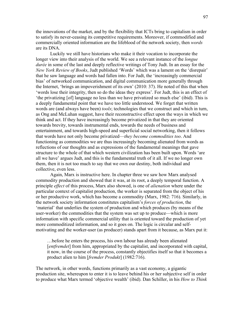the innovations of the market, and by the flexibility that ICTs bring to capitalism in order to satisfy its never-ceasing its competitive requirements. Moreover, if commodified and commercially oriented information are the lifeblood of the network society, then *words* are its DNA.

Luckily we still have historians who make it their vocation to incorporate the longer view into their analysis of the world. We see a relevant instance of the *longue durée* in some of the last and deeply reflective writings of Tony Judt. In an essay for the *New York Review of Books*, Judt published 'Words' which was a lament on the 'disrepair' that he saw language and words had fallen into. For Judt, the 'increasingly commercial bias' of networked communication, and digital communication more generally through the Internet, 'brings an impoverishment of its own' (2010: 37). He noted of this that when 'words lose their integrity, then so do the ideas they express'. For Judt, this is an effect of 'the privatizing [of] language no less than we have privatized so much else' (ibid). This is a deeply fundamental point that we have too little understood. We forget that written words are (and always have been) *tools*; technologies that we construct and which in turn, as Ong and McLuhan suggest, have their reconstructive effect upon the ways in which we think and act. If they have increasingly become privatized in that they are oriented towards brevity, towards instrumental ends, towards the needs of business and entertainment, and towards high-speed and superficial social networking, then it follows that words have not only become privatized—*they become commodities too*. And functioning as commodities we are thus increasingly becoming alienated from words as reflections of our thoughts and as expressions of the fundamental meanings that gave structure to the whole of that which western civilization has been built upon. Words 'are all we have' argues Judt, and this is the fundamental truth of it all. If we no longer own them, then it is not too much to say that we own our destiny, both individual and collective, even less.

Again, Marx is instructive here. In chapter three we saw how Marx analysed commodity production and showed that it was, at its root, a deeply temporal function. A principle *effect* of this process, Marx also showed, is one of *alienation* where under the particular context of capitalist production, the worker is separated from the object of his or her productive work, which has become a commodity (Marx, 1982: 716). Similarly, in the network society information constitutes capitalism's *forces of production*, the 'material' that underlies the system of production and which produces (by means of the user-worker) the commodities that the system was set up to produce—which is more information with specific commercial utility that is oriented toward the production of yet more commoditized information, and so it goes on. The logic is circular and selfmotivating and the worker-user (as producer) stands apart from it because, as Marx put it:

…before he enters the process, his own labour has already been alienated [*entfremdet*] from him, appropriated by the capitalist, and incorporated with capital, it now, in the course of the process, constantly objectifies itself so that it becomes a product alien to him [*fremder Produkt*] (1982:716).

The network, in other words, functions primarily as a vast economy, a gigantic production site, whereupon to enter it is to leave behind his or her subjective self in order to produce what Marx termed 'objective wealth' (ibid). Dan Schiller, in his *How to Think*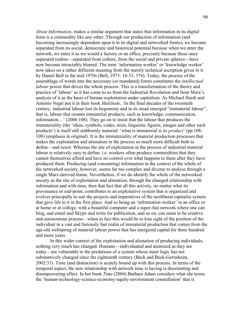*About Information*, makes a similar argument that states that information in its digital form is a commodity like any other. Through our production of information (and becoming increasingly dependent upon it in its digital and networked forms), we become separated from its social, democratic and historical potential because when we enter the network, we enter it as we would a factory or an office, precisely because these once separated realms—separated from culture, from the social and private spheres—have now become intractably blurred. The term 'information worker' or 'knowledge worker' now takes on a rather different meaning from the merely technical ascription given to it by Daniel Bell in the mid 1970s (Bell, 1973: 14-33, 374). Today, the process of the assemblage of words into the necessary (or mandated) forms constitutes the *intellectual labour* power that drives the whole process. This is a transformation of the theory and practice of 'labour' as it has come to us from the Industrial Revolution and from Marx's analysis of it as the basis of human exploitation under capitalism. As Michael Hardt and Antonio Negri put it in their book *Multitude*, 'In the final decades of the twentieth century, industrial labour lost its hegemony and in its stead emerged "immaterial labour", that is, labour that creates immaterial products, such as knowledge, communication, information…' (2006:108). They go on to insist that the labour that produces the immateriality (the 'ideas, symbols, codes, texts, linguistic figures, images and other such products') is itself still stubbornly material: 'what is immaterial is *its product*' (pp.108- 109) (emphasis in original). It is the immateriality of material production processes that makes the exploitation and alienation in the process so much more difficult both to define—and resist. Whereas the site of exploitation in the process of industrial material labour is relatively easy to define: i.e. workers often produce commodities that they cannot themselves afford and have no control over what happens to them after they have produced them. Producing (and consuming) information in the context of the whole of the networked society, however, seems far too complex and diverse to analyse through a single Marx-derived frame. Nevertheless, if we do identify the whole of the networked society as the site of exploitation and alienation, through the changed relationship with information and with time, then that fact that all this activity, no matter what its provenance or end-point, contributes to an exploitative system that is organized and evolves principally to suit the projects and imperatives of the neoliberal capitalist system that gave life to it in the first place. And so being an 'information worker' in an office or at home or at college, with a beautiful computer and a super-fast network where one can blog, and email and Skype and write for publication, and so on, can seem to be creative and autonomous process—when in fact this would be to lose sight of the position of the individual in a vast and furiously fast realm of immaterial production that comes from the age-old wellspring of material labour power that has energized capital for three hundred and more years.

In this wider context of the exploitation and alienation of producing individuals, nothing very much has changed. Humans—individuated and atomized as they are today—are vulnerable to the predations of a system whose inner logic has not substantively changed since the eighteenth century (Beck and Beck-Gernsheim, 2002:33). Time (and distraction) is acutely bound up with this process. In terms of the temporal aspect, the new relationship with network time is having is disorienting and disempowering effect. In her book *Time* (2004) Barbara Adam considers what she terms the 'human-technology-science-economy-equity-environment constellation' that is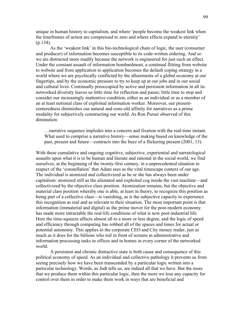unique in human history to capitalism, and where 'people become the weakest link when the timeframes of action are compressed to zero and where effects expand to eternity' (p.134).

As the 'weakest link' in this bio-technological chain of logic, the user (consumer and producer) of information becomes susceptible to its code-written ordering. And so we are distracted more readily because the network is engineered for just such an effect. Under the constant assault of information bombardment, a continual flitting from website to website and from application to application becomes the default coping strategy in a world where we are psychically conflicted by the allurements of a global economy at our fingertips, and by the economic pressure to try to keep up at our jobs and in our social and cultural lives. Continually preoccupied by active and persistent information in all its networked diversity leaves us little time for reflection and pause; little time to stop and consider our increasingly inattentive condition, either as an individual or as a member of an at least notional class of exploited information worker. Moreover, our presentcenteredness diminishes our natural and eons-old affinity for narratives as a prime modality for subjectively constructing our world. As Ron Purser observed of this diminution:

…narrative sequence implodes into a concern and fixation with the real-time instant. What used to comprise a narrative history—sense making based on knowledge of the past, present and future—contracts into the buzz of a flickering present (2001, 13).

With these cumulative and ongoing cognitive, subjective, experiential and narratological assaults upon what it is to be human and literate and rational in the social world, we find ourselves, at the beginning of the twenty-first century, in a unprecedented situation in respect of the 'constellation' that Adam sees as the vital timescape context of our age. The individual is atomized and collectivized as he or she has always been under capitalism: atomized still as the alienated and exploited cog inside the vast machine—and collectivized by the objective class position. Atomization remains, but the objective and material class position whereby one is able, at least in theory, to recognize this position as being part of a collective class—is vanishing, as is the subjective capacity to experience this recognition as real and as relevant to their situation. The most important point is that information (immaterial and digital) as the prime mover for the post-modern economy has made more intractable the real-life conditions of what is now post-industrial life. Here the time-squeeze affects almost all to a more or less degree, and the logic of speed and efficiency through computing has robbed all of the spaces and times for actual or potential autonomy. This applies to the corporate CEO and City money trader, just as much as it does for the billions who toil in front of screens in administrative and information processing tasks in offices and in homes in every corner of the networked world.

A persistent and chronic distractive state is both cause and consequence of this political economy of speed. As an individual and collective pathology it prevents us from seeing precisely how we have been transcended by a particular logic written into a particular technology. Words, as Judt tells us, are indeed all that we have. But the more that we produce them within this particular logic, then the more we lose any capacity for control over them in order to make them work in ways that are beneficial and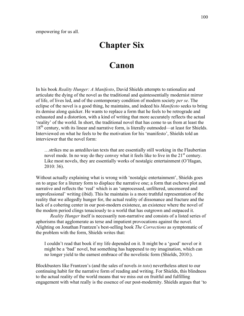# **Chapter Six**

## **Canon**

In his book *Reality Hunger: A Manifesto*, David Shields attempts to rationalize and articulate the dying of the novel as the traditional and quintessentially modernist mirror of life, of lives led, and of the contemporary condition of modern society *per se*. The eclipse of the novel is a good thing, he maintains, and indeed his *Manifesto* seeks to bring its demise along quicker. He wants to replace a form that he feels to be retrograde and exhausted and a distortion, with a kind of writing that more accurately reflects the actual 'reality' of the world. In short, the traditional novel that has come to us from at least the 18<sup>th</sup> century, with its linear and narrative form, is literally outmoded—at least for Shields. Interviewed on what he feels to be the motivation for his 'manifesto', Shields told an interviewer that the novel form:

…strikes me as antediluvian texts that are essentially still working in the Flaubertian novel mode. In no way do they convey what it feels like to live in the  $21<sup>st</sup>$  century. Like most novels, they are essentially works of nostalgic entertainment (O'Hagan, 2010: 36).

Without actually explaining what is wrong with 'nostalgic entertainment', Shields goes on to argue for a literary form to displace the narrative one; a form that eschews plot and narrative and reflects the 'real' which is an 'unprocessed, unfiltered, uncensored and unprofessional' writing (ibid). This he maintains is a more truthful representation of the reality that we allegedly hunger for, the actual reality of dissonance and fracture and the lack of a cohering center in our post-modern existence, an existence where the novel of the modern period clings tenaciously to a world that has outgrown and outpaced it.

*Reality Hunger* itself is necessarily non-narrative and consists of a listed series of aphorisms that agglomerate as terse and impatient provocations against the novel. Alighting on Jonathan Frantzen's best-selling book *The Corrections* as symptomatic of the problem with the form, Shields writes that:

I couldn't read that book if my life depended on it. It might be a 'good' novel or it might be a 'bad' novel, but something has happened to my imagination, which can no longer yield to the earnest embrace of the novelistic form (Shields, 2010:).

Blockbusters like Frantzen's (and the sales of novels *in toto*) nevertheless attest to our continuing habit for the narrative form of reading and writing. For Shields, this blindness to the actual reality of the world means that we miss out on fruitful and fulfilling engagement with what really is the essence of our post-modernity. Shields argues that 'to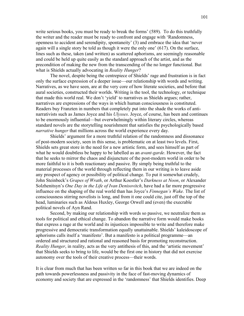write serious books, you must be ready to break the forms' (589). To do this truthfully the writer and the reader must be ready to confront and engage with 'Randomness, openness to accident and serendipity, spontaneity' (3) and embrace the idea that 'never again will a single story be told as though it were the only one' (617). On the surface, lines such as these, taken (and written) as scattered aphorisms, are seemingly reasonable and could be held up quite easily as the standard approach of the artist, and as the precondition of making the new from the transcending of the no longer functional. But what is Shields actually advocating in *Reality Hunger*?

The novel, despite being the centrepiece of Shields' rage and frustration is in fact only the surface expression of a deeper issue—our relationship with words and writing. Narratives, as we have seen, are at the very core of how literate societies, and before that aural societies, constructed their worlds. Writing is the tool, the technology, or technique that made this world real. We don't 'yield' to narratives as Shields argues; rather, narratives are expressions of the ways in which human consciousness is constituted. Readers buy Franzten in numbers that completely put into the shade the works of antinarrativists such as James Joyce and his *Ulysses*. Joyce, of course, has been and continues to be enormously influential—but overwhelmingly within literary circles, whereas standard novels are the storytelling nourishment that satisfies the psychologically based *narrative hunger* that millions across the world experience every day.

Shields' argument for a more truthful relation of the randomness and dissonance of post-modern society, seen in this sense, is problematic on at least two levels. First, Shields sets great store in the need for a new artistic form, and sees himself as part of what he would doubtless be happy to be labelled as an *avant-garde*. However, the fact that he seeks to mirror the chaos and disjuncture of the post-modern world in order to be more faithful to it is both reactionary and passive. By simply being truthful to the material processes of the world through reflecting them in our writing is to leave aside any prospect of agency or possibility of political change. To put it somewhat crudely, John Steinbeck's *Grapes of Wrath*, or Arthur Koestler's *Darkness at Noon*, or Alexander Solzhenitsyn's *One Day in the Life of Ivan Denisovitch*, have had a far more progressive influence on the shaping of the real world than has Joyce's *Finnegan's Wake.* The list of consciousness stirring novelists is long, and from it one could cite, just off the top of the head, luminaries such as Aldous Huxley, George Orwell and (even) the execrable political novels of Ayn Rand.

Second, by making our relationship with words so passive, we neutralize them as tools for political and ethical change. To abandon the narrative form would make books that express a rage at the world and its injustices impossible to write and therefore make progressive and democratic transformation equally unattainable. Shields' kaleidoscope of aphorisms calls itself a 'manifesto'. But a manifesto is a political programme—an ordered and structured and rational and reasoned basis for promoting reconstruction. *Reality Hunger*, in reality, acts as the very antithesis of this, and the 'artistic movement' that Shields seeks to bring to life, would be the first one in history that did not exercise autonomy over the tools of their creative process—their words.

It is clear from much that has been written so far in this book that we are indeed on the path towards powerlessness and passivity in the face of fast-moving dynamics of economy and society that are expressed in the 'randomness' that Shields identifies. Deep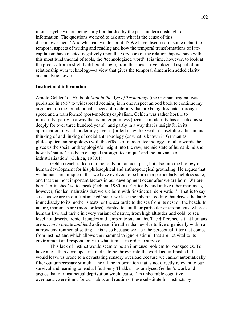in our psyche we are being daily bombarded by the post-modern onslaught of information. The questions we need to ask are: what is the cause of this disempowerment? And what can we do about it? We have discussed in some detail the temporal aspects of writing and reading and how the temporal transformations of latecapitalism have reacted negatively upon the very core of the relationship we have with this most fundamental of tools, the 'technologized word'. It is time, however, to look at the process from a slightly different angle, from the social-psychological aspect of our relationship with technology—a view that gives the temporal dimension added clarity and analytic power.

#### **Instinct and information**

Arnold Gehlen's 1980 book *Man in the Age of Technology* (the German original was published in 1957 to widespread acclaim) is in one respect an odd book to continue my argument on the foundational aspects of modernity that are being dissipated through speed and a transformed (post-modern) capitalism. Gehlen was rather hostile to modernity, partly in a way that is rather pointless (because modernity has affected us so deeply for over three hundred years), and partly in a way that is insightful in its appreciation of what modernity gave us (or left us with). Gehlen's usefulness lies in his thinking of and linking of social anthropology (or what is known in German as philosophical anthropology) with the effects of modern technology. In other words, he gives us the social anthropologist's insight into the raw, archaic state of humankind and how its 'nature' has been changed through 'technique' and the 'advance of industrialization' (Gehlen, 1980:1).

Gehlen reaches deep into not only our ancient past, but also into the biology of human development for his philosophical and anthropological grounding. He argues that we humans are unique in that we have evolved to be born in a particularly helpless state, and that the most important factors in our development occur after we are born. We are born 'unfinished' so to speak (Gehlen, 1980:ix). Critically, and unlike other mammals, however, Gehlen maintains that we are born with 'instinctual deprivation'. That is to say, stuck as we are in our 'unfinished' state, we lack the inherent coding that drives the lamb immediately to its mother's teats, or the sea turtle to the sea from its nest on the beach. In nature, mammals are (more or less) adapted to suit their particular environments, whereas humans live and thrive in every variant of nature, from high altitudes and cold, to sea level hot deserts, tropical jungles and temperate savannahs. The difference is that humans are *driven to create and lead* a diverse life rather than evolve to live organically within a narrow environmental setting. This is so because we lack the perceptual filter that comes from instinct and which allows the mammal to ignore stimuli that are not vital to its environment and respond only to what it must in order to survive.

This lack of instinct would seem to be an immense problem for our species. To have a less than developed instinct is to be thrown into the world as 'unfinished'. It would leave us prone to a devastating sensory overload because we cannot automatically filter out unnecessary stimuli—the all the information that is not directly relevant to our survival and learning to lead a life. Jonny Thakkar has analysed Gehlen's work and argues that our instinctual deprivation would cause: 'an unbearable cognitive overload…were it not for our habits and routines; these substitute for instincts by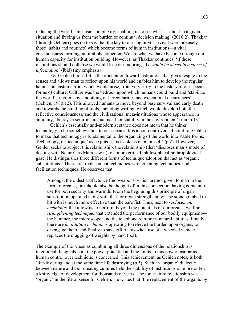reducing the world's intrinsic complexity, enabling us to see what is salient in a given situation and freeing us from the burden of continual decision making' (2010:2). Thakkar (through Gehlen) goes on to say that the key to our cognitive survival were precisely those 'habits and routines' which became forms of human institutions—a vital consciousness forming cultural phenomenon. We are what we have become through our human capacity for institution building. However, as Thakkar continues, 'if these institutions should collapse we would lose our mooring. *We would be at sea in a storm of information*' (ibid) (my emphasis).

For Gehlen himself it is the orientation toward institutions that gives respite to the senses and allows man to reflect upon his world and enables him to develop the regular habits and customs from which would arise, from very early in the history of our species, forms of culture. Culture was the bedrock upon which humans could build and 'stabilize the world's rhythms by smoothing out irregularities and exceptional occurrences' (Gehlen, 1980:12). This allowed humans to move beyond base survival and early death and towards the building of tools, including writing, which would develop both the reflective consciousness, and the civilizational meta-institutions whose appearance in antiquity, 'betrays a semi-instinctual need for stability in the environment' (ibid.p.13).

Gehlen's essentially anti-modernist stance does not mean that he thinks technology to be somehow alien to our species. It is a non-controversial point for Gehlen to make that technology is fundamental to the organizing of the world into stable forms. Technology, or 'technique' as he puts it, 'is as old as man himself' (p.2). However, Gehlen seeks to subject this relationship, the relationship (that 'discloses man's mode of dealing with Nature', as Marx saw it) to a more critical, philosophical-anthropological gaze. He distinguishes three different forms of technique adoption that act as 'organic substitutions'. These are: replacement techniques, strengthening techniques, and facilitation techniques. He observes that:

Amongst the oldest artifacts we find weapons, which are not given to man in the form of organs; fire should also be thought of in this connection, having come into use for both security and warmth. From the beginning this principle of organ substitution operated along with that for organ strengthening: The stone grabbed to hit with is much more effective than the bare fist. Thus, next to *replacement techniques* that allow us to perform beyond the potentials of our organs, we find *strengthening techniques* that extended the performance of our bodily equipment the hammer, the microscope, and the telephone reinforces natural abilities. Finally there are *facilitation techniques* operating to relieve the burden upon organs, to disengage them, and finally to save effort—as when use of a wheeled vehicle replaces the dragging of weights by hand (p.3).

The example of the wheel as combining all three dimensions of the relationship is intentional. It signals both the power potential and the limits to this power insofar as human control over technique is concerned. This achievement, as Gehlen notes, is both 'life-fostering and at the same time life destroying (p.5). Such an 'organic' dialectic between nature and tool-creating cultures held the stability of institutions on more or less a knife-edge of development for thousands of years. The tool-nature relationship was 'organic' in the literal sense for Gehlen. He writes that 'the replacement of the organic by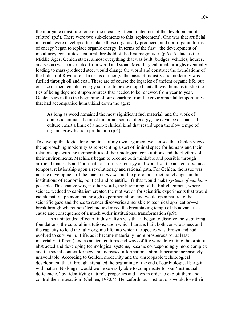the inorganic constitutes one of the most significant outcomes of the development of culture' (p.5). There were two sub-elements to this 'replacement'. One was that artificial materials were developed to replace those organically produced; and non-organic forms of energy began to replace organic energy. In terms of the first, 'the development of metallurgy constitutes a cultural threshold of the first magnitude' (p.5). As late as the Middle Ages, Gehlen states, almost everything that was built (bridges, vehicles, houses, and so on) was constructed from wood and stone. Metallurgical breakthroughs eventually leading to mass-produced steel would change the world and construct the foundations of the Industrial Revolution. In terms of energy, the basis of industry and modernity was fuelled through oil and coal. These are of course the legacies of ancient organic life, but our use of them enabled energy sources to be developed that allowed humans to slip the ties of being dependent upon sources that needed to be renewed from year to year. Gehlen sees in this the beginning of our departure from the environmental temporalities that had accompanied humankind down the ages:

As long as wood remained the most significant fuel material, and the work of domestic animals the most important source of energy, the advance of material culture…met a limit of a non-technical kind that rested upon the slow tempo of organic growth and reproduction (p.6).

To develop this logic along the lines of my own argument we can see that Gehlen views the approaching modernity as representing a sort of liminal space for humans and their relationships with the temporalities of their biological constitutions and the rhythms of their environments. Machines began to become both thinkable and possible through artificial materials and 'non-natural' forms of energy and would set the ancient organicotemporal relationship upon a revolutionary and rational path. For Gehlen, the issue was not the development of the machine *per se*, but the profound structural changes in the institutions of economic, political and scientific life that would make *systems of machines* possible. This change was, in other words, the beginning of the Enlightenment, where science wedded to capitalism created the motivation for scientific experiments that would isolate natural phenomena through experimentation, and would open nature to the scientific gaze and thence to render discoveries amenable to technical application—a breakthrough whereupon 'technique derived the breathtaking tempo of its advance' as cause and consequence of a much wider institutional transformation (p.9).

An unintended effect of industrialism was that it began to dissolve the stabilizing foundations, the cultural institutions, upon which humans built both consciousness and the capacity to lead the fully organic life into which the species was thrown and had evolved to survive in. Life, as it became materially more prosperous (or at least materially different) and as ancient cultures and ways of life were drawn into the orbit of abstracted and developing technological systems, became correspondingly more complex and the social context for new and increased informational stimuli became increasingly unavoidable. According to Gehlen, modernity and the unstoppable technological development that it brought signalled the beginning of the end of our biological bargain with nature. No longer would we be so easily able to compensate for our 'instinctual deficiencies' by 'identifying nature's properties and laws in order to exploit them and control their interaction' (Gehlen, 1980:4). Henceforth, our institutions would lose their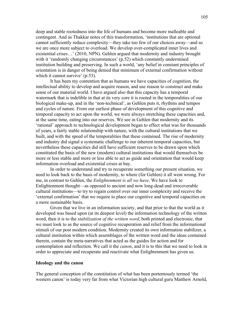deep and stable rootedness into the life of humans and become more malleable and contingent. And as Thakkar notes of this transformation, 'institutions that are optional cannot sufficiently reduce complexity—they take too few of our choices away—and so we are once more subject to overload. We develop over-complicated inner lives and existential crises…' (2010, NPN). Gehlen argued that modernity and industry brought with it 'randomly changing circumstances' (p.52) which constantly undermined institution building and preserving. In such a world, 'any belief in constant principles of orientation is in danger of being denied that minimum of external confirmation without which it cannot survive' (p.53).

It has been my contention that as humans we have capacities of cognition, the intellectual ability to develop and acquire reason, and use reason to construct and make sense of our material world. I have argued also that this capacity has a temporal watermark that is indelible in that at its very core it is rooted in the temporalities of our biological make-up, and in the 'non-technical', as Gehlen puts it, rhythms and tempos and cycles of nature. From our earliest phase of development of this cognitive and temporal capacity to act upon the world, we were always stretching these capacities and, at the same time, eating into our reserves. We see in Gehlen that modernity and its 'rational' approach to technological development began to effect what was for thousands of years, a fairly stable relationship with nature, with the cultural institutions that we built, and with the speed of the temporalities that these contained. The rise of modernity and industry did signal a systematic challenge to our inherent temporal capacities, but nevertheless these capacities did still have sufficient reserves to be drawn upon which constituted the basis of the new (modern) cultural institutions that would themselves be more or less stable and more or less able to act as guide and orientation that would keep information overload and existential crises at bay.

In order to understand and try to recuperate something our present situation, we need to look back to the basis of modernity, to where (for Gehlen) it all went wrong. For me, in contrast to Gehlen, the *Enlightenment is all we have*. We have look to Enlightenment thought—as opposed to ancient and now long-dead and irrecoverable cultural institutions—to try to regain control over our inner complexity and receive the 'external confirmation' that we require to place our cognitive and temporal capacities on a more sustainable basis.

Given that we live in an information society, and that prior to that the world as it developed was based upon (at its deepest level) the information technology of the written word, then it is to the *stabilization of the written word*, both printed and electronic, that we must look to as the source of cognitive recuperation and relief from the informational stimuli of our post modern condition. Modernity created its own information stabilizer, a cultural institution within which assemblages of the written word and the ideas contained therein, contain the meta-narratives that acted as the guides for action and for contemplation and reflection. We call it the *canon*, and it is to this that we need to look in order to appreciate and recuperate and reactivate what Enlightenment has given us.

#### **Ideology and the canon**

The general conception of the constitution of what has been portentously termed 'the western canon' is today very far from what Victorian high cultural guru Matthew Arnold,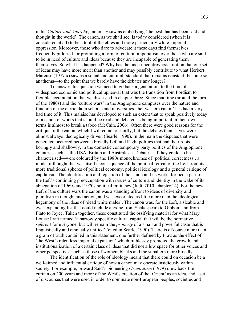in his *Culture and Anarchy*, famously saw as embodying 'the best that has been said and thought in the world'. The canon, as we shall see, is today considered (when it is considered at all) to be a tool of the elites and more particularly white imperial oppression. Moreover, those who dare to advocate it these days find themselves frequently pilloried for promoting a form of cultural imperialism over those who are said to be in need of culture and ideas because they are incapable of generating them themselves. So what has happened? Why has the once-uncontroversial notion that one set of ideas may have more merit than another and may possibly contribute to what Herbert Marcuse (1977:x) saw as a social and cultural 'standard that remains constant' become so anathema—to the point that we barely have the debates any longer?

To answer this question we need to go back a generation, to the time of widespread economic and political upheaval that was the transition from Fordism to flexible accumulation that we discussed in chapter three. Since that time (around the turn of the 1980s) and the 'culture wars' in the Anglophone campuses over the nature and function of the curricula in schools and universities, the 'western canon' has had a very bad time of it. This malaise has developed to such an extent that to speak positively today of a canon of works that should be read and debated as being important in their own terms is almost to break a taboo (McCain, 2006). Often there were good reasons for the critique of the canon, which I will come to shortly, but the debates themselves were almost always ideologically driven (Searle, 1990). In the main the disputes that were generated occurred between a broadly Left and Right politics that had their roots, boringly and shallowly, in the domestic contemporary party politics of the Anglophone countries such as the USA, Britain and Australasia. Debates—if they could so be characterised—were coloured by the 1980s monochromes of 'political correctness', a mode of thought that was itself a consequence of the political retreat of the Left from its more traditional spheres of political economy, political ideology and a general critique of capitalism. The identification and rejection of the canon and its works formed a part of the Left's continuing preoccupation with issues of culture and identity in the wake of its abnegation of 1960s and 1970s political militancy (Judt, 2010: chapter 14). For the new Left of the culture wars the canon was a standing affront to ideas of diversity and pluralism in thought and action, and was excoriated as little more than the ideological hegemony of the ideas of 'dead white males'. The canon was, for the Left, a sizable and ever-expanding list that could include anyone from Shakespeare to Gibbon, and from Plato to Joyce. Taken together, these constituted the ossifying material for what Mary Louise Pratt termed 'a narrowly specific cultural capital that will be the normative *referent* for everyone, but will remain the *property* of a small and powerful caste that is linguistically and ethnically unified' (cited in Searle, 1990). There is of course more than a grain of truth contained in this statement, one further defined by Pratt as the effect of 'the West's relentless imperial expansion' which ruthlessly promoted the growth and institutionalization of a certain class of ideas that did not allow space for other voices and other perspectives such as those of women, blacks and the subaltern more broadly.

The identification of the role of ideology meant that there could on occasion be a well-aimed and influential critique of how a canon may operate insidiously within society. For example, Edward Said's pioneering *Orientalism* (1979) drew back the curtain on 200 years and more of the West's creation of the 'Orient' as an idea, and a set of discourses that were used in order to dominate non-European peoples, societies and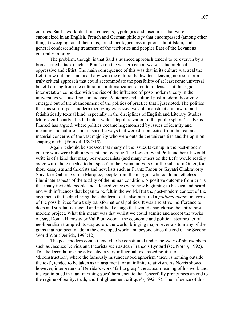cultures. Said's work identified concepts, typologies and discourses that were canonicized in an English, French and German philology that encompassed (among other things) sweeping racial theorems, broad theological assumptions about Islam, and a general condescending treatment of the territories and peoples East of the Levant as culturally inferior.

The problem, though, is that Said's nuanced approach tended to be overrun by a broad-based attack (such as Pratt's) on the western canon *per se* as hierarchical, oppressive and elitist. The main consequence of this was that in its culture war zeal the Left threw out the canonical baby with the cultural bathwater—leaving no room for a truly critical approach that could accommodate the possibility of at least some universal benefit arising from the cultural institutionalization of certain ideas. That this rigid interpretation coincided with the rise of the influence of post-modern theory in the universities was itself no coincidence. A literary and cultural post-modern theorizing emerged out of the abandonment of the politics of practice that I just noted. The politics that this sort of post-modern theorizing expressed was of an abstract and inward and fetishistically textual kind, especially in the disciplines of English and Literary Studies. More significantly, this fed into a wider 'depoliticization of the public sphere', as Boris Frankel has argued, where politics became hegemonized by issues of identity and meaning and culture—but in specific ways that were disconnected from the real and material concerns of the vast majority who were outside the universities and the opinionshaping media (Frankel, 1992:15).

Again it should be stressed that many of the issues taken up in the post-modern culture wars were both important and overdue. The logic of what Pratt and her ilk would write is of a kind that many post-modernists (and many others on the Left) would readily agree with: there needed to be 'space' in the textual universe for the subaltern Other, for those essayists and theorists and novelists such as Frantz Fanon or Gayatri Chakravorty Spivak or Gabriel García Márquez, people from the margins who could nonetheless illuminate aspects of the totality of the human condition. A positive outcome from this is that many invisible people and silenced voices were now beginning to be seen and heard, and with influences that began to be felt in the world. But the post-modern context of the arguments that helped bring the subaltern to life also nurtured a *political apathy* in terms of the possibilities for a truly transformational politics. It was a relative indifference to deep and substantive social and political change that would characterise the entire postmodern project. What this meant was that whilst we could admire and accept the works of, say, Donna Haraway or Val Plumwood—the economic and political steamroller of neoliberalism trampled its way across the world, bringing major reversals to many of the gains that had been made in the developed world and beyond since the end of the Second World War (Derrida, 1993:12).

The post-modern context tended to be constituted under the sway of philosophers such as Jacques Derrida and theorists such as Jean François Lyotard (see Norris, 1992). To take Derrida first: he advocated a very influential text-based politics of 'deconstruction', where the famously misunderstood aphorism 'there is nothing outside the text', tended to be taken as an argument for an infinite relativism. As Norris shows, however, interpreters of Derrida's work 'fail to grasp' the actual meaning of his work and instead imbued in it an 'anything goes' hermeneutic that 'cheerfully pronounces an end to the regime of reality, truth, and Enlightenment critique' (1992:18). The influence of this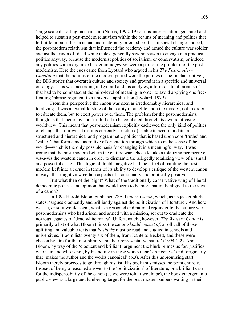'large scale distorting mechanism' (Norris, 1992: 19) of mis-interpretation generated and helped to sustain a post-modern relativism within the realms of meaning and politics that left little impulse for an actual and materially oriented politics of social change. Indeed, the post-modern relativism that influenced the academy and armed the culture war soldier against the canon of 'dead white males' generally saw no reason to engage in a practical politics anyway, because the modernist politics of socialism, or conservatism, or indeed any politics with a organized programme *per se*, were a part of the problem for the postmodernists. Here the cues came from Lyotard who argued in his *The Post-modern Condition* that the politics of the modern period were the politics of the 'metanarrative', the BIG stories that overarch culture and society and ground it in a specific and universal ontology. This was, according to Lyotard and his acolytes, a form of 'totalitarianism' that had to be combated at the miro-level of meaning in order to avoid applying one freefloating 'phrase-regimen' to a universal application (Lyotard, 1979).

From this perspective the canon was seen as irredeemably hierarchical and totalizing. It was a textual foisting of the reality of an elite upon the masses, not in order to educate them, but to exert power over them. The problem for the post-modernists, though, is that hierarchy and 'truth' had to be combated through its own relativistic worldview. This meant that post-modernism explicitly eschewed the only kind of politics of change that our world (as it is currently structured) is able to accommodate: a structured and hierarchical and programmatic politics that is based upon core 'truths' and 'values' that form a metanarrative of orientation through which to make sense of the world—which is the only possible basis for changing it in a meaningful way. It was ironic that the post-modern Left in the culture wars chose to take a totalizing perspective vis-a-vis the western canon in order to dismantle the allegedly totalizing view of a 'small and powerful caste'. This logic of double negative had the effect of painting the postmodern Left into a corner in terms of its ability to develop a critique of the western canon in ways that might view certain aspects of it as socially and politically positive.

But what then of the Right? What of the traditionally conservative wing of liberal democratic politics and opinion that would seem to be more naturally aligned to the idea of a canon?

In 1994 Harold Bloom published *The Western Canon*, which, as its jacket blurb states: 'argues eloquently and brilliantly against the politicization of literature'. And here we see, or so it would seem, what is a reasoned and rational rejoinder to the culture war post-modernists who had arisen, and armed with a mission, set out to eradicate the noxious legacies of 'dead white males'. Unfortunately, however, *The Western Canon* is primarily a list of what Bloom thinks the canon *should consist of*; a roll call of those uplifting and valuable texts that *he thinks* must be read and studied in schools and universities. Bloom lists twenty six of them, from Dante to Beckett, and these were chosen by him for their 'sublimity and their representative nature' (1994:1-2). And Bloom, by way of the 'eloquent and brilliant' argument the blurb primes us for, justifies who is in and who is not, by his noting in these works their 'strangeness' and 'originality' that 'makes the author and the works canonical' (p.3). After this unpromising start, Bloom merely proceeds to go through his list. His book thus misses the point entirely. Instead of being a reasoned answer to the 'politicization' of literature, or a brilliant case for the indispensability of the canon (as we were told it would be), the book emerged into public view as a large and lumbering target for the post-modern snipers waiting in their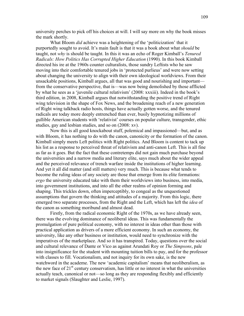university perches to pick off his choices at will. I will say more on why the book misses the mark shortly.

What Bloom *did* achieve was a heightening of the 'politicization' that it purportedly sought to avoid. It's main fault is that it was a book about what *should* be taught, not *why* is should be taught. In this it was an echo of Roger Kimball's *Tenured Radicals: How Politics Has Corrupted Higher Education* (1990). In this book Kimball directed his ire at the 1960s counter culturalists, those sundry Leftists who he saw moving into their comfortable tenured jobs in 'protected purlieus' and were now setting about changing the university to align with their own ideological worldviews. From their unsackable positions, Kimball argues, all that was good and nourishing and important from the conservative perspective, that is—was now being demolished by those afflicted by what he sees as a 'juvenile cultural relativism' (2008: xxxiii). Indeed in the book's third edition, in 2008, Kimball argues that notwithstanding the positive trend of Right wing television in the shape of Fox News, and the broadening reach of a new generation of Right wing talkback radio hosts, things have actually gotten worse, and the tenured radicals are today more deeply entrenched than ever, busily hypnotizing millions of gullible American students with 'relativist' courses on popular culture, transgender, ethic studies, gay and lesbian studies, and so on (2008: xv).

Now this is all good knockabout stuff, polemical and impassioned—but, and as with Bloom, it has nothing to do with the canon, canonicity or the formation of the canon. Kimball simply meets Left politics with Right politics. And Bloom is content to tack up his list as a response to perceived threat of relativism and anti-canon Left. This is all fine as far as it goes. But the fact that these contretemps did not gain much purchase beyond the universities and a narrow media and literary elite, says much about the wider appeal and the perceived relevance of trench warfare inside the institutions of higher learning. And yet it all did matter (and still matters) very much. This is because what tends to become the ruling ideas of any society are those that emerge from its elite formations: *ergo* the university educated take with them their worldviews into business, into media, into government institutions, and into all the other realms of opinion forming and shaping. This trickles down, often imperceptibly, to congeal as the unquestioned assumptions that govern the thinking and attitudes of a majority. From this logic, there emerged two separate processes, from the Right and the Left, which has left the *idea* of the canon as something moribund and almost dead.

Firstly, from the radical economic Right of the 1970s, as we have already seen, there was the evolving dominance of neoliberal ideas. This was fundamentally the promulgation of pure political economy, with no interest in ideas other than those with practical application as drivers of a more efficient economy. In such an economy, the university, like any other business or institution, would need to synchronize with the imperatives of the marketplace. And so it has transpired. Today, questions over the social and cultural relevance of Dante or Vico as against Arundati Roy or *The Simpsons*, pale into insignificance for the student with mounting tuition bills to pay, and for the professor with classes to fill. Vocationalism, and not inquiry for its own sake, is the new watchword in the academe. The new 'academic capitalism' means that neoliberalism, as the new face of  $21<sup>st</sup>$  century conservatism, has little or no interest in what the universities actually teach, canonical or not—so long as they are responding flexibly and efficiently to market signals (Slaughter and Leslie, 1997).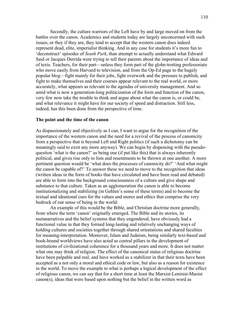Secondly, the culture warriors of the Left have by and large moved on from the battles over the canon. Academics and students today are largely unconcerned with such issues, or they if they are, they tend to accept that the western canon does indeed represent dead, elite, imperialist thinking. And in any case for students it's more fun to 'deconstruct' episodes of *South Park*, than attempt to actually understand what Edward Said or Jacques Derrida were trying to tell their parents about the importance of ideas and of texts. Teachers, for their part—unless they form part of the globe-trotting professoriate who move easily from Harvard to television, and from the Op-Ed page to the hugely popular blog—fight mainly for their jobs, fight overwork and the pressure to publish, and fight to make themselves and their courses appear relevant to the real world, or more accurately, what appears as relevant to the agendas of university management. And so amid what is now a generation-long politicization of the form and function of the canon, very few now take the trouble to think and argue about what the canon is, or could be, and what relevance it might have for our society of speed and distraction. Still less, indeed, has this been done from the perspective of time.

#### **The point and the time of the canon**

As dispassionately and objectively as I can, I want to argue for the recognition of the importance of the western canon and the need for a revival of the process of canonicity from a perspective that is beyond Left and Right politics (if such a dichotomy can be meaningly said to exist any more anyway). We can begin by dispensing with the pseudoquestion 'what is the canon?' as being one (if put like this) that is always inherently political, and gives rise only to lists and resentments to be thrown at one another. A more pertinent question would be 'what does the processes of canonicity do?' 'And what might the canon be capable of?' To answer these we need to move to the recognition that ideas (written ideas in the form of books that have circulated and have been read and debated) are able to form into the background consciousness of a culture and give shape and substance to that culture. Taken as an agglomeration the canon is able to become institutionalizing and stabilizing (in Gehlen's sense of these terms) and to become the textual and ideational cues for the values and mores and ethics that comprise the very bedrock of our sense of being in the world.

An example of this would be the Bible, and Christian doctrine more generally, from where the term 'canon' originally emerged. The Bible and its stories, its metanarratives and the belief systems that they engendered, have obviously had a functional value in that they formed long-lasting and relatively unchanging ways of holding cultures and societies together through shared orientations and shared faculties for meaning-interpretation. Moreover, Islam and Judaism, being similarly text-based and book-bound worldviews have also acted as central pillars in the development of institutions of civilizational coherence for a thousand years and more. It does not matter what one may think of religion. The effect of the canonical status of religious doctrine have been palpable and real, and have worked as a stabilizer in that their texts have been accepted as a not only a moral and ethical code or law, but also as a reason for existence in the world. To move the example to what is perhaps a logical development of the effect of religious canon, we can say that for a short time at least the Marxist-Leninist-Maoist canon(s), ideas that were based upon nothing but the belief in the written word as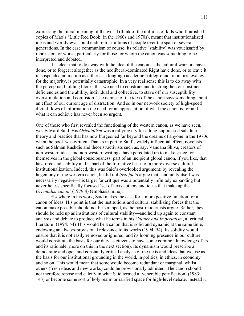expressing the literal meaning of the world (think of the millions of kids who flourished copies of Mao's 'Little Red Book' in the 1960s and 1970s), meant that institutionalized ideas and worldviews could endure for millions of people over the span of several generations. In the case communism of course, its relative 'stability' was vouchsafed by repression, or worse, particularly for those for whom the canon was something to be interpreted and debated.

It is clear that to do away with the idea of the canon as the cultural warriors have done, or to forget it altogether as the neoliberal-dominated Right have done, or to leave it in suspended animation as either as a long-ago academic battleground, or an irrelevancy for the majority, is potentially catastrophic. In a very real sense this is to do away with the perceptual building blocks that we need to construct and to strengthen our instinct deficiencies and the ability, individual and collective, to stave off our susceptibility overstimulation and confusion. The demise of the idea of the canon says something about an effect of our current age of distraction. And so in our network society of high-speed digital flows of information the need for an appreciation of what the canon is for and what it can achieve has never been so urgent.

One of those who first revealed the functioning of the western canon, as we have seen, was Edward Said. His *Orientalism* was a rallying cry for a long-suppressed subaltern theory and practice that has now burgeoned far beyond the dreams of anyone in the 1970s when the book was written. Thanks in part to Said's widely influential effect, novelists such as Salman Rushdie and theorist/activists such as, say, Vandana Shiva, creators of non-western ideas and non-western writings, have percolated up to make space for themselves in the global consciousness: part of an incipient global canon, if you like, that has force and stability and is part of the formative bases of a more diverse cultural institutionalization. Indeed, this was Said's overlooked argument: by revealing the hegemony of the western canon, he did not *ipso facto* argue that canonicity itself was necessarily negative—his target for critique was a potentially infinitely expanding but nevertheless specifically focused 'set of texts authors and ideas that make up the *Orientalist canon*' (1979:4) (emphasis mine).

Elsewhere in his work, Said makes the case for a more positive function for a canon of ideas. His point is that the institutions and cultural stabilizing forces that the canon make possible should not be scrapped, as the post-modernists argue. Rather, they should be held up as institutions of cultural stability—and held up again to constant analysis and debate to produce what he terms in his *Culture and Imperialism*, a 'critical literature' (1994: 54) This would be a canon that is solid and dynamic at the same time, endowing an always-provisional relevance to its works (1994: 54). Its solidity would ensure that it is not easily removed or ignored, and its looming presence in our culture would constitute the basis for our duty as citizens to have some common knowledge of its and its rationale (more on this in the next section). Its dynamism would prescribe a democratic and open and constantly critical analysis of the texts and ideas that we use as the basis for our institutional grounding in the world, in politics, in ethics, in economy and so on. This would mean that some would become redundant or marginal, whilst others (fresh ideas and new works) could be provisionally admitted. The canon should not therefore repose and calcify in what Said termed a 'venerable petrification' (1983: 143) or become some sort of holy realm or rarified space for high-level debate. Instead it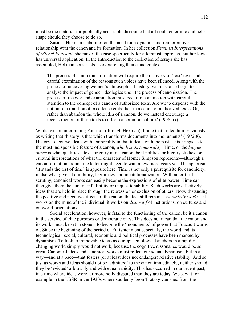must be the material for publically accessible discourse that all could enter into and help shape should they choose to do so.

Susan J Hekman elaborates on the need for a dynamic and reinterpretive relationship with the canon and its formation. In her collection *Feminist Interpretations of Michel Foucault*, she makes the case specifically for a feminist approach, but her logic has universal application. In the Introduction to the collection of essays she has assembled, Hekman constructs its overarching theme and context:

The process of canon transformation will require the recovery of 'lost' texts and a careful examination of the reasons such voices have been silenced. Along with the process of uncovering women's philosophical history, we must also begin to analyse the impact of gender ideologies upon the process of canonization. The process of recover and examination must occur in conjunction with careful attention to the concept of a canon of authorized texts. Are we to dispense with the notion of a tradition of excellence embodied in a canon of authorized texts? Or, rather than abandon the whole idea of a canon, do we instead encourage a reconstruction of these texts to inform a common culture? (1996: ix).

Whilst we are interpreting Foucault (through Hekman), I note that I cited him previously as writing that 'history is that which transforms documents into monuments' (1972:8). History, of course, deals with temporality in that it deals with the past. This brings us to the most indispensible feature of a canon, *which is its temporality*. Time, or the *longue duree* is what qualifies a text for entry into a canon, be it politics, or literary studies, or cultural interpretations of what the character of Homer Simpson represents—although a canon formation around the latter might need to wait a few more years yet. The aphorism 'it stands the test of time' is apposite here. Time is not only a prerequisite for canonicity; it also what gives it durability, legitimacy and institutionalization. Without critical scrutiny, canonical works can easily become the expressions of elite power. Time can then give them the aura of infallibility or unquestionability. Such works are effectively ideas that are held in place through the repression or exclusion of others. Notwithstanding the positive and negative effects of the canon, the fact still remains, *canonicity works*—it works on the mind of the individual, it works on *dispositif* of institutions, on cultures and on world-orientations.

Social acceleration, however, is fatal to the functioning of the canon, be it a canon in the service of elite purposes or democratic ones. This does not mean that the canon and its works must be set in stone—to become the 'monuments' of power that Foucault warns of. Since the beginning of the period of Enlightenment especially, the world and its technological, social, cultural, economic and political processes have been marked by dynamism. To look to immovable ideas as our epistemological anchors in a rapidly changing world simply would not work, because the cognitive dissonance would be so great. Canonical ideas and canonical works must reflect our social dynamism, but in a way—and at a pace—that fosters (or at least does not endanger) relative stability. And so just as works and ideas should not be 'admitted' to the canon immediately, neither should they be 'evicted' arbitrarily and with equal rapidity. This has occurred in our recent past, in a time where ideas were far more hotly disputed than they are today. We saw it for example in the USSR in the 1930s where suddenly Leon Trotsky vanished from the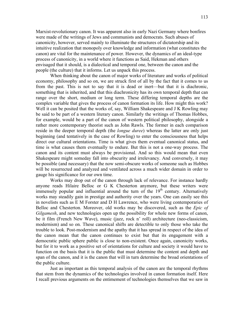Marxist-revolutionary canon. It was apparent also in early Nazi Germany where bonfires were made of the writings of Jews and communists and democrats. Such abuses of canonicity, however, served mainly to illuminate the structures of dictatorship and its intuitive realization that monopoly over knowledge and information (what constitutes the canon) are vital for the maintenance of power. However, the dynamics of an ideal-type process of canonicity, in a world where it functions as Said, Hekman and others envisaged that it should, is a dialectical and temporal one, between the canon and the people (the culture) that it informs. Let us unpack this process.

When thinking about the canon of major works of literature and works of political economy, philosophy and so on, we are struck first of all by the fact that it comes to us from the past. This is not to say that it is dead or inert—but that it is diachronic, something that is inherited, and that this diachronicity has its own temporal depth that can range over the short, medium or long term. These differing temporal depths are the complex variable that gives the process of canon formation its life. How might this work? Well it can be posited that the works of, say, William Shakespeare and J K Rowling may be said to be part of a western literary canon. Similarly the writings of Thomas Hobbes, for example, would be a part of the canon of western political philosophy, alongside a rather more contemporary theorist such as John Rawls. The former in each comparison reside in the deeper temporal depth (the *longue duree*) whereas the latter are only just beginning (and tentatively in the case of Rowling) to enter the consciousness that helps direct our cultural orientations. Time is what gives them eventual canonical status, and time is what causes them eventually to endure. But this is not a one-way process. The canon and its content must always be provisional. And so this would mean that even Shakespeare might someday fall into obscurity and irrelevancy. And conversely, it may be possible (and necessary) that the now semi-obscure works of someone such as Hobbes will be resurrected and analyzed and ventilated across a much wider domain in order to gauge his significance for our own time.

Works may drop out of the canon through lack of relevance. For instance hardly anyone reads Hilaire Belloc or G K Chesterton anymore, but these writers were immensely popular and influential around the turn of the  $19<sup>th</sup>$  century. Alternatively works may steadily gain in prestige and authority over the years. One can easily see this in novelists such as E M Forster and D H Lawrence, who were living contemporaries of Belloc and Chesterton. Moreover, old works may be discovered, such as the *Epic of Gilgamesh*, and new technologies open up the possibility for whole new forms of canon, be it film (French New Wave), music (jazz, rock n' roll) architecture (neo-classicism, modernism) and so on. These canonical shifts are detectible to only those who take the trouble to look. Post-modernism and the apathy that it has spread in respect of the idea of the canon mean that the canon continues to exist but that its engagement with a democratic public sphere public is close to non-existent. Once again, canonicity works, but for it to work as a positive set of orientations for culture and society it would have to function on the basis that it is the public that must determine the content and depth and span of the canon, and it is the canon that will in turn determine the broad orientations of the public culture.

Just as important as this temporal analysis of the canon are the temporal rhythms that stem from the dynamics of the technologies involved in canon formation itself. Here I recall previous arguments on the entimement of technologies themselves that we saw in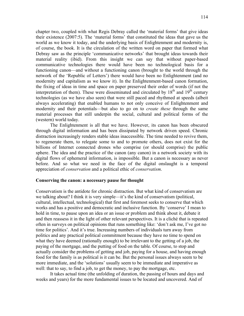chapter two, coupled with what Regis Debray called the 'material forms' that give ideas their existence (2007:5). The 'material forms' that constituted the ideas that gave us the world as we know it today, and the underlying basis of Enlightenment and modernity is, of course, the book. It is the circulation of the written word on paper that formed what Debray saw as the principle 'communicative networks' that brought ideas towards their material reality (ibid). From this insight we can say that without paper-based communicative technologies there would have been no technological basis for a functioning canon—and without a functioning canon (brought to the world through the network of the 'Republic of Letters') there would have been no Enlightenment (and no modernity and capitalism as we know it). In the Enlightenment-based canon formation, the fixing of ideas in time and space on paper preserved their order of words (if not the interpretation of them). These were disseminated and circulated by  $18<sup>th</sup>$  and  $19<sup>th</sup>$  century technologies (as we have also seen) that were still paced and rhythmed at speeds (albeit always accelerating) that enabled humans to not only conceive of Enlightenment and modernity and their potentials—but also to go on to *create these* through the same material processes that still underpin the social, cultural and political forms of the (western) world today.

The Enlightenment is all that we have. However, its canon has been obscured through digital information and has been dissipated by network driven speed. Chronic distraction increasingly renders stable ideas inaccessible. The time needed to revive them, to regenerate them, to relegate some to and to promote others, does not exist for the billions of Internet connected drones who comprise (or should comprise) the public sphere. The idea and the practice of the canon (any canon) in a network society with its digital flows of ephemeral information, is impossible. But a canon is necessary as never before. And so what we need in the face of the digital onslaught is a temporal appreciation of *conservation* and a political ethic of *conservatism*.

#### **Conserving the canon: a necessary pause for thought**

Conservatism is the antidote for chronic distraction. But what kind of conservatism are we talking about? I think it is very simple—it's the kind of conservatism (political, cultural, intellectual, technological) that first and foremost seeks to conserve that which works and has a positive and democratic and inclusive function. By 'conserve' I mean to hold in time, to pause upon an idea or an issue or problem and think about it, debate it and then reassess it in the light of other relevant perspectives. It is a cliché that is repeated often in surveys on political opinions that runs something like: 'don't ask me, I've got no time for politics'. And it's true. Increasing numbers of individuals turn away from politics and any practical political commitment because they have no time to spend on what they have deemed (rationally enough) to be irrelevant to the getting of a job, the paying of the mortgage, and the putting of food on the table. Of course, to stop and actually consider the problems of getting and job, paying for a house, and having enough food for the family is as political is it can be. But the personal issues always seem to be more immediate, and the 'solutions' usually seem to be immediate and imperative as well: that to say, to find a job, to get the money, to pay the mortgage, etc.

It takes actual time (the unfolding of duration, the passing of hours and days and weeks and years) for the more fundamental issues to be located and uncovered. And of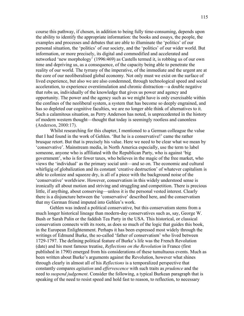course this pathway, if chosen, in addition to being fully time-consuming, depends upon the ability to identify the appropriate information: the books and essays, the people, the examples and processes and debates that are able to illuminate the 'politics' of our personal situation, the 'politics' of our society, and the 'politics' of our wider world. But information, or more precisely, its digital and commodified and accelerated and networked 'new morphology' (1996:469) as Castells termed it, is robbing us of our own time and depriving us, as a consequence, of the capacity being able to penetrate the reality of our world. The tyrrany of the imperative, of the immediate and the urgent are at the core of our neoliberalised global economy. Not only must we exist on the surface of lived experience, but also we are also condemned, through technological speed and social acceleration, to experience overstimulation and chronic distraction—a double negative that robs us, individually of the knowledge that gives us power and agency and opportunity. The power and the agency such as we might have is only exercisable within the confines of the neoliberal system, a system that has become so deeply engrained, and has so depleted our cognitive faculties, we are no longer able think of alternatives to it. Such a calamitous situation, as Perry Anderson has noted, is unprecedented in the history of modern western thought—thought that today is seemingly rootless and canonless (Anderson, 2000:17).

Whilst researching for this chapter, I mentioned to a German colleague the value that I had found in the work of Gehlen. 'But he is a conservative!' came the rather brusque retort. But that is precisely his value. Here we need to be clear what we mean by 'conservative'. Mainstream media, in North America especially, use the term to label someone, anyone who is affiliated with the Republican Party, who is against 'big government', who is for fewer taxes, who believes in the magic of the free market, who views the 'individual' as the primary social unit—and so on. The economic and cultural whirligig of globalization and its constant 'creative destruction' of whatever capitalism is able to colonize and squeeze dry, is all of a piece with the background noise of the 'conservative' worldview. However, conservatism in this widely understood sense is ironically all about motion and striving and struggling and competition. There is precious little, if anything, about conserving—unless it is the personal vested interest. Clearly there is a disjuncture between the 'conservative' described here, and the conservatism that my German friend imputed into Gehlen's work.

Gehlen was indeed a political conservative, but this conservatism stems from a much longer historical lineage than modern-day conservatives such as, say, George W. Bush or Sarah Palin or the faddish Tea Party in the USA. This historical, or classical conservatism connects with its roots, as does so much of the logic that guides this book, in the European Enlightenment. Perhaps it has been expressed most widely through the writings of Edmund Burke, the so-called 'father of conservatism' who lived between 1729-1797. The defining political feature of Burke's life was the French Revolution (date) and his most famous treatise, *Reflections on the Revolution* in France (first published in 1790) emerged from his considerations of these tumultuous events. Much as been written about Burke's arguments against the Revolution, however what shines through clearly in almost all of his *Reflections* is a temporalized perspective that constantly compares *agitation* and *effervescence* with such traits as *prudence* and the need to *suspend judgement*. Consider the following, a typical Burkean paragraph that is speaking of the need to resist speed and hold fast to reason, to reflection, to necessary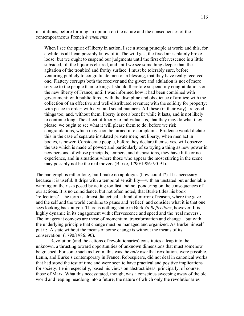institutions, before forming an opinion on the nature and the consequences of the contemporaneous French *événements*:

When I see the spirit of liberty in action, I see a strong principle at work; and this, for a while, is all I can possibly know of it. The wild gas, the fixed air is plainly broke loose: but we ought to suspend our judgments until the first effervescence is a little subsided, till the liquor is cleared, and until we see something deeper than the agitation of the troubled and frothy surface. I must be tolerably sure, before venturing publicly to congratulate men on a blessing, that they have really received one. Flattery corrupts both the receiver and the giver; and adulation is not of more service to the people than to kings. I should therefore suspend my congratulations on the new liberty of France, until I was informed how it had been combined with government; with public force; with the discipline and obedience of armies; with the collection of an effective and well-distributed revenue; with the solidity for property; with peace in order; with civil and social manners. All these (in their way) are good things too; and, without them, liberty is not a benefit while it lasts, and is not likely to continue long. The effect of liberty to individuals is, that they may do what they please: we ought to see what it will please them to do, before we risk congratulations, which may soon be turned into complaints. Prudence would dictate this in the case of separate insulated private men; but liberty, when men act in bodies, is power. Considerate people, before they declare themselves, will observe the use which is made of power; and particularly of so trying a thing as new power in new persons, of whose principals, tempers, and dispositions, they have little or no experience, and in situations where those who appear the most stirring in the scene may possibly not be the real movers (Burke, 1790/1986: 90-91).

The paragraph is rather long, but I make no apologies (how could I?). It is necessary because it is useful. It drips with a temporal sensibility—with an unstated but undeniable warning on the risks posed by acting too fast and not pondering on the consequences of our actions. It is no coincidence, but not often noted, that Burke titles his book 'reflections'. The term is almost dialectical, a kind of mirror of reason, where the gaze and the self and the world combine to pause and 'reflect' and consider what it is that one sees looking back at you. There is nothing static in Burke's *Reflections*, however. It is highly dynamic in its engagement with effervescence and speed and the 'real movers'. The imagery it conveys are those of momentum, transformation and change—but with the underlying principle that change must be managed and organized. As Burke himself put it: 'A state without the means of some change is without the means of its conservation' (1790/1986: 90).

Revolution (and the actions of revolutionaries) constitutes a leap into the unknown, a thrusting toward opportunities of unknown dimensions that must somehow be grasped. For some such as Lenin, this was the *only way* that revolutions were possible. Lenin, and Burke's contemporary in France, Robespierre, did not deal in canonical works that had stood the test of time and were seen to have practical and positive implications for society. Lenin especially, based his views on abstract ideas, principally, of course, those of Marx. What this necessitated, though, was a conscious sweeping away of the old world and leaping headlong into a future, the nature of which only the revolutionaries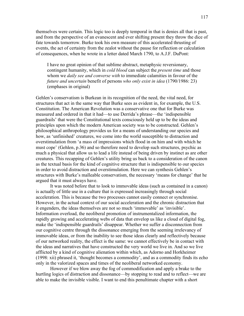themselves were certain. This logic too is deeply temporal in that is denies all that is past, and from the perspective of an evanescent and ever shifting present they throw the dice of fate towards tomorrow. Burke took his own measure of this accelerated thrusting of events, the act of certainty from the zealot without the pause for reflection or calculation of consequences, when he wrote in a letter dated March 1790, to A.J.F. DuPont:

I have no great opinion of that sublime abstract, metaphysic reversionary, contingent humanity, which in *cold blood* can subject the *present time* and those whom we *daily see and converse with* to immediate calamities in favour of the *future and uncertain* benefit of persons *who only exist in idea* (1790/1986: 23) (emphases in original)

Gehlen's conservatism is Burkean in its recognition of the need, the vital need, for structures that act in the same way that Burke sees as evident in, for example, the U.S. Constitution. The American Revolution was a conservative one that for Burke was measured and ordered in that it had—to use Derrida's phrase—the 'indispensible guardrails' that were the Constitutional texts consciously held up to be the ideas and principles upon which the modern American society was to be constructed. Gehlen's philosophical anthropology provides us for a means of understanding our species and how, as 'unfinished' creatures, we come into the world susceptible to distraction and overstimulation from 'a mass of impressions which flood in on him and with which he must cope' (Gehlen, p.36) and so therefore need to develop such structures, psychic as much a physical that allow us to lead a life instead of being driven by instinct as are other creatures. This recapping of Gehlen's utility bring us back to a consideration of the canon as the textual basis for the kind of cognitive structure that is indispensible to our species in order to avoid distraction and overstimulation. Here we can synthesis Gehlen's structures with Burke's malleable conservatism, the necessary 'means for change' that he argued that it must always have.

It was noted before that to look to immovable ideas (such as contained in a canon) is actually of little use in a culture that is expressed increasingly through social acceleration. This is because the two processes cannot easily connect or synchronise. However, in the actual context of our social acceleration and the chronic distraction that it engenders, the ideas themselves are not so much 'immovable' as 'invisible'. Information overload, the neoliberal promotion of instrumentalized information, the rapidly growing and accelerating webs of data that envelop us like a cloud of digital fog, make the 'indispensible guardrails' disappear. Whether we suffer a disconnection from our cognitive centre through the dissonance emerging from the seeming irrelevancy of immovable ideas, or from the inability to see those ideas clearly and reflectively because of our networked reality, the effect is the same: we cannot effectively be in contact with the ideas and narratives that have constructed the very world we live in. And so we live afflicted by a kind of cognitive alienation within which, as Adorno and Horkheimer (1998: xii) phrased it, 'thought becomes a commodity', and as a commodity finds its echo only in the valorized spaces and times of the neoliberal networked economy.

However if we blow away the fog of commodification and apply a brake to the hurtling logics of distraction and dissonance—by stopping to read and to reflect—we are able to make the invisible visible. I want to end this penultimate chapter with a short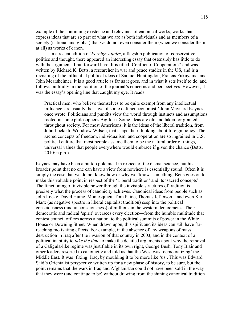example of the continuing existence and relevance of canonical works, works that express ideas that are so part of what we are as both individuals and as members of a society (national and global) that we do not even consider them (when we consider them at all) as works of canon.

In a recent edition of *Foreign Affairs*, a flagship publication of conservative politics and thought, there appeared an interesting essay that ostensibly has little to do with the arguments I put forward here. It is titled 'Conflict of Cooperation?' and was written by Richard K. Betts, a researcher in war and peace studies in the US, and is a revisiting of the influential political ideas of Samuel Huntingdon, Francis Fukuyama, and John Mearsheimer. It is a good article as far as it goes, and in what it sets itself to do, and follows faithfully in the tradition of the journal's concerns and perspectives. However, it was the essay's opening line that caught my eye. It reads:

Practical men, who believe themselves to be quite exempt from any intellectual influence, are usually the slave of some defunct economist,' John Maynard Keynes once wrote. Politicians and pundits view the world through instincts and assumptions rooted in some philosopher's Big Idea. Some ideas are old and taken for granted throughout society. For most Americans, it is the ideas of the liberal tradition, from John Locke to Woodrow Wilson, that shape their thinking about foreign policy. The sacred concepts of freedom, individualism, and cooperation are so ingrained in U.S. political culture that most people assume them to be the natural order of things, universal values that people everywhere would embrace if given the chance (Betts, 2010: n.p.n.)

Keynes may have been a bit too polemical in respect of the dismal science, but his broader point that no one can have a view from nowhere is essentially sound. Often it is simply the case that we do not know how or why we 'know' something. Betts goes on to make this valuable point in respect of the 'Liberal tradition' and its 'sacred concepts'. The functioning of invisible power through the invisible structures of tradition is precisely what the process of canonicity achieves. Canonical ideas from people such as John Locke, David Hume, Montesquieu, Tom Paine, Thomas Jefferson—and even Karl Marx (as negative spectre in liberal capitalist tradition) seep into the political consciousness (and unconsciousness) of millions in the western democracies. Their democratic and radical 'spirit' oversees every election—from the humble multitude that contest council offices across a nation, to the political summits of power in the White House or Downing Street. When drawn upon, this spirit and its ideas can still have farreaching motivating effects. For example, in the absence of any weapons of mass destruction in Iraq after the invasion of that country in 2003, and in the context of a political inability to *take the time* to make the detailed arguments about why the removal of a Caligula-like regime was justifiable in its own right, George Bush, Tony Blair and other leaders resorted to canonicity and told us that the West was 'democratizing' the Middle East. It was 'fixing' Iraq, by moulding it to be more like 'us'. This was Edward Said's Orientalist perspective written up for a new phase of history, to be sure, but the point remains that the wars in Iraq and Afghanistan could not have been sold in the way that they were (and continue to be) without drawing from the shining canonical tradition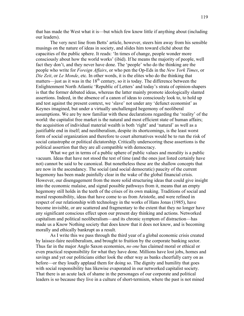that has made the West what it is—but which few know little if anything about (including our leaders).

The very next line from Betts' article, however, steers him away from his sensible musings on the nature of ideas in society, and slides him toward cliché about the capacities of the public sphere. It reads: 'In times of change, people wonder more consciously about how the world works' (ibid). If he means the majority of people, well fact they don't, and they never have done. The 'people' who do the thinking are the people who write for *Foreign Affairs*, or who pen the Op-Eds in the *New York Times*, or *Die Zeit*, or *Le Monde*, etc. In other words, it is the elites who do the thinking that matters—just as it was in the  $18<sup>th</sup>$  century, so it is today. The difference between the Enlightenment North Atlantic 'Republic of Letters' and today's strata of opinion-shapers is that the former debated ideas, whereas the latter mainly promote ideologically slanted assertions. Indeed, in the absence of a canon of ideas to consciously look to, to hold up and test against the present context, we 'slave' not under any 'defunct economist' as Keynes imagined, but under a virtually unchallenged hegemony of neoliberal assumptions. We are by now familiar with these declarations regarding the 'reality' of the world: the capitalist free market is the natural and most efficient state of human affairs; the acquisition of individual material wealth is both 'right' and 'natural' as well as a justifiable end in itself; and neoliberalism, despite its shortcomings, is the least worst form of social organization and therefore to court alternatives would be to run the risk of social catastrophe or political dictatorship. Critically underscoring these assertions is the political assertion that they are all compatible with democracy.

What we get in terms of a public sphere of public values and morality is a public vacuum. Ideas that have not stood the test of time (and the ones just listed certainly have not) cannot be said to be canonical. But nonetheless these are the shallow concepts that are now in the ascendancy. The social (and social democratic) paucity of the current hegemony has been made painfully clear in the wake of the global financial crisis. However, our disengagement from the more solid structuring ideas that could give insight into the economic malaise, and signal possible pathways from it, means that an empty hegemony still holds in the teeth of the crises of its own making. Traditions of social and moral responsibility, ideas that have come to us from Aristotle, and were refined in respect of our relationship with technology in the works of Hans Jonas (1985), have become invisible, or are scattered and fragmentary to the extent that they no longer have any significant conscious effect upon our present day thinking and actions. Networked capitalism and political neoliberalism—and its chronic symptom of distraction—has made us a Know Nothing society that does know that it does not know, and is becoming morally and ethically bankrupt as a result.

As I write this we pass through the third year of a global economic crisis created by laissez-faire neoliberalism, and brought to fruition by the corporate banking sector. Thus far in the major Anglo Saxon economies, *no one* has claimed moral or ethical or even practical responsibility for what they have done. Millions have lost jobs, homes and savings and yet our politicians either look the other way as banks cheerfully carry on as before—or they loudly applaud them for doing so. The dignity and humility that goes with social responsibility has likewise evaporated in our networked capitalist society. That there is an acute lack of shame in the personages of our corporate and political leaders is so because they live in a culture of short-termism, where the past is not mined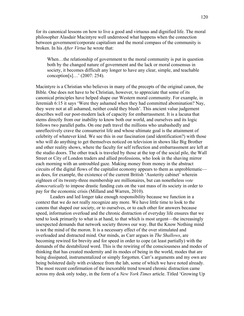for its canonical lessons on how to live a good and virtuous and dignified life. The moral philosopher Alasdair Macintyre well understood what happens when the connection between government/corporate capitalism and the moral compass of the community is broken. In his *After Virtue* he wrote that:

When...the relationship of government to the moral community is put in question both by the changed nature of government and the lack or moral consensus in society, it becomes difficult any longer to have any clear, simple, and teachable conception[s]…' (2007: 254).

Macintyre is a Christian who believes in many of the precepts of the original canon, the Bible. One does not have to be Christian, however, to appreciate that some of its canonical principles have helped shape our Western moral community. For example, in Jeremiah 6:15 it says 'Were they ashamed when they had committed abomination? Nay, they were not at all ashamed, neither could they blush'. This ancient value judgement describes well our post-modern lack of capacity for embarrassment. It is a lacuna that stems directly from our inability to know both our world, and ourselves and its logic follows two parallel paths. On one path travel the millions who unabashedly and unreflectively crave the consumerist life and whose ultimate goal is the attainment of celebrity of whatever kind. We see this in our fascination (and identification?) with those who will do anything to get themselves noticed on television in shows like Big Brother and other reality shows, where the faculty for self reflection and embarrassment are left at the studio doors. The other track is traveled by those at the top of the social pile, the Wall Street or City of London traders and allied professions, who look in the shaving mirror each morning with an untroubled gaze. Making money from money in the abstract circuits of the digital flows of the capitalist economy appears to them as unproblematic as does, for example, the existence of the current British 'Austerity cabinet' wherein eighteen of its twenty-three membership are millionaires, but can nonetheless *vote democratically* to impose drastic funding cuts on the vast mass of its society in order to pay for the economic crisis (Milland and Warren, 2010).

Leaders and led longer take enough responsibility because we function in a context that we do not really recognize any more. We have little time to look to the canons that shaped our society, or to ourselves, or to each other for answers because speed, information overload and the chronic distraction of everyday life ensures that we tend to look primarily to what is at hand, to that which is most urgent—the increasingly unexpected demands that network society throws our way. But the Know Nothing mind is not the mind of the moron. It is a necessary effect of the over stimulated and overloaded and distracted mind. Our minds, as Carr argues in *The Shallows*, are becoming rewired for brevity and for speed in order to cope (at least partially) with the demands of the destabilized word. This is the rewiring of the consciousness and modes of thinking that has created modernity and its modes of being in the world, modes that are being dissipated, instrumentalized or simply forgotten. Carr's arguments and my own are being bolstered daily with evidence from the lab, some of which we have noted already. The most recent confirmation of the inexorable trend toward chronic distraction came across my desk only today, in the form of a *New York Times* article. Titled 'Growing Up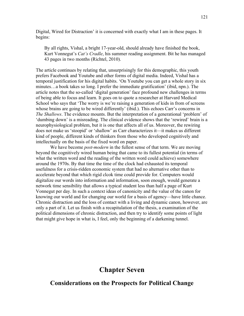Digital, Wired for Distraction' it is concerned with exactly what I am in these pages. It begins:

By all rights, Vishal, a bright 17-year-old, should already have finished the book, Kurt Vonnegut's *Cat's Cradle*, his summer reading assignment. Bit he has managed 43 pages in two months (Richtel, 2010).

The article continues by relating that, unsurprisingly for this demographic, this youth prefers Facebook and Youtube and other forms of digital media. Indeed, Vishal has a temporal justification for his digital habits. 'On Youtube you can get a whole story in six minutes…a book takes so long. I prefer the immediate gratification' (ibid, npn.). The article notes that the so-called 'digital generation' face profound new challenges in terms of being able to focus and learn. It goes on to quote a researcher at Harvard Medical School who says that 'The worry is we're raising a generation of kids in from of screens whose brains are going to be wired differently' (ibid.). This echoes Carr's concerns in *The Shallows*. The evidence mounts. But the interpretation of a generational 'problem' of 'dumbing down' is a misreading. The clinical evidence shows that the 'rewired' brain is a neurophysiological problem, but it is one that affects all of us. Moreover, the rewiring does not make us 'stoopid' or 'shallow' as Carr characterizes it—it makes us different kind of people, different kinds of thinkers from those who developed cognitively and intellectually on the basis of the fixed word on paper.

We have become *post-modern* in the fullest sense of that term. We are moving beyond the cognitively wired human being that came to its fullest potential (in terms of what the written word and the reading of the written word could achieve) somewhere around the 1970s. By that time the time of the clock had exhausted its temporal usefulness for a crisis-ridden economic system that had no alternative other than to accelerate beyond that which rigid clcok time could provide for. Computers would digitalize our words into information and information, soon enough, would generate a network time sensibility that allows a typical student less than half a page of Kurt Vonnegut per day. In such a context ideas of canonicity and the value of the canon for knowing our world and for changing our world for a basis of agency—have little chance. Chronic distraction and the loss of contact with a living and dynamic canon, however, are only a part of it. Let us finish with a recapitulation of the thesis, a examination of the political dimensions of chronic distraction, and then try to identify some points of light that might give hope in what is, I feel, only the beginning of a darkening tunnel.

# **Chapter Seven**

## **Considerations on the Prospects for Political Change**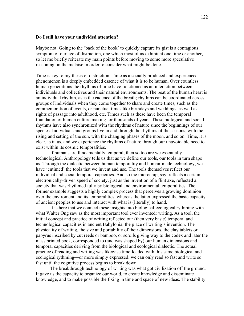#### **Do I still have your undivided attention?**

Maybe not. Going to the 'back of the book' to quickly capture its gist is a contagious symptom of our age of distraction, one which most of us exhibit at one time or another, so let me briefly reiterate my main points before moving to some more speculative reasoning on the malaise in order to consider what might be done.

Time is key to my thesis of distraction. Time as a socially produced and experienced phenomenon is a deeply embedded essence of what it is to be human. Over countless human generations the rhythms of time have functioned as an interaction between individuals and collectives and their natural environments. The beat of the human heart is an individual rhythm, as is the cadence of the breath; rhythms can be coordinated across groups of individuals when they come together to share and create times, such as the commemoration of events, or punctual times like birthdays and weddings, as well as rights of passage into adulthood, etc. Times such as these have been the temporal foundation of human culture making for thousands of years. These biological and social rhythms have also synchronized with the rhythms of nature since the beginnings of our species. Individuals and groups live in and through the rhythms of the seasons, with the rising and setting of the sun, with the changing phases of the moon, and so on. Time, it is clear, is in us, and we experience the rhythms of nature through our unavoidable need to exist within its cosmic temporalities.

If humans are fundamentally temporal, then so too are we essentially technological. Anthropology tells us that as we define our tools, our tools in turn shape us. Through the dialectic between human temporality and human-made technology, we have 'entimed' the tools that we invent and use. The tools themselves reflect our individual and social temporal capacities. And so the microchip, say, reflects a certain electronically-driven speed of society, just as the invention of a flint axe, reflected a society that was rhythmed fully by biological and environmental temporalities. The former example suggests a highly complex process that perceives a growing dominion over the enviroment and its temporalities, whereas the latter expressed the basic capacity of ancient peoples to use and interact with what is (literally) to hand.

It is here that we connect these insights into biological-ecological rythming with what Walter Ong saw as the most important tool ever invented: writing. As a tool, the initial concept and practice of writing reflected our (then very basic) temporal and technological capacities in ancient Babylonia, the place of writing's invention. The physicality of writing, the size and portability of their dimensions, the clay tablets or papyrus inscribed by cut reeds or bamboo, or scrolls giving way to the codex and later the mass printed book, corresponded to (and was shaped by) our human dimensions and temporal capacities deriving from the biological and ecological dialectic. The actual practice of reading and writing was likewise time-loaded with this same biological and ecological rythming—or more simply expressed: we can only read so fast and write so fast until the cognitive process begins to break down.

The breakthrough technology of writing was what got civilization off the ground. It gave us the capacity to organize our world, to create knowledge and disseminate knowledge, and to make possible the fixing in time and space of new ideas. The stability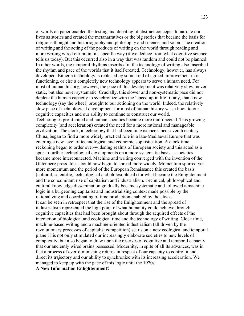of words on paper enabled the testing and debating of abstract concepts, to narrate our lives as stories and created the metanarratives or the big stories that became the basis for religious thought and historiography and philosophy and science, and so on. The creation of writing and the acting of the products of writing on the world through reading and more writing wired our brain in a specific way (if we deduce from what cognitive science tells us today). But this occurred also in a way that was random and could not be planned. In other words, the temporal rhythms inscribed in the technology of writing also inscribed the rhythm and pace of the worlds that it itself created. Technology, however, has always developed. Either a technology is replaced by some kind of agreed improvement in its functioning, or else a completely new technology appears to serve a human need. For most of human history, however, the pace of this development was relatively slow: never static, but also never systematic. Crucially, this slower and non-systematic pace did not deplete the human capacity to synchronize with the 'speed up in life' if any, that a new technology (say the wheel) brought to our actioning on the world. Indeed, the relatively slow pace of technological development for most of human history was a boon to our cognitive capacities and our ability to continue to construct our world. Technologies proliferated and human societies became more multifaceted. This growing complexity (and acceleration) created the need for a more rational and manageable civilization. The clock, a technology that had been in existence since seventh century China, began to find a more widely practical role in a late-Mediaeval Europe that was entering a new level of technological and economic sophistication. A clock time reckoning began to order ever-widening realms of European society and this acted as a spur to further technological developments on a more systematic basis as societies became more interconnected. Machine and writing converged with the invention of the Gutenberg press. Ideas could now begin to spread more widely. Momentum spurred yet more momentum and the period of the European Renaissance this created the basis (cultural, scientific, technological and philosophical) for what became the Enlightenment and the concomitant rise of capitalism and industrialism. Technical, philosophical and cultural knowledge dissemination gradually became systematic and followed a machine logic in a burgeoning capitalist and industrialising context made possible by the rationalizing and coordinating of time production enabled by the clock. It can be seen in retrospect that the rise of the Enlightenment and the spread of industrialism represented the high point of what humanity could achieve through cognitive capacities that had been brought about through the acquired effects of the interaction of biological and ecological time and the technology of writing. Clock time, machine-based writing and a machine-oriented industrialism (all driven by the revolutionary processes of capitalist competition) set us on a new ecological and temporal plane This not only stimulated our increasingly elaborate societies to new levels of complexity, but also began to draw upon the reserves of cognitive and temporal capacity that our anciently wired brains possessed. Modernity, in spite of all its advances, was in fact a process of ever-diminishing returns in respect of our capacity to control it and direct its trajectory and our ability to synchronize with its increasing acceleration. We managed to keep up with the pace of this logic until the 1970s.

**A New Information Enlightenment?**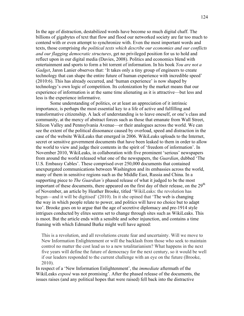In the age of distraction, destabilized words have become so much digital chaff. The billions of gigabytes of text that flow and flood our networked society are far too much to contend with or even attempt to synchronize with. Even the most important words and texts, those comprising *the political texts which describe our economies and our conflicts and our flagging democratic structures*, get no privileged position for us to hold and reflect upon in our digital media (Davies, 2008). Politics and economics blend with entertainment and sports to form a bit torrent of information. In his book *You are not a Gadget*, Jaron Lanier observes that: 'It takes only a tiny group of engineers to create technology that can shape the entire future of human experience with incredible speed' (2010:6). This has already occurred, and 'human experience' is now shaped by technology's own logic of competition. Its colonization by the market means that our experience of information is at the same time alienating as it is attractive—but less and less is the experience informative.

Some understanding of politics, or at least an appreciation of it intrinsic importance, is perhaps the most essential key to a life of active and fulfilling and transformative citizenship. A lack of understanding is to leave oneself, or one's class and community, at the mercy of abstract forces such as those that emanate from Wall Street, Silicon Valley and Pennsylvania Avenue—or their analogues across the world. We can see the extent of the political dissonance caused by overload, speed and distraction in the case of the website WikiLeaks that emerged in 2006. WikiLeaks uploads to the Internet, secret or sensitive government documents that have been leaked to them in order to allow the world to view and judge their contents in the spirit of 'freedom of information'. In November 2010, WikiLeaks, in collaboration with five prominent 'serious' newspapers from around the world released what one of the newspapers, the *Guardian*, dubbed 'The U.S. Embassy Cables'. These comprised over 250,000 documents that contained unexpurgated communications between Washington and its embassies across the world, many of them in sensitive regions such as the Middle East, Russia and China. In a supporting piece to *The Guardian's* phased release of what it judged to be the most important of these documents, there appeared on the first day of their release, on the 29<sup>th</sup> of November, an article by Heather Brooke, titled 'WikiLeaks: the revolution has begun—and it will be digitised' (2010). In it she opined that 'The web is changing the way in which people relate to power, and politics will have no choice but to adapt too'. Brooke goes on to argue that the age of secretive diplomacy and pre-1914 style intrigues conducted by elites seems set to change through sites such as WikiLeaks. This is moot. But the article ends with a sensible and sober injunction, and contains a time framing with which Edmund Burke might well have agreed:

This is a revolution, and all revolutions create fear and uncertainty. Will we move to New Information Enlightenment or will the backlash from those who seek to maintain control no matter the cost lead us to a new totalitarianism? What happens in the next five years will define the future of democracy for the next century, so it would be well if our leaders responded to the current challenge with an eye on the future (Brooke, 2010).

In respect of a 'New Information Enlightenment', the *immediate* aftermath of the WikiLeaks *exposé* was not promising'. After the phased release of the documents, the issues raises (and any political hopes that were raised) fell back into the distractive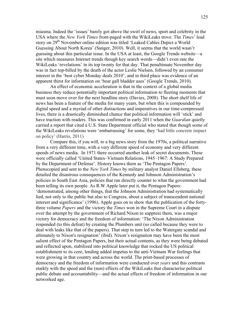miasma. Indeed the 'issues' barely got above the swirl of news, sport and celebrity in the USA where the *New York Times* front-paged with the WikiLeaks trove. The *Times*' lead story on 29<sup>th</sup> November online edition was titled 'Leaked Cables Depict a World Guessing About North Korea' (Sanger, 2010). Well, it seems that the world wasn't guessing about this particular issue. In the USA at least, the Google Trends website—a site which measures Internet trends though key search words—didn't even rate the WikiLeaks 'revelations' in its top twenty for that day. That penultimate November day was in fact top-billed by the death of the actor Leslie Nielsen, followed by an consumer interest in the 'best cyber Monday deals 2010', and in third place was evidence of an apparent thirst for information on 'bear gall bladder uses' (Google Trends, 2010).

An effect of economic acceleration is that in the context of a global media business they reduce potentially important political information to fleeting moments that must soon move over for the next headline story (Davies, 2008). The short shelf life of news has been a feature of the media for many years, but when this is compounded by digital speed and a myriad of other distractions and imperatives in our time-compressed lives, there is a drastically diminished chance that political information will 'stick' and have traction with readers. This was confirmed in early 2011 when the *Guardian* quietly carried a report that cited a U.S. State Department official who stated that though some of the WikiLeaks revelations were 'embarrassing' for some, they 'had little concrete impact on policy' (Harris, 2011)

Compare this, if you will, to a big news story from the 1970s, a political narrative from a very different time, with a very different speed of economy and very different speeds of news media. In 1971 there occurred another leak of secret documents. These were officially called 'United States–Vietnam Relations, 1945–1967: A Study Prepared by the Department of Defense'. History knows them as 'The Pentagon Papers'. Photocopied and sent to the *New York Times* by military analyst Daniel Ellsberg, these detailed the disastrous consequences of the Kennedy and Johnson Administration's policies in South East Asia, policies that ran directly counter to what the government had been telling its own people. As R.W Apple later put it, the Pentagon Papers: 'demonstrated, among other things, that the Johnson Administration had systematically lied, not only to the public but also to Congress, about a subject of transcendent national interest and significance' (1996). Apple goes on to show that the publication of the fortythree volume *Papers* and the victory the *Times* won in the Supreme Court in a dispute over the attempt by the government of Richard Nixon to suppress them, was a major victory for democracy and the freedom of information: 'The Nixon Administration responded (to this defeat) by creating the Plumbers unit (so called because they were to deal with leaks like that of the papers). That step in turn led to the Watergate scandal and ultimately to Nixon's resignation' (ibid). Nixon's resignation may have been the most salient effect of the Pentagon Papers, but their actual contents, as they were being debated and reflected upon, stabilized into political knowledge that rocked the US political establishment to its core, lending added impetus to the anti-Vietnam War feelings that were growing in that country and across the world. The print-based processes of democracy and the freedom of information were conducted over *years* and this contrasts starkly with the speed and the (non) effects of the WikiLeaks that characterise political public debate and accountability—and the actual effects of freedom of information in our networked age.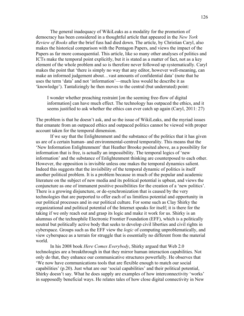The general inadequacy of WikiLeaks as a modality for the promotion of democracy has been considered in a thoughtful article that appeared in the *New York Review of Books* after the brief fuss had died down. The article, by Christian Caryl, also makes the historical comparison with the Pentagon Papers, and views the impact of the Papers as far more consequential. This article, like so many other analyses of politics and ICTs make the temporal point explicitly, but it is stated as a matter of fact, not as a key element of the whole problem and so is therefore never followed up systematically. Caryl makes the point that 'there is simply no way that any editor, however well-meaning, can make an informed judgement about…vast amounts of confidential data' (note that he uses the term 'data' and not 'information'—much less would he describe it as 'knowledge'). Tantalizingly he then moves to the central (but underrated) point:

I wonder whether preaching restraint [on the seeming free-flow of digital information] can have much effect. The technology has outpaced the ethics, and it seems justified to ask whether the ethics can ever catch up again (Caryl, 2011: 27)

The problem is that he doesn't ask, and so the issue of WikiLeaks, and the myriad issues that emanate from an outpaced ethics and outpaced politics cannot be viewed with proper account taken for the temporal dimension.

If we say that the Enlightenment and the substance of the politics that it has given us are of a certain human- and environmental-centred temporality. This means that the 'New Information Enlightenment' that Heather Brooke posited above, as a possibility for information that is free, is actually an impossibility. The temporal logics of 'new information' and the substance of Enlightenment thinking are counterposed to each other. However, the opposition is invisible unless one makes the temporal dynamics salient. Indeed this suggests that the invisibility of the temporal dynamic of politics is itself another political problem. It is a problem because in much of the popular and academic literature on the subject of new media and its political potential is upbeat, and views the conjuncture as one of immanent positive possibilities for the creation of a 'new politics'. There is a growing disjuncture, or de-synchronization that is caused by the very technologies that are purported to offer each of us limitless potential and opportunity in our political processes and in our political culture. For some such as Clay Shirky the organizational and political potential of the Internet speaks for itself; it is there for the taking if we only reach out and grasp its logic and make it work for us. Shirky is an alumnus of the technophile Electronic Frontier Foundation (EFF), which is a politically neutral but politically active body that seeks to develop civil liberties and civil rights in cyberspace. Groups such as the EFF view the *logic* of computing unproblematically, and view cyberspace as a terrain for struggle that is essentially no different from the material world.

In his 2008 book *Here Comes Everybody*, Shirky argued that Web 2.0 technologies are a breakthrough in that they mirror human interaction capabilities. Not only do that, they enhance our communicative structures powerfully. He observes that 'We now have communications tools that are flexible enough to match our social capabilities' (p.20). Just what are our 'social capabilities' and their political potential, Shirky doesn't say. What he does supply are examples of how interconnectivity 'works' in supposedly beneficial ways. He relates tales of how close digital connectivity in New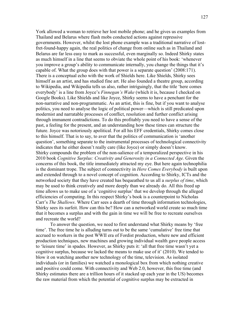York allowed a woman to retrieve her lost mobile phone; and he gives us examples from Thailand and Belarus where flash mobs conducted actions against repressive governments. However, whilst the lost phone example was a traditional narrative of lostfret-found-happy again, the real politics of change from online such as in Thailand and Belarus are far less easy to mark as successful, even marginally so. Indeed Shirky states as much himself in a line that seems to obviate the whole point of his book: 'whenever you improve a group's ability to communicate internally, you change the things that it's capable of. What the group does with that power is a separate question' (2008:171). There is a conceptual echo with the work of Shields here. Like Shields, Shirky sees himself as an artist, and has studied fine art. He also founded a theatre group, according to Wikipedia, and Wikipedia tells us also, rather intriguingly, that the title 'here comes everybody' is a line from Joyce's *Finnegan's Wake* (which it is, because I checked on Google Books). Like Shields and like Joyce, Shirky seems to have a penchant for the non-narrative and non-programmatic. As an artist, this is fine, but if you want to analyse politics, you need to analyse the logic of political power—which is still predicated upon modernist and narratable processes of conflict, resolution and further conflict arising through immanent contradictions. To do this profitably you need to have a sense of the past, a feeling for the present, and an understanding how these times can structure the future. Joyce was notoriously apolitical. For all his EFF credentials, Shirky comes close to this himself. That is to say, to aver that the politics of communication is 'another question', something separate to the instrumental processes of technological connectivity indicates that he either doesn't really care (like Joyce) or simply doesn't know. Shirky compounds the problem of the non-salience of a temporalized perspective in his 2010 book *Cognitive Surplus: Creativity and Generosity in a Connected Age.* Given the concerns of this book, the title immediately attracted my eye. But here again technophilia is the dominant trope. The subject of connectivity in *Here Comes Everybody* is built upon and extended through to a novel concept of cognition. According to Shirky, ICTs and the networked society that they have created has bequeathed to us all a *surplus of time*, which may be used to think creatively and more deeply than we already do. All this freed up time allows us to make use of a 'cognitive surplus' that we develop through the alleged efficiencies of computing. In this respect Shirky's book is a counterpoint to Nicholas Carr's *The Shallows*. Where Carr sees a dearth of time through information technologies, Shirky sees its surfeit. How can this be? How can a networked world create so much time that it becomes a surplus and with the gain in time we will be free to recreate ourselves and recreate the world?

To answer the question, we need to first understand what Shirky means by 'free time'. The free time he is alluding turns out to be the same 'cumulative' free time that accrued to workers in the post WWII era of Fordist production, where new and efficient production techniques, new machines and growing individual wealth gave people access to 'leisure time' in spades. However, as Shirky puts it: 'all that free time wasn't yet a cognitive surplus, because we lacked the means to make use of it' (2010). We tended to blow it on watching another new technology of the time, television. As isolated individuals (or in families) we watched a monological box from which nothing creative and positive could come. With connectivity and Web 2.0, however, this free time (and Shirky estimates there are a trillion hours of it stacked up each year in the US) becomes the raw material from which the potential of cognitive surplus may be extracted in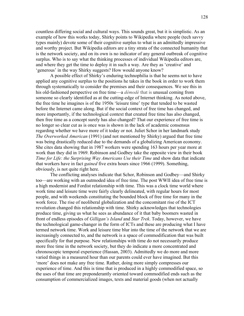countless differing social and cultural ways. This sounds great, but it is simplistic. As an example of how this works today, Shirky points to Wikipedia where people (tech savvy types mainly) devote some of their cognitive surplus to what is an admittedly impressive and worthy project. But Wikipedia editors are a tiny strata of the connected humanity that is the network society, and on its own is no indicator of any general outbreak of cognitive surplus. Who is to say what the thinking processes of individual Wikipedia editors are, and where they get the time to deploy it in such a way. Are they as 'creative' and 'generous' in the way Shirky suggests? How would anyone know?

A possible effect of Shirky's enduring technophilia is that he seems not to have applied any cognitive surplus to the positions he takes in the book in order to work them through systematically to consider the premises and their consequences. We see this in his old-fashioned perspective on free time—a *démodé* that is unusual coming from someone so clearly identified as at the cutting-edge of Internet thinking. As noted above, the free time he imagines is of the 1950s 'leisure time' type that tended to be wasted before the Internet came along. But if the social context of free time has changed, and more importantly, if the technological context that created free time has also changed, then free time as a concept surely has also changed? That our experience of free time is no longer so clear cut as is once was is shown in the lack of academic consensus regarding whether we have more of it today or not. Juliet Schor in her landmark study *The Overworked American* (1991) (and not mentioned by Shirky) argued that free time was being drastically reduced due to the demands of a globalizing American economy. She cites data showing that in 1987 workers were spending 163 hours per year more at work than they did in 1969. Robinson and Godbey take the opposite view in their book *Time for Life: the Surprising Way Americans Use their Time and show data that indicate* that workers have in fact *gained* five extra hours since 1966 (1999). Something, obviously, is not quite right here.

The conflicting analyses indicate that Schor, Robinson and Godbey—and Shirky too—are working with an outmoded idea of free time. The post WWII idea of free time is a high modernist and Fordist relationship with time. This was a clock time world where work time and leisure time were fairly clearly delineated, with regular hours for most people, and with weekends constituting the bounded block of free time for many in the work force. The rise of neoliberal globalization and the concomitant rise of the ICT revolution changed this relationship with time. Shirky acknowledges that technologies produce time, giving us what he sees as abundance of it that baby boomers wasted in front of endless episodes of *Gilligan's Island* and *Star Trek*. Today, however, we have the technological game-changer in the form of ICTs and these are producing what I have termed network time. Work and leisure time blur into the time of the network that we are increasingly connected to, and the network is a space of commodification that was built specifically for that purpose. New relationships with time do not necessarily produce more free time in the network society, but they do indicate a more concentrated and chronoscopic temporal experience (Hassan, 2003). Admittedly we do more and more varied things in a measured hour than our parents could ever have imagined. But this 'more' does not make any free time. Rather, doing more simply compresses our experience of time. And this is time that is produced in a highly commodified space, so the uses of that time are preponderantly oriented toward commodified ends such as the consumption of commercialized images, texts and material goods (when not actually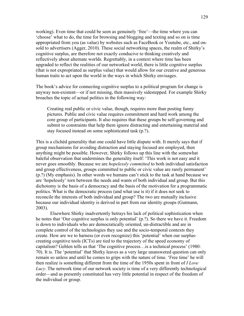working). Even time that could be seen as genuinely 'free'—the time where you can 'choose' what to do, the time for browsing and blogging and texting and so on is time appropriated from you (as value) by websites such as FaceBook or Youtube, etc., and onsold to advertisers (Agger, 2010). These social networking spaces, the realm of Shirky's cognitive surplus, are therefore not exactly conducive to thinking creatively and reflectively about alternate worlds. Regrettably, in a context where time has been upgraded to reflect the realities of our networked world, there is little cognitive surplus (that is not expropriated as surplus value) that would allow for our creative and generous human traits to act upon the world in the ways in which Shirky envisages.

The book's advice for connecting cognitive surplus to a political program for change is anyway non-existent—or if not missing, then massively sidestepped. For example Shirky broaches the topic of actual politics in the following way:

Creating real public or civic value, though, requires more than posting funny pictures. Public and civic value requires commitment and hard work among the core group of participants. It also requires that these groups be self-governing and submit to constraints that help them ignore distracting and entertaining material and stay focused instead on some sophisticated task (p.?).

This is a clichéd generality that one could have little dispute with. It merely says that if group mechanisms for avoiding distraction and staying focused are employed, then anything might be possible. However, Shirky follows up this line with the somewhat baleful observation that undermines the generality itself: 'This work is not easy and it never goes smoothly. Because we are *hopelessly committed* to both individual satisfaction and group effectiveness, groups committed to public or civic value are rarely permanent' (p.?) (My emphasis). In other words we humans can't stick to the task at hand because we are 'hopelessly' torn between the needs and wants of both individual and group. But this dichotomy is the basis of a democracy and the basis of the motivation for a programmatic politics. What is the democratic process (and what use is it) if it does not seek to reconcile the interests of both individual and group? The two are mutually inclusive because our individual identity is derived in part from our identity groups (Gutmann, 2003).

Elsewhere Shirky inadvertently betrays his lack of political sophistication when he notes that 'Our cognitive surplus is only potential' (p.?). So there we have it. Freedom is down to individuals who are democratically oriented, un-distractible and are in complete control of the technologies they use and the socio-temporal contexts they create. How are we to harness (or even recognize) this 'potential' when our surpluscreating cognitive tools (ICTs) are tied to the trajectory of the speed economy of capitalism? Gehlen tells us that 'The cognitive process…is a technical process' (1980: 70). It is. The 'potential' that Shirky leaves as a very large unanswered question can only remain so unless and until he comes to grips with the nature of time. 'Free time' he will then realize is something different from the time of the 1950s spent in front of *I Love Lucy*. The network time of our network society is time of a very differently technological order—and as presently constituted has very little potential in respect of the freedom of the individual or group.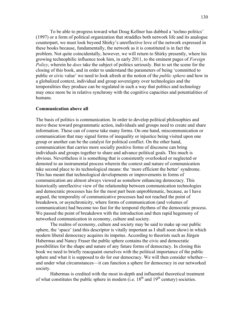To be able to progress toward what Doug Kellner has dubbed a 'techno politics' (1997) or a form of political organization that straddles both network life and its analogue counterpart, we must look beyond Shirky's unreflective love of the network expressed in these books because, fundamentally, the network as it is constituted is in fact the problem. Not quite coincidentally, however, we will return to Shirky presently, where his growing technophilic influence took him, in early 2011, to the eminent pages of *Foreign Policy*, wherein he *does* take the subject of politics seriously. But to set the scene for the closing of this book, and in order to understand the parameters of being 'committed to public or civic value' we need to look afresh at the notion of the *public sphere* and how in a globalized context, individual and group sovereignty over technologies and the temporalities they produce can be regulated in such a way that politics and technology may once more be in relative synchrony with the cognitive capacities and potentialities of humans.

#### **Communication above all**

The basis of politics is communication. In order to develop political philosophies and move these toward programmatic action, individuals and groups need to create and share information. These can of course take many forms. On one hand, miscommunication or communication that may signal forms of inequality or injustice being visited upon one group or another can be the catalyst for political conflict. On the other hand, communication that carries more socially positive forms of discourse can bring individuals and groups together to share and advance political goals. This much is obvious. Nevertheless it is something that is consistently overlooked or neglected or demoted to an instrumental process wherein the context and nature of communication take second place to its technological means: the 'more efficient the better' syndrome. This has meant that technological developments or improvements in forms of communication are almost always viewed as somehow enhancing democracy. This historically unreflective view of the relationship between communication technologies and democratic processes has for the most part been unproblematic, because, as I have argued, the temporality of communicative processes had not reached the point of breakdown, or asynchronicity, where forms of communication (and volumes of communication) had become too fast for the temporal rhythms of the democratic process. We passed the point of breakdown with the introduction and then rapid hegemony of networked communication in economy, culture and society.

The realms of economy, culture and society may be said to make up our public sphere, the 'space' (and this descriptor is vitally important as I shall soon show) in which modern liberal democracy acquires its impetus. According to theorists such as Jürgen Habermas and Nancy Fraser the public sphere contains the civic and democratic possibilities for the shape and nature of any future forms of democracy. In closing this book we need to briefly reacquaint ourselves with the political importance of the public sphere and what it is supposed to do for our democracy. We will then consider whether and under what circumstances—it can function a sphere for democracy in our networked society.

Habermas is credited with the most in-depth and influential theoretical treatment of what constitutes the public sphere in modern (i.e.  $18<sup>th</sup>$  and  $19<sup>th</sup>$  century) societies.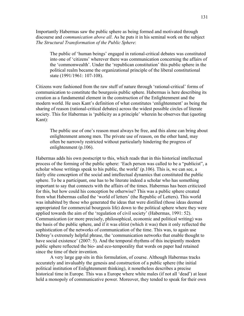Importantly Habermas saw the public sphere as being formed and motivated through discourse and *communication above all*. As he puts it in his seminal work on the subject *The Structural Transformation of the Public Sphere*:

The public of 'human beings' engaged in rational-critical debates was constituted into one of 'citizens' wherever there was communication concerning the affairs of the 'commonwealth'. Under the 'republican constitution' this public sphere in the political realm became the organizational principle of the liberal constitutional state (1991/1961: 107-108).

Citizens were fashioned from the raw stuff of nature through 'rational-critical' forms of communication to constitute the bourgeois public sphere. Habermas is here describing its creation as a fundamental element in the construction of the Enlightenment and the modern world. He uses Kant's definition of what constitutes 'enlightenment' as being the sharing of reason (rational-critical debates) across the widest possible circles of literate society. This for Habermas is 'publicity as a principle' wherein he observes that (quoting Kant):

The public use of one's reason must always be free, and this alone can bring about enlightenment among men. The private use of reason, on the other hand, may often be narrowly restricted without particularly hindering the progress of enlightenment (p.106).

Habermas adds his own postscript to this, which reads that in this historical intellectual process of the forming of the public sphere: 'Each person was called to be a "publicist", a scholar whose writings speak to his public, the world' (p.106). This is, we can see, a fairly elite conception of the social and intellectual dynamics that constituted the public sphere. To be a participant, one has to be literate indeed a scholar who has something important to say that connects with the affairs of the times. Habermas has been criticized for this, but how could his conception be otherwise? This was a public sphere created from what Habermas called the 'world of letters' (the Republic of Letters). This world was inhabited by those who generated the ideas that were distilled (those ideas deemed appropriated for commercial bourgeois life) down to the political sphere where they were applied towards the aim of the 'regulation of civil society' (Habermas, 1991: 52). Communication (or more precisely, philosophical, economic and political writing) was the basis of the public sphere, and if it was elitist (which it was) then it only reflected the sophistication of the networks of communication of the time. This was, to again use Debray's extremely helpful phrase, the 'communication networks that enable thought to have social existence' (2007: 5). And the temporal rhythms of this incipiently modern public sphere reflected the bio- and eco-temporality that words on paper had retained since the time of their invention.

A very large gap sits in this formulation, of course. Although Habermas tracks accurately and invaluably the genesis and construction of a public sphere (the initial political institution of Enlightenment thinking), it nonetheless describes a precise historical time in Europe. This was a Europe where white males (if not all 'dead') at least held a monopoly of communicative power. Moreover, they tended to speak for their own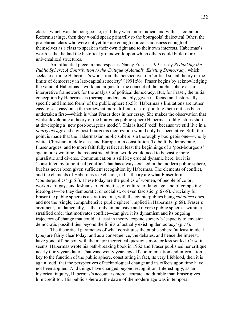class—which was the bourgeoisie; or if they were more radical and with a Jacobin or Reformist tinge, then they would speak primarily *to* the bourgeois' dialectical Other, the proletarian class who were not yet literate enough nor consciousness enough of themselves as a class to speak in their own right and to their own interests. Habermas's worth is that he laid the historical groundwork upon which others could build more universalized structures.

An influential piece in this respect is Nancy Fraser's 1991 essay *Rethinking the Public Sphere*: *A Contribution to the Critique of Actually Existing Democracy*, which seeks to critique Habermas's work from the perspective of a 'critical social theory of the limits of democracy in late-capitalist society' (1991:56). Fraser begins by acknowledging the value of Habermas's work and argues for the concept of the public sphere as an interpretive framework for the analysis of political democracy. But, for Fraser, the initial conception by Habermas is (perhaps understandably, given its focus) an 'historically specific and limited form' of the public sphere (p.58). Habermas's limitations are rather easy to see, easy once the somewhat more difficult task of pointing them out has been undertaken first—which is what Fraser does in her essay. She makes the observation that whilst developing a theory of the bourgeois public sphere Habermas 'oddly' stops short at developing a 'new post-bourgeois model'. This is itself 'odd' because we still live in a *bourgeois age* and any post-bourgeois theorization would only be speculative. Still, the point is made that the Habermasian public sphere is a thoroughly bourgeois one—wholly white, Christian, middle class and European in constitution. To be fully democratic, Fraser argues, and to more faithfully reflect at least the beginnings of a 'post-bourgeois' age in our own time, the reconstructed framework would need to be vastly more pluralistic and diverse. Communication is still key crucial dynamic here, but it is 'constituted by [a political] conflict' that has always existed in the modern public sphere, but has never been given sufficient recognition by Habermas. The elements of conflict, and the elements of Habermas's exclusion, in his theory are what Fraser terms 'counterpublics' (p.61). These today are the publics of women, of people of color, workers, of gays and lesbians, of ethnicities, of culture, of language, and of competing ideologies—be they democratic, or socialist, or even fascistic (p.67-8). Crucially for Fraser the public sphere is a stratified one, with the counterpublics being *subaltern* ones, and not the 'single, comprehensive public sphere' implied in Habermas (p.68). Fraser's argument, fundamentally, is that only an inclusive and diverse public sphere—within a stratified order that motivates conflict—can give it its dynamism and its ongoing trajectory of change that could, at least in theory, expand society's 'capacity to envision democratic possibilities beyond the limits of actually existing democracy' (p.77).

The theoretical parameters of what constitutes the public sphere (at least in ideal type) are fairly clear today, and as a consequence, the debates, and hence the interest, have gone off the boil with the major theoretical questions more or less settled. Or so it seems. Habermas wrote his path-breaking book in 1962 and Fraser published her critique nearly thirty years later. That was twenty years ago. If communication and information is key to the function of the public sphere, constituting in fact, its very lifeblood, then it is again 'odd' that the perspectives of technological change and its effects upon time have not been applied. And things have changed beyond recognition. Interestingly, as an historical inquiry, Habermas's account is more accurate and durable than Fraser gives him credit for. His public sphere at the dawn of the modern age was in temporal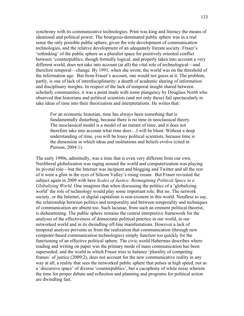synchrony with its communicative technologies. Print was king and literacy the means of ideational and political power. The bourgeois-dominated public sphere was in a real sense the only possible public sphere, given the role development of communication technologies, and the relative development of an adequately literate society. Fraser's 'rethinking' of the public sphere as a pluralist space for positively oriented conflict between 'counterpublics, though formally logical, and properly takes into account a very different world, does not take into account (at all) the vital role of technological—and therefore temporal—change. By 1991, when she wrote, the world was on the threshold of the information age. But from Fraser's account, one would not guess at it. The problem, partly, is one of lack of interdisciplinarity; a dearth of academic sharing of information and disciplinary insights. In respect of the lack of temporal insight shared between scholarly communities, it was a point made with some plangency by Douglass North who observed that historians and political scientists (and not only these) fail spectacularly to take ideas of time into their theorization and interpretations. He writes that:

For an economic historian, time has always been something that is fundamentally disturbing, because there is no time in neoclassical theory. The neoclassical model is a model of an instant of time, and it does not therefore take into account what time does…I will be blunt: Without a deep understanding of time, you will be lousy political scientists, because time is the dimension in which ideas and institutions and beliefs evolve (cited in Pierson, 2004:1).

The early 1990s, admittedly, was a time that is even very different from our own. Neoliberal globalization was raging around the world and computerization was playing its pivotal role—but the Internet was incipient and blogging and Twitter and all the rest of it were a glint in the eyes of Silicon Valley's rising cream. But Fraser revisited the subject again in 2009 with here *Scales of Justice: Reimagining Political Space in a Globalizing World.* One imagines that when discussing the politics of a 'globalizing world' the role of technology would play some important role. But no. The network society, or the Internet, or digital capitalism is non-existent in this world. Needless to say, the relationship between politics and temporality and between temporality and techniques of communication are absent too. Such lacunae, from such an eminent political theorist, is disheartening. The public sphere remains the central interpretive framework for the analyses of the effectiveness of democratic political practice in our world, in our networked world and in its dwindling off-line manifestations. However a lack of temporal analysis prevents us from the realization that communication (through new computer-based communication technologies) simply function too quickly for the functioning of an effective political sphere. The civic world Habermas describes where reading and writing on paper was the primary mode of mass communication has been superseded; and the world in which Fraser tries to balance 'plurality of competing frames' of justice (2009:2), does not account for the new communicative reality in any way at all, a reality that sees the networked public sphere that pulses at high speed, not as a 'discursive space' of diverse 'counterpublics', but a cacophony of white noise wherein the time for proper debate and reflection and planning and programs for political action are dwindling fast.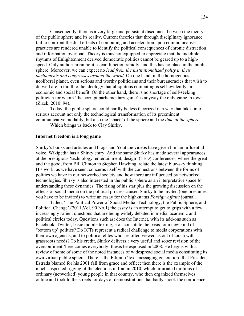Consequently, there is a very large and persistent disconnect between the theory of the public sphere and its reality. Current theories that through disciplinary ignorance fail to confront the dual effects of computing and acceleration upon communicative practices are rendered unable to identify the political consequences of chronic distraction and information overload. Theory is thus not equipped to appreciate that the indelible rhythms of Enlightenment derived democratic politics cannot be geared up to a highspeed. Only authoritarian politics can function rapidly, and this has no place in the public sphere. Moreover, we can expect no *lead from the institutionalized polity in their parliaments and congresses around the world.* On one hand, in the homogenous neoliberal planet, even serious and worthy politicians and their bureaucracies that wish to do well are in thrall to the ideology that ubiquitous computing is self-evidently an economic and social benefit. On the other hand, there is no shortage of self-seeking politician for whom 'the corrupt parliamentary game' is anyway the only game in town (Zizek, 2010: 94).

Today, the public sphere could hardly be less theorized in a way that takes into serious account not only the technological transformation of its preeminent communicative modality, but also the 'space' of the sphere and the *time of the sphere.*

Which brings us back to Clay Shirky.

### **Internet freedom is a long game**

Shirky's books and articles and blogs and Youtube videos have given him an influential voice. Wikipedia has a Shirky entry. And the same Shirky has made several appearances at the prestigious 'technology, entertainment, design' (TED) conferences, where the great and the good, from Bill Clinton to Stephen Hawking, relate the latest blue-sky thinking. His work, as we have seen, concerns itself with the connections between the forms of politics we have in our networked society and how there are influenced by networked technologies. Shirky is also interested in the public sphere as an interpretative space for understanding these dynamics. The rising of his star plus the growing discussion on the effects of social media on the political process caused Shirky to be invited (one presumes you have to be invited) to write an essay for the high-status *Foreign Affairs* journal.

Titled, 'The Political Power of Social Media: Technology, the Public Sphere, and Political Change' (2011, Vol. 90 No.1) the essay is an attempt to get to grips with a few increasingly salient questions that are being widely debated in media, academic and political circles today. Questions such as: does the Internet, with its add-ons such as Facebook, Twitter, basic mobile texting, etc., constitute the basis for a new kind of 'bottom up' politics? Do ICTs represent a radical challenge to media corporations with their own agendas, and to political elites who are often viewed as out of touch with grassroots needs? To his credit, Shirky delivers a very useful and sober revision of the overconfident 'here comes everybody' thesis he espoused in 2008. He begins with a review of some of some of the noted instances of widespread social media constituting its own virtual public sphere. There is the Filipino 'text-messaging generation' that President Estrada blamed for his 2001 fall from grace and office; then there is the example of the much suspected rigging of the elections in Iran in 2010, which infuriated millions of ordinary (networked) young people in that country, who then organized themselves online and took to the streets for days of demonstrations that badly shook the confidence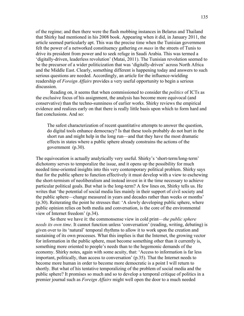of the regime; and then there were the flash mobbing instances in Belarus and Thailand that Shirky had mentioned in his 2008 book. Appearing when it did, in January 2011, the article seemed particularly apt. This was the precise time when the Tunisian government felt the power of a networked constituency gathering *en mass* in the streets of Tunis to drive its president from power and to seek refuge in Saudi Arabia. This was termed a 'digitally-driven, leaderless revolution' (Matai, 2011). The Tunisian revolution seemed to be the precursor of a wider politicization that was 'digitally-driven' across North Africa and the Middle East. Clearly, something different is happening today and answers to such serious questions are needed. Accordingly, an article for the influence-wielding readership of *Foreign Affairs* provides a very useful opportunity to begin a serious discussion.

Reading on, it seems that when commissioned to consider the *politics* of ICTs as the exclusive focus of his assignment, the analysis has become more equivocal (and conservative) than the techno-sunniness of earlier works. Shirky reviews the empirical evidence and realizes early on that there is really little basis upon which to form hard and fast conclusions. And so:

The safest characterization of recent quantitative attempts to answer the question, do digital tools enhance democracy? Is that these tools probably do not hurt in the short run and might help in the long run—and that they have the most dramatic effects in states where a public sphere already constrains the actions of the government (p.30).

The equivocation is actually analytically very useful. Shirky's 'short-term/long-term' dichotomy serves to temporalize the issue, and it opens up the possibility for much needed time-oriented insights into this very contemporary political problem. Shirky says that for the public sphere to function effectively it must develop with a view to eschewing the short-termism of neoliberalism and instead invest in it the time necessary to achieve particular political goals. But what is the long-term? A few lines on, Shirky tells us. He writes that 'the potential of social media lies mainly in their support of civil society and the public sphere—change measured in years and decades rather than weeks or months' (p.30). Reiterating the point he stresses that: 'A slowly developing public sphere, where public opinion relies on both media and conversation, is the core of the environmental view of Internet freedom' (p.34).

So there we have it: the commonsense view in cold print—*the public sphere needs its own time*. It cannot function unless 'conversation' (reading, writing, debating) is given over to its 'natural' temporal rhythms to allow it to work upon the creation and sustaining of its own processes. What this implies is that the Internet, the growing vector for information in the public sphere, must become something other than it currently is, something more oriented to people's needs than to the hegemonic demands of the economy. Shirky notes, again with some acuity, that: 'Access to information is far less important, politically, than access to conversation' (p.35). That the Internet needs to become more human in order to become more democratic is a point I will return to shortly. But what of his tentative temporalizing of the problem of social media and the public sphere? It promises so much and so to develop a temporal critique of politics in a premier journal such as *Foreign Affairs* might well open the door to a much needed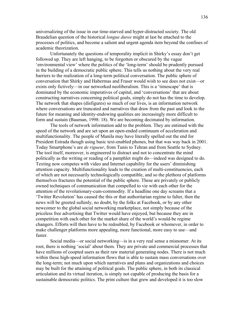universalizing of the issue in our time-starved and hyper-distracted society. The old Braudelian question of the historical *longue duree* might at last be attached to the processes of politics, and become a salient and urgent agenda item beyond the confines of academic theorization.

Unfortunately the questions of temporality implicit in Shirky's essay don't get followed up. They are left hanging, to be forgotten or obscured by the vague 'environmental view' where the politics of the 'long-term' should be prudently pursued in the building of a democratic public sphere. This tells us nothing about the very real barriers to the realization of a long-term political conversation. The public sphere of conversation that Shirky and Habermas and Fraser would wish to see does not exist—or exists only fictively—in our networked neoliberalism. This is a 'timescape' that is dominated by the economic imperatives of capital, and 'conversations' that are about constructing narratives concerning political goals, simply do not has the time to develop. The network that shapes (disfigures) so much of our lives, is an information network where conversations are truncated and narratives that draw from the past and look to the future for meaning and identity-endowing qualities are increasingly more difficult to form and sustain (Bauman, 1998: 18). We are becoming decimated by information.

The tools of network information add to the problem. They are entimed with the speed of the network and are set upon an open-ended continuum of acceleration and multifunctionality. The people of Manila may have literally spelled out the end for President Estrada though using basic text-enabled phones, but that was way back in 2001. Today Smartphone's are *de rigueur*, from Tunis to Tehran and from Seattle to Sydney. The tool itself, moreover, is engineered to distract and not to concentrate the mind politically as the writing or reading of a pamphlet might do—indeed was designed to do. Texting now competes with video and Internet capability for the users' diminishing attention capacity. Multifunctionality leads to the creation of multi-constituencies, each of which are not necessarily technologically compatible, and so the plethora of platforms themselves fractures the potential of the public sphere. These are privately or publicly owned techniques of communication that compelled to vie with each other for the attention of the revolutionary-cum-commodity. If a headline one day screams that a 'Twitter Revolution' has caused the this or that authoritarian regime to falter, then the news will be greeted sullenly, no doubt, by the folks at Facebook, or by any other newcomer to the global social networking marketplace, not simply because of the priceless free advertising that Twitter would have enjoyed, but because they are in competition with each other for the market share of the world's would-be regime changers. Efforts will then have to be redoubled, by Facebook or whomever, in order to make challenger platforms more appealing, more functional, more easy to use—and faster.

Social media—or social networking—is in a very real sense a misnomer. At its root, there is nothing 'social' about them. They are private and commercial processes that have millions of coopted users as their raw material generating nodes. There is not much within these high-speed information flows that is able to sustain mass conversations over the long-term; not much upon which narratives and plans and organizations and choices may be built for the attaining of political goals. The public sphere, in both its classical articulation and its virtual iteration, is simply not capable of producing the basis for a sustainable democratic politics. The print culture that grew and developed it is too slow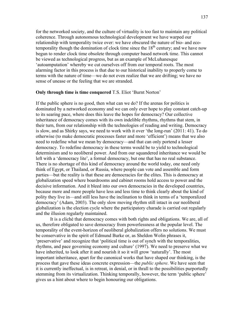for the networked society, and the culture of virtuality is too fast to maintain any political coherence. Through autonomous technological development we have warped our relationship with temporality twice over: we have obscured the nature of bio- and ecotemporality though the domination of clock time since the  $18<sup>th</sup>$  century; and we have now begun to render clock time obsolete through computer based network time. This cannot be viewed as technological progress, but as an example of McLuhanesque 'autoamputation' whereby we cut ourselves off from our temporal roots. The most alarming factor in this process is that due to our historical inability to properly come to terms with the nature of time—we do not even realize that we are drifting; we have no sense of unease or the feeling that we are stranded.

#### **Only through time is time conquered** T.S. Eliot 'Burnt Norton'

If the public sphere is no good, then what can we do? If the arenas for politics is dominated by a networked economy and we can only ever hope to play constant catch-up to its searing pace, where does this leave the hopes for democracy? Our collective inheritance of democracy comes with its own indelible rhythms, rhythms that stem, in their turn, from our relationship with the technologies of reading and writing. Democracy is slow, and as Shirky says, we need to work with it over 'the long-run' (2011: 41). To do otherwise (to make democratic processes faster and more 'efficient') means that we also need to redefine what we mean by democracy—and that can only portend a lesser democracy. To redefine democracy in these terms would be to yield to technological determinism and to neoliberal power. And from our squandered inheritance we would be left with a 'democracy lite', a formal democracy, but one that has no real substance. There is no shortage of this kind of democracy around the world today, one need only think of Egypt, or Thailand, or Russia, where people can vote and assemble and form parties—but the reality is that these are democracies for the elites. This is democracy at globalization speed where boardrooms and cabinet rooms hold access to power and the decisive information. And it bleed into our own democracies in the developed countries, because more and more people have less and less time to think clearly about the kind of polity they live in—and still less have the inclination to think in terms of a 'temporalized democracy' (Adam, 2003). The only slow moving rhythm still intact in our neoliberal globalization is the election cycle where the participatory charade is carried out regularly and the illusion regularly maintained.

It is a cliché that democracy comes with both rights and obligations. We are, all of us, therefore obligated to save democracy from powerlessness at the popular level. The temporality of the event-horizon of neoliberal globalization offers no solutions. We must be conservative in the spirit of Edmund Burke or, as Sheldon Wolin phrases it, 'preservative' and recognize that 'political time is out of synch with the temporalities, rhythms, and pace governing economy and culture' (1997). We need to preserve what we have inherited, to look after it and nourish it so it will grow 'naturally'. The most important inheritance, apart for the canonical works that have shaped our thinking, is the process that gave these ideas concrete expression—the *public sphere*. We have seen that it is currently ineffectual, is in retreat, in denial, or in thrall to the possibilities purportedly stemming from its virtualization. Thinking temporally, however, the term 'public sphere' gives us a hint about where to begin honouring our obligations.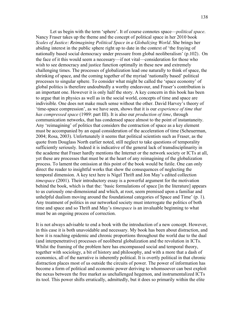Let us begin with the term 'sphere'. It of course connotes space—*political space*. Nancy Fraser takes up the theme and the concept of political space in her 2010 book *Scales of Justice: Reimagining Political Space in a Globalizing World*. She brings her abiding interest in the public sphere right up to date in the context of 'the fraying of nationally based social democracy under pressure from global neoliberalism' (p.102). On the face of it this would seem a necessary—if not vital—consideration for those who wish to see democracy and justice function optimally in these new and extremely challenging times. The processes of globalization lead one naturally to think of space, the shrinking of space, and the coming together of the myriad 'nationally based' political processes to singular sphere. To consider what might be called the 'space economy' of global politics is therefore undoubtedly a worthy endeavour, and Fraser's contribution is an important one. However it is only half the story. A key concern in this book has been to argue that in physics as well as in the social world, concepts of time and space are indivisible. One does not make much sense without the other. David Harvey's theory of 'time-space compression', as we have seen, shows that it is our *experience of time that has compressed space* (1989: part III). It is also our *production of time*, through communication networks, that has condensed space almost to the point of instantaneity. Any 'reimagining' of politics that considers the contraction of space as a key element must be accompanied by an equal consideration of the acceleration of time (Scheuerman, 2004; Rosa, 2003). Unfortunately it seems that political scientists such as Fraser, as the quote from Douglass North earlier noted, still neglect to take questions of temporality sufficiently seriously. Indeed it is indicative of the general lack of transdisciplinarity in the academe that Fraser hardly mentions the Internet or the network society or ICTs at all, yet these are processes that must be at the heart of any reimagining of the globalization process. To lament the omission at this point of the book would be futile. One can only direct the reader to insightful works that show the consequences of neglecting the temporal dimension. A key text here is Nigel Thrift and Jon May's edited collection *timespace* (2001). Their introductory essay is a powerful argument for the motivation behind the book, which is that the: 'basic formulations of space [in the literature] appears to us curiously one-dimensional and which, at root, seem premised upon a familiar and unhelpful dualism moving around the foundational categories of Space and Time' (p. 1). Any treatment of politics in our networked society must interrogate the politics of both time and space and so Thrift and May's *timespace* is an invaluable beginning to what must be an ongoing process of correction.

It is not always advisable to end a book with the introduction of a new concept. However, in this case it is both unavoidable and necessary. My book has been about distraction, and how it is reaching epidemic and chronic proportions throughout the world due to the dual (and interpenetrative) processes of neoliberal globalization and the revolution in ICTs. Whilst the framing of the problem here has encompassed social and temporal theory, together with sociology, a bit of history and philosophy, and with a more that a dash of economics, all of the narrative is inherently political. It is overtly political in that chronic distraction places most of us outside the circuits of power. The power of information has become a form of political and economic power deriving to whomsoever can best exploit the nexus between the free market as unchallenged hegemon, and instrumentalized ICTs its tool. This power shifts erratically, admittedly, but it does so primarily within the elite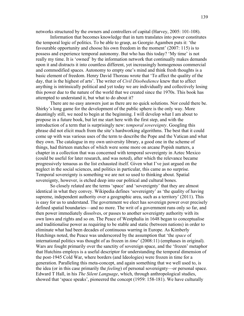networks structured by the owners and controllers of capital (Harvey, 2005: 101-108).

Information that becomes knowledge that in turn translates into power constitutes the temporal logic of politics. To be able to grasp, as Georgio Agamben puts it: 'the favourable opportunity and choose his own freedom in the moment' (2007: 115) is to possess and experience temporal autonomy. But who has this today? 'My time' is not really my time. It is 'owned' by the information network that continually makes demands upon it and distracts it into countless different, yet increasingly homogenous commercial and commodified spaces. Autonomy to empty one's mind and think fresh thoughts is a basic element of freedom. Henry David Thoreau wrote that 'To affect the quality of the day, that is the highest of arts'. The writer of *Civil Disobedience* knew that to affect anything is intrinsically political and yet today we are individually and collectively losing this power due to the nature of the world that we created since the 1970s. This book has attempted to understand it, but what to do about it?

There are no easy answers just as there are no quick solutions. Nor could there be. Shirky's long game for the development of the public sphere is the only way. More dauntingly still, we need to begin at the beginning. I will develop what I am about to propose in a future book, but let me start here with the first step, and with the introduction of a term that is surprisingly new: *temporal sovereignty*. Googling this phrase did not elicit much from the site's hardworking algorithms. The best that it could come up with was various uses of the term to describe the Pope and the Vatican and what they own. The catalogue in my own university library, a good one in the scheme of things, had thirteen matches of which were some more on arcane Popish matters, a chapter in a collection that was concerned with temporal sovereignty in Aztec Mexico (could be useful for later research, and was noted), after which the relevance became progressively tenuous as the list exhausted itself. Given what I've just argued on the neglect in the social sciences, and politics in particular, this came as no surprise. Temporal sovereignty is something we are not so used to thinking about. Spatial sovereignty, however, is etched deep into our political and cultural bones.

So closely related are the terms 'space' and 'sovereignty' that they are almost identical in what they convey. Wikipedia defines 'sovereignty' as 'the quality of having supreme, independent authority over a geographic area, such as a territory' (2011). This is easy for us to understand. The government we elect has sovereign power over precisely defined spatial boundaries—and no more. The writ of a government runs only so far, and then power immediately dissolves, or passes to another sovereignty authority with its own laws and rights and so on. The Peace of Westphalia in 1648 began to conceptualise and traditionalise power as requiring to be stable and static (between nations) in order to eliminate what had been decades of continuous warring in Europe. As Kimberly Hutchings noted, the Peace was underscored by the assumption that 'the *space* of international politics was thought of as frozen in *time*' (2008:11) (emphases in original). Wars are fought primarily over the sanctity of sovereign space, and the 'frozen' metaphor that Hutchins employs is a useful descriptor for understanding the temporal dimension of the post-1945 Cold War, where borders (and Ideologies) were frozen in time for a generation. Paralleling this meta-concept, and again something that we well used to, is the idea (or in this case primarily the *feeling*) of personal sovereignty—or personal space. Edward T Hall, in his *The Silent Language*, which, through anthropological studies, showed that 'space speaks', pioneered the concept (1959: 158-181). We have culturally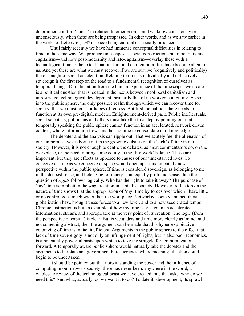determined comfort 'zones' in relation to other people, and we know consciously or unconsciously, when these are being trespassed. In other words, and as we saw earlier in the works of Lefebvre (1992), space (being cultural) is socially produced.

Until fairly recently we have had immense conceptual difficulties in relating to time in the same way. We produce timescapes as social constructions but modernity and capitalism—and now post-modernity and late-capitalism—overlay these with a technological time to the extent that our bio- and eco-temporalities have become alien to us. And yet these are what we must recover if we are survive (cognitively and politically) the onslaught of social acceleration. Relating to time as individually and collectively sovereign is the first step on the road to a fundamental recognition of ourselves as temporal beings. Our alienation from the human experience of the timescapes we create is a political question that is located in the nexus between neoliberal capitalism and unrestricted technological development, primarily that of networked computing. As so it is to the public sphere, the only possible realm through which we can recover time for society, that we must look for hopes of redress. But first the public sphere needs to function at its own pre-digital, modern, Enlightenment-derived pace. Public intellectuals, social scientists, politicians and others must take the first step by pointing out that temporally speaking the public sphere cannot function in an accelerated, network driven context, where information flows and has no time to consolidate into knowledge.

The debates and the analysis can ripple out. That we acutely feel the alienation of our temporal selves is borne out in the growing debates on the 'lack' of time in our society. However, it is not enough to centre the debates, as most commentators do, on the workplace, or the need to bring some equity to the 'life-work' balance. These are important, but they are effects as opposed to causes of our time-starved lives. To conceive of time as we conceive of space would open up a fundamentally new perspective within the public sphere. If time is considered sovereign, as belonging to me in the deepest sense, and belonging to society in an equally profound sense, then the question of *rights* follows logically. Who has the right to take it away? The purchase of 'my' time is implicit in the wage relation in capitalist society. However, reflection on the nature of time shows that the appropriation of 'my' time by forces over which I have little or no control goes much wider than the workplace. Networked society and neoliberal globalization have brought these forces to a new level, and to a new accelerated tempo. Chronic distraction is but an example of how my time is created in an accelerated informational stream, and appropriated at the very point of its creation. The logic (from the perspective of capital) is clear. But is we understand time more clearly as 'mine' and not something abstract, then the argument can be made that this hyper-exploitative colonizing of time is in fact inefficient. Arguments in the public sphere to the effect that a lack of time sovereignty is not only an infringement of rights, but is also poor economics, is a potentially powerful basis upon which to take the struggle for temporalization forward. A temporally aware public sphere would naturally take the debates and the arguments to the state and government bureaucracies, where meaningful action could begin to be undertaken.

It should be pointed out that notwithstanding the power and the influence of computing in our network society, there has never been, anywhere in the world, a wholesale review of the technological beast we have created, one that asks: why do we need this? And what, actually, do we want it to do? To date its development, its sprawl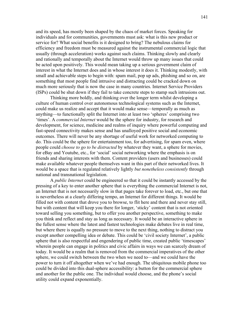and its speed, has mostly been shaped by the chaos of market forces. Speaking for individuals and for communities, governments must ask: what is this new product or service for? What social benefits is it designed to bring? The nebulous claims for efficiency and freedom must be measured against the instrumental commercial logic that usually (through acceleration) works against such claims. Thinking slowly and clearly and rationally and temporally about the Internet would throw up many issues that could be acted upon positively. This would mean taking up a serious government claim of interest in what the Internet does and in whose interest it does it. Thinking modestly, with small and achievable steps to begin with: spam mail, pop up ads, phishing and so on, are something that most people find intrusive and distracting could be cracked down on much more seriously that is now the case in many countries. Internet Service Providers (ISPs) could be shut down if they fail to take concrete steps to stamp such intrusions out.

Thinking more boldly, and thinking over the longer term whilst developing a culture of human control over autonomous technological systems such as the Internet, could make us realize and accept that it would make sense—temporally as much as anything—to functionally split the Internet into at least two 'spheres' comprising two 'times'. A *commercial Internet* would be the sphere for industry, for research and development, for science, medicine and realms of inquiry where powerful computing and fast-speed connectivity makes sense and has unalloyed positive social and economic outcomes. There will never be any shortage of useful work for networked computing to do. This could be the sphere for entertainment too, for advertising, for spam even, where people could *choose to go to be distracted* by whatever they want, a sphere for movies, for eBay and Youtube, etc., for 'social' social networking where the emphasis is on friends and sharing interests with them. Content providers (users and businesses) could make available whatever people themselves want in this part of their networked lives. It would be a space that is regulated relatively lightly *but nonetheless consistently* through national and transnational legislation.

A *public Internet* could be engineered so that it could be instantly accessed by the pressing of a key to enter another sphere that is everything the commercial Internet is not, an Internet that is not necessarily slow in that pages take forever to load, etc., but one that is nevertheless at a clearly differing tempo, an Internet for different things. It would be filled not with content that drove you to browse, to flit here and there and never stay still, but with content that will keep you there for longer, 'sticky' content that is not oriented toward selling you something, but to offer you another perspective, something to make you think and reflect and stay as long as necessary. It would be an interactive sphere in the fullest sense where the latest and fastest technologies make debates live in real time, but where there is equally no pressure to move to the next thing, nothing to distract you except another compelling idea or debate. This could be 'civil society Internet', a public sphere that is also respectful and engendering of public time, created public 'timescapes' wherein people can engage in politics and civic affairs in ways we can scarcely dream of today. It would be a realm that is removed from the commercial imperatives of the other sphere, we could switch between the two when we need to—and we could have the power to turn it off altogether when we've had enough. The ubiquitous mobile phone too could be divided into this dual-sphere accessibility: a button for the commercial sphere and another for the public one. The individual would choose, and the phone's social utility could expand exponentially.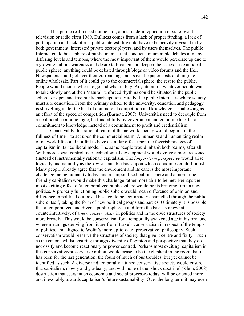This public realm need not be dull; a postmodern replication of state-owed television or radio circa 1980. Dullness comes from a lack of proper funding, a lack of participation and lack of real public interest. It would have to be heavily invested in by both government, interested private sector players, and by users themselves. The public Internet could be a sphere of public interest that conducts innumerable debates at many differing levels and tempos, where the most important of them would percolate up due to a growing public awareness and desire to broaden and deepen the issues. Like an ideal public sphere, anything could be debated through blogs or video forums and the like. Newspapers could get over their current angst and save the paper costs and migrate online wholesale. Part of it could go to the commercial sphere, the rest to the public. People would choose where to go and what to buy. Art, literature, whatever people want to take slowly and at their 'natural' unforced rhythms could be situated in the public sphere for open and free public participation. Vitally, the public Internet is where society must site education. From the primary school to the university, education and pedagogy is shrivelling under the heat of commercial competition and knowledge is shallowing as an effect of the speed of competition (Barnett, 2007). Universities need to decouple from a neoliberal economic logic, be funded fully by government and go online to offer a commitment to knowledge instead of a commitment to profit and credentialism.

Conceivably this rational realm of the network society would begin—in the fullness of time—to act upon the commercial realm. A humanist and humanizing realm of network life could not fail to have a similar effect upon the feverish ravages of capitalism in its neoliberal mode. The same people would inhabit both realms, after all. With more social control over technological development would evolve a more reasoned (instead of instrumentally rational) capitalism. The *longer-term perspective* would arise logically and naturally as the key sustainable basis upon which economies could flourish. Many people already agree that the enviroment and its care is the most important challenge facing humanity today, and a temporalized public sphere and a more timefriendly capitalism would make this challenge rather more able to be met. Perhaps the most exciting effect of a temporalized public sphere would be its bringing forth a new politics. A properly functioning public sphere would mean difference of opinion and difference in political outlook. These could be legitimately channelled through the public sphere itself, taking the form of new political groups and parties. Ultimately it is possible that a temporalized and diverse public sphere could form the basis, somewhat counterintuitively, of a *new conservatism* in politics and in the civic structures of society more broadly. This would be conservatism for a temporally awakened age in history, one where meanings deriving from it are from Burke's conservatism in respect of the tempo of politics, and aligned to Wolin's more up-to-date 'preservative' philosophy. Such conservatism would preserve the structures of society that give it centre and fixity—such as the canon--whilst ensuring through diversity of opinion and perspective that they do not ossify and become reactionary or power centred. Perhaps most exciting, capitalism in this conservative/preservative milieu, would cease to be the elephant in the room that it has been for the last generation: the fount of much of our troubles, but yet cannot be identified as such. A diverse and temporally attuned conservative society would ensure that capitalism, slowly and gradually, and with none of the 'shock doctrine' (Klein, 2008) destruction that scars much economic and social processes today, will be oriented more and inexorably towards capitalism's future sustainability. Over the long-term it may even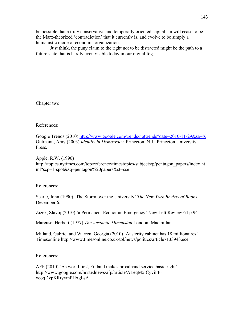be possible that a truly conservative and temporally oriented capitalism will cease to be the Marx-theorized 'contradiction' that it currently is, and evolve to be simply a humanistic mode of economic organization.

Just think, the puny claim to the right not to be distracted might be the path to a future state that is hardly even visible today in our digital fog.

Chapter two

References:

Google Trends (2010) http://www.google.com/trends/hottrends?date=2010-11-29&sa=X Gutmann, Amy (2003) *Identity in Democracy.* Princeton, N.J.: Princeton University Press.

Apple, R.W. (1996) http://topics.nytimes.com/top/reference/timestopics/subjects/p/pentagon\_papers/index.ht ml?scp=1-spot&sq=pentagon%20papers&st=cse

References:

Searle, John (1990) 'The Storm over the University' *The New York Review of Books*, December 6.

Zizek, Slavoj (2010) 'a Permanent Economic Emergency' New Left Review 64 p.94.

Marcuse, Herbert (1977) *The Aesthetic Dimension* London: Macmillan.

Milland, Gabriel and Warren, Georgia (2010) 'Austerity cabinet has 18 millionaires' Timesonline http://www.timesonline.co.uk/tol/news/politics/article7133943.ece

References:

AFP (2010) 'As world first, Finland makes broadband service basic right' http://www.google.com/hostednews/afp/article/ALeqM5iCyviFFxcoqDvpKRtyymPHxgLsA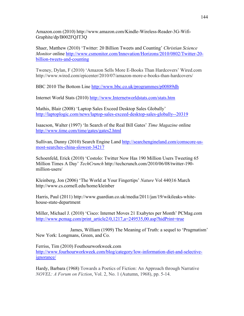Amazon.com (2010) http://www.amazon.com/Kindle-Wireless-Reader-3G-Wifi-Graphite/dp/B002FQJT3Q

Shaer, Matthew (2010) 'Twitter: 20 Billion Tweets and Counting' *Christian Science Monitor* online http://www.csmonitor.com/Innovation/Horizons/2010/0802/Twitter-20 billion-tweets-and-counting

Tweney, Dylan, F (2010) 'Amazon Sells More E-Books Than Hardcovers' Wired.com http://www.wired.com/epicenter/2010/07/amazon-more-e-books-than-hardcovers/

BBC 2010 The Bottom Line http://www.bbc.co.uk/programmes/p00889dh

Internet World Stats (2010) http://www.Internetworldstats.com/stats.htm

Mathis, Blair (2008) 'Laptop Sales Exceed Desktop Sales Globally' http://laptoplogic.com/news/laptop-sales-exceed-desktop-sales-globally--20319

Isaacson, Walter (1997) 'In Search of the Real Bill Gates' *Time Magazine* online http://www.time.com/time/gates/gates2.html

Sullivan, Danny (2010) Search Engine Land http://searchengineland.com/comscore-usmost-searches-china-slowest-34217

Schoenfeld, Erick (2010) 'Costolo: Twitter Now Has 190 Million Users Tweeting 65 Million Times A Day' *TechCrunch* http://techcrunch.com/2010/06/08/twitter-190 million-users/

Kleinberg, Jon (2006) 'The World at Your Fingertips' *Nature* Vol 440|16 March http://www.cs.cornell.edu/home/kleinber

Harris, Paul (2011) http://www.guardian.co.uk/media/2011/jan/19/wikileaks-whitehouse-state-department

Miller, Michael J. (2010) 'Cisco: Internet Moves 21 Exabytes per Month' PCMag.com http://www.pcmag.com/print\_article2/0,1217,a=249535,00.asp?hidPrint=true

James, William (1909) The Meaning of Truth: a sequel to 'Pragmatism' New York: Longmans, Green, and Co.

Ferriss, Tim (2010) Fouthourworkweek.com http://www.fourhourworkweek.com/blog/category/low-information-diet-and-selectiveignorance/

Hardy, Barbara (1968) Towards a Poetics of Fiction: An Approach through Narrative *NOVEL: A Forum on Fiction*, Vol. 2, No. 1 (Autumn, 1968), pp. 5-14.